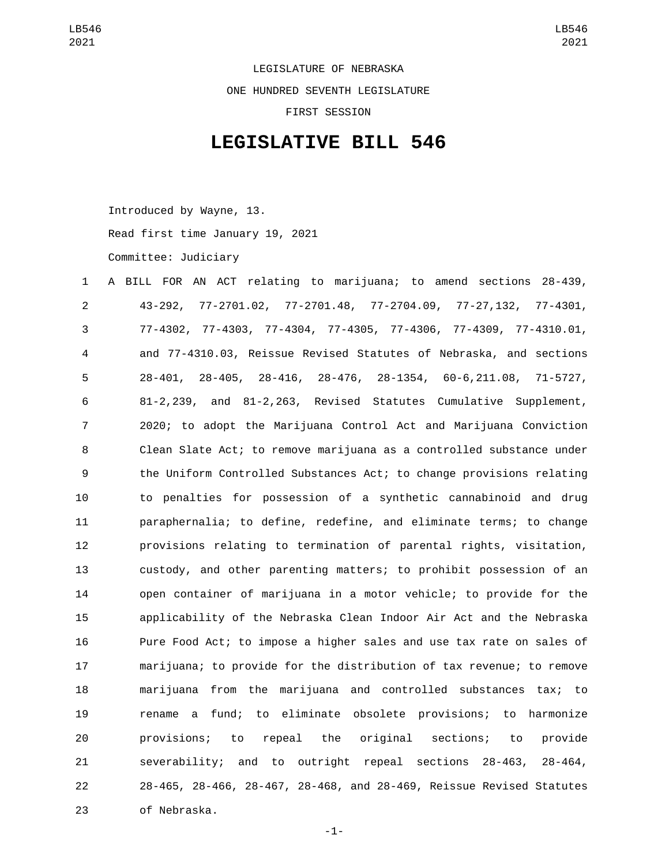LEGISLATURE OF NEBRASKA ONE HUNDRED SEVENTH LEGISLATURE FIRST SESSION

## **LEGISLATIVE BILL 546**

Introduced by Wayne, 13.

Read first time January 19, 2021

Committee: Judiciary

| 1              | A BILL FOR AN ACT relating to marijuana; to amend sections 28-439,    |
|----------------|-----------------------------------------------------------------------|
| $\overline{2}$ | 43-292, 77-2701.02, 77-2701.48, 77-2704.09, 77-27,132, 77-4301,       |
| 3              | 77-4302, 77-4303, 77-4304, 77-4305, 77-4306, 77-4309, 77-4310.01,     |
| 4              | and 77-4310.03, Reissue Revised Statutes of Nebraska, and sections    |
| 5              | 28-401, 28-405, 28-416, 28-476, 28-1354, 60-6, 211.08, 71-5727,       |
| 6              | 81-2,239, and 81-2,263, Revised Statutes Cumulative Supplement,       |
| 7              | 2020; to adopt the Marijuana Control Act and Marijuana Conviction     |
| 8              | Clean Slate Act; to remove marijuana as a controlled substance under  |
| 9              | the Uniform Controlled Substances Act; to change provisions relating  |
| 10             | to penalties for possession of a synthetic cannabinoid and drug       |
| 11             | paraphernalia; to define, redefine, and eliminate terms; to change    |
| 12             | provisions relating to termination of parental rights, visitation,    |
| 13             | custody, and other parenting matters; to prohibit possession of an    |
| 14             | open container of marijuana in a motor vehicle; to provide for the    |
| 15             | applicability of the Nebraska Clean Indoor Air Act and the Nebraska   |
| 16             | Pure Food Act; to impose a higher sales and use tax rate on sales of  |
| 17             | marijuana; to provide for the distribution of tax revenue; to remove  |
| 18             | marijuana from the marijuana and controlled substances tax; to        |
| 19             | a fund; to eliminate obsolete provisions; to<br>harmonize<br>rename   |
| 20             | repeal the original sections; to<br>provisions; to<br>provide         |
| 21             | severability; and to outright repeal sections 28-463,<br>$28 - 464$ , |
| 22             | 28-465, 28-466, 28-467, 28-468, and 28-469, Reissue Revised Statutes  |
| 23             | of Nebraska.                                                          |

-1-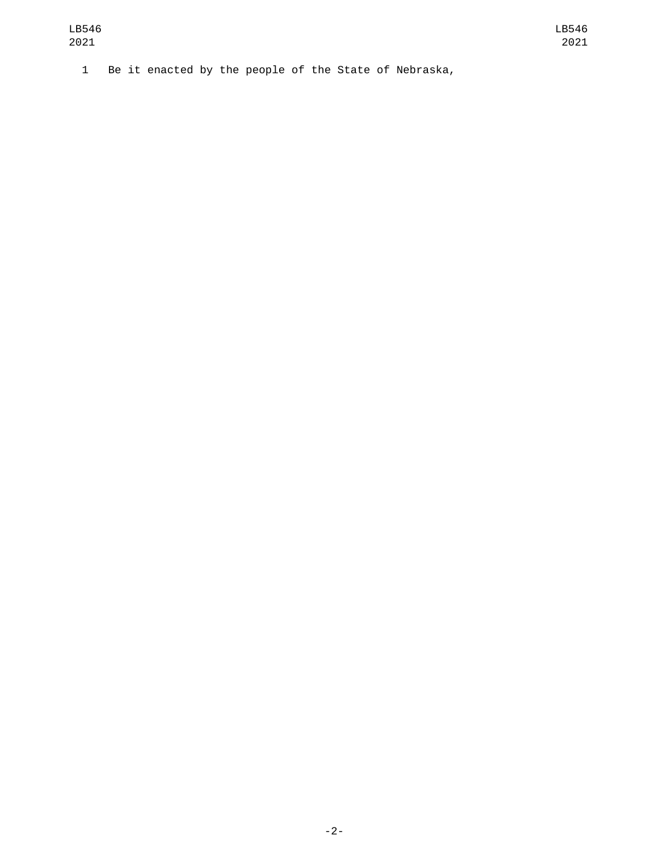1 Be it enacted by the people of the State of Nebraska,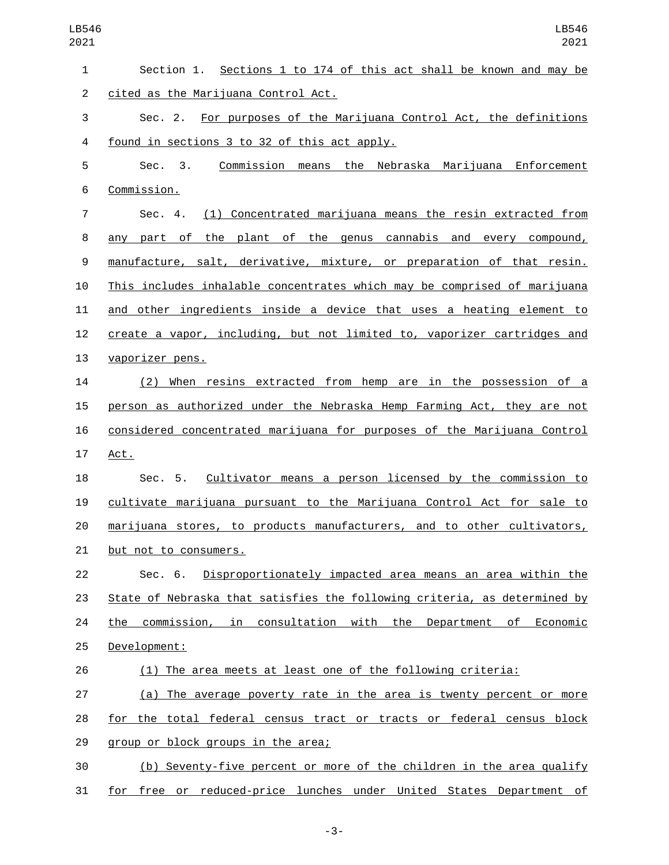| 1              | Section 1. Sections 1 to 174 of this act shall be known and may be          |
|----------------|-----------------------------------------------------------------------------|
| $\overline{c}$ | cited as the Marijuana Control Act.                                         |
| 3              | Sec. 2. For purposes of the Marijuana Control Act, the definitions          |
| 4              | found in sections 3 to 32 of this act apply.                                |
| 5              | Commission means the Nebraska Marijuana Enforcement<br>Sec. 3.              |
| 6              | Commission.                                                                 |
| 7              | <u>(1) Concentrated marijuana means the resin extracted from</u><br>Sec. 4. |
| 8              | any part of the plant of the genus cannabis and every compound,             |
| 9              | manufacture, salt, derivative, mixture, or preparation of that resin.       |
| 10             | This includes inhalable concentrates which may be comprised of marijuana    |
| 11             | and other ingredients inside a device that uses a heating element to        |
| 12             | create a vapor, including, but not limited to, vaporizer cartridges and     |
| 13             | vaporizer pens.                                                             |
| 14             | (2) When resins extracted from hemp are in the possession of a              |
| 15             | person as authorized under the Nebraska Hemp Farming Act, they are not      |
| 16             | considered concentrated marijuana for purposes of the Marijuana Control     |
| 17             | Act.                                                                        |
| 18             | Sec. 5. Cultivator means a person licensed by the commission to             |
| 19             | cultivate marijuana pursuant to the Marijuana Control Act for sale to       |
| 20             | marijuana stores, to products manufacturers, and to other cultivators,      |
| 21             | but not to consumers.                                                       |
| 22             | Disproportionately impacted area means an area within the<br>Sec. 6.        |
| 23             | State of Nebraska that satisfies the following criteria, as determined by   |
| 24             | the commission, in consultation with the Department of Economic             |
| 25             | Development:                                                                |
| 26             | (1) The area meets at least one of the following criteria:                  |
| 27             | (a) The average poverty rate in the area is twenty percent or more          |
| 28             | for the total federal census tract or tracts or federal census block        |
| 29             | group or block groups in the area;                                          |
| 30             | (b) Seventy-five percent or more of the children in the area qualify        |
| 31             | free or reduced-price lunches under United States Department of<br>for      |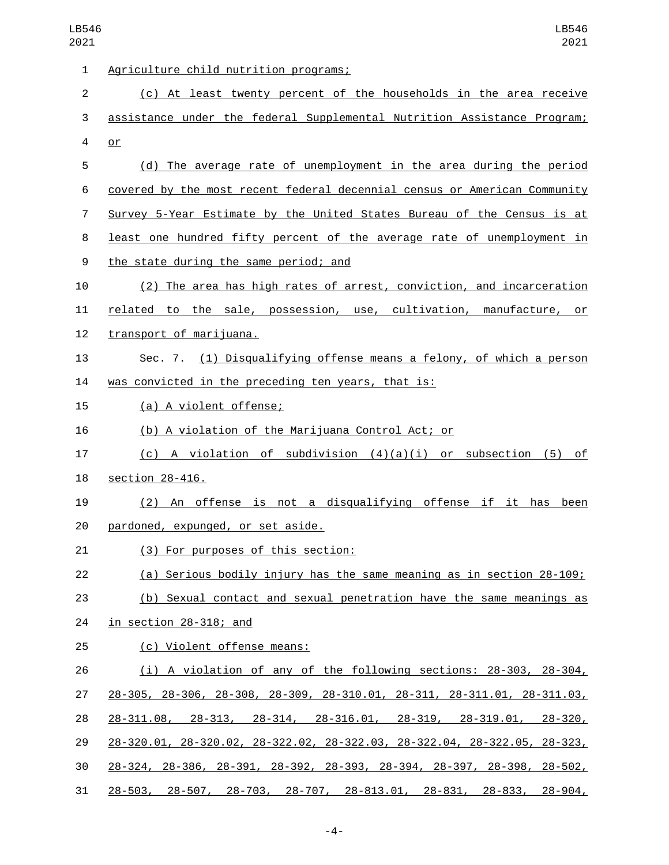| 1              | Agriculture child nutrition programs;                                                        |
|----------------|----------------------------------------------------------------------------------------------|
| $\overline{c}$ | (c) At least twenty percent of the households in the area receive                            |
| 3              | assistance under the federal Supplemental Nutrition Assistance Program;                      |
| 4              | $or$                                                                                         |
| 5              | (d) The average rate of unemployment in the area during the period                           |
| 6              | covered by the most recent federal decennial census or American Community                    |
| 7              | Survey 5-Year Estimate by the United States Bureau of the Census is at                       |
| 8              | least one hundred fifty percent of the average rate of unemployment in                       |
| 9              | the state during the same period; and                                                        |
| 10             | (2) The area has high rates of arrest, conviction, and incarceration                         |
| 11             | related to the sale, possession, use, cultivation, manufacture, or                           |
| 12             | transport of marijuana.                                                                      |
| 13             | Sec. 7. (1) Disqualifying offense means a felony, of which a person                          |
| 14             | was convicted in the preceding ten years, that is:                                           |
| 15             | (a) A violent offense;                                                                       |
| 16             | (b) A violation of the Marijuana Control Act; or                                             |
| 17             | (c) A violation of subdivision $(4)(a)(i)$ or subsection (5) of                              |
| 18             | section 28-416.                                                                              |
| 19             | (2) An offense is not a disqualifying offense if it has been                                 |
| 20             | pardoned, expunged, or set aside.                                                            |
| 21             | (3) For purposes of this section:                                                            |
| 22             | (a) Serious bodily injury has the same meaning as in section 28-109;                         |
| 23             | (b) Sexual contact and sexual penetration have the same meanings as                          |
| 24             | in section 28-318; and                                                                       |
| 25             | (c) Violent offense means:                                                                   |
| 26             | (i) A violation of any of the following sections: 28-303, 28-304,                            |
| 27             | 28-305, 28-306, 28-308, 28-309, 28-310.01, 28-311, 28-311.01, 28-311.03,                     |
| 28             | $28-311.08$ , $28-313$ , $28-314$ , $28-316.01$ , $28-319$ , $28-319.01$ , $28-320$ ,        |
| 29             | $28-320.01$ , $28-320.02$ , $28-322.02$ , $28-322.03$ , $28-322.04$ , $28-322.05$ , $28-323$ |
| 30             | <u>28-324, 28-386, 28-391, 28-392, 28-393, 28-394, 28-397, 28-398, 28-502,</u>               |
| 31             | $28-503$ , 28-507, 28-703, 28-707, 28-813.01, 28-831, 28-833, 28-904,                        |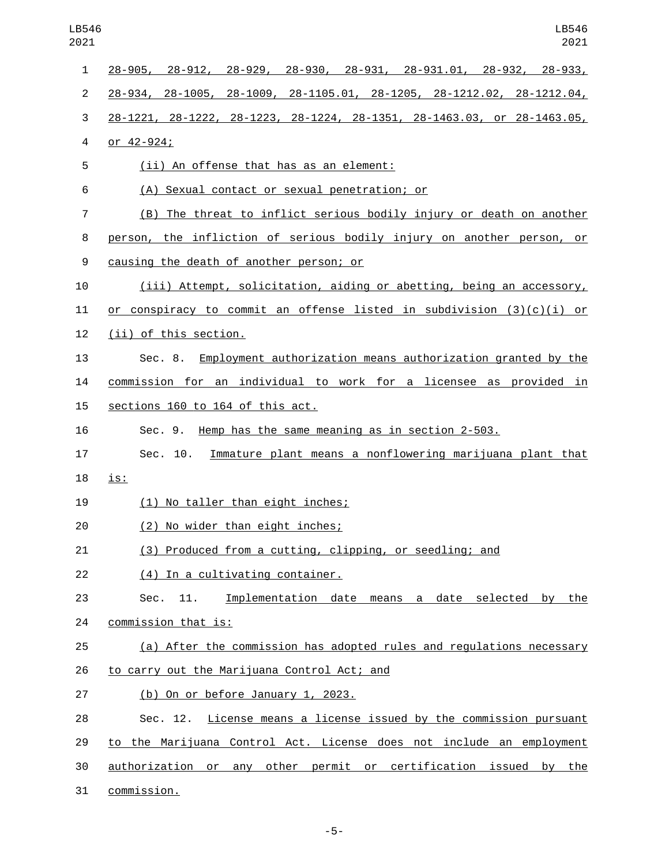| 1  | $28-905$ , $28-912$ , $28-929$ , $28-930$ , $28-931$ , $28-931.01$ , $28-932$ , $28-933$ , |
|----|--------------------------------------------------------------------------------------------|
| 2  | $28-934$ , $28-1005$ , $28-1009$ , $28-1105.01$ , $28-1205$ , $28-1212.02$ , $28-1212.04$  |
| 3  | 28-1221, 28-1222, 28-1223, 28-1224, 28-1351, 28-1463.03, or 28-1463.05,                    |
| 4  | or $42 - 924$ ;                                                                            |
| 5  | <u>(ii) An offense that has as an element:</u>                                             |
| 6  | (A) Sexual contact or sexual penetration; or                                               |
| 7  | (B) The threat to inflict serious bodily injury or death on another                        |
| 8  | person, the infliction of serious bodily injury on another person, or                      |
| 9  | causing the death of another person; or                                                    |
| 10 | (iii) Attempt, solicitation, aiding or abetting, being an accessory,                       |
| 11 | or conspiracy to commit an offense listed in subdivision $(3)(c)(i)$ or                    |
| 12 | (ii) of this section.                                                                      |
| 13 | Sec. 8. Employment authorization means authorization granted by the                        |
| 14 | commission for an individual to work for a licensee as provided in                         |
| 15 | sections 160 to 164 of this act.                                                           |
| 16 | Sec. 9. Hemp has the same meaning as in section 2-503.                                     |
| 17 | Sec. 10. Immature plant means a nonflowering marijuana plant that                          |
| 18 | is:                                                                                        |
| 19 | (1) No taller than eight inches;                                                           |
| 20 | (2) No wider than eight inches;                                                            |
| 21 | (3) Produced from a cutting, clipping, or seedling; and                                    |
| 22 | (4) In a cultivating container.                                                            |
| 23 | Implementation date means a date selected<br>the<br>11.<br>by<br>Sec.                      |
| 24 | commission that is:                                                                        |
| 25 | (a) After the commission has adopted rules and regulations necessary                       |
| 26 | to carry out the Marijuana Control Act; and                                                |
| 27 | $(b)$ On or before January 1, 2023.                                                        |
| 28 | Sec. 12. License means a license issued by the commission pursuant                         |
| 29 | to the Marijuana Control Act. License does not include an employment                       |
| 30 | authorization or any other permit or certification issued by the                           |
| 31 | commission.                                                                                |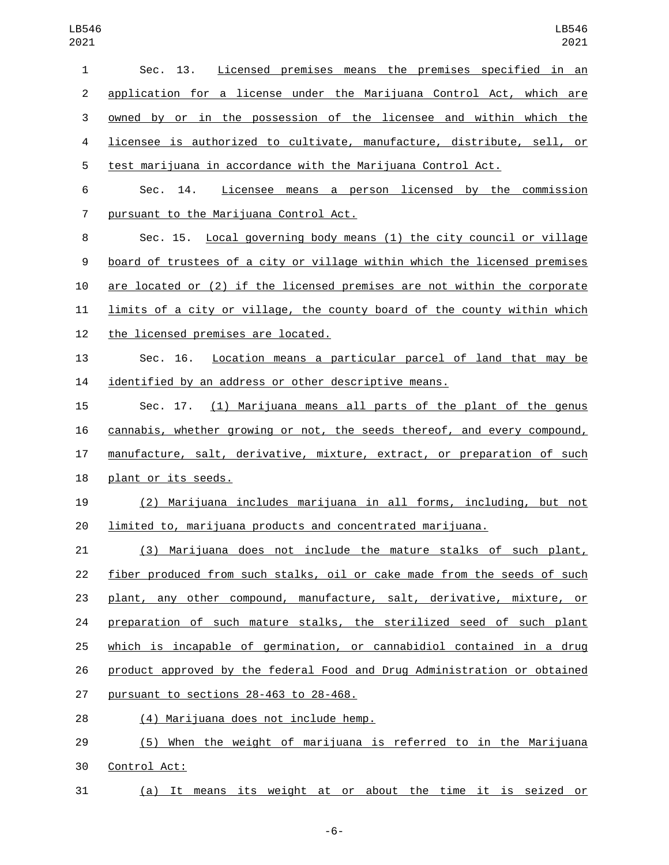| $\mathbf{1}$   | Sec. 13.<br>Licensed premises means the premises specified in an          |
|----------------|---------------------------------------------------------------------------|
| $\overline{2}$ | application for a license under the Marijuana Control Act, which are      |
| 3              | owned by or in the possession of the licensee and within which the        |
| 4              | licensee is authorized to cultivate, manufacture, distribute, sell, or    |
| 5              | test marijuana in accordance with the Marijuana Control Act.              |
| 6              | Licensee means a person licensed by the commission<br>Sec. 14.            |
| 7              | pursuant to the Marijuana Control Act.                                    |
| 8              | Sec. 15. Local governing body means (1) the city council or village       |
| 9              | board of trustees of a city or village within which the licensed premises |
| 10             | are located or (2) if the licensed premises are not within the corporate  |
| 11             | limits of a city or village, the county board of the county within which  |
| 12             | <u>the licensed premises are located.</u>                                 |
| 13             | Sec. 16. Location means a particular parcel of land that may be           |
| 14             | identified by an address or other descriptive means.                      |
| 15             | Sec. 17. (1) Marijuana means all parts of the plant of the genus          |
| 16             | cannabis, whether growing or not, the seeds thereof, and every compound,  |
| 17             | manufacture, salt, derivative, mixture, extract, or preparation of such   |
| 18             | plant or its seeds.                                                       |
| 19             | (2) Marijuana includes marijuana in all forms, including, but not         |
| 20             | limited to, marijuana products and concentrated marijuana.                |
| 21             | (3) Marijuana does not include the mature stalks of such plant,           |
| 22             | fiber produced from such stalks, oil or cake made from the seeds of such  |
| 23             | plant, any other compound, manufacture, salt, derivative, mixture, or     |
| 24             | preparation of such mature stalks, the sterilized seed of such plant      |
| 25             | which is incapable of germination, or cannabidiol contained in a drug     |
| 26             | product approved by the federal Food and Drug Administration or obtained  |
| 27             | pursuant to sections 28-463 to 28-468.                                    |
| 28             | <u>(4) Marijuana does not include hemp.</u>                               |
| 29             | (5) When the weight of marijuana is referred to in the Marijuana          |
| 30             | Control Act:                                                              |
| 31             | (a) It means its weight at or about the time it is seized or              |

-6-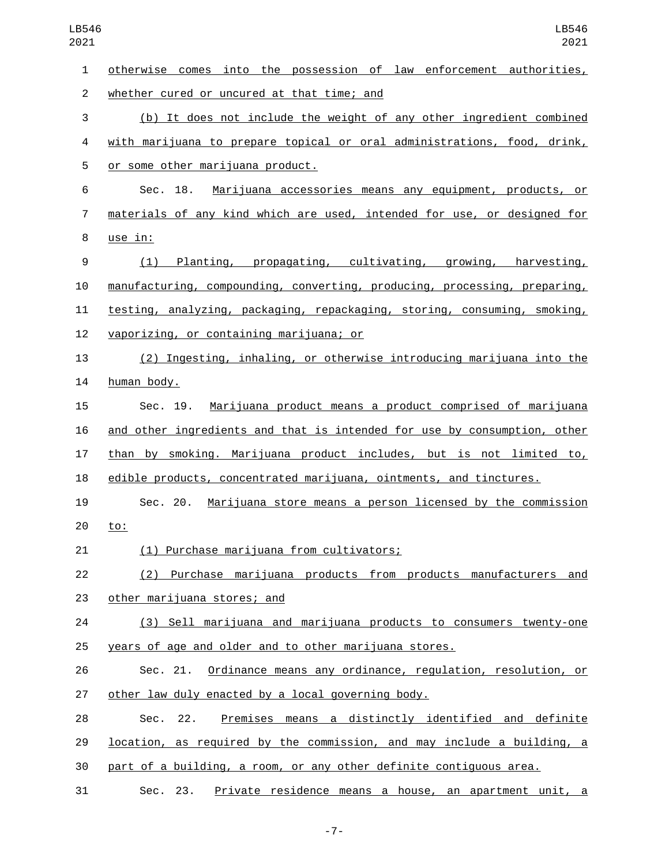| $\mathbf{1}$   | otherwise comes into the possession of law enforcement authorities,       |
|----------------|---------------------------------------------------------------------------|
| $\overline{2}$ | whether cured or uncured at that time; and                                |
| 3              | (b) It does not include the weight of any other ingredient combined       |
| 4              | with marijuana to prepare topical or oral administrations, food, drink,   |
| 5              | or some other marijuana product.                                          |
| 6              | Marijuana accessories means any equipment, products, or<br>Sec. 18.       |
| $\overline{7}$ | materials of any kind which are used, intended for use, or designed for   |
| 8              | use in:                                                                   |
| 9              | Planting, propagating, cultivating, growing, harvesting,<br>(1)           |
| 10             | manufacturing, compounding, converting, producing, processing, preparing, |
| 11             | testing, analyzing, packaging, repackaging, storing, consuming, smoking,  |
| 12             | vaporizing, or containing marijuana; or                                   |
| 13             | (2) Ingesting, inhaling, or otherwise introducing marijuana into the      |
| 14             | human body.                                                               |
| 15             | Marijuana product means a product comprised of marijuana<br>Sec. 19.      |
| 16             | and other ingredients and that is intended for use by consumption, other  |
| 17             | than by smoking. Marijuana product includes, but is not limited to,       |
| 18             | edible products, concentrated marijuana, ointments, and tinctures.        |
| 19             | Sec. 20. Marijuana store means a person licensed by the commission        |
| 20             | <u>to:</u>                                                                |
| 21             | <u>(1) Purchase marijuana from cultivators;</u>                           |
| 22             | (2) Purchase marijuana products from products manufacturers and           |
| 23             | other marijuana stores; and                                               |
| 24             | (3) Sell marijuana and marijuana products to consumers twenty-one         |
| 25             | years of age and older and to other marijuana stores.                     |
| 26             | Sec. 21. Ordinance means any ordinance, regulation, resolution, or        |
| 27             | other law duly enacted by a local governing body.                         |
| 28             | Sec. 22. Premises means a distinctly identified and definite              |
| 29             | location, as required by the commission, and may include a building, a    |
| 30             | part of a building, a room, or any other definite contiguous area.        |
| 31             | Private residence means a house, an apartment unit, a<br>Sec. 23.         |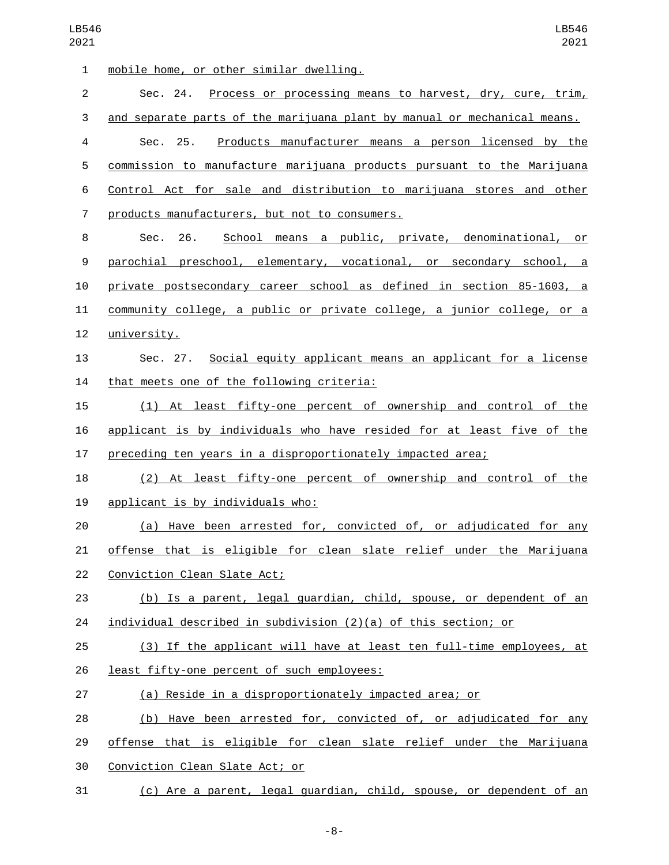| 1              | mobile home, or other similar dwelling.                                  |
|----------------|--------------------------------------------------------------------------|
| $\overline{c}$ | Sec. 24. Process or processing means to harvest, dry, cure, trim,        |
| 3              | and separate parts of the marijuana plant by manual or mechanical means. |
| 4              | Sec. 25.<br><u>Products manufacturer means a person licensed by the</u>  |
| 5              | commission to manufacture marijuana products pursuant to the Marijuana   |
| 6              | Control Act for sale and distribution to marijuana stores and other      |
| $\overline{7}$ | products manufacturers, but not to consumers.                            |
| 8              | School means a public, private, denominational, or<br>Sec. 26.           |
| 9              | parochial preschool, elementary, vocational, or secondary school, a      |
| 10             | private postsecondary career school as defined in section 85-1603, a     |
| 11             | community college, a public or private college, a junior college, or a   |
| 12             | university.                                                              |
| 13             | Sec. 27. Social equity applicant means an applicant for a license        |
| 14             | that meets one of the following criteria:                                |
| 15             | (1) At least fifty-one percent of ownership and control of the           |
| 16             | applicant is by individuals who have resided for at least five of the    |
| 17             | preceding ten years in a disproportionately impacted area;               |
| 18             | (2) At least fifty-one percent of ownership and control of the           |
| 19             | applicant is by individuals who:                                         |
| 20             | (a) Have been arrested for, convicted of, or adjudicated for any         |
| 21             | offense that is eligible for clean slate relief under the Marijuana      |
| 22             | Conviction Clean Slate Act;                                              |
| 23             | (b) Is a parent, legal guardian, child, spouse, or dependent of an       |
| 24             | $individual$ described in subdivision $(2)(a)$ of this section; or       |
| 25             | (3) If the applicant will have at least ten full-time employees, at      |
| 26             | least fifty-one percent of such employees:                               |
| 27             | (a) Reside in a disproportionately impacted area; or                     |
| 28             | (b) Have been arrested for, convicted of, or adjudicated for any         |
| 29             | offense that is eligible for clean slate relief under the Marijuana      |
| 30             | Conviction Clean Slate Act; or                                           |
| 31             | (c) Are a parent, legal guardian, child, spouse, or dependent of an      |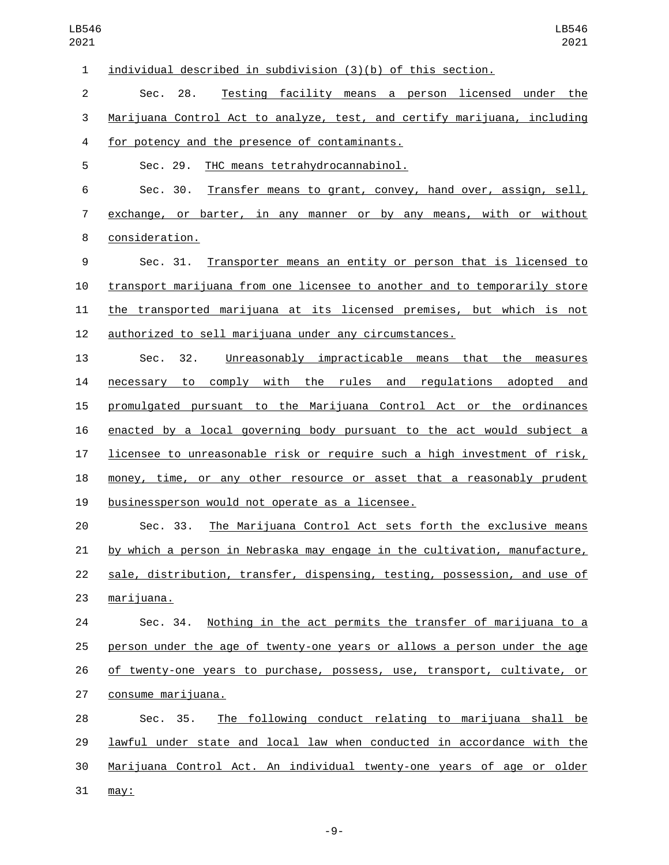individual described in subdivision (3)(b) of this section. Sec. 28. Testing facility means a person licensed under the Marijuana Control Act to analyze, test, and certify marijuana, including 4 for potency and the presence of contaminants. 5 Sec. 29. THC means tetrahydrocannabinol. Sec. 30. Transfer means to grant, convey, hand over, assign, sell, exchange, or barter, in any manner or by any means, with or without consideration.8 Sec. 31. Transporter means an entity or person that is licensed to transport marijuana from one licensee to another and to temporarily store the transported marijuana at its licensed premises, but which is not authorized to sell marijuana under any circumstances. Sec. 32. Unreasonably impracticable means that the measures necessary to comply with the rules and regulations adopted and promulgated pursuant to the Marijuana Control Act or the ordinances enacted by a local governing body pursuant to the act would subject a licensee to unreasonable risk or require such a high investment of risk, money, time, or any other resource or asset that a reasonably prudent 19 businessperson would not operate as a licensee. Sec. 33. The Marijuana Control Act sets forth the exclusive means by which a person in Nebraska may engage in the cultivation, manufacture, sale, distribution, transfer, dispensing, testing, possession, and use of 23 marijuana. Sec. 34. Nothing in the act permits the transfer of marijuana to a person under the age of twenty-one years or allows a person under the age of twenty-one years to purchase, possess, use, transport, cultivate, or 27 consume marijuana. Sec. 35. The following conduct relating to marijuana shall be lawful under state and local law when conducted in accordance with the Marijuana Control Act. An individual twenty-one years of age or older may: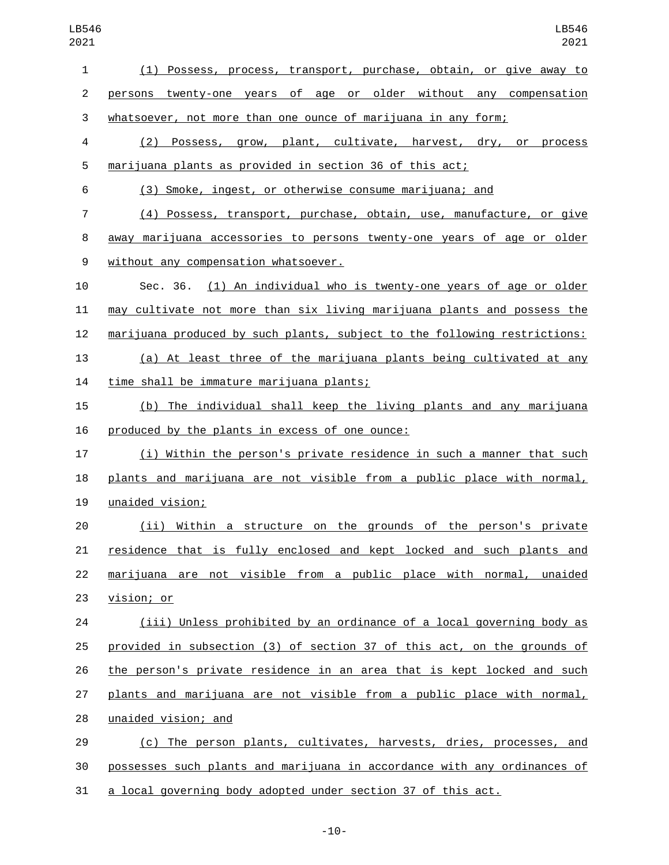| $\mathbf{1}$   | (1) Possess, process, transport, purchase, obtain, or give away to          |
|----------------|-----------------------------------------------------------------------------|
| $\overline{2}$ | persons twenty-one years of age or older without any compensation           |
| 3              | whatsoever, not more than one ounce of marijuana in any form;               |
| 4              | (2) Possess, grow, plant, cultivate, harvest, dry, or process               |
| 5              | marijuana plants as provided in section 36 of this act;                     |
| 6              | (3) Smoke, ingest, or otherwise consume marijuana; and                      |
| 7              | (4) Possess, transport, purchase, obtain, use, manufacture, or give         |
| 8              | away marijuana accessories to persons twenty-one years of age or older      |
| 9              | without any compensation whatsoever.                                        |
| 10             | Sec. 36. (1) An individual who is twenty-one years of age or older          |
| 11             | may cultivate not more than six living marijuana plants and possess the     |
| 12             | marijuana produced by such plants, subject to the following restrictions:   |
| 13             | (a) At least three of the marijuana plants being cultivated at any          |
| 14             | time shall be immature marijuana plants;                                    |
| 15             | (b) The individual shall keep the living plants and any marijuana           |
| 16             | produced by the plants in excess of one ounce:                              |
| 17             | (i) Within the person's private residence in such a manner that such        |
| 18             | plants and marijuana are not visible from a public place with normal,       |
| 19             | unaided vision;                                                             |
| 20             | (ii) Within a structure on the grounds of the person's private              |
| 21             | <u>residence that is fully enclosed and kept locked and such plants and</u> |
| 22             | marijuana are not visible from a public place with normal, unaided          |
| 23             | <u>vision; or</u>                                                           |
| 24             | (iii) Unless prohibited by an ordinance of a local governing body as        |
| 25             | provided in subsection (3) of section 37 of this act, on the grounds of     |
| 26             | the person's private residence in an area that is kept locked and such      |
| 27             | plants and marijuana are not visible from a public place with normal,       |
| 28             | unaided vision; and                                                         |
| 29             | (c) The person plants, cultivates, harvests, dries, processes, and          |
| 30             | possesses such plants and marijuana in accordance with any ordinances of    |

a local governing body adopted under section 37 of this act.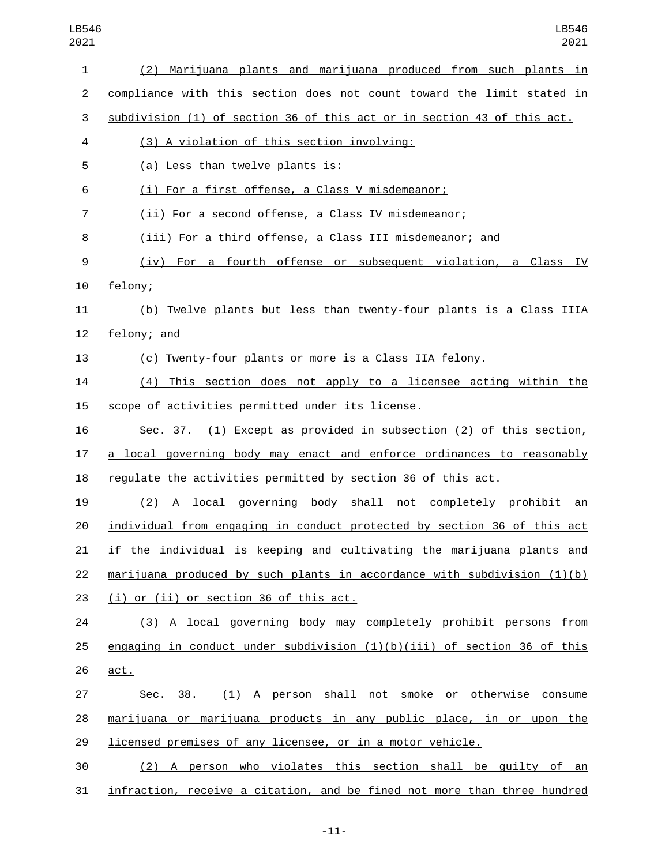| 1              | (2) Marijuana plants and marijuana produced from such plants in                                  |
|----------------|--------------------------------------------------------------------------------------------------|
| $\overline{c}$ | compliance with this section does not count toward the limit stated in                           |
| 3              | subdivision (1) of section 36 of this act or in section 43 of this act.                          |
| 4              | (3) A violation of this section involving:                                                       |
| 5              | (a) Less than twelve plants is:                                                                  |
| 6              | (i) For a first offense, a Class V misdemeanor;                                                  |
| 7              | (ii) For a second offense, a Class IV misdemeanor;                                               |
| 8              | (iii) For a third offense, a Class III misdemeanor; and                                          |
| 9              | (iv) For a fourth offense or subsequent violation, a Class IV                                    |
| 10             | felony;                                                                                          |
| 11             | (b) Twelve plants but less than twenty-four plants is a Class IIIA                               |
| 12             | felony; and                                                                                      |
| 13             | (c) Twenty-four plants or more is a Class IIA felony.                                            |
| 14             | (4) This section does not apply to a licensee acting within the                                  |
| 15             | scope of activities permitted under its license.                                                 |
| 16             | Sec. 37. (1) Except as provided in subsection (2) of this section,                               |
| 17             | a local governing body may enact and enforce ordinances to reasonably                            |
| 18             | regulate the activities permitted by section 36 of this act.                                     |
| 19             | (2) A local governing body shall not completely prohibit an                                      |
| 20             | individual from engaging in conduct protected by section 36 of this act                          |
| 21             | if the individual is keeping and cultivating the marijuana plants and                            |
| 22             | $\frac{matrix}{10}(1)$ marijuana produced by such plants in accordance with subdivision $(1)(b)$ |
| 23             | (i) or (ii) or section 36 of this act.                                                           |
| 24             | (3) A local governing body may completely prohibit persons from                                  |
| 25             | engaging in conduct under subdivision $(1)(b)(iii)$ of section 36 of this                        |
| 26             | act.                                                                                             |
| 27             | (1) A person shall not smoke or otherwise consume<br>Sec. 38.                                    |
| 28             | marijuana or marijuana products in any public place, in or upon the                              |
| 29             | licensed premises of any licensee, or in a motor vehicle.                                        |
| 30             | (2) A person who violates this section shall be guilty of an                                     |
| 31             | infraction, receive a citation, and be fined not more than three hundred                         |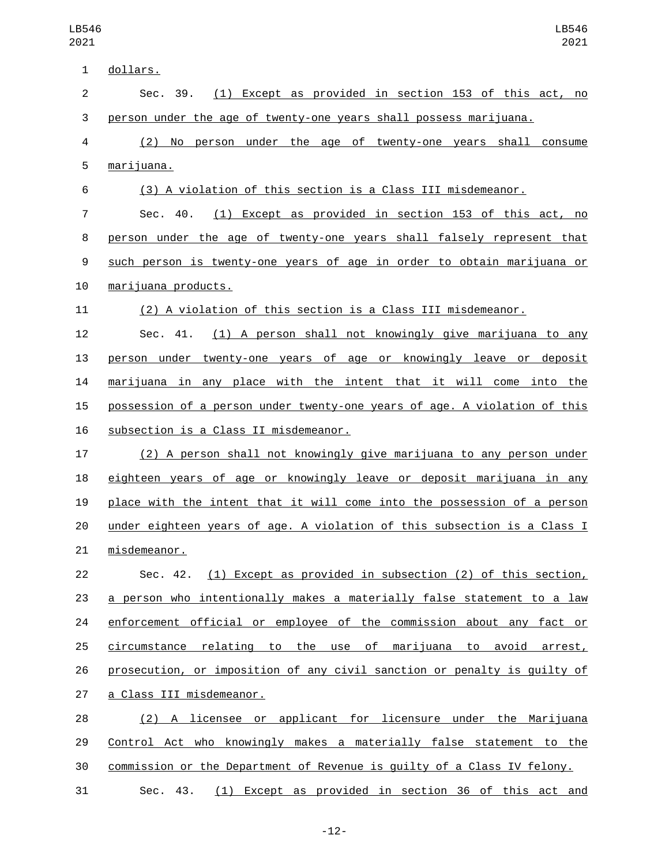| $\mathbf{1}$   | dollars.                                                                  |
|----------------|---------------------------------------------------------------------------|
| $\overline{2}$ | (1) Except as provided in section 153 of this act, no<br>Sec. 39.         |
| 3              | person under the age of twenty-one years shall possess marijuana.         |
| 4              | (2) No person under the age of twenty-one years shall consume             |
| 5              | marijuana.                                                                |
| 6              | (3) A violation of this section is a Class III misdemeanor.               |
| $\overline{7}$ | (1) Except as provided in section 153 of this act, no<br>Sec. 40.         |
| 8              | person under the age of twenty-one years shall falsely represent that     |
| 9              | such person is twenty-one years of age in order to obtain marijuana or    |
| 10             | marijuana products.                                                       |
| 11             | (2) A violation of this section is a Class III misdemeanor.               |
| 12             | (1) A person shall not knowingly give marijuana to any<br>Sec. 41.        |
| 13             | person under twenty-one years of age or knowingly leave or deposit        |
| 14             | marijuana in any place with the intent that it will come into the         |
| 15             | possession of a person under twenty-one years of age. A violation of this |
| 16             | subsection is a Class II misdemeanor.                                     |
| 17             | (2) A person shall not knowingly give marijuana to any person under       |
| 18             | eighteen years of age or knowingly leave or deposit marijuana in any      |
| 19             | place with the intent that it will come into the possession of a person   |
| 20             | under eighteen years of age. A violation of this subsection is a Class I  |
| 21             | misdemeanor.                                                              |
| 22             | Sec. 42. (1) Except as provided in subsection (2) of this section,        |
| 23             | a person who intentionally makes a materially false statement to a law    |
| 24             | enforcement official or employee of the commission about any fact or      |
| 25             | circumstance relating to the use of marijuana to avoid arrest,            |
| 26             | prosecution, or imposition of any civil sanction or penalty is quilty of  |
| 27             | a Class III misdemeanor.                                                  |
| 28             | (2) A licensee or applicant for licensure under the Marijuana             |
| 29             | Control Act who knowingly makes a materially false statement to the       |
| 30             | commission or the Department of Revenue is guilty of a Class IV felony.   |
| 31             | Sec. 43. (1) Except as provided in section 36 of this act and             |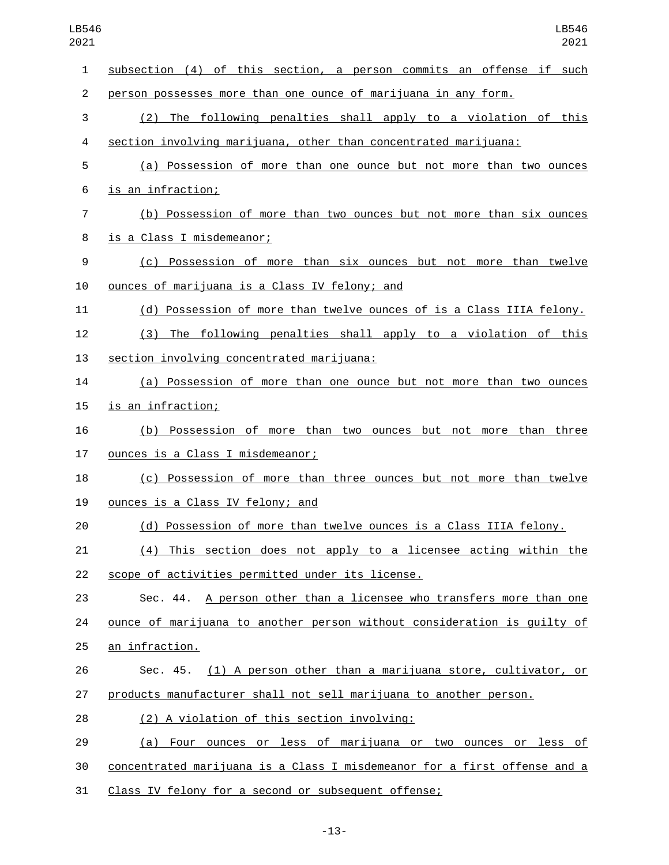| 1              | subsection (4) of this section, a person commits an offense if such       |
|----------------|---------------------------------------------------------------------------|
| $\overline{2}$ | person possesses more than one ounce of marijuana in any form.            |
| 3              | (2) The following penalties shall apply to a violation of this            |
| 4              | section involving marijuana, other than concentrated marijuana:           |
| 5              | (a) Possession of more than one ounce but not more than two ounces        |
| 6              | <u>is an infraction;</u>                                                  |
| 7              | (b) Possession of more than two ounces but not more than six ounces       |
| 8              | is a Class I misdemeanor;                                                 |
| 9              | (c) Possession of more than six ounces but not more than twelve           |
| 10             | ounces of marijuana is a Class IV felony; and                             |
| 11             | (d) Possession of more than twelve ounces of is a Class IIIA felony.      |
| 12             | (3) The following penalties shall apply to a violation of this            |
| 13             | section involving concentrated marijuana:                                 |
| 14             | (a) Possession of more than one ounce but not more than two ounces        |
| 15             | is an infraction;                                                         |
| 16             | (b) Possession of more than two ounces but not more than three            |
| 17             | ounces is a Class I misdemeanor;                                          |
| 18             | (c) Possession of more than three ounces but not more than twelve         |
| 19             | ounces is a Class IV felony; and                                          |
| 20             | (d) Possession of more than twelve ounces is a Class IIIA felony.         |
| 21             | (4) This section does not apply to a licensee acting within the           |
| 22             | scope of activities permitted under its license.                          |
| 23             | Sec. 44. A person other than a licensee who transfers more than one       |
| 24             | ounce of marijuana to another person without consideration is guilty of   |
| 25             | an infraction.                                                            |
| 26             | Sec. 45. (1) A person other than a marijuana store, cultivator, or        |
| 27             | products manufacturer shall not sell marijuana to another person.         |
| 28             | (2) A violation of this section involving:                                |
| 29             | (a) Four ounces or less of marijuana or two ounces or less of             |
| 30             | concentrated marijuana is a Class I misdemeanor for a first offense and a |
| 31             | Class IV felony for a second or subsequent offense;                       |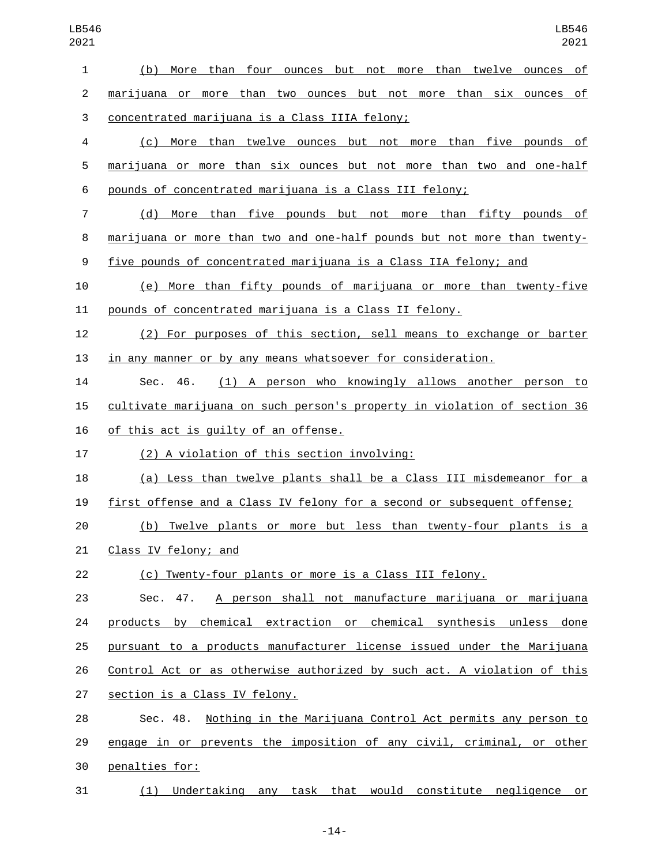| 1              | (b)<br>More than four ounces but not more than twelve ounces of               |
|----------------|-------------------------------------------------------------------------------|
| $\overline{2}$ | <u>marijuana or more than two ounces but not more than six ounces of</u>      |
| 3              | concentrated marijuana is a Class IIIA felony;                                |
| 4              | (c) More than twelve ounces but not more than five pounds of                  |
| 5              | marijuana or more than six ounces but not more than two and one-half          |
| 6              | pounds of concentrated marijuana is a Class III felony;                       |
| 7              | (d) More than five pounds but not more than fifty pounds of                   |
| 8              | marijuana or more than two and one-half pounds but not more than twenty-      |
| 9              | five pounds of concentrated marijuana is a Class IIA felony; and              |
| 10             | (e) More than fifty pounds of marijuana or more than twenty-five              |
| 11             | pounds of concentrated marijuana is a Class II felony.                        |
| 12             | (2) For purposes of this section, sell means to exchange or barter            |
| 13             | in any manner or by any means whatsoever for consideration.                   |
| 14             | (1) A person who knowingly allows another person to<br>Sec.<br>46.            |
| 15             | cultivate marijuana on such person's property in violation of section 36      |
| 16             | of this act is guilty of an offense.                                          |
| 17             | (2) A violation of this section involving:                                    |
| 18             | (a) Less than twelve plants shall be a Class III misdemeanor for a            |
| 19             | first offense and a Class IV felony for a second or subsequent offense;       |
| 20             | (b) Twelve plants or more but less than twenty-four plants is a               |
| 21             | Class IV felony; and                                                          |
| 22             | (c) Twenty-four plants or more is a Class III felony.                         |
| 23             | Sec. 47. A person shall not manufacture marijuana or marijuana                |
| 24             | products by chemical extraction or chemical synthesis unless done             |
| 25             | pursuant to a products manufacturer license issued under the Marijuana        |
| 26             | Control Act or as otherwise authorized by such act. A violation of this       |
| 27             | section is a Class IV felony.                                                 |
| 28             | <u>Nothing in the Marijuana Control Act permits any person to</u><br>Sec. 48. |
| 29             | engage in or prevents the imposition of any civil, criminal, or other         |
| 30             | penalties for:                                                                |
| 31             | (1) Undertaking any task that would constitute negligence or                  |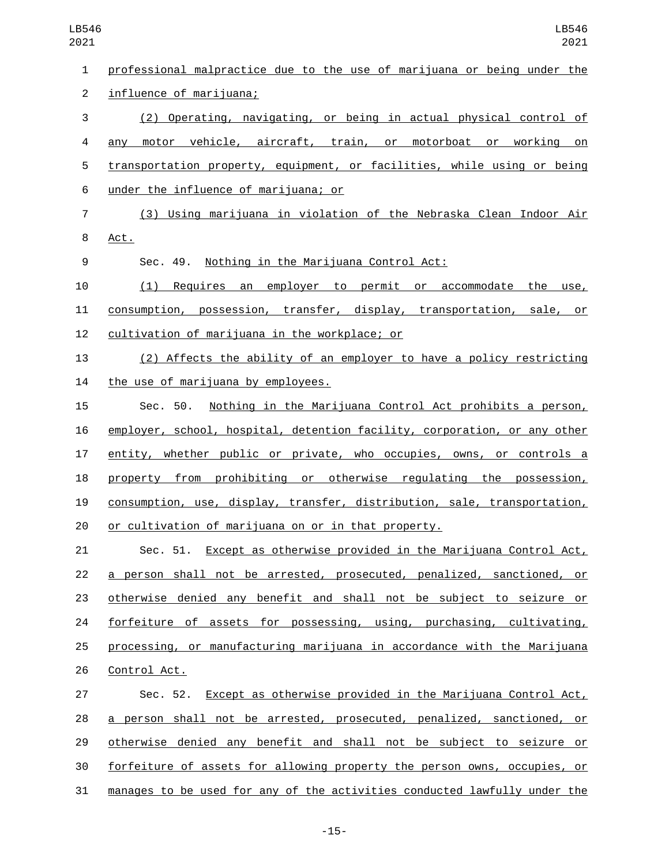professional malpractice due to the use of marijuana or being under the 2 influence of marijuana; (2) Operating, navigating, or being in actual physical control of any motor vehicle, aircraft, train, or motorboat or working on transportation property, equipment, or facilities, while using or being under the influence of marijuana; or6 (3) Using marijuana in violation of the Nebraska Clean Indoor Air 8 Act. Sec. 49. Nothing in the Marijuana Control Act: (1) Requires an employer to permit or accommodate the use, consumption, possession, transfer, display, transportation, sale, or 12 cultivation of marijuana in the workplace; or (2) Affects the ability of an employer to have a policy restricting 14 the use of marijuana by employees. Sec. 50. Nothing in the Marijuana Control Act prohibits a person, employer, school, hospital, detention facility, corporation, or any other entity, whether public or private, who occupies, owns, or controls a property from prohibiting or otherwise regulating the possession, consumption, use, display, transfer, distribution, sale, transportation, or cultivation of marijuana on or in that property. Sec. 51. Except as otherwise provided in the Marijuana Control Act, a person shall not be arrested, prosecuted, penalized, sanctioned, or otherwise denied any benefit and shall not be subject to seizure or forfeiture of assets for possessing, using, purchasing, cultivating, processing, or manufacturing marijuana in accordance with the Marijuana 26 Control Act. Sec. 52. Except as otherwise provided in the Marijuana Control Act, a person shall not be arrested, prosecuted, penalized, sanctioned, or otherwise denied any benefit and shall not be subject to seizure or

 forfeiture of assets for allowing property the person owns, occupies, or manages to be used for any of the activities conducted lawfully under the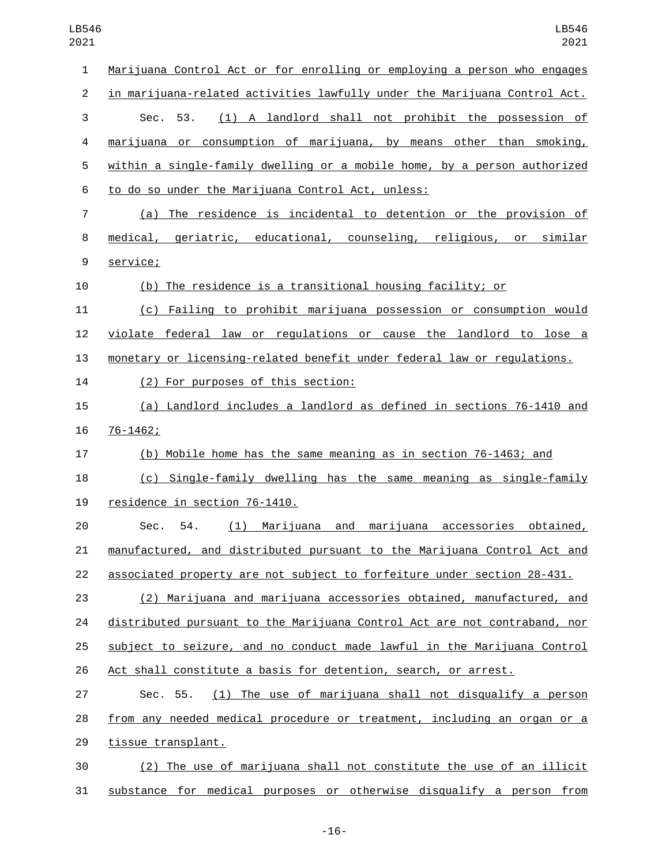| $\mathbf{1}$   | Marijuana Control Act or for enrolling or employing a person who engages  |
|----------------|---------------------------------------------------------------------------|
| $\overline{2}$ | in marijuana-related activities lawfully under the Marijuana Control Act. |
| 3              | (1) A landlord shall not prohibit the possession of<br>Sec. 53.           |
| 4              | marijuana or consumption of marijuana, by means other than smoking,       |
| 5              | within a single-family dwelling or a mobile home, by a person authorized  |
| 6              | to do so under the Marijuana Control Act, unless:                         |
| $\overline{7}$ | (a) The residence is incidental to detention or the provision of          |
| 8              | medical, geriatric, educational, counseling, religious, or similar        |
| 9              | service;                                                                  |
| 10             | (b) The residence is a transitional housing facility; or                  |
| 11             | (c) Failing to prohibit marijuana possession or consumption would         |
| 12             | violate federal law or regulations or cause the landlord to lose a        |
| 13             | monetary or licensing-related benefit under federal law or regulations.   |
| 14             | (2) For purposes of this section:                                         |
| 15             | (a) Landlord includes a landlord as defined in sections 76-1410 and       |
| 16             | $76 - 1462;$                                                              |
| 17             | (b) Mobile home has the same meaning as in section 76-1463; and           |
| 18             | (c) Single-family dwelling has the same meaning as single-family          |
| 19             | residence in section 76-1410.                                             |
| 20             | (1) Marijuana and marijuana accessories obtained,<br>Sec. 54.             |
| 21             | manufactured, and distributed pursuant to the Marijuana Control Act and   |
| 22             | associated property are not subject to forfeiture under section 28-431.   |
| 23             | (2) Marijuana and marijuana accessories obtained, manufactured, and       |
| 24             | distributed pursuant to the Marijuana Control Act are not contraband, nor |
| 25             | subject to seizure, and no conduct made lawful in the Marijuana Control   |
| 26             | Act shall constitute a basis for detention, search, or arrest.            |
| 27             | (1) The use of marijuana shall not disqualify a person<br>Sec. 55.        |
| 28             | from any needed medical procedure or treatment, including an organ or a   |
| 29             | tissue transplant.                                                        |
| 30             | (2) The use of marijuana shall not constitute the use of an illicit       |
|                |                                                                           |

substance for medical purposes or otherwise disqualify a person from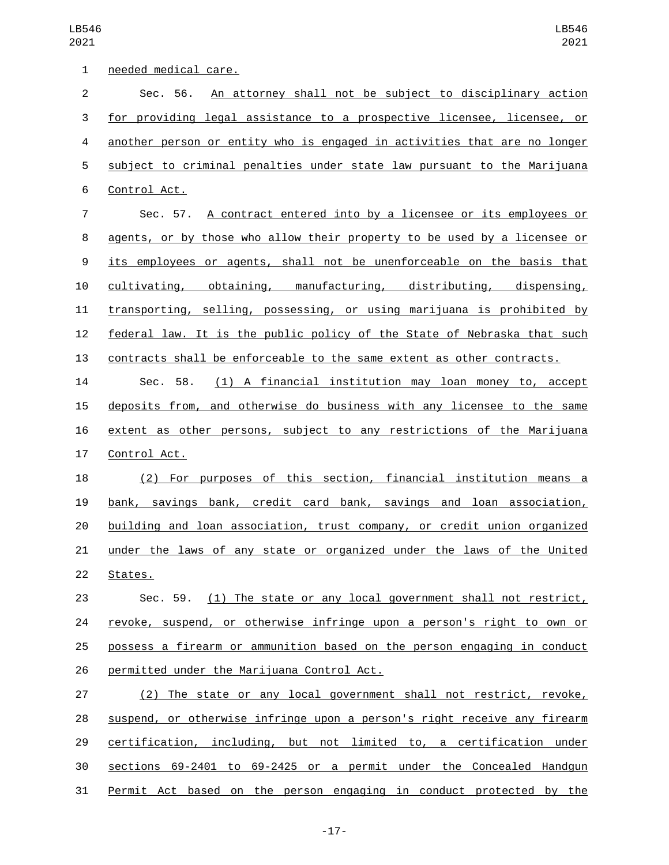| $\mathbf 1$    | needed medical care.                                                       |
|----------------|----------------------------------------------------------------------------|
| $\overline{c}$ | Sec. 56. An attorney shall not be subject to disciplinary action           |
| 3              | for providing legal assistance to a prospective licensee, licensee, or     |
| 4              | another person or entity who is engaged in activities that are no longer   |
| 5              | subject to criminal penalties under state law pursuant to the Marijuana    |
| 6              | Control Act.                                                               |
| $\overline{7}$ | Sec. 57. A contract entered into by a licensee or its employees or         |
| 8              | agents, or by those who allow their property to be used by a licensee or   |
| 9              | its employees or agents, shall not be unenforceable on the basis that      |
| 10             | cultivating, obtaining, manufacturing, distributing, dispensing,           |
| 11             | transporting, selling, possessing, or using marijuana is prohibited by     |
| 12             | federal law. It is the public policy of the State of Nebraska that such    |
| 13             | contracts shall be enforceable to the same extent as other contracts.      |
| 14             | (1) A financial institution may loan money to, accept<br>Sec. 58.          |
| 15             | deposits from, and otherwise do business with any licensee to the same     |
| 16             | extent as other persons, subject to any restrictions of the Marijuana      |
| 17             | Control Act.                                                               |
| 18             | (2) For purposes of this section, financial institution means a            |
| 19             | <u>bank, savings bank, credit card bank, savings and loan association,</u> |
| 20             | building and loan association, trust company, or credit union organized    |
| 21             | under the laws of any state or organized under the laws of the United      |
| 22             | States.                                                                    |
| 23             | Sec. 59. (1) The state or any local government shall not restrict,         |
| 24             | revoke, suspend, or otherwise infringe upon a person's right to own or     |
| 25             | possess a firearm or ammunition based on the person engaging in conduct    |
| 26             | permitted under the Marijuana Control Act.                                 |
| 27             | (2) The state or any local government shall not restrict, revoke,          |
| 28             | suspend, or otherwise infringe upon a person's right receive any firearm   |
| 29             | certification, including, but not limited to, a certification under        |
| 30             | sections 69-2401 to 69-2425 or a permit under the Concealed Handgun        |
| 31             | Permit Act based on the person engaging in conduct protected by the        |

-17-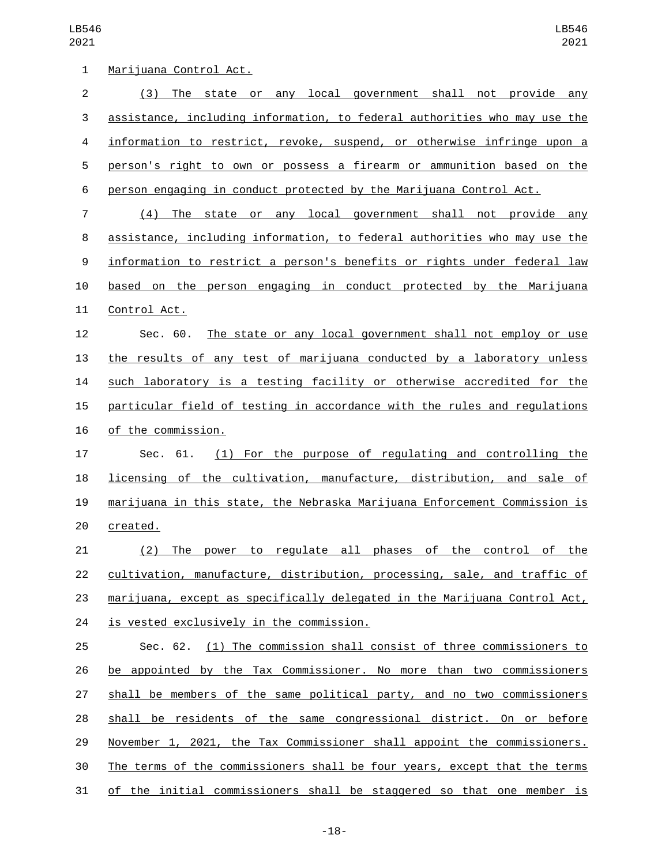| $\mathbf{1}$   | Marijuana Control Act.                                                    |
|----------------|---------------------------------------------------------------------------|
| $\overline{c}$ | (3) The state or any local government shall not provide any               |
| $\sqrt{3}$     | assistance, including information, to federal authorities who may use the |
| 4              | information to restrict, revoke, suspend, or otherwise infringe upon a    |
| 5              | person's right to own or possess a firearm or ammunition based on the     |
| 6              | person engaging in conduct protected by the Marijuana Control Act.        |
| $\overline{7}$ | (4) The state or any local government shall not provide any               |
| 8              | assistance, including information, to federal authorities who may use the |
| 9              | information to restrict a person's benefits or rights under federal law   |
| 10             | based on the person engaging in conduct protected by the Marijuana        |
| 11             | Control Act.                                                              |
| 12             | The state or any local government shall not employ or use<br>Sec. 60.     |
| 13             | the results of any test of marijuana conducted by a laboratory unless     |
| 14             | such laboratory is a testing facility or otherwise accredited for the     |
| 15             | particular field of testing in accordance with the rules and regulations  |
| 16             | of the commission.                                                        |
| 17             | (1) For the purpose of regulating and controlling the<br>Sec. 61.         |
| 18             | licensing of the cultivation, manufacture, distribution, and sale of      |
| 19             | marijuana in this state, the Nebraska Marijuana Enforcement Commission is |
| 20             | created.                                                                  |
| 21             | (2) The power to regulate all phases of the control of the                |
| 22             | cultivation, manufacture, distribution, processing, sale, and traffic of  |
| 23             | marijuana, except as specifically delegated in the Marijuana Control Act, |
| 24             | is vested exclusively in the commission.                                  |
| 25             | Sec. 62. (1) The commission shall consist of three commissioners to       |
| 26             | be appointed by the Tax Commissioner. No more than two commissioners      |
| 27             | shall be members of the same political party, and no two commissioners    |
| 28             | shall be residents of the same congressional district. On or before       |
| 29             | November 1, 2021, the Tax Commissioner shall appoint the commissioners.   |
| 30             | The terms of the commissioners shall be four years, except that the terms |
| 31             | of the initial commissioners shall be staggered so that one member is     |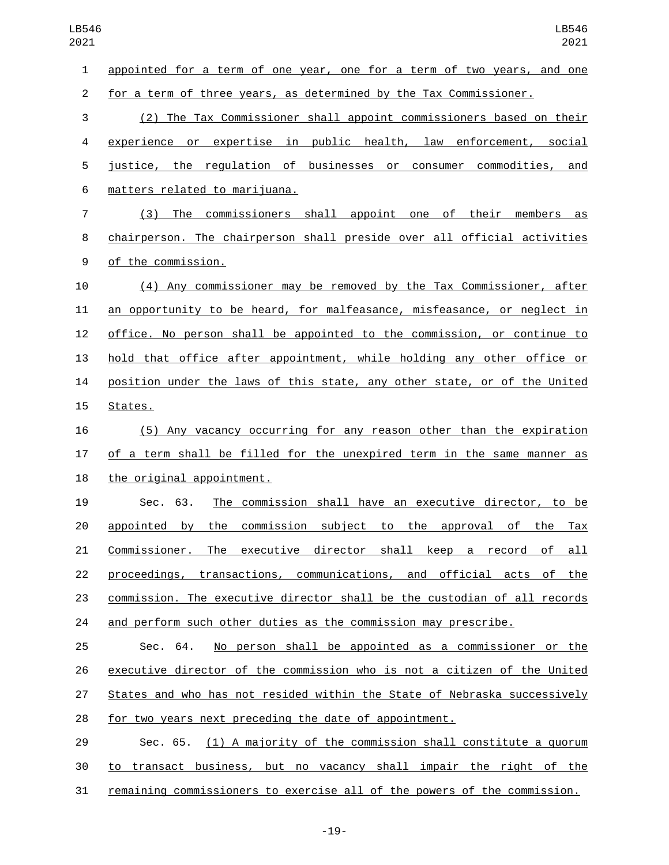appointed for a term of one year, one for a term of two years, and one for a term of three years, as determined by the Tax Commissioner. (2) The Tax Commissioner shall appoint commissioners based on their experience or expertise in public health, law enforcement, social justice, the regulation of businesses or consumer commodities, and matters related to marijuana.6 (3) The commissioners shall appoint one of their members as chairperson. The chairperson shall preside over all official activities 9 of the commission. (4) Any commissioner may be removed by the Tax Commissioner, after an opportunity to be heard, for malfeasance, misfeasance, or neglect in office. No person shall be appointed to the commission, or continue to hold that office after appointment, while holding any other office or position under the laws of this state, any other state, or of the United 15 States. (5) Any vacancy occurring for any reason other than the expiration of a term shall be filled for the unexpired term in the same manner as 18 the original appointment. Sec. 63. The commission shall have an executive director, to be appointed by the commission subject to the approval of the Tax Commissioner. The executive director shall keep a record of all 22 proceedings, transactions, communications, and official acts of the commission. The executive director shall be the custodian of all records and perform such other duties as the commission may prescribe. Sec. 64. No person shall be appointed as a commissioner or the executive director of the commission who is not a citizen of the United States and who has not resided within the State of Nebraska successively for two years next preceding the date of appointment. Sec. 65. (1) A majority of the commission shall constitute a quorum to transact business, but no vacancy shall impair the right of the

remaining commissioners to exercise all of the powers of the commission.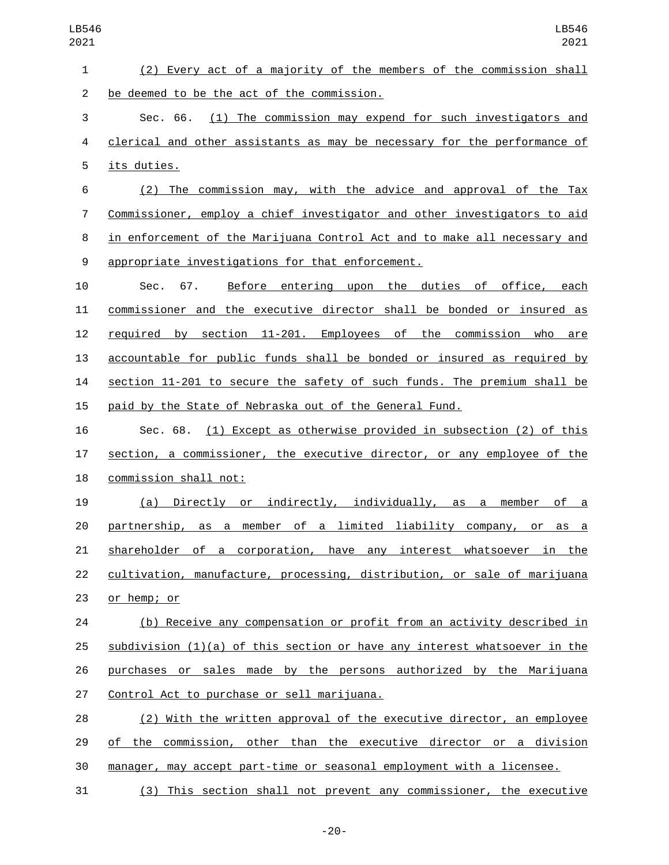| $\mathbf{1}$   | (2) Every act of a majority of the members of the commission shall          |
|----------------|-----------------------------------------------------------------------------|
| $\overline{2}$ | be deemed to be the act of the commission.                                  |
| 3              | Sec. 66. (1) The commission may expend for such investigators and           |
| 4              | clerical and other assistants as may be necessary for the performance of    |
| 5              | its duties.                                                                 |
| 6              | (2) The commission may, with the advice and approval of the Tax             |
| $\overline{7}$ | Commissioner, employ a chief investigator and other investigators to aid    |
| 8              | in enforcement of the Marijuana Control Act and to make all necessary and   |
| 9              | appropriate investigations for that enforcement.                            |
| 10             | Before entering upon the duties of office, each<br>Sec. 67.                 |
| 11             | commissioner and the executive director shall be bonded or insured as       |
| 12             | required by section 11-201. Employees of the commission who are             |
| 13             | accountable for public funds shall be bonded or insured as required by      |
| 14             | section 11-201 to secure the safety of such funds. The premium shall be     |
| 15             | paid by the State of Nebraska out of the General Fund.                      |
| 16             | Sec. 68. (1) Except as otherwise provided in subsection (2) of this         |
| 17             | section, a commissioner, the executive director, or any employee of the     |
| 18             | commission shall not:                                                       |
| 19             | Directly or indirectly, individually, as a member of a<br>(a)               |
| 20             | partnership, as a member of a limited liability company, or as a            |
| 21             | shareholder of a corporation, have any interest whatsoever in the           |
| 22             | cultivation, manufacture, processing, distribution, or sale of marijuana    |
| 23             | or hemp; or                                                                 |
| 24             | (b) Receive any compensation or profit from an activity described in        |
| 25             | $subdivision (1)(a)$ of this section or have any interest whatsoever in the |
| 26             | purchases or sales made by the persons authorized by the Marijuana          |
| 27             | Control Act to purchase or sell marijuana.                                  |
| 28             | (2) With the written approval of the executive director, an employee        |
| 29             | of the commission, other than the executive director or a division          |
| 30             | manager, may accept part-time or seasonal employment with a licensee.       |
|                |                                                                             |

(3) This section shall not prevent any commissioner, the executive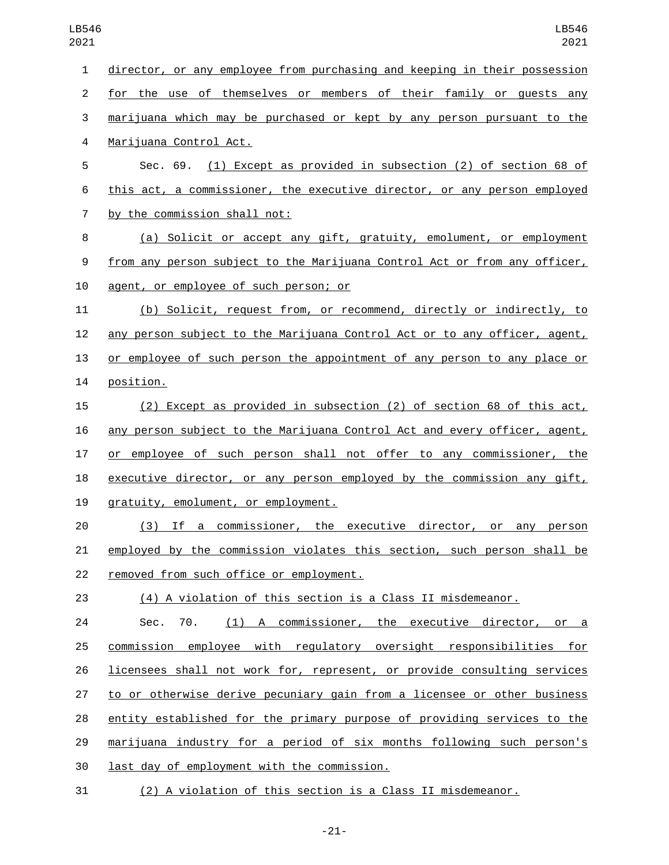director, or any employee from purchasing and keeping in their possession for the use of themselves or members of their family or guests any marijuana which may be purchased or kept by any person pursuant to the 4 Marijuana Control Act. Sec. 69. (1) Except as provided in subsection (2) of section 68 of this act, a commissioner, the executive director, or any person employed 7 by the commission shall not: (a) Solicit or accept any gift, gratuity, emolument, or employment from any person subject to the Marijuana Control Act or from any officer, 10 agent, or employee of such person; or (b) Solicit, request from, or recommend, directly or indirectly, to any person subject to the Marijuana Control Act or to any officer, agent, or employee of such person the appointment of any person to any place or 14 position. (2) Except as provided in subsection (2) of section 68 of this act, any person subject to the Marijuana Control Act and every officer, agent, or employee of such person shall not offer to any commissioner, the executive director, or any person employed by the commission any gift, 19 qratuity, emolument, or employment. (3) If a commissioner, the executive director, or any person employed by the commission violates this section, such person shall be 22 removed from such office or employment. (4) A violation of this section is a Class II misdemeanor. Sec. 70. (1) A commissioner, the executive director, or a commission employee with regulatory oversight responsibilities for licensees shall not work for, represent, or provide consulting services to or otherwise derive pecuniary gain from a licensee or other business entity established for the primary purpose of providing services to the marijuana industry for a period of six months following such person's 30 last day of employment with the commission. (2) A violation of this section is a Class II misdemeanor.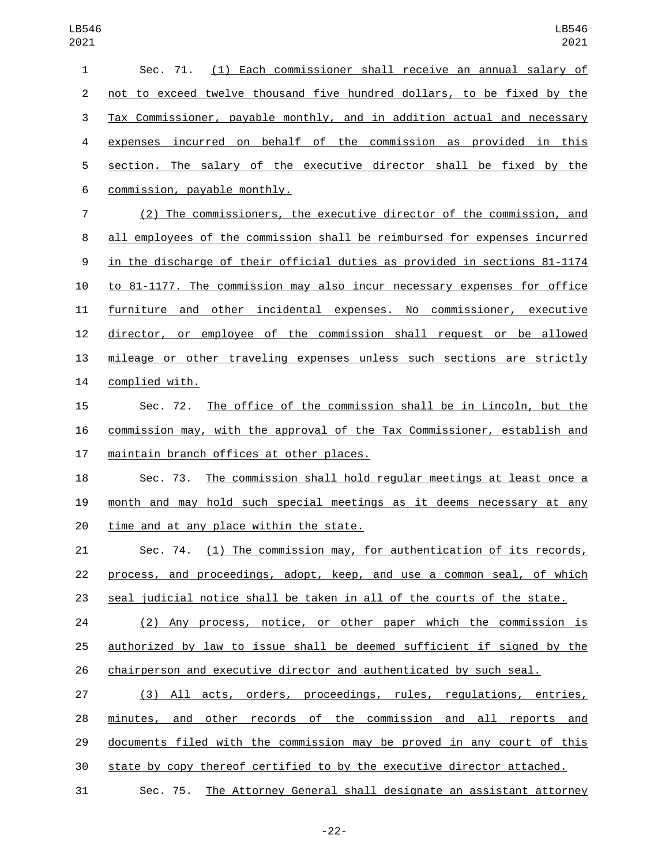| $\mathbf{1}$   | Sec. 71. (1) Each commissioner shall receive an annual salary of          |
|----------------|---------------------------------------------------------------------------|
| $\overline{2}$ | not to exceed twelve thousand five hundred dollars, to be fixed by the    |
| 3              | Tax Commissioner, payable monthly, and in addition actual and necessary   |
| 4              | expenses incurred on behalf of the commission as provided in this         |
| 5              | section. The salary of the executive director shall be fixed by the       |
| 6              | commission, payable monthly.                                              |
| 7              | (2) The commissioners, the executive director of the commission, and      |
| 8              | all employees of the commission shall be reimbursed for expenses incurred |
| 9              | in the discharge of their official duties as provided in sections 81-1174 |
| 10             | to 81-1177. The commission may also incur necessary expenses for office   |
| 11             | furniture and other incidental expenses. No commissioner, executive       |
| 12             | director, or employee of the commission shall request or be allowed       |
| 13             | mileage or other traveling expenses unless such sections are strictly     |
| 14             | complied with.                                                            |
| 15             | The office of the commission shall be in Lincoln, but the<br>Sec. 72.     |
| 16             | commission may, with the approval of the Tax Commissioner, establish and  |
| 17             | <u>maintain branch offices at other places.</u>                           |
| 18             | The commission shall hold regular meetings at least once a<br>Sec. 73.    |
| 19             | month and may hold such special meetings as it deems necessary at any     |
| 20             | time and at any place within the state.                                   |
| 21             | Sec. 74. (1) The commission may, for authentication of its records,       |
| 22             | process, and proceedings, adopt, keep, and use a common seal, of which    |
| 23             | seal judicial notice shall be taken in all of the courts of the state.    |
| 24             | (2) Any process, notice, or other paper which the commission is           |
| 25             | authorized by law to issue shall be deemed sufficient if signed by the    |
| 26             | chairperson and executive director and authenticated by such seal.        |
| 27             | (3) All acts, orders, proceedings, rules, regulations, entries,           |
| 28             | minutes, and other records of the commission and all reports and          |
| 29             | documents filed with the commission may be proved in any court of this    |
| 30             | state by copy thereof certified to by the executive director attached.    |
| 31             | Sec. 75. The Attorney General shall designate an assistant attorney       |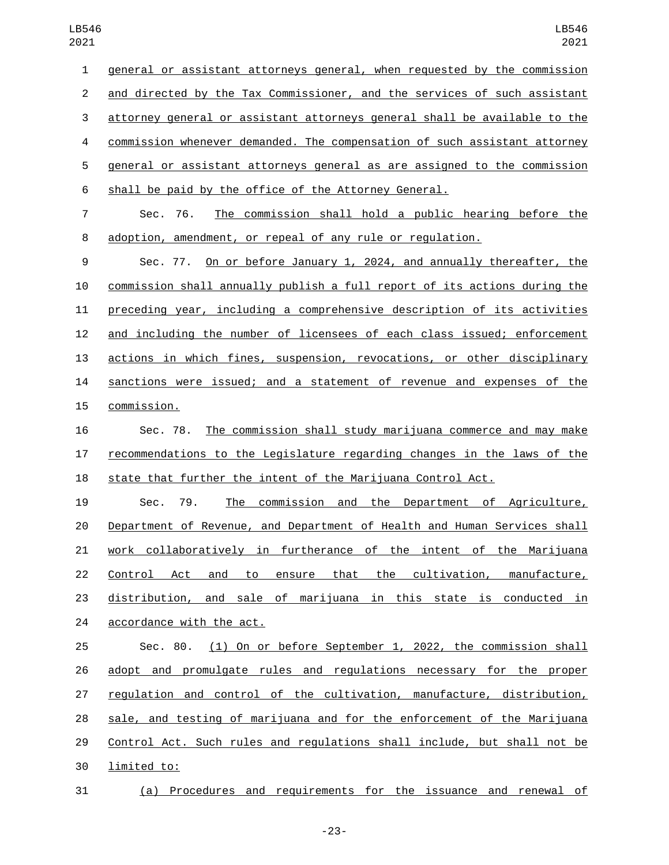general or assistant attorneys general, when requested by the commission and directed by the Tax Commissioner, and the services of such assistant attorney general or assistant attorneys general shall be available to the commission whenever demanded. The compensation of such assistant attorney general or assistant attorneys general as are assigned to the commission shall be paid by the office of the Attorney General. Sec. 76. The commission shall hold a public hearing before the adoption, amendment, or repeal of any rule or regulation. Sec. 77. On or before January 1, 2024, and annually thereafter, the commission shall annually publish a full report of its actions during the preceding year, including a comprehensive description of its activities and including the number of licensees of each class issued; enforcement actions in which fines, suspension, revocations, or other disciplinary sanctions were issued; and a statement of revenue and expenses of the 15 commission. Sec. 78. The commission shall study marijuana commerce and may make recommendations to the Legislature regarding changes in the laws of the state that further the intent of the Marijuana Control Act. Sec. 79. The commission and the Department of Agriculture, Department of Revenue, and Department of Health and Human Services shall work collaboratively in furtherance of the intent of the Marijuana Control Act and to ensure that the cultivation, manufacture, distribution, and sale of marijuana in this state is conducted in 24 accordance with the act. Sec. 80. (1) On or before September 1, 2022, the commission shall adopt and promulgate rules and regulations necessary for the proper regulation and control of the cultivation, manufacture, distribution, sale, and testing of marijuana and for the enforcement of the Marijuana Control Act. Such rules and regulations shall include, but shall not be

30 limited to:

(a) Procedures and requirements for the issuance and renewal of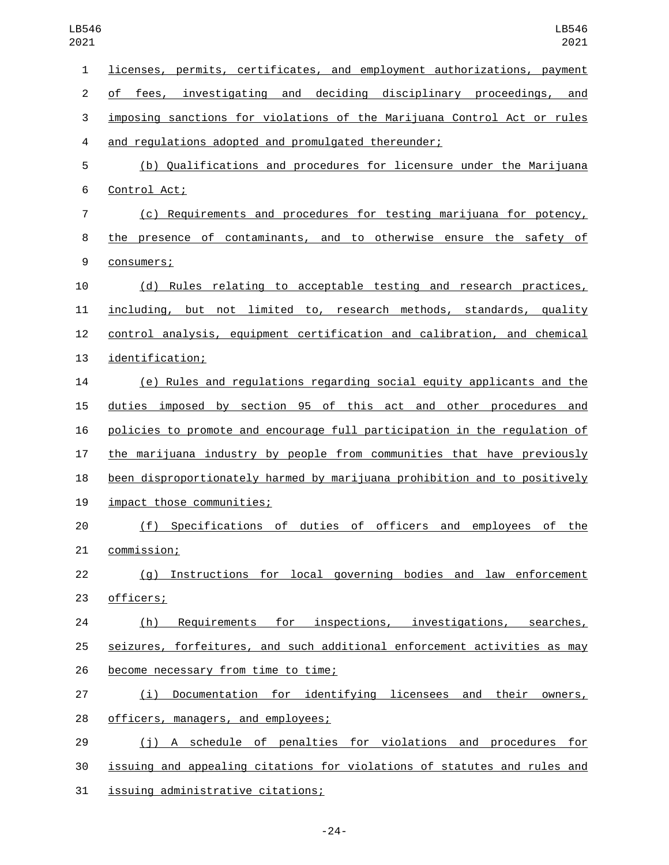| $\mathbf{1}$   | licenses, permits, certificates, and employment authorizations, payment   |
|----------------|---------------------------------------------------------------------------|
| $\overline{c}$ | of fees, investigating and deciding disciplinary proceedings, and         |
| 3              | imposing sanctions for violations of the Marijuana Control Act or rules   |
| 4              | and regulations adopted and promulgated thereunder;                       |
| 5              | (b) Qualifications and procedures for licensure under the Marijuana       |
| 6              | Control Act;                                                              |
| $\overline{7}$ | (c) Requirements and procedures for testing marijuana for potency,        |
| 8              | the presence of contaminants, and to otherwise ensure the safety of       |
| 9              | consumers;                                                                |
| 10             | (d) Rules relating to acceptable testing and research practices,          |
| 11             | including, but not limited to, research methods, standards, quality       |
| 12             | control analysis, equipment certification and calibration, and chemical   |
| 13             | identification;                                                           |
| 14             | (e) Rules and regulations regarding social equity applicants and the      |
| 15             | duties imposed by section 95 of this act and other procedures and         |
| 16             | policies to promote and encourage full participation in the regulation of |
| 17             | the marijuana industry by people from communities that have previously    |
| 18             | been disproportionately harmed by marijuana prohibition and to positively |
| 19             | impact those communities;                                                 |
| 20             | (f) Specifications of duties of officers and employees of the             |
| 21             | <u>commission;</u>                                                        |
| 22             | (g) Instructions for local governing bodies and law enforcement           |
| 23             | officers;                                                                 |
| 24             | Requirements for inspections, investigations, searches,<br>(h)            |
| 25             | seizures, forfeitures, and such additional enforcement activities as may  |
| 26             | become necessary from time to time;                                       |
| 27             | Documentation for identifying licensees and their owners,<br>(i)          |
| 28             | officers, managers, and employees;                                        |
| 29             | (j) A schedule of penalties for violations and procedures for             |
| 30             | issuing and appealing citations for violations of statutes and rules and  |
| 31             | issuing administrative citations;                                         |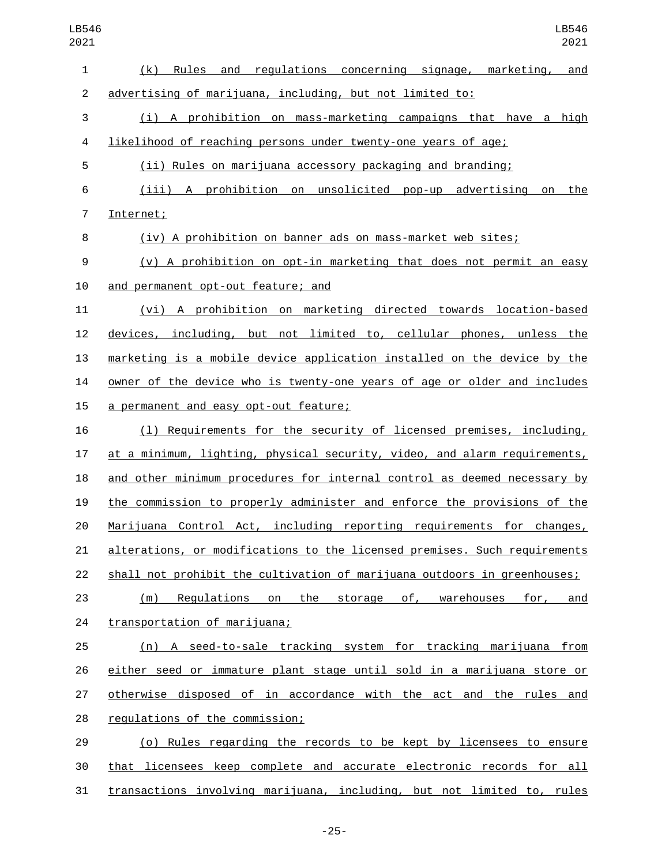| LB546<br>2021  | LB546<br>2021                                                             |
|----------------|---------------------------------------------------------------------------|
| 1              | Rules and regulations concerning signage, marketing,<br>(k)<br>and        |
| $\overline{c}$ | advertising of marijuana, including, but not limited to:                  |
| 3              | (i) A prohibition on mass-marketing campaigns that have a high            |
| 4              | likelihood of reaching persons under twenty-one years of age;             |
| 5              | (ii) Rules on marijuana accessory packaging and branding;                 |
| 6              | (iii) A prohibition on unsolicited pop-up advertising<br>the<br>on        |
| $\overline{7}$ | Internet;                                                                 |
| 8              | (iv) A prohibition on banner ads on mass-market web sites;                |
| 9              | (v) A prohibition on opt-in marketing that does not permit an easy        |
| 10             | and permanent opt-out feature; and                                        |
| 11             | A prohibition on marketing directed towards location-based<br>(vi)        |
| 12             | devices, including, but not limited to, cellular phones, unless the       |
| 13             | marketing is a mobile device application installed on the device by the   |
| 14             | owner of the device who is twenty-one years of age or older and includes  |
| 15             | a permanent and easy opt-out feature;                                     |
| 16             | (1) Requirements for the security of licensed premises, including,        |
| 17             | at a minimum, lighting, physical security, video, and alarm requirements, |
| 18             | and other minimum procedures for internal control as deemed necessary by  |
| 19             | the commission to properly administer and enforce the provisions of the   |
| 20             | Marijuana Control Act, including reporting requirements for changes,      |
| 21             | alterations, or modifications to the licensed premises. Such requirements |
| 22             | shall not prohibit the cultivation of marijuana outdoors in greenhouses;  |
| 23             | Regulations on the storage of, warehouses for, and<br>(m)                 |
| 24             | transportation of marijuana;                                              |
| 25             | (n) A seed-to-sale tracking system for tracking marijuana from            |
| 26             | either seed or immature plant stage until sold in a marijuana store or    |
| 27             | otherwise disposed of in accordance with the act and the rules and        |
| 28             | regulations of the commission;                                            |
| 29             | (o) Rules regarding the records to be kept by licensees to ensure         |
| 30             | that licensees keep complete and accurate electronic records for all      |

transactions involving marijuana, including, but not limited to, rules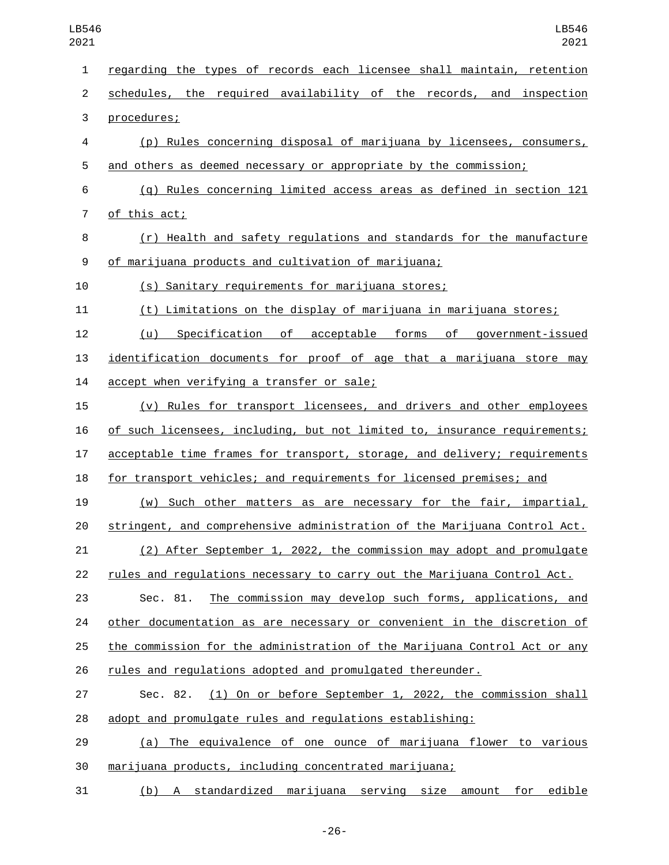| $\mathbf{1}$   | regarding the types of records each licensee shall maintain, retention      |
|----------------|-----------------------------------------------------------------------------|
| $\overline{2}$ | schedules, the required availability of the records, and inspection         |
| 3              | procedures;                                                                 |
| 4              | $(p)$ Rules concerning disposal of marijuana by licensees, consumers,       |
| 5              | and others as deemed necessary or appropriate by the commission;            |
| 6              | (q) Rules concerning limited access areas as defined in section 121         |
| 7              | of this act;                                                                |
| 8              | (r) Health and safety regulations and standards for the manufacture         |
| 9              | of marijuana products and cultivation of marijuana;                         |
| 10             | (s) Sanitary requirements for marijuana stores;                             |
| 11             | (t) Limitations on the display of marijuana in marijuana stores;            |
| 12             | Specification of acceptable forms of government-issued<br>(u)               |
| 13             | identification documents for proof of age that a marijuana store may        |
| 14             | accept when verifying a transfer or sale;                                   |
| 15             | (v) Rules for transport licensees, and drivers and other employees          |
| 16             | of such licensees, including, but not limited to, insurance requirements;   |
| 17             | acceptable time frames for transport, storage, and delivery; requirements   |
| 18             | for transport vehicles; and requirements for licensed premises; and         |
| 19             | (w) Such other matters as are necessary for the fair, impartial,            |
| 20             | stringent, and comprehensive administration of the Marijuana Control Act.   |
| 21             | <u>(2) After September 1, 2022, the commission may adopt and promulgate</u> |
| 22             | rules and regulations necessary to carry out the Marijuana Control Act.     |
| 23             | The commission may develop such forms, applications, and<br>Sec. 81.        |
| 24             | other documentation as are necessary or convenient in the discretion of     |
| 25             | the commission for the administration of the Marijuana Control Act or any   |
| 26             | rules and regulations adopted and promulgated thereunder.                   |
| 27             | Sec. 82. (1) On or before September 1, 2022, the commission shall           |
| 28             | adopt and promulgate rules and regulations establishing:                    |
| 29             | (a) The equivalence of one ounce of marijuana flower to various             |
| 30             | marijuana products, including concentrated marijuana;                       |
| 31             | (b) A standardized marijuana serving size amount for edible                 |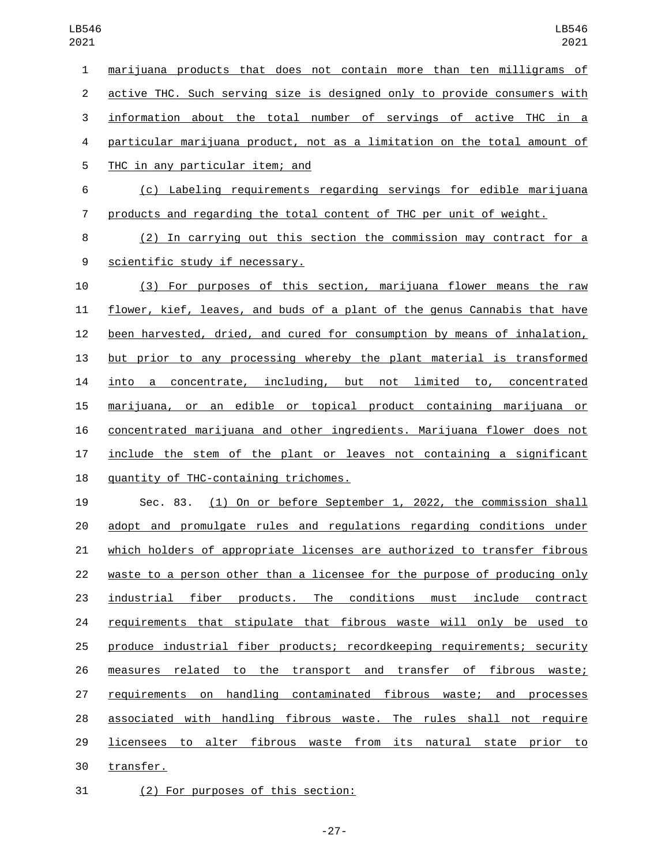| $\mathbf{1}$   | marijuana products that does not contain more than ten milligrams of      |
|----------------|---------------------------------------------------------------------------|
| $\overline{2}$ | active THC. Such serving size is designed only to provide consumers with  |
| 3              | information about the total number of servings of active THC in a         |
| 4              | particular marijuana product, not as a limitation on the total amount of  |
| 5              | THC in any particular item; and                                           |
| 6              | (c) Labeling requirements regarding servings for edible marijuana         |
| 7              | products and regarding the total content of THC per unit of weight.       |
| 8              | (2) In carrying out this section the commission may contract for a        |
| 9              | scientific study if necessary.                                            |
| 10             | (3) For purposes of this section, marijuana flower means the raw          |
| 11             | flower, kief, leaves, and buds of a plant of the genus Cannabis that have |
| 12             | been harvested, dried, and cured for consumption by means of inhalation,  |
| 13             | but prior to any processing whereby the plant material is transformed     |
| 14             | into a concentrate, including, but not limited to, concentrated           |
| 15             | marijuana, or an edible or topical product containing marijuana or        |
| 16             | concentrated marijuana and other ingredients. Marijuana flower does not   |
| 17             | include the stem of the plant or leaves not containing a significant      |
| 18             | quantity of THC-containing trichomes.                                     |
| 19             | (1) On or before September 1, 2022, the commission shall<br>Sec. 83.      |
| 20             | adopt and promulgate rules and regulations regarding conditions under     |
| 21             | which holders of appropriate licenses are authorized to transfer fibrous  |
| 22             | waste to a person other than a licensee for the purpose of producing only |
| 23             | industrial fiber products. The conditions must include contract           |
| 24             | requirements that stipulate that fibrous waste will only be used to       |
| 25             | produce industrial fiber products; recordkeeping requirements; security   |
| 26             | measures related to the transport and transfer of fibrous waste;          |
| 27             | requirements on handling contaminated fibrous waste; and processes        |
| 28             | associated with handling fibrous waste. The rules shall not require       |
| 29             | licensees to alter fibrous waste from its natural state prior to          |
| 30             | transfer.                                                                 |
|                |                                                                           |

31 (2) For purposes of this section: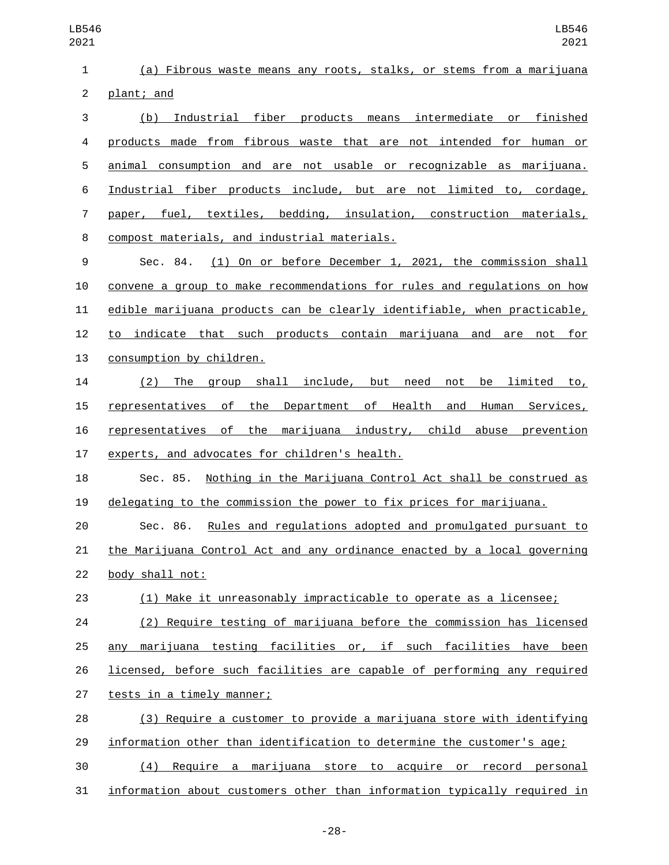| 1              | (a) Fibrous waste means any roots, stalks, or stems from a marijuana         |
|----------------|------------------------------------------------------------------------------|
| $\overline{c}$ | plant; and                                                                   |
| 3              | Industrial fiber products means intermediate or finished<br>(b)              |
| 4              | products made from fibrous waste that are not intended for human or          |
| 5              | animal consumption and are not usable or recognizable as marijuana.          |
| 6              | Industrial fiber products include, but are not limited to, cordage,          |
| $\overline{7}$ | paper, fuel, textiles, bedding, insulation, construction materials,          |
| 8              | compost materials, and industrial materials.                                 |
| 9              | (1) On or before December 1, 2021, the commission shall<br>Sec. 84.          |
| 10             | convene a group to make recommendations for rules and regulations on how     |
| 11             | edible marijuana products can be clearly identifiable, when practicable,     |
| 12             | to indicate that such products contain marijuana and are not for             |
| 13             | consumption by children.                                                     |
| 14             | The group shall include, but need<br>(2)<br>not be limited to,               |
| 15             | the Department of Health and Human Services,<br>representatives of           |
| 16             | representatives of the marijuana industry, child abuse prevention            |
| 17             | experts, and advocates for children's health.                                |
| 18             | Nothing in the Marijuana Control Act shall be construed as<br>Sec. 85.       |
| 19             | delegating to the commission the power to fix prices for marijuana.          |
| 20             | <u>Rules and regulations adopted and promulgated pursuant to</u><br>Sec. 86. |
| 21             | the Marijuana Control Act and any ordinance enacted by a local governing     |
| 22             | body shall not:                                                              |
| 23             | (1) Make it unreasonably impracticable to operate as a licensee;             |
| 24             | (2) Require testing of marijuana before the commission has licensed          |
| 25             | marijuana testing facilities or, if such facilities have been<br>any         |
| 26             | licensed, before such facilities are capable of performing any required      |
| 27             | tests in a timely manner;                                                    |
| 28             | (3) Require a customer to provide a marijuana store with identifying         |
| 29             | information other than identification to determine the customer's age;       |
| 30             | (4)<br>Require a marijuana store to acquire or record personal               |
| 31             | information about customers other than information typically required in     |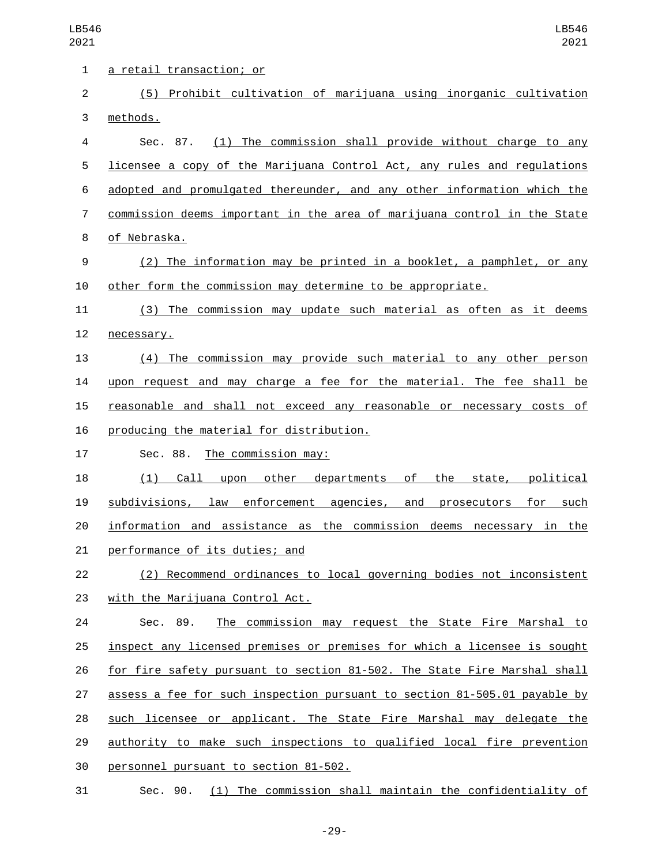| 1              | <u>a retail transaction; or</u>                                           |
|----------------|---------------------------------------------------------------------------|
| $\overline{2}$ | (5) Prohibit cultivation of marijuana using inorganic cultivation         |
| 3              | methods.                                                                  |
| 4              | (1) The commission shall provide without charge to any<br>Sec. 87.        |
| 5              | licensee a copy of the Marijuana Control Act, any rules and regulations   |
| 6              | adopted and promulgated thereunder, and any other information which the   |
| 7              | commission deems important in the area of marijuana control in the State  |
| 8              | of Nebraska.                                                              |
| 9              | (2) The information may be printed in a booklet, a pamphlet, or any       |
| 10             | other form the commission may determine to be appropriate.                |
| 11             | (3) The commission may update such material as often as it deems          |
| 12             | necessary.                                                                |
| 13             | (4) The commission may provide such material to any other person          |
| 14             | upon request and may charge a fee for the material. The fee shall be      |
| 15             | reasonable and shall not exceed any reasonable or necessary costs of      |
| 16             | producing the material for distribution.                                  |
| 17             | <u>The commission may:</u><br>Sec. 88.                                    |
| 18             | (1)<br>Call upon other departments of the state, political                |
| 19             | subdivisions, law enforcement agencies, and prosecutors for such          |
| 20             | information and assistance as the commission deems necessary in<br>the    |
| 21             | performance of its duties; and                                            |
| 22             | (2) Recommend ordinances to local governing bodies not inconsistent       |
| 23             | with the Marijuana Control Act.                                           |
| 24             | The commission may request the State Fire Marshal to<br>Sec. 89.          |
| 25             | inspect any licensed premises or premises for which a licensee is sought  |
| 26             | for fire safety pursuant to section 81-502. The State Fire Marshal shall  |
| 27             | assess a fee for such inspection pursuant to section 81-505.01 payable by |
| 28             | such licensee or applicant. The State Fire Marshal may delegate the       |
| 29             | authority to make such inspections to qualified local fire prevention     |
| 30             | personnel pursuant to section 81-502.                                     |
| 31             | Sec. 90. (1) The commission shall maintain the confidentiality of         |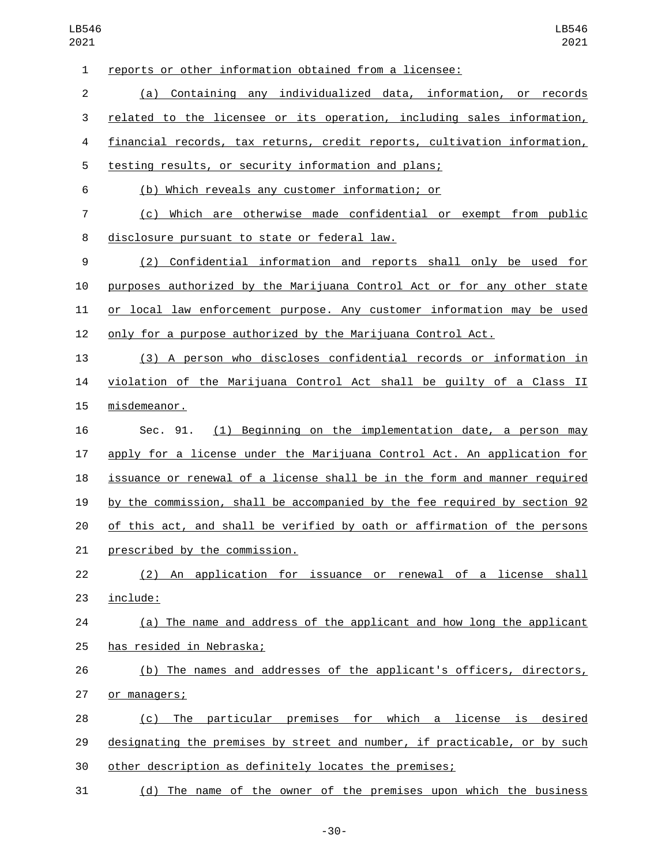| $\mathbf{1}$   | reports or other information obtained from a licensee:                    |
|----------------|---------------------------------------------------------------------------|
| $\overline{2}$ | (a) Containing any individualized data, information, or records           |
| 3              | related to the licensee or its operation, including sales information,    |
| 4              | financial records, tax returns, credit reports, cultivation information,  |
| 5              | testing results, or security information and plans;                       |
| 6              | (b) Which reveals any customer information; or                            |
| 7              | (c) Which are otherwise made confidential or exempt from public           |
| 8              | disclosure pursuant to state or federal law.                              |
| 9              | (2) Confidential information and reports shall only be used for           |
| 10             | purposes authorized by the Marijuana Control Act or for any other state   |
| 11             | or local law enforcement purpose. Any customer information may be used    |
| 12             | only for a purpose authorized by the Marijuana Control Act.               |
| 13             | (3) A person who discloses confidential records or information in         |
| 14             | violation of the Marijuana Control Act shall be guilty of a Class II      |
| 15             | misdemeanor.                                                              |
| 16             | (1) Beginning on the implementation date, a person may<br>Sec. 91.        |
| 17             | apply for a license under the Marijuana Control Act. An application for   |
| 18             | issuance or renewal of a license shall be in the form and manner required |
| 19             | by the commission, shall be accompanied by the fee required by section 92 |
| 20             | of this act, and shall be verified by oath or affirmation of the persons  |
| 21             | prescribed by the commission.                                             |
| 22             | (2) An application for issuance or renewal of a license shall             |
| 23             | include:                                                                  |
| 24             | (a) The name and address of the applicant and how long the applicant      |
| 25             | has resided in Nebraska;                                                  |
| 26             | (b) The names and addresses of the applicant's officers, directors,       |
| 27             | or managers;                                                              |
| 28             | The particular premises for which a license is desired<br>(c)             |
| 29             | designating the premises by street and number, if practicable, or by such |
| 30             | other description as definitely locates the premises;                     |
| 31             | (d) The name of the owner of the premises upon which the business         |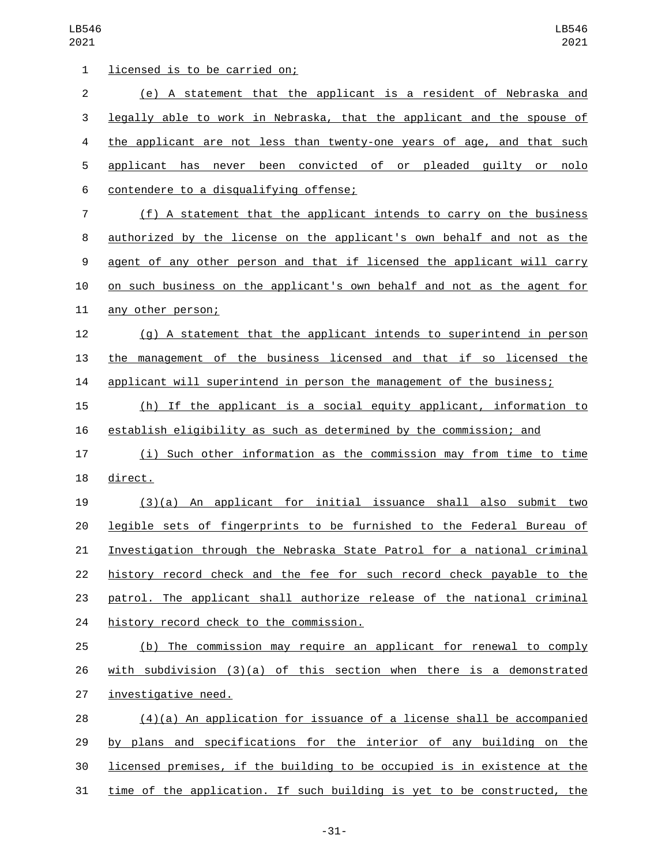1 licensed is to be carried on; (e) A statement that the applicant is a resident of Nebraska and legally able to work in Nebraska, that the applicant and the spouse of the applicant are not less than twenty-one years of age, and that such applicant has never been convicted of or pleaded guilty or nolo contendere to a disqualifying offense;6 7 (f) A statement that the applicant intends to carry on the business authorized by the license on the applicant's own behalf and not as the agent of any other person and that if licensed the applicant will carry on such business on the applicant's own behalf and not as the agent for 11 any other person; (g) A statement that the applicant intends to superintend in person the management of the business licensed and that if so licensed the applicant will superintend in person the management of the business; (h) If the applicant is a social equity applicant, information to establish eligibility as such as determined by the commission; and (i) Such other information as the commission may from time to time 18 direct. (3)(a) An applicant for initial issuance shall also submit two legible sets of fingerprints to be furnished to the Federal Bureau of Investigation through the Nebraska State Patrol for a national criminal 22 history record check and the fee for such record check payable to the patrol. The applicant shall authorize release of the national criminal 24 history record check to the commission. 25 (b) The commission may require an applicant for renewal to comply with subdivision (3)(a) of this section when there is a demonstrated 27 investigative need. (4)(a) An application for issuance of a license shall be accompanied by plans and specifications for the interior of any building on the licensed premises, if the building to be occupied is in existence at the time of the application. If such building is yet to be constructed, the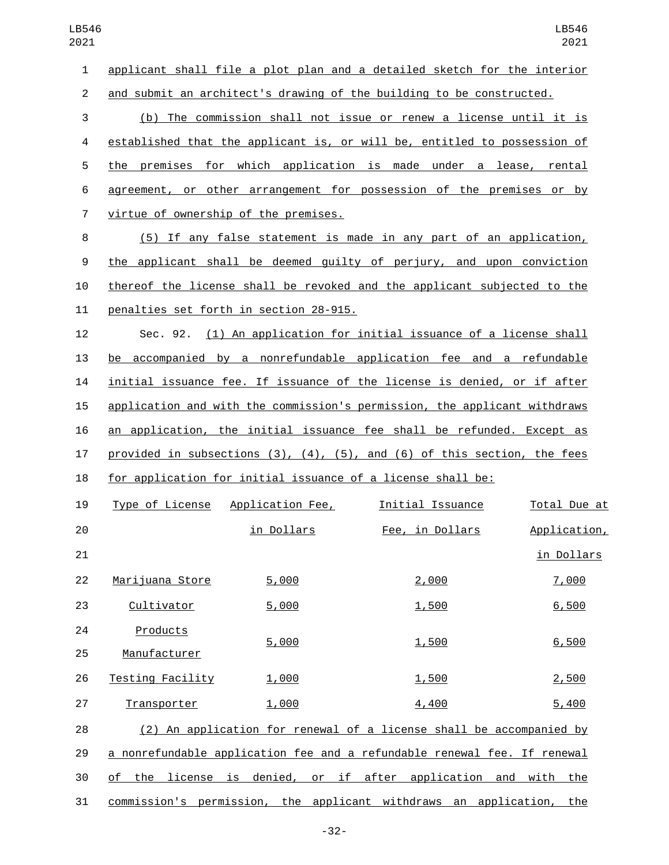| 1              |                                      |                                         | applicant shall file a plot plan and a detailed sketch for the interior   |              |
|----------------|--------------------------------------|-----------------------------------------|---------------------------------------------------------------------------|--------------|
| 2              |                                      |                                         | and submit an architect's drawing of the building to be constructed.      |              |
| 3              |                                      |                                         | (b) The commission shall not issue or renew a license until it is         |              |
| 4              |                                      |                                         | established that the applicant is, or will be, entitled to possession of  |              |
| 5              |                                      |                                         | the premises for which application is made under a lease, rental          |              |
| 6              |                                      |                                         | agreement, or other arrangement for possession of the premises or by      |              |
| $\overline{7}$ | virtue of ownership of the premises. |                                         |                                                                           |              |
| 8              |                                      |                                         | (5) If any false statement is made in any part of an application,         |              |
| 9              |                                      |                                         | the applicant shall be deemed guilty of perjury, and upon conviction      |              |
| 10             |                                      |                                         | thereof the license shall be revoked and the applicant subjected to the   |              |
| 11             |                                      | penalties set forth in section 28-915.  |                                                                           |              |
| 12             |                                      |                                         | Sec. 92. (1) An application for initial issuance of a license shall       |              |
| 13             |                                      |                                         | be accompanied by a nonrefundable application fee and a refundable        |              |
| 14             |                                      |                                         | initial issuance fee. If issuance of the license is denied, or if after   |              |
| 15             |                                      |                                         | application and with the commission's permission, the applicant withdraws |              |
| 16             |                                      |                                         | an application, the initial issuance fee shall be refunded. Except as     |              |
| 17             |                                      |                                         | provided in subsections (3), (4), (5), and (6) of this section, the fees  |              |
| 18             |                                      |                                         | for application for initial issuance of a license shall be:               |              |
| 19             |                                      | <u>Type of License Application Fee,</u> | <u>Initial Issuance</u>                                                   | Total Due at |
| 20             |                                      | <u>in Dollars</u>                       | Fee, in Dollars                                                           | Application, |
| 21             |                                      |                                         |                                                                           | in Dollars   |
| 22             | Marijuana Store                      | 5,000                                   | 2,000                                                                     | 7,000        |
| 23             | Cultivator                           | 5,000                                   | 1,500                                                                     | 6,500        |
| 24             | Products                             |                                         |                                                                           |              |
| 25             | Manufacturer                         | 5,000                                   | 1,500                                                                     | 6,500        |
| 26             | Testing Facility                     | 1,000                                   | 1,500                                                                     | 2,500        |
| 27             | Transporter                          | 1,000                                   | 4,400                                                                     | 5,400        |
|                |                                      |                                         |                                                                           |              |

 (2) An application for renewal of a license shall be accompanied by 29 a nonrefundable application fee and a refundable renewal fee. If renewal of the license is denied, or if after application and with the commission's permission, the applicant withdraws an application, the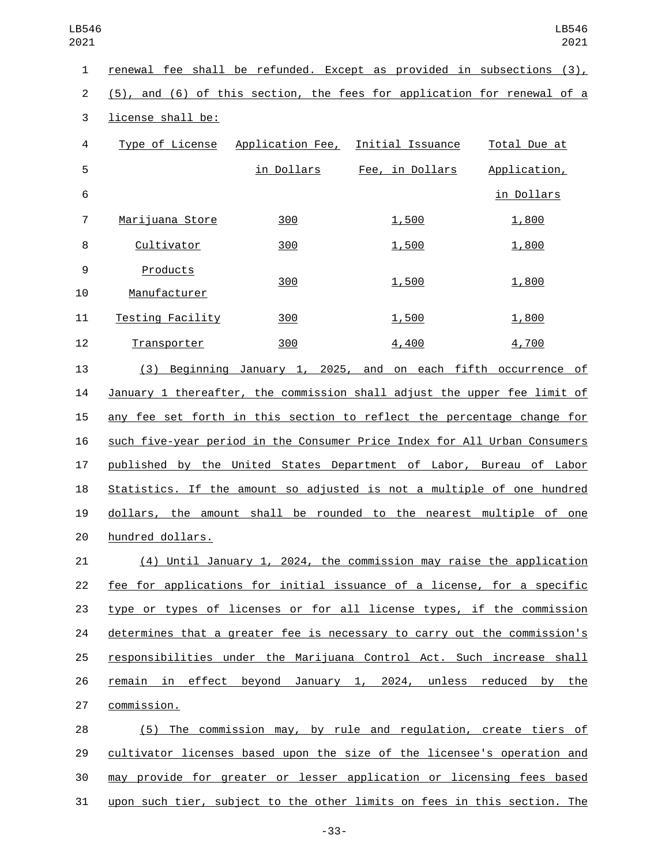| 1              | renewal fee shall be refunded. Except as provided in subsections (3),     |            |                                                                     |              |
|----------------|---------------------------------------------------------------------------|------------|---------------------------------------------------------------------|--------------|
| $\overline{2}$ | (5), and (6) of this section, the fees for application for renewal of a   |            |                                                                     |              |
| 3              | license shall be:                                                         |            |                                                                     |              |
| 4              | Type of License                                                           |            | <u> Application Fee,  Initial Issuance</u>                          | Total Due at |
| 5              |                                                                           | in Dollars | Fee, in Dollars                                                     | Application, |
| 6              |                                                                           |            |                                                                     | in Dollars   |
| 7              | Marijuana Store                                                           | 300        | 1,500                                                               | 1,800        |
| 8              | Cultivator                                                                | 300        | 1,500                                                               | 1,800        |
| 9              | Products                                                                  | 300        | 1,500                                                               | 1,800        |
| 10             | Manufacturer                                                              |            |                                                                     |              |
| 11             | <b>Testing Facility</b>                                                   | 300        | 1,500                                                               | 1,800        |
| 12             | Transporter                                                               | 300        | 4,400                                                               | 4,700        |
| 13             |                                                                           |            | (3) Beginning January 1, 2025, and on each fifth occurrence of      |              |
| 14             | January 1 thereafter, the commission shall adjust the upper fee limit of  |            |                                                                     |              |
| 15             | any fee set forth in this section to reflect the percentage change for    |            |                                                                     |              |
| 16             | such five-year period in the Consumer Price Index for All Urban Consumers |            |                                                                     |              |
| 17             | published by the United States Department of Labor, Bureau of Labor       |            |                                                                     |              |
| 18             | Statistics. If the amount so adjusted is not a multiple of one hundred    |            |                                                                     |              |
| 19             | dollars, the amount shall be rounded to the nearest multiple of one       |            |                                                                     |              |
| 20             | hundred dollars.                                                          |            |                                                                     |              |
| 21             |                                                                           |            | (4) Until January 1, 2024, the commission may raise the application |              |

 fee for applications for initial issuance of a license, for a specific type or types of licenses or for all license types, if the commission determines that a greater fee is necessary to carry out the commission's responsibilities under the Marijuana Control Act. Such increase shall 26 remain in effect beyond January 1, 2024, unless reduced by the 27 commission.

 (5) The commission may, by rule and regulation, create tiers of cultivator licenses based upon the size of the licensee's operation and may provide for greater or lesser application or licensing fees based 31 upon such tier, subject to the other limits on fees in this section. The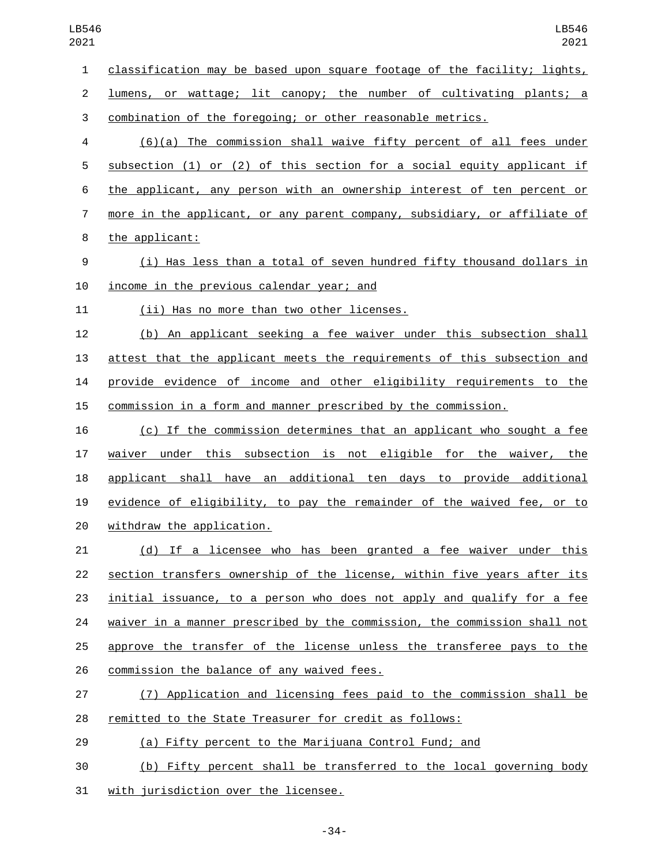classification may be based upon square footage of the facility; lights,

lumens, or wattage; lit canopy; the number of cultivating plants; a

combination of the foregoing; or other reasonable metrics.

 (6)(a) The commission shall waive fifty percent of all fees under subsection (1) or (2) of this section for a social equity applicant if the applicant, any person with an ownership interest of ten percent or more in the applicant, or any parent company, subsidiary, or affiliate of 8 the applicant:

 (i) Has less than a total of seven hundred fifty thousand dollars in 10 income in the previous calendar year; and

11 (ii) Has no more than two other licenses.

 (b) An applicant seeking a fee waiver under this subsection shall attest that the applicant meets the requirements of this subsection and provide evidence of income and other eligibility requirements to the commission in a form and manner prescribed by the commission.

 (c) If the commission determines that an applicant who sought a fee waiver under this subsection is not eligible for the waiver, the applicant shall have an additional ten days to provide additional evidence of eligibility, to pay the remainder of the waived fee, or to 20 withdraw the application.

 (d) If a licensee who has been granted a fee waiver under this section transfers ownership of the license, within five years after its initial issuance, to a person who does not apply and qualify for a fee waiver in a manner prescribed by the commission, the commission shall not approve the transfer of the license unless the transferee pays to the 26 commission the balance of any waived fees.

 (7) Application and licensing fees paid to the commission shall be remitted to the State Treasurer for credit as follows:

(a) Fifty percent to the Marijuana Control Fund; and

 (b) Fifty percent shall be transferred to the local governing body 31 with jurisdiction over the licensee.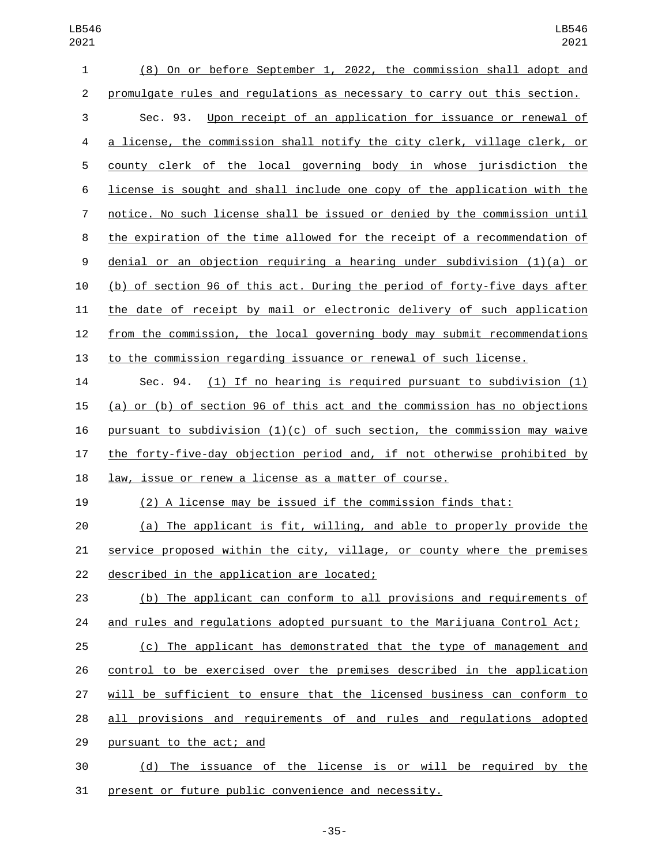| 1              | (8) On or before September 1, 2022, the commission shall adopt and         |
|----------------|----------------------------------------------------------------------------|
| $\overline{c}$ | promulgate rules and regulations as necessary to carry out this section.   |
| 3              | Sec. 93. Upon receipt of an application for issuance or renewal of         |
| 4              | a license, the commission shall notify the city clerk, village clerk, or   |
| 5              | county clerk of the local governing body in whose jurisdiction the         |
| 6              | license is sought and shall include one copy of the application with the   |
| 7              | notice. No such license shall be issued or denied by the commission until  |
| 8              | the expiration of the time allowed for the receipt of a recommendation of  |
| 9              | denial or an objection requiring a hearing under subdivision $(1)(a)$ or   |
| 10             | (b) of section 96 of this act. During the period of forty-five days after  |
| 11             | the date of receipt by mail or electronic delivery of such application     |
| 12             | from the commission, the local governing body may submit recommendations   |
| 13             | to the commission regarding issuance or renewal of such license.           |
| 14             | Sec. 94. $(1)$ If no hearing is required pursuant to subdivision $(1)$     |
| 15             | (a) or (b) of section 96 of this act and the commission has no objections  |
| 16             | pursuant to subdivision $(1)(c)$ of such section, the commission may waive |
| 17             | the forty-five-day objection period and, if not otherwise prohibited by    |
| 18             | law, issue or renew a license as a matter of course.                       |
| 19             | (2) A license may be issued if the commission finds that:                  |
| 20             | The applicant is fit, willing, and able to properly provide the<br>(a)     |
| 21             | service proposed within the city, village, or county where the premises    |
| 22             | described in the application are located;                                  |
| 23             | (b) The applicant can conform to all provisions and requirements of        |
| 24             | and rules and regulations adopted pursuant to the Marijuana Control Act;   |
| 25             | (c) The applicant has demonstrated that the type of management and         |
| 26             | control to be exercised over the premises described in the application     |
| 27             | will be sufficient to ensure that the licensed business can conform to     |
| 28             | all provisions and requirements of and rules and regulations adopted       |
| 29             | pursuant to the act; and                                                   |
| 30             | (d) The issuance of the license is or will be required by the              |
| 31             | present or future public convenience and necessity.                        |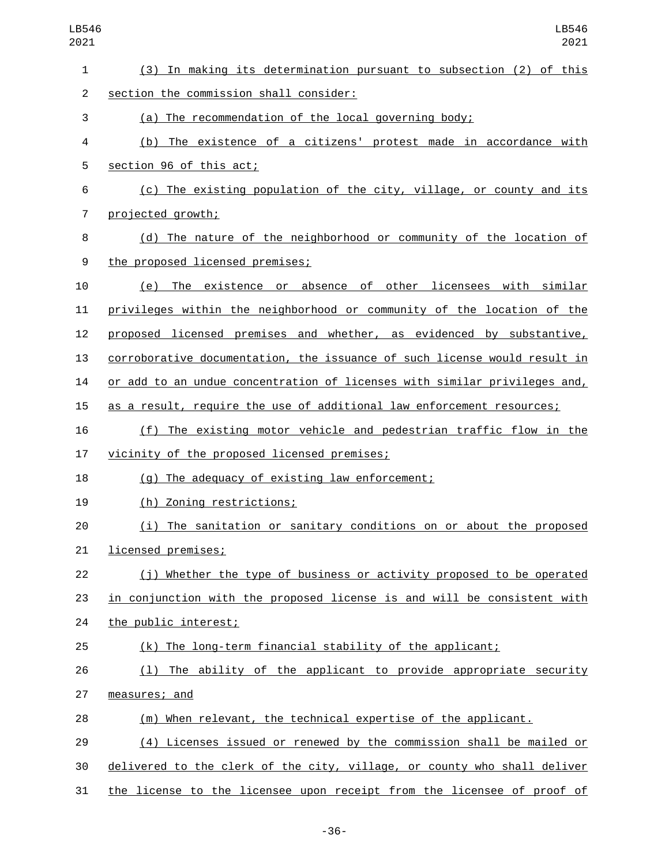| LB546<br>2021  | LB546<br>2021                                                             |  |  |
|----------------|---------------------------------------------------------------------------|--|--|
| 1              | (3) In making its determination pursuant to subsection (2) of this        |  |  |
| $\overline{2}$ | section the commission shall consider:                                    |  |  |
| 3              | (a) The recommendation of the local governing body;                       |  |  |
| 4              | (b) The existence of a citizens' protest made in accordance with          |  |  |
| 5              | section 96 of this act;                                                   |  |  |
| 6              | (c) The existing population of the city, village, or county and its       |  |  |
| $\overline{7}$ | projected growth;                                                         |  |  |
| 8              | (d) The nature of the neighborhood or community of the location of        |  |  |
| 9              | the proposed licensed premises;                                           |  |  |
| 10             | (e) The existence or absence of other licensees with similar              |  |  |
| 11             | privileges within the neighborhood or community of the location of the    |  |  |
| 12             | proposed licensed premises and whether, as evidenced by substantive,      |  |  |
| 13             | corroborative documentation, the issuance of such license would result in |  |  |
| 14             | or add to an undue concentration of licenses with similar privileges and, |  |  |
| 15             | as a result, require the use of additional law enforcement resources;     |  |  |
| 16             | (f) The existing motor vehicle and pedestrian traffic flow in the         |  |  |
| 17             | vicinity of the proposed licensed premises;                               |  |  |
| 18             | (g) The adequacy of existing law enforcement;                             |  |  |
| 19             | (h) Zoning restrictions;                                                  |  |  |
| 20             | (i) The sanitation or sanitary conditions on or about the proposed        |  |  |
| 21             | licensed premises;                                                        |  |  |
| 22             | (j) Whether the type of business or activity proposed to be operated      |  |  |
| 23             | in conjunction with the proposed license is and will be consistent with   |  |  |
| 24             | the public interest;                                                      |  |  |
| 25             | (k) The long-term financial stability of the applicant;                   |  |  |
| 26             | (1) The ability of the applicant to provide appropriate security          |  |  |
| 27             | measures; and                                                             |  |  |
| 28             | (m) When relevant, the technical expertise of the applicant.              |  |  |
| 29             | (4) Licenses issued or renewed by the commission shall be mailed or       |  |  |
| 30             | delivered to the clerk of the city, village, or county who shall deliver  |  |  |
| 31             | the license to the licensee upon receipt from the licensee of proof of    |  |  |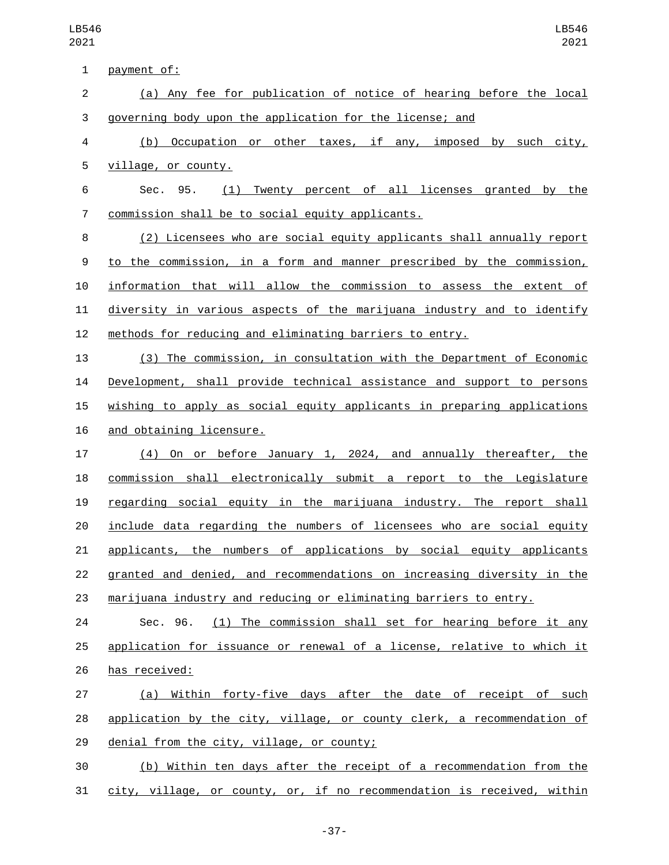| $\mathbf 1$    | payment of:                                                            |
|----------------|------------------------------------------------------------------------|
| $\overline{c}$ | (a) Any fee for publication of notice of hearing before the local      |
| 3              | governing body upon the application for the license; and               |
| 4              | Occupation or other taxes, if any, imposed by such city,<br>(b)        |
| 5              | village, or county.                                                    |
| 6              | (1) Twenty percent of all licenses granted by the<br>Sec. 95.          |
| $\overline{7}$ | commission shall be to social equity applicants.                       |
| 8              | (2) Licensees who are social equity applicants shall annually report   |
| 9              | to the commission, in a form and manner prescribed by the commission,  |
| 10             | information that will allow the commission to assess the extent of     |
| 11             | diversity in various aspects of the marijuana industry and to identify |
| 12             | methods for reducing and eliminating barriers to entry.                |
| 13             | (3) The commission, in consultation with the Department of Economic    |
| 14             | Development, shall provide technical assistance and support to persons |
| 15             | wishing to apply as social equity applicants in preparing applications |
| 16             | and obtaining licensure.                                               |
| 17             | (4) On or before January 1, 2024, and annually thereafter, the         |
| 18             | commission shall electronically submit a report to the Legislature     |
| 19             | regarding social equity in the marijuana industry. The report shall    |
| 20             | include data regarding the numbers of licensees who are social equity  |
| 21             | applicants, the numbers of applications by social equity applicants    |
| 22             | granted and denied, and recommendations on increasing diversity in the |
| 23             | marijuana industry and reducing or eliminating barriers to entry.      |
| 24             | Sec. 96.<br>(1) The commission shall set for hearing before it any     |
| 25             | application for issuance or renewal of a license, relative to which it |
| 26             | has received:                                                          |
| 27             | (a) Within forty-five days after the date of receipt of such           |
| 28             | application by the city, village, or county clerk, a recommendation of |
| 29             | denial from the city, village, or county;                              |
| 30             | (b) Within ten days after the receipt of a recommendation from the     |
| 31             | city, village, or county, or, if no recommendation is received, within |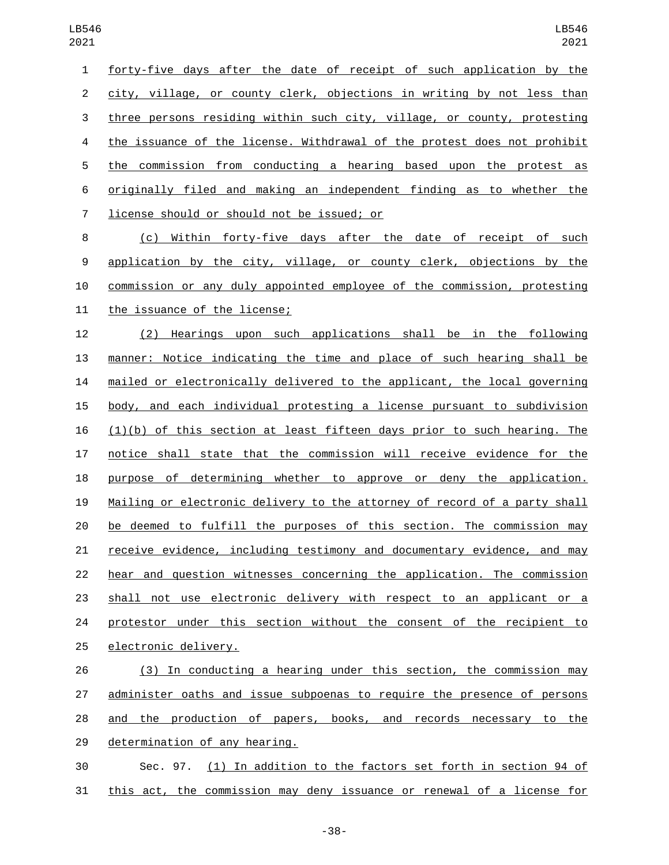| 1              | forty-five days after the date of receipt of such application by the     |
|----------------|--------------------------------------------------------------------------|
| $2^{\circ}$    | city, village, or county clerk, objections in writing by not less than   |
| 3              | three persons residing within such city, village, or county, protesting  |
| $\overline{4}$ | the issuance of the license. Withdrawal of the protest does not prohibit |
| 5              | the commission from conducting a hearing based upon the protest as       |
| 6              | originally filed and making an independent finding as to whether the     |
| $7^{\circ}$    | license should or should not be issued; or                               |
| 8              | (c) Within forty-five days after the date of receipt of such             |
| 9              | application by the city, village, or county clerk, objections by the     |

commission or any duly appointed employee of the commission, protesting

11 the issuance of the license;

 (2) Hearings upon such applications shall be in the following manner: Notice indicating the time and place of such hearing shall be mailed or electronically delivered to the applicant, the local governing body, and each individual protesting a license pursuant to subdivision  $(1)(b)$  of this section at least fifteen days prior to such hearing. The notice shall state that the commission will receive evidence for the purpose of determining whether to approve or deny the application. Mailing or electronic delivery to the attorney of record of a party shall be deemed to fulfill the purposes of this section. The commission may receive evidence, including testimony and documentary evidence, and may hear and question witnesses concerning the application. The commission shall not use electronic delivery with respect to an applicant or a 24 protestor under this section without the consent of the recipient to 25 electronic delivery.

 (3) In conducting a hearing under this section, the commission may administer oaths and issue subpoenas to require the presence of persons and the production of papers, books, and records necessary to the 29 determination of any hearing.

 Sec. 97. (1) In addition to the factors set forth in section 94 of 31 this act, the commission may deny issuance or renewal of a license for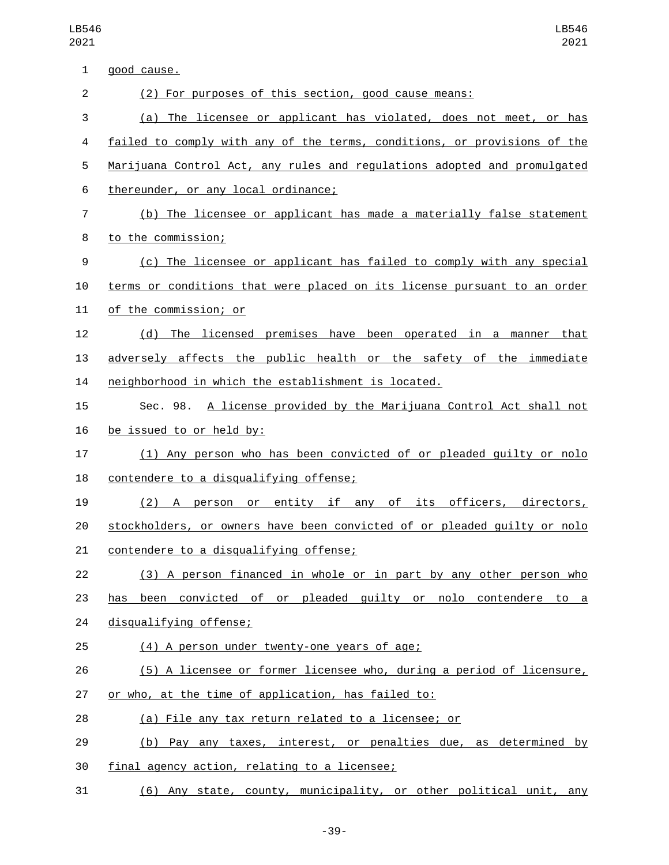| 1              | good cause.                                                              |
|----------------|--------------------------------------------------------------------------|
| $\overline{2}$ | (2) For purposes of this section, good cause means:                      |
| 3              | (a) The licensee or applicant has violated, does not meet, or has        |
| 4              | failed to comply with any of the terms, conditions, or provisions of the |
| 5              | Marijuana Control Act, any rules and regulations adopted and promulgated |
| 6              | thereunder, or any local ordinance;                                      |
| 7              | (b) The licensee or applicant has made a materially false statement      |
| 8              | to the commission;                                                       |
| 9              | (c) The licensee or applicant has failed to comply with any special      |
| 10             | terms or conditions that were placed on its license pursuant to an order |
| 11             | of the commission; or                                                    |
| 12             | (d) The licensed premises have been operated in a manner that            |
| 13             | adversely affects the public health or the safety of the immediate       |
| 14             | neighborhood in which the establishment is located.                      |
| 15             | Sec. 98. A license provided by the Marijuana Control Act shall not       |
| 16             | be issued to or held by:                                                 |
| 17             | (1) Any person who has been convicted of or pleaded guilty or nolo       |
| 18             | contendere to a disqualifying offense;                                   |
| 19             | (2) A person or entity if any of its officers, directors,                |
| 20             | stockholders, or owners have been convicted of or pleaded quilty or nolo |
| 21             | contendere to a disqualifying offense;                                   |
| 22             | (3) A person financed in whole or in part by any other person who        |
| 23             | been convicted of or pleaded quilty or nolo contendere to a<br>has       |
| 24             | disqualifying offense;                                                   |
| 25             | (4) A person under twenty-one years of age;                              |
| 26             | (5) A licensee or former licensee who, during a period of licensure,     |
| 27             | or who, at the time of application, has failed to:                       |
| 28             | (a) File any tax return related to a licensee; or                        |
| 29             | (b) Pay any taxes, interest, or penalties due, as determined by          |
| 30             | final agency action, relating to a licensee;                             |
| 31             | (6) Any state, county, municipality, or other political unit, any        |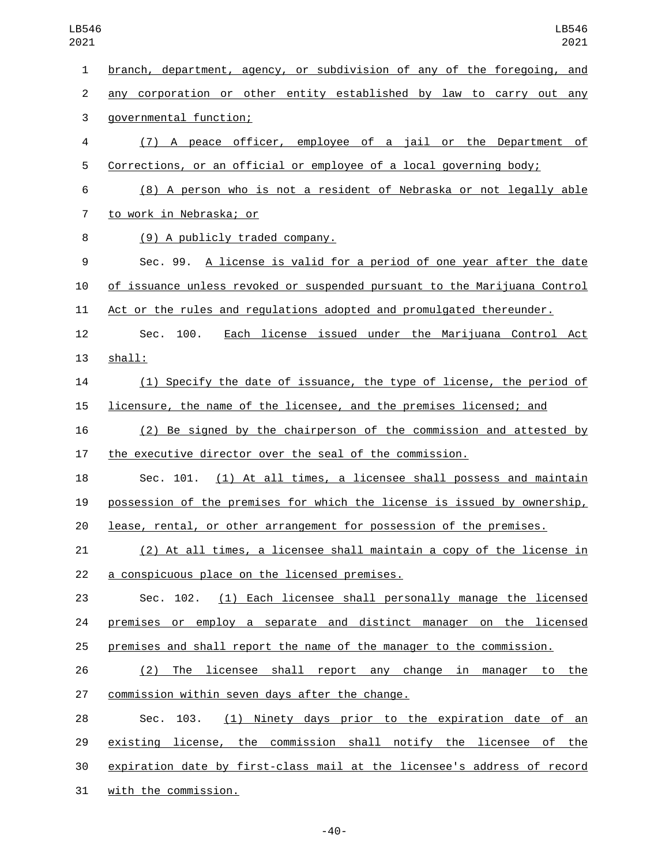| 1  | <u>branch, department, agency, or subdivision of any of the foregoing, and </u> |
|----|---------------------------------------------------------------------------------|
| 2  | any corporation or other entity established by law to carry out any             |
| 3  | governmental function;                                                          |
| 4  | (7) A peace officer, employee of a jail or the Department of                    |
| 5  | Corrections, or an official or employee of a local governing body;              |
| 6  | (8) A person who is not a resident of Nebraska or not legally able              |
| 7  | to work in Nebraska; or                                                         |
| 8  | (9) A publicly traded company.                                                  |
| 9  | Sec. 99. A license is valid for a period of one year after the date             |
| 10 | of issuance unless revoked or suspended pursuant to the Marijuana Control       |
| 11 | Act or the rules and regulations adopted and promulgated thereunder.            |
| 12 | 100.<br>Each license issued under the Marijuana Control Act<br>Sec.             |
| 13 | shall:                                                                          |
| 14 | (1) Specify the date of issuance, the type of license, the period of            |
| 15 | licensure, the name of the licensee, and the premises licensed; and             |
| 16 | (2) Be signed by the chairperson of the commission and attested by              |
| 17 | the executive director over the seal of the commission.                         |
| 18 | Sec. 101. (1) At all times, a licensee shall possess and maintain               |
| 19 | possession of the premises for which the license is issued by ownership,        |
| 20 | lease, rental, or other arrangement for possession of the premises.             |
| 21 | (2) At all times, a licensee shall maintain a copy of the license in            |
| 22 | a conspicuous place on the licensed premises.                                   |
| 23 | Sec. 102. (1) Each licensee shall personally manage the licensed                |
| 24 | premises or employ a separate and distinct manager on the licensed              |
| 25 | premises and shall report the name of the manager to the commission.            |
| 26 | (2) The licensee shall report any change in manager to the                      |
| 27 | commission within seven days after the change.                                  |
| 28 | (1) Ninety days prior to the expiration date of an<br>Sec. 103.                 |
| 29 | existing license, the commission shall notify the licensee of the               |
| 30 | expiration date by first-class mail at the licensee's address of record         |
| 31 | with the commission.                                                            |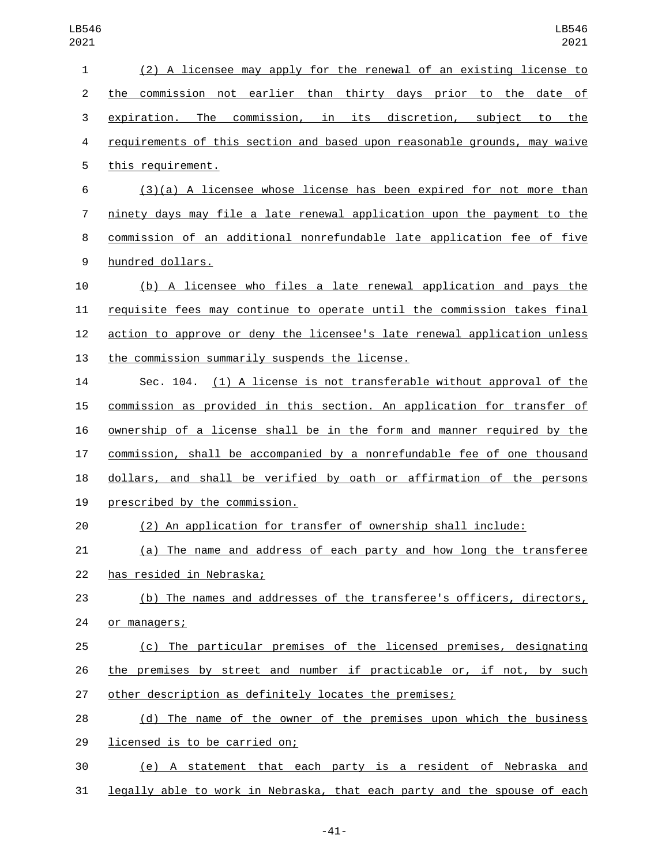| $\mathbf{1}$   | (2) A licensee may apply for the renewal of an existing license to        |
|----------------|---------------------------------------------------------------------------|
| $\overline{2}$ | the commission not earlier than thirty days prior to the date of          |
| 3              | expiration. The commission, in its discretion, subject to the             |
| 4              | requirements of this section and based upon reasonable grounds, may waive |
| 5              | this requirement.                                                         |
| 6              | (3)(a) A licensee whose license has been expired for not more than        |
| 7              | ninety days may file a late renewal application upon the payment to the   |
| 8              | commission of an additional nonrefundable late application fee of five    |
| 9              | hundred dollars.                                                          |
| 10             | (b) A licensee who files a late renewal application and pays the          |
| 11             | requisite fees may continue to operate until the commission takes final   |
| 12             | action to approve or deny the licensee's late renewal application unless  |
| 13             | the commission summarily suspends the license.                            |
| 14             | (1) A license is not transferable without approval of the<br>Sec. 104.    |
| 15             | commission as provided in this section. An application for transfer of    |
| 16             | ownership of a license shall be in the form and manner required by the    |
| 17             | commission, shall be accompanied by a nonrefundable fee of one thousand   |
| 18             | dollars, and shall be verified by oath or affirmation of the persons      |
| 19             | prescribed by the commission.                                             |
| 20             | (2) An application for transfer of ownership shall include:               |
| 21             | (a) The name and address of each party and how long the transferee        |
| 22             | has resided in Nebraska;                                                  |
| 23             | (b) The names and addresses of the transferee's officers, directors,      |
| 24             | or managers;                                                              |
| 25             | (c) The particular premises of the licensed premises, designating         |
| 26             | the premises by street and number if practicable or, if not, by such      |
| 27             | other description as definitely locates the premises;                     |
| 28             | (d) The name of the owner of the premises upon which the business         |
| 29             | licensed is to be carried on;                                             |
| 30             | (e) A statement that each party is a resident of Nebraska and             |
| 31             | legally able to work in Nebraska, that each party and the spouse of each  |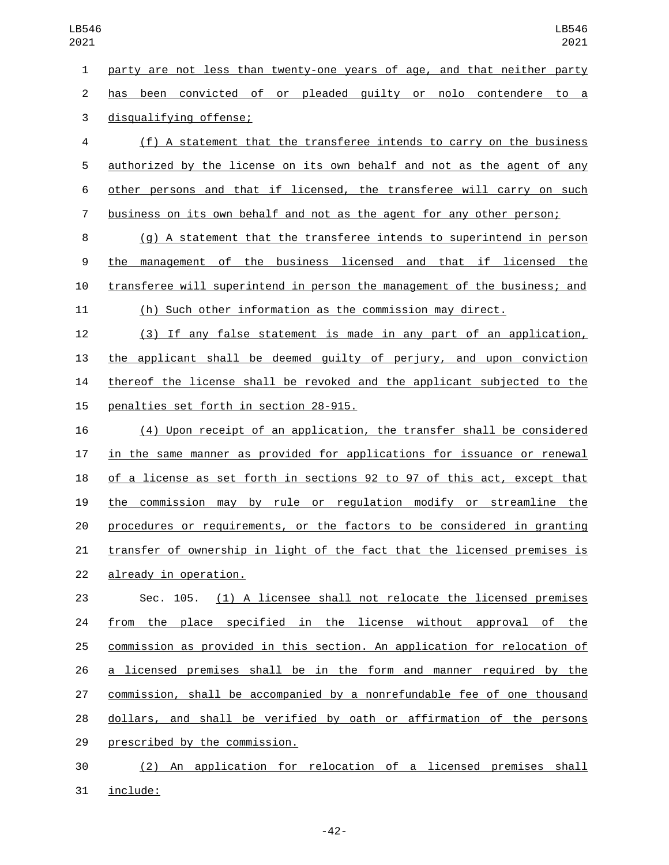party are not less than twenty-one years of age, and that neither party has been convicted of or pleaded guilty or nolo contendere to a 3 disqualifying offense;

 (f) A statement that the transferee intends to carry on the business authorized by the license on its own behalf and not as the agent of any other persons and that if licensed, the transferee will carry on such business on its own behalf and not as the agent for any other person;

 (g) A statement that the transferee intends to superintend in person the management of the business licensed and that if licensed the transferee will superintend in person the management of the business; and (h) Such other information as the commission may direct.

 (3) If any false statement is made in any part of an application, the applicant shall be deemed guilty of perjury, and upon conviction thereof the license shall be revoked and the applicant subjected to the 15 penalties set forth in section 28-915.

 (4) Upon receipt of an application, the transfer shall be considered in the same manner as provided for applications for issuance or renewal of a license as set forth in sections 92 to 97 of this act, except that the commission may by rule or regulation modify or streamline the procedures or requirements, or the factors to be considered in granting transfer of ownership in light of the fact that the licensed premises is 22 already in operation.

 Sec. 105. (1) A licensee shall not relocate the licensed premises from the place specified in the license without approval of the commission as provided in this section. An application for relocation of a licensed premises shall be in the form and manner required by the commission, shall be accompanied by a nonrefundable fee of one thousand dollars, and shall be verified by oath or affirmation of the persons 29 prescribed by the commission.

 (2) An application for relocation of a licensed premises shall 31 include: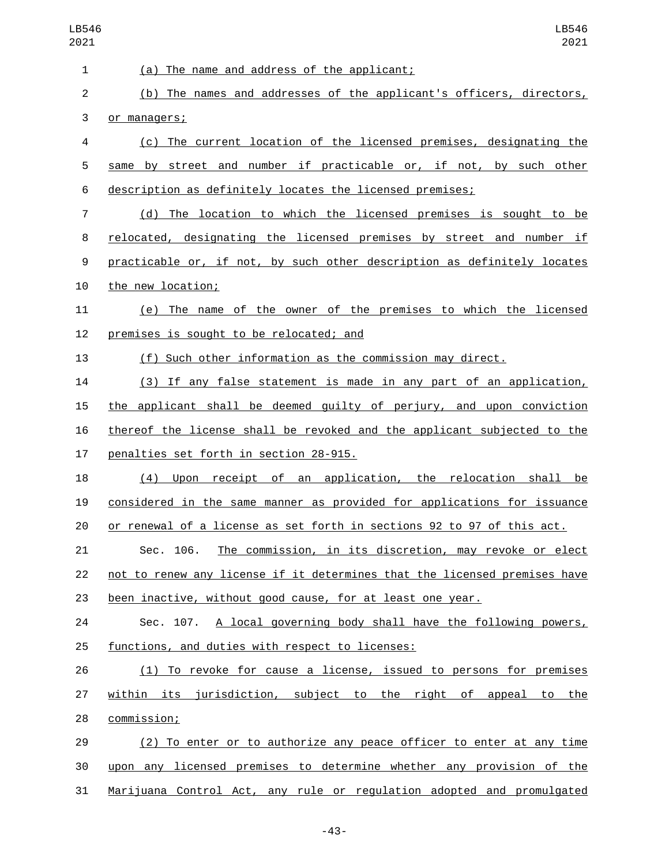| 1  | (a) The name and address of the applicant;                                |
|----|---------------------------------------------------------------------------|
| 2  | (b) The names and addresses of the applicant's officers, directors,       |
| 3  | or managers;                                                              |
| 4  | (c) The current location of the licensed premises, designating the        |
| 5  | same by street and number if practicable or, if not, by such other        |
| 6  | description as definitely locates the licensed premises;                  |
| 7  | The location to which the licensed premises is sought to be<br>(d)        |
| 8  | relocated, designating the licensed premises by street and number if      |
| 9  | practicable or, if not, by such other description as definitely locates   |
| 10 | the new location;                                                         |
| 11 | (e) The name of the owner of the premises to which the licensed           |
| 12 | premises is sought to be relocated; and                                   |
| 13 | (f) Such other information as the commission may direct.                  |
| 14 | (3) If any false statement is made in any part of an application,         |
| 15 | the applicant shall be deemed guilty of perjury, and upon conviction      |
| 16 | thereof the license shall be revoked and the applicant subjected to the   |
| 17 | penalties set forth in section 28-915.                                    |
| 18 | Upon receipt of an application, the relocation shall<br>(4)<br>be         |
| 19 | considered in the same manner as provided for applications for issuance   |
| 20 | or renewal of a license as set forth in sections 92 to 97 of this act.    |
| 21 | The commission, in its discretion, may revoke or elect<br>Sec. 106.       |
| 22 | not to renew any license if it determines that the licensed premises have |
| 23 | been inactive, without good cause, for at least one year.                 |
| 24 | Sec. 107. A local governing body shall have the following powers,         |
| 25 | functions, and duties with respect to licenses:                           |
| 26 | (1) To revoke for cause a license, issued to persons for premises         |
| 27 | within its jurisdiction, subject to the right of appeal to the            |
| 28 | commission;                                                               |
| 29 | (2) To enter or to authorize any peace officer to enter at any time       |
| 30 | upon any licensed premises to determine whether any provision of the      |
| 31 | Marijuana Control Act, any rule or regulation adopted and promulgated     |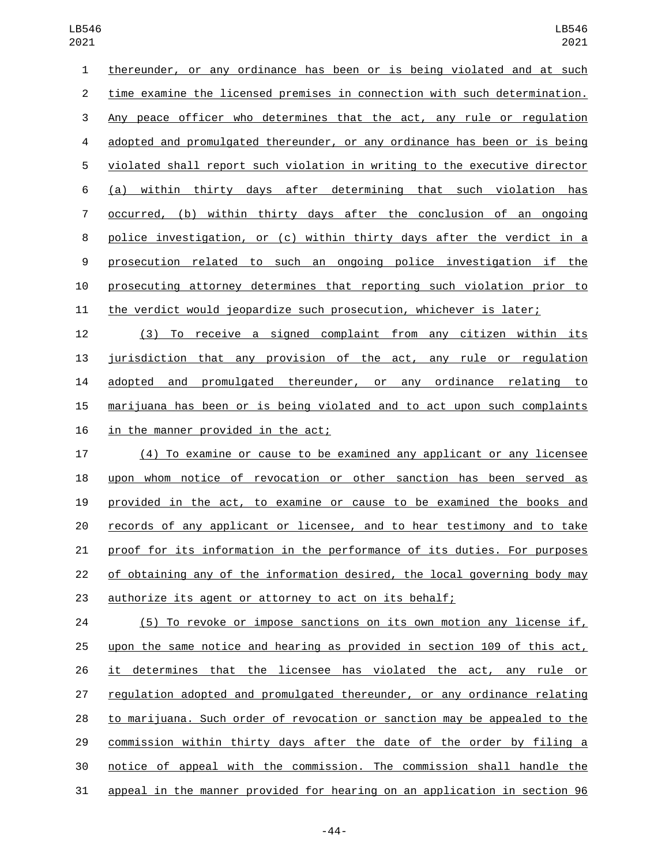thereunder, or any ordinance has been or is being violated and at such time examine the licensed premises in connection with such determination. Any peace officer who determines that the act, any rule or regulation adopted and promulgated thereunder, or any ordinance has been or is being violated shall report such violation in writing to the executive director (a) within thirty days after determining that such violation has occurred, (b) within thirty days after the conclusion of an ongoing police investigation, or (c) within thirty days after the verdict in a prosecution related to such an ongoing police investigation if the prosecuting attorney determines that reporting such violation prior to the verdict would jeopardize such prosecution, whichever is later;

 (3) To receive a signed complaint from any citizen within its jurisdiction that any provision of the act, any rule or regulation adopted and promulgated thereunder, or any ordinance relating to marijuana has been or is being violated and to act upon such complaints 16 in the manner provided in the act;

 (4) To examine or cause to be examined any applicant or any licensee upon whom notice of revocation or other sanction has been served as provided in the act, to examine or cause to be examined the books and records of any applicant or licensee, and to hear testimony and to take proof for its information in the performance of its duties. For purposes of obtaining any of the information desired, the local governing body may authorize its agent or attorney to act on its behalf;

 (5) To revoke or impose sanctions on its own motion any license if, upon the same notice and hearing as provided in section 109 of this act, it determines that the licensee has violated the act, any rule or regulation adopted and promulgated thereunder, or any ordinance relating to marijuana. Such order of revocation or sanction may be appealed to the commission within thirty days after the date of the order by filing a notice of appeal with the commission. The commission shall handle the appeal in the manner provided for hearing on an application in section 96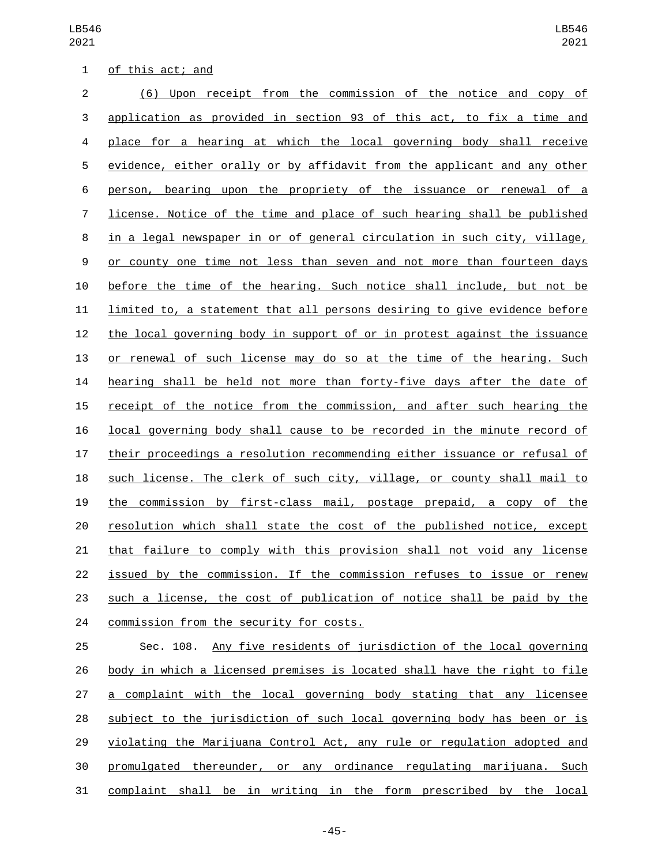LB546 

|  | of this act; and |  |
|--|------------------|--|
|  |                  |  |

| $\overline{2}$ | (6) Upon receipt from the commission of the notice and copy of            |
|----------------|---------------------------------------------------------------------------|
| 3              | application as provided in section 93 of this act, to fix a time and      |
| 4              | place for a hearing at which the local governing body shall receive       |
| 5              | evidence, either orally or by affidavit from the applicant and any other  |
| 6              | person, bearing upon the propriety of the issuance or renewal of a        |
| 7              | license. Notice of the time and place of such hearing shall be published  |
| 8              | in a legal newspaper in or of general circulation in such city, village,  |
| 9              | or county one time not less than seven and not more than fourteen days    |
| 10             | before the time of the hearing. Such notice shall include, but not be     |
| 11             | limited to, a statement that all persons desiring to give evidence before |
| 12             | the local governing body in support of or in protest against the issuance |
| 13             | or renewal of such license may do so at the time of the hearing. Such     |
| 14             | hearing shall be held not more than forty-five days after the date of     |
| 15             | receipt of the notice from the commission, and after such hearing the     |
| 16             | local governing body shall cause to be recorded in the minute record of   |
| 17             | their proceedings a resolution recommending either issuance or refusal of |
| 18             | such license. The clerk of such city, village, or county shall mail to    |
| 19             | the commission by first-class mail, postage prepaid, a copy of the        |
| 20             | resolution which shall state the cost of the published notice, except     |
| 21             | that failure to comply with this provision shall not void any license     |
| 22             | issued by the commission. If the commission refuses to issue or renew     |
| 23             | such a license, the cost of publication of notice shall be paid by the    |
| 24             | commission from the security for costs.                                   |

 Sec. 108. Any five residents of jurisdiction of the local governing body in which a licensed premises is located shall have the right to file 27 a complaint with the local governing body stating that any licensee 28 subject to the jurisdiction of such local governing body has been or is violating the Marijuana Control Act, any rule or regulation adopted and promulgated thereunder, or any ordinance regulating marijuana. Such 31 complaint shall be in writing in the form prescribed by the local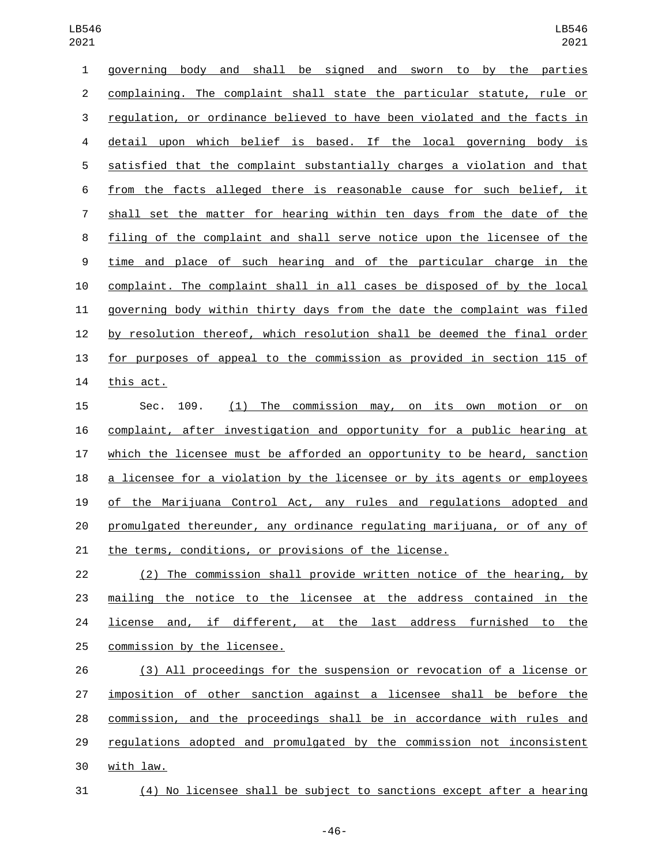| 1              | body<br>shall be signed<br>sworn to by the parties<br>qoverning<br>and<br>and |
|----------------|-------------------------------------------------------------------------------|
| $\overline{2}$ | complaining. The complaint shall state the particular statute, rule or        |
| 3              | regulation, or ordinance believed to have been violated and the facts in      |
| 4              | detail upon which belief is based. If the local governing body is             |
| 5              | satisfied that the complaint substantially charges a violation and that       |
| 6              | from the facts alleged there is reasonable cause for such belief, it          |
| $\overline{7}$ | shall set the matter for hearing within ten days from the date of the         |
| 8              | filing of the complaint and shall serve notice upon the licensee of the       |
| 9              | time and place of such hearing and of the particular charge in the            |
| 10             | complaint. The complaint shall in all cases be disposed of by the local       |
| 11             | governing body within thirty days from the date the complaint was filed       |
| 12             | by resolution thereof, which resolution shall be deemed the final order       |
| 13             | for purposes of appeal to the commission as provided in section 115 of        |
| 14             | this act.                                                                     |
| 15             | (1) The commission may, on its own motion or<br>Sec.<br>109.<br>on            |
| 16             | complaint, after investigation and opportunity for a public hearing at        |
| 17             | which the licensee must be afforded an opportunity to be heard, sanction      |
| 18             | a licensee for a violation by the licensee or by its agents or employees      |
| 19             | of the Marijuana Control Act, any rules and regulations adopted and           |
| 20             | promulgated thereunder, any ordinance regulating marijuana, or of any of      |
| 21             | the terms, conditions, or provisions of the license.                          |
| 22             | (2) The commission shall provide written notice of the hearing, by            |
| 23             | mailing the notice to the licensee at the address contained in the            |
| 24             | license and, if different, at the last address furnished<br>the<br>to         |
| 25             | commission by the licensee.                                                   |
| 26             | (3) All proceedings for the suspension or revocation of a license or          |
| 27             | imposition of other sanction against a licensee shall be before the           |
| 28             | commission, and the proceedings shall be in accordance with rules and         |

 regulations adopted and promulgated by the commission not inconsistent 30 with law.

(4) No licensee shall be subject to sanctions except after a hearing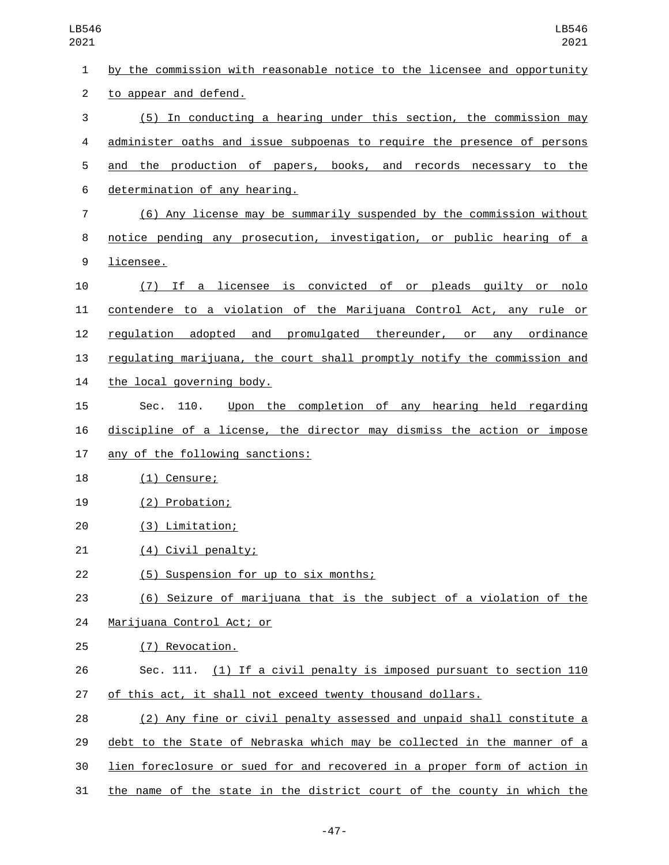| 1              | by the commission with reasonable notice to the licensee and opportunity |
|----------------|--------------------------------------------------------------------------|
| $\overline{2}$ | to appear and defend.                                                    |
| 3              | (5) In conducting a hearing under this section, the commission may       |
| 4              | administer oaths and issue subpoenas to require the presence of persons  |
| 5              | and the production of papers, books, and records necessary to the        |
| 6              | determination of any hearing.                                            |
| 7              | (6) Any license may be summarily suspended by the commission without     |
| 8              | notice pending any prosecution, investigation, or public hearing of a    |
| 9              | licensee.                                                                |
| 10             | (7) If a licensee is convicted of or pleads guilty or nolo               |
| 11             | contendere to a violation of the Marijuana Control Act, any rule or      |
| 12             | regulation adopted and promulgated thereunder, or any ordinance          |
| 13             | regulating marijuana, the court shall promptly notify the commission and |
| 14             | the local governing body.                                                |
| 15             | Upon the completion of any hearing held regarding<br>Sec.<br>110.        |
| 16             | discipline of a license, the director may dismiss the action or impose   |
| 17             | any of the following sanctions:                                          |
| 18             | $(1)$ Censure;                                                           |
| 19             | (2) Probation;                                                           |
| 20             | (3) Limitation;                                                          |
| 21             | (4) Civil penalty;                                                       |
| 22             | (5) Suspension for up to six months;                                     |
| 23             | (6) Seizure of marijuana that is the subject of a violation of the       |
| 24             | Marijuana Control Act; or                                                |
| 25             | (7) Revocation.                                                          |
| 26             | Sec. 111. (1) If a civil penalty is imposed pursuant to section 110      |
| 27             | of this act, it shall not exceed twenty thousand dollars.                |
| 28             | (2) Any fine or civil penalty assessed and unpaid shall constitute a     |
| 29             | debt to the State of Nebraska which may be collected in the manner of a  |
| 30             | lien foreclosure or sued for and recovered in a proper form of action in |
| 31             | the name of the state in the district court of the county in which the   |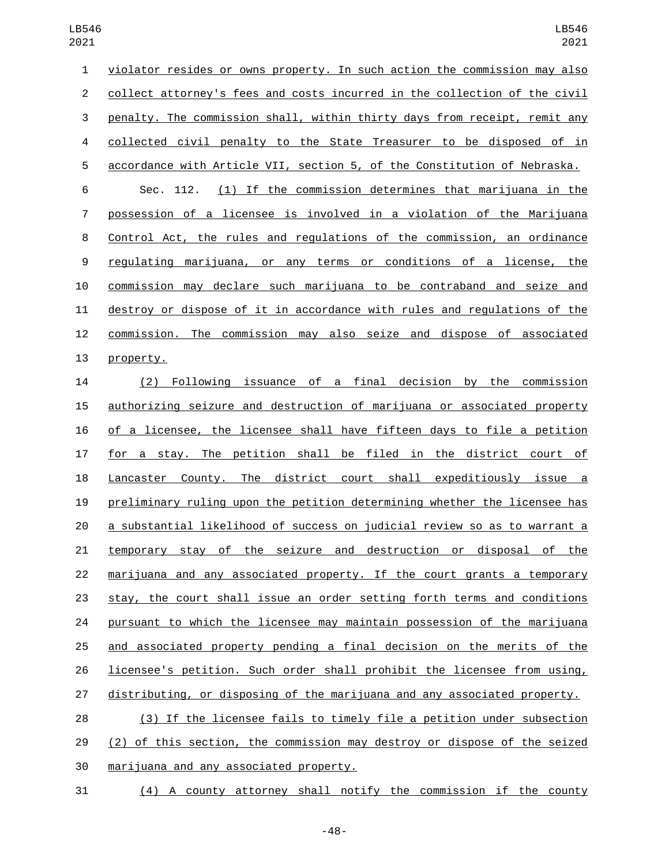| 1              | violator resides or owns property. In such action the commission may also      |
|----------------|--------------------------------------------------------------------------------|
| 2              | collect attorney's fees and costs incurred in the collection of the civil      |
| 3              | penalty. The commission shall, within thirty days from receipt, remit any      |
| 4              | collected civil penalty to the State Treasurer to be disposed of in            |
| 5              | accordance with Article VII, section 5, of the Constitution of Nebraska.       |
| 6              | (1) If the commission determines that marijuana in the<br>Sec. 112.            |
| $\overline{7}$ | possession of a licensee is involved in a violation of the Marijuana           |
| 8              | Control Act, the rules and regulations of the commission, an ordinance         |
| 9              | regulating marijuana, or any terms or conditions of a license, the             |
| 10             | commission may declare such marijuana to be contraband and seize and           |
| 11             | destroy or dispose of it in accordance with rules and regulations of the       |
| 12             | commission. The commission may also seize and dispose of associated            |
| 13             | property.                                                                      |
| 14             | of<br>a final decision<br>Following<br>issuance<br>by the<br>commission<br>(2) |
| 15             | authorizing seizure and destruction of marijuana or associated property        |
|                |                                                                                |

 of a licensee, the licensee shall have fifteen days to file a petition 17 for a stay. The petition shall be filed in the district court of Lancaster County. The district court shall expeditiously issue a preliminary ruling upon the petition determining whether the licensee has a substantial likelihood of success on judicial review so as to warrant a temporary stay of the seizure and destruction or disposal of the marijuana and any associated property. If the court grants a temporary stay, the court shall issue an order setting forth terms and conditions pursuant to which the licensee may maintain possession of the marijuana 25 and associated property pending a final decision on the merits of the licensee's petition. Such order shall prohibit the licensee from using, distributing, or disposing of the marijuana and any associated property. (3) If the licensee fails to timely file a petition under subsection

 (2) of this section, the commission may destroy or dispose of the seized 30 marijuana and any associated property.

(4) A county attorney shall notify the commission if the county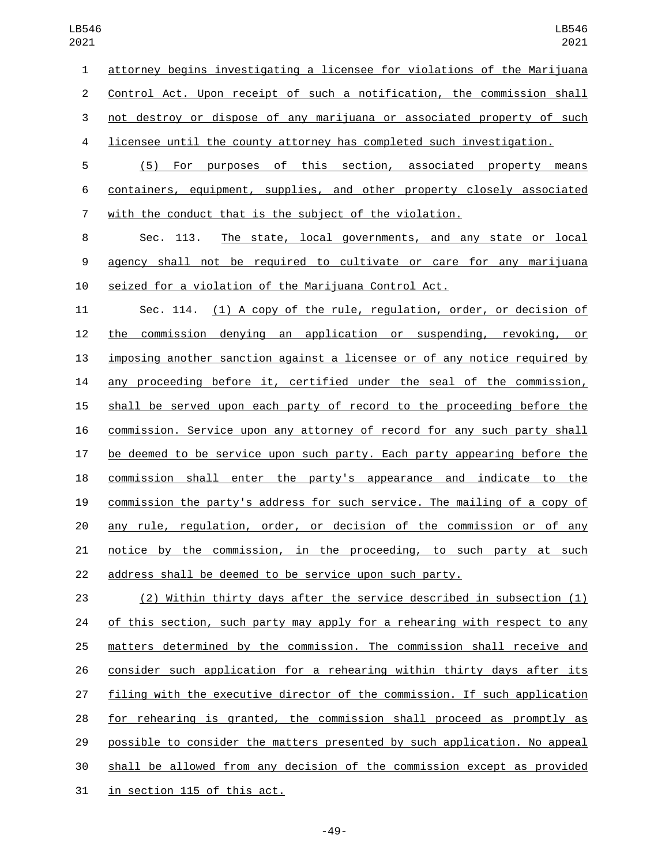attorney begins investigating a licensee for violations of the Marijuana Control Act. Upon receipt of such a notification, the commission shall not destroy or dispose of any marijuana or associated property of such licensee until the county attorney has completed such investigation.

 (5) For purposes of this section, associated property means containers, equipment, supplies, and other property closely associated with the conduct that is the subject of the violation.

 Sec. 113. The state, local governments, and any state or local agency shall not be required to cultivate or care for any marijuana seized for a violation of the Marijuana Control Act.

 Sec. 114. (1) A copy of the rule, regulation, order, or decision of the commission denying an application or suspending, revoking, or imposing another sanction against a licensee or of any notice required by any proceeding before it, certified under the seal of the commission, shall be served upon each party of record to the proceeding before the commission. Service upon any attorney of record for any such party shall be deemed to be service upon such party. Each party appearing before the commission shall enter the party's appearance and indicate to the commission the party's address for such service. The mailing of a copy of any rule, regulation, order, or decision of the commission or of any notice by the commission, in the proceeding, to such party at such address shall be deemed to be service upon such party.

 (2) Within thirty days after the service described in subsection (1) of this section, such party may apply for a rehearing with respect to any matters determined by the commission. The commission shall receive and consider such application for a rehearing within thirty days after its filing with the executive director of the commission. If such application for rehearing is granted, the commission shall proceed as promptly as possible to consider the matters presented by such application. No appeal shall be allowed from any decision of the commission except as provided 31 in section 115 of this act.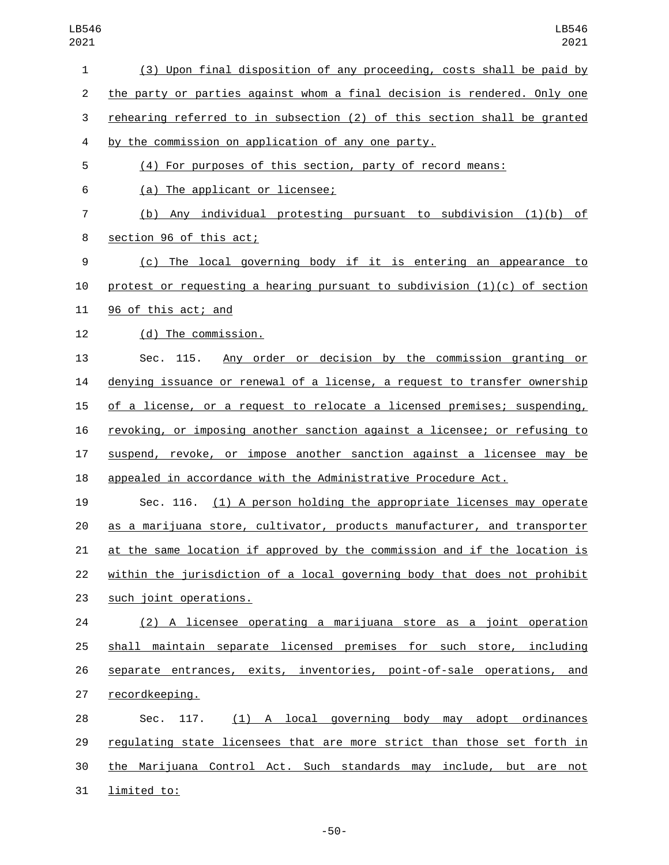| $\mathbf{1}$   | (3) Upon final disposition of any proceeding, costs shall be paid by        |
|----------------|-----------------------------------------------------------------------------|
| $\overline{c}$ | the party or parties against whom a final decision is rendered. Only one    |
| 3              | rehearing referred to in subsection (2) of this section shall be granted    |
| 4              | by the commission on application of any one party.                          |
| 5              | (4) For purposes of this section, party of record means:                    |
| 6              | (a) The applicant or licensee;                                              |
| 7              | (b) Any individual protesting pursuant to subdivision (1)(b) of             |
| 8              | section 96 of this act;                                                     |
| 9              | (c) The local governing body if it is entering an appearance to             |
| 10             | protest or requesting a hearing pursuant to subdivision $(1)(c)$ of section |
| 11             | 96 of this act; and                                                         |
| 12             | (d) The commission.                                                         |
| 13             | Any order or decision by the commission granting or<br>Sec. 115.            |
| 14             | denying issuance or renewal of a license, a request to transfer ownership   |
| 15             | of a license, or a request to relocate a licensed premises; suspending,     |
| 16             | revoking, or imposing another sanction against a licensee; or refusing to   |
| 17             | suspend, revoke, or impose another sanction against a licensee may be       |
| 18             | appealed in accordance with the Administrative Procedure Act.               |
| 19             | Sec. 116. (1) A person holding the appropriate licenses may operate         |
| 20             | as a marijuana store, cultivator, products manufacturer, and transporter    |
| 21             | at the same location if approved by the commission and if the location is   |
| 22             | within the jurisdiction of a local governing body that does not prohibit    |
| 23             | such joint operations.                                                      |
| 24             | (2) A licensee operating a marijuana store as a joint operation             |
| 25             | shall maintain separate licensed premises for such store, including         |
| 26             | separate entrances, exits, inventories, point-of-sale operations, and       |
| 27             | recordkeeping.                                                              |
| 28             | (1) A local governing body may adopt ordinances<br>Sec.<br>117.             |
| 29             | regulating state licensees that are more strict than those set forth in     |
| 30             | the Marijuana Control Act. Such standards may include, but are not          |
| 31             | limited to:                                                                 |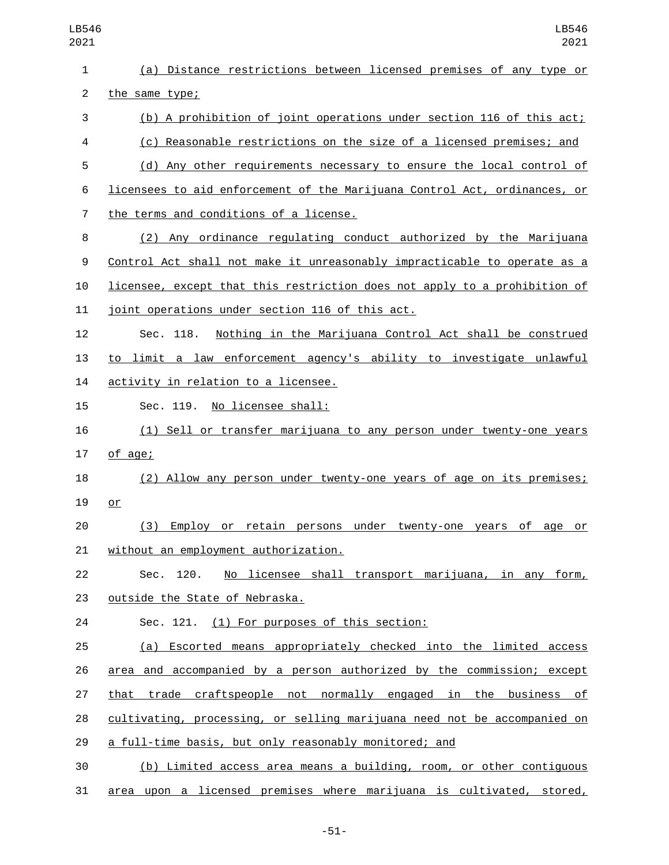| LB546<br>2021  | LB546<br>2021                                                             |
|----------------|---------------------------------------------------------------------------|
| $\mathbf{1}$   | (a) Distance restrictions between licensed premises of any type or        |
| $\overline{2}$ | the same type;                                                            |
| 3              | (b) A prohibition of joint operations under section 116 of this act;      |
| 4              | (c) Reasonable restrictions on the size of a licensed premises; and       |
| 5              | (d) Any other requirements necessary to ensure the local control of       |
| 6              | licensees to aid enforcement of the Marijuana Control Act, ordinances, or |
| $\overline{7}$ | the terms and conditions of a license.                                    |
| 8              | Any ordinance regulating conduct authorized by the Marijuana<br>(2)       |
| 9              | Control Act shall not make it unreasonably impracticable to operate as a  |
| 10             | licensee, except that this restriction does not apply to a prohibition of |
| 11             | joint operations under section 116 of this act.                           |
| 12             | Sec. 118.<br>Nothing in the Marijuana Control Act shall be construed      |
| 13             | to limit a law enforcement agency's ability to investigate unlawful       |
| 14             | activity in relation to a licensee.                                       |
| 15             | Sec. 119.<br>No licensee shall:                                           |
| 16             | (1) Sell or transfer marijuana to any person under twenty-one years       |
| 17             | of age;                                                                   |
| 18             | (2) Allow any person under twenty-one years of age on its premises;       |
| 19             | or                                                                        |
| 20             | (3) Employ or retain persons under twenty-one years of age or             |
| 21             | without an employment authorization.                                      |
| 22             | Sec. 120. No licensee shall transport marijuana, in any form,             |
| 23             | outside the State of Nebraska.                                            |
| 24             | Sec. 121. (1) For purposes of this section:                               |
| 25             | (a) Escorted means appropriately checked into the limited access          |
| 26             | area and accompanied by a person authorized by the commission; except     |
| 27             | that trade craftspeople not normally engaged in the business of           |
| 28             | cultivating, processing, or selling marijuana need not be accompanied on  |
| 29             | a full-time basis, but only reasonably monitored; and                     |
| 30             | (b) Limited access area means a building, room, or other contiguous       |
| 31             | area upon a licensed premises where marijuana is cultivated, stored,      |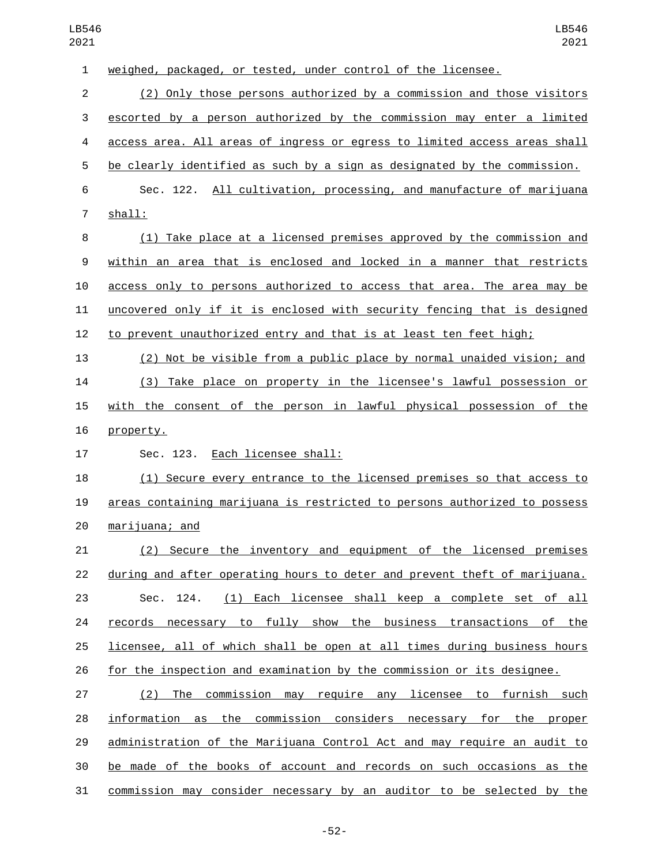weighed, packaged, or tested, under control of the licensee.

 (2) Only those persons authorized by a commission and those visitors escorted by a person authorized by the commission may enter a limited access area. All areas of ingress or egress to limited access areas shall be clearly identified as such by a sign as designated by the commission. Sec. 122. All cultivation, processing, and manufacture of marijuana 7 shall:

 (1) Take place at a licensed premises approved by the commission and within an area that is enclosed and locked in a manner that restricts access only to persons authorized to access that area. The area may be uncovered only if it is enclosed with security fencing that is designed to prevent unauthorized entry and that is at least ten feet high;

 (2) Not be visible from a public place by normal unaided vision; and (3) Take place on property in the licensee's lawful possession or with the consent of the person in lawful physical possession of the 16 property.

17 Sec. 123. Each licensee shall:

 (1) Secure every entrance to the licensed premises so that access to areas containing marijuana is restricted to persons authorized to possess marijuana; and20

 (2) Secure the inventory and equipment of the licensed premises during and after operating hours to deter and prevent theft of marijuana. Sec. 124. (1) Each licensee shall keep a complete set of all 24 records necessary to fully show the business transactions of the licensee, all of which shall be open at all times during business hours for the inspection and examination by the commission or its designee.

 (2) The commission may require any licensee to furnish such information as the commission considers necessary for the proper administration of the Marijuana Control Act and may require an audit to be made of the books of account and records on such occasions as the commission may consider necessary by an auditor to be selected by the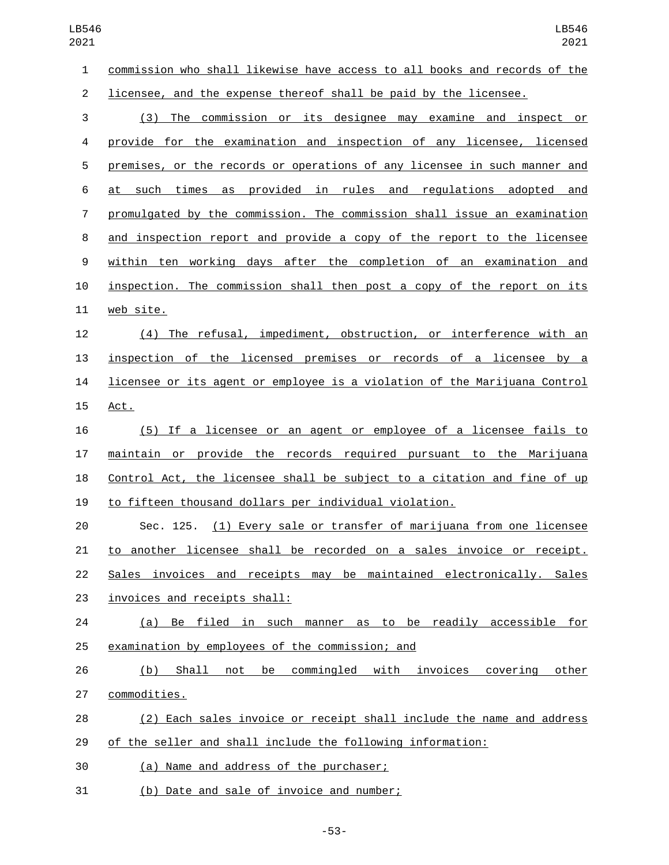commission who shall likewise have access to all books and records of the licensee, and the expense thereof shall be paid by the licensee.

 (3) The commission or its designee may examine and inspect or provide for the examination and inspection of any licensee, licensed premises, or the records or operations of any licensee in such manner and at such times as provided in rules and regulations adopted and promulgated by the commission. The commission shall issue an examination and inspection report and provide a copy of the report to the licensee within ten working days after the completion of an examination and 10 inspection. The commission shall then post a copy of the report on its 11 web site.

 (4) The refusal, impediment, obstruction, or interference with an inspection of the licensed premises or records of a licensee by a licensee or its agent or employee is a violation of the Marijuana Control 15 Act.

 (5) If a licensee or an agent or employee of a licensee fails to maintain or provide the records required pursuant to the Marijuana Control Act, the licensee shall be subject to a citation and fine of up to fifteen thousand dollars per individual violation.

 Sec. 125. (1) Every sale or transfer of marijuana from one licensee to another licensee shall be recorded on a sales invoice or receipt. 22 Sales invoices and receipts may be maintained electronically. Sales 23 invoices and receipts shall:

 (a) Be filed in such manner as to be readily accessible for 25 examination by employees of the commission; and

 (b) Shall not be commingled with invoices covering other 27 commodities.

 (2) Each sales invoice or receipt shall include the name and address of the seller and shall include the following information:

(a) Name and address of the purchaser;30

(b) Date and sale of invoice and number;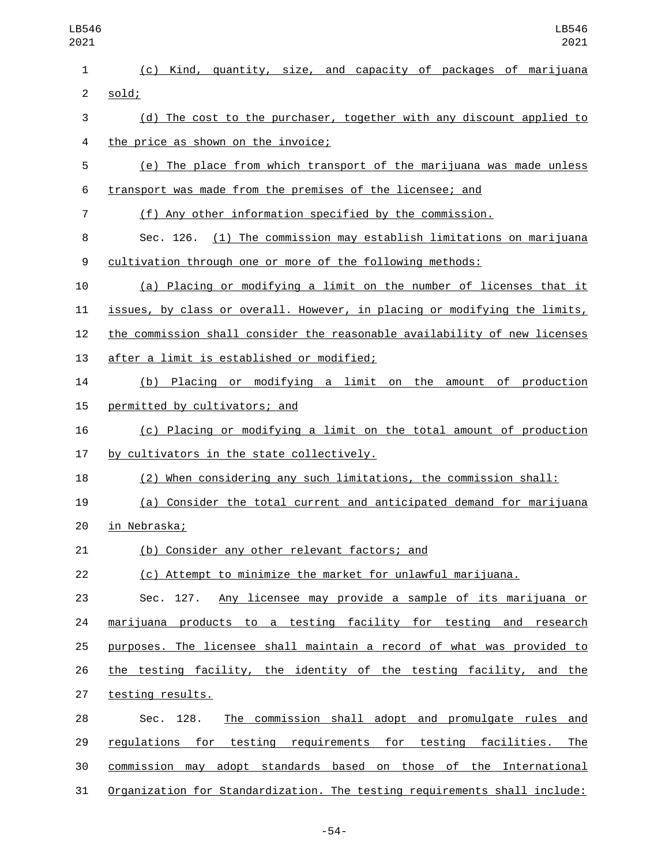| LB546<br>2021  | LB546<br>2021                                                             |
|----------------|---------------------------------------------------------------------------|
| $\mathbf{1}$   | (c) Kind, quantity, size, and capacity of packages of marijuana           |
| $\overline{c}$ | sold;                                                                     |
| $\mathsf 3$    | (d) The cost to the purchaser, together with any discount applied to      |
| 4              | the price as shown on the invoice;                                        |
| 5              | (e) The place from which transport of the marijuana was made unless       |
| 6              | transport was made from the premises of the licensee; and                 |
| $\overline{7}$ | (f) Any other information specified by the commission.                    |
| 8              | Sec. 126. (1) The commission may establish limitations on marijuana       |
| 9              | cultivation through one or more of the following methods:                 |
| 10             | (a) Placing or modifying a limit on the number of licenses that it        |
| 11             | issues, by class or overall. However, in placing or modifying the limits, |
| 12             | the commission shall consider the reasonable availability of new licenses |
| 13             | after a limit is established or modified;                                 |
| 14             | Placing or modifying a limit on the amount of production<br>(b)           |
| 15             | permitted by cultivators; and                                             |
| 16             | (c) Placing or modifying a limit on the total amount of production        |
| 17             | by cultivators in the state collectively.                                 |
| 18             | When considering any such limitations, the commission shall:<br>(2)       |
| 19             | (a) Consider the total current and anticipated demand for marijuana       |
| 20             | in Nebraska;                                                              |
| 21             | (b) Consider any other relevant factors; and                              |
| 22             | (c) Attempt to minimize the market for unlawful marijuana.                |
| 23             | Sec. 127. Any licensee may provide a sample of its marijuana or           |
| 24             | <u>marijuana products to a testing facility for testing and research</u>  |
| 25             | purposes. The licensee shall maintain a record of what was provided to    |
| 26             | the testing facility, the identity of the testing facility, and the       |
| 27             | testing results.                                                          |
| 28             | The commission shall adopt and promulgate rules and<br>Sec. 128.          |
| 29             | regulations for testing requirements for testing facilities. The          |
| 30             | commission may adopt standards based on those of the International        |
| 31             | Organization for Standardization. The testing requirements shall include: |

-54-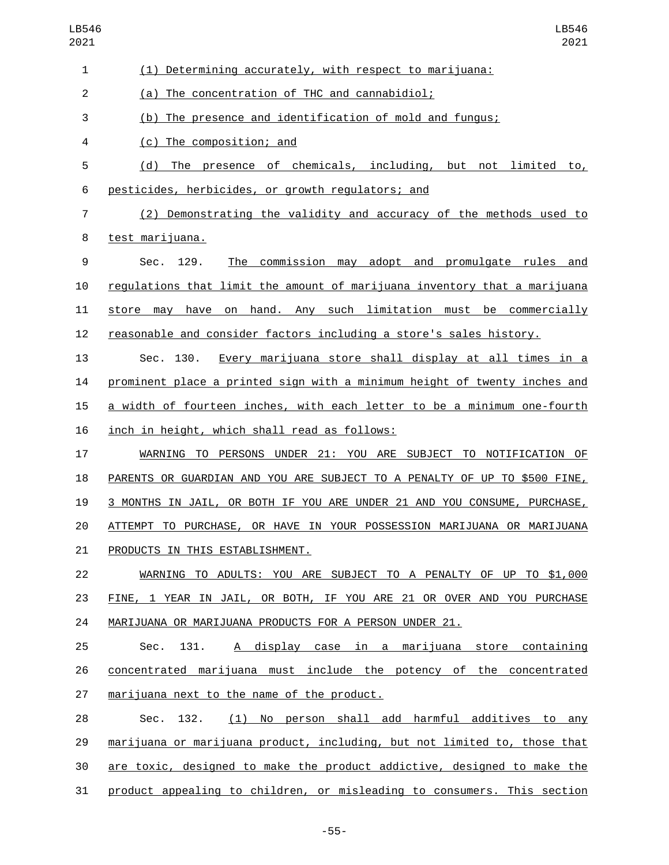| 1              | (1) Determining accurately, with respect to marijuana:                    |
|----------------|---------------------------------------------------------------------------|
| $\overline{c}$ | (a) The concentration of THC and cannabidiol;                             |
| 3              | (b) The presence and identification of mold and fungus;                   |
| 4              | (c) The composition; and                                                  |
| 5              | (d) The presence of chemicals, including, but not limited to,             |
| 6              | pesticides, herbicides, or growth regulators; and                         |
| 7              | (2) Demonstrating the validity and accuracy of the methods used to        |
| 8              | test marijuana.                                                           |
| 9              | The commission may adopt and promulgate rules and<br>129.<br>Sec.         |
| 10             | regulations that limit the amount of marijuana inventory that a marijuana |
| 11             | store may have on hand. Any such limitation must be commercially          |
| 12             | reasonable and consider factors including a store's sales history.        |
| 13             | Every marijuana store shall display at all times in a<br>Sec. 130.        |
| 14             | prominent place a printed sign with a minimum height of twenty inches and |
| 15             | a width of fourteen inches, with each letter to be a minimum one-fourth   |
| 16             | inch in height, which shall read as follows:                              |
| 17             | WARNING TO PERSONS UNDER 21: YOU ARE SUBJECT TO NOTIFICATION OF           |
| 18             | PARENTS OR GUARDIAN AND YOU ARE SUBJECT TO A PENALTY OF UP TO \$500 FINE, |
| 19             | 3 MONTHS IN JAIL, OR BOTH IF YOU ARE UNDER 21 AND YOU CONSUME, PURCHASE,  |
| 20             | ATTEMPT TO PURCHASE, OR HAVE IN YOUR POSSESSION MARIJUANA OR MARIJUANA    |
| 21             | PRODUCTS IN THIS ESTABLISHMENT.                                           |
| 22             | WARNING TO ADULTS: YOU ARE SUBJECT TO A PENALTY OF UP TO \$1,000          |
| 23             | FINE, 1 YEAR IN JAIL, OR BOTH, IF YOU ARE 21 OR OVER AND YOU PURCHASE     |
| 24             | MARIJUANA OR MARIJUANA PRODUCTS FOR A PERSON UNDER 21.                    |
| 25             | A display case in a marijuana store containing<br>Sec.<br>131.            |
| 26             | concentrated marijuana must include the potency of the concentrated       |
| 27             | marijuana next to the name of the product.                                |
| 28             | (1) No person shall add harmful additives to any<br>132.<br>Sec.          |
| 29             | marijuana or marijuana product, including, but not limited to, those that |
| 30             | are toxic, designed to make the product addictive, designed to make the   |
| 31             | product appealing to children, or misleading to consumers. This section   |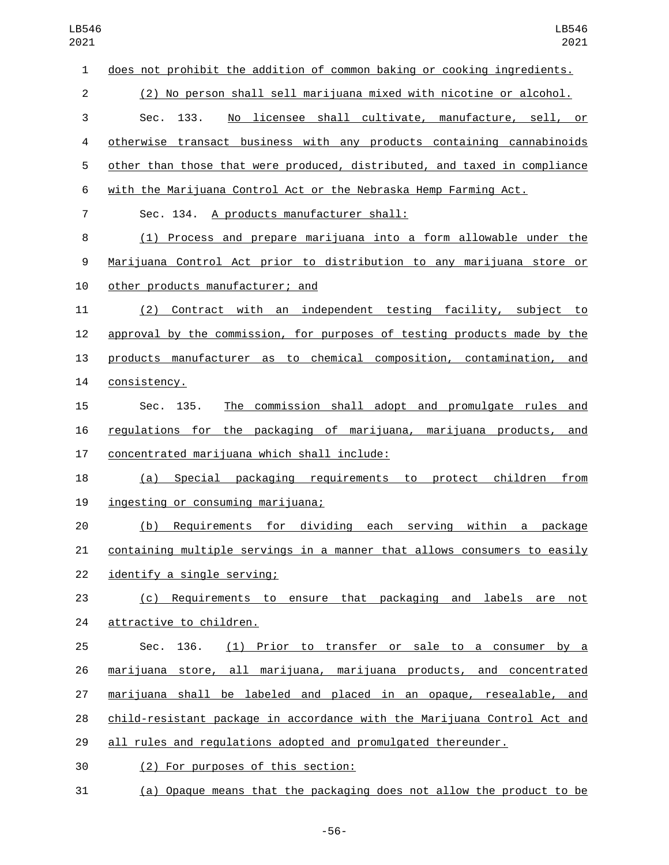| LB546<br>2021  | LB546<br>2021                                                             |
|----------------|---------------------------------------------------------------------------|
| $\mathbf 1$    | does not prohibit the addition of common baking or cooking ingredients.   |
| $\overline{c}$ | (2) No person shall sell marijuana mixed with nicotine or alcohol.        |
| 3              | No licensee shall cultivate, manufacture, sell, or<br>Sec.<br>133.        |
| 4              | otherwise transact business with any products containing cannabinoids     |
| 5              | other than those that were produced, distributed, and taxed in compliance |
| 6              | with the Marijuana Control Act or the Nebraska Hemp Farming Act.          |
| $\overline{7}$ | Sec. 134. A products manufacturer shall:                                  |
| 8              | Process and prepare marijuana into a form allowable under the<br>(1)      |
| 9              | Marijuana Control Act prior to distribution to any marijuana store or     |
| 10             | other products manufacturer; and                                          |
| 11             | Contract with an independent testing facility, subject to<br>(2)          |
| 12             | approval by the commission, for purposes of testing products made by the  |
| 13             | products manufacturer as to chemical composition, contamination, and      |
| 14             | consistency.                                                              |
| 15             | The commission shall adopt and promulgate rules and<br>Sec. 135.          |
| 16             | regulations for the packaging of marijuana, marijuana products, and       |
| 17             | concentrated marijuana which shall include:                               |
| 18             | Special packaging requirements to protect children<br>from<br>(a)         |
| 19             | ingesting or consuming marijuana;                                         |
| 20             | Requirements for dividing each serving within a package<br>(b)            |
| 21             | containing multiple servings in a manner that allows consumers to easily  |
| 22             | identify a single serving;                                                |
| 23             | Requirements to ensure that packaging and labels are not<br>(C)           |
| 24             | attractive to children.                                                   |
| 25             | (1) Prior to transfer or sale to a consumer by a<br>Sec.<br>136.          |
| 26             | marijuana store, all marijuana, marijuana products, and concentrated      |
| 27             | marijuana shall be labeled and placed in an opaque, resealable, and       |
| 28             | child-resistant package in accordance with the Marijuana Control Act and  |
| 29             | all rules and regulations adopted and promulgated thereunder.             |
| 30             | (2) For purposes of this section:                                         |
| 31             | (a) Opaque means that the packaging does not allow the product to be      |

-56-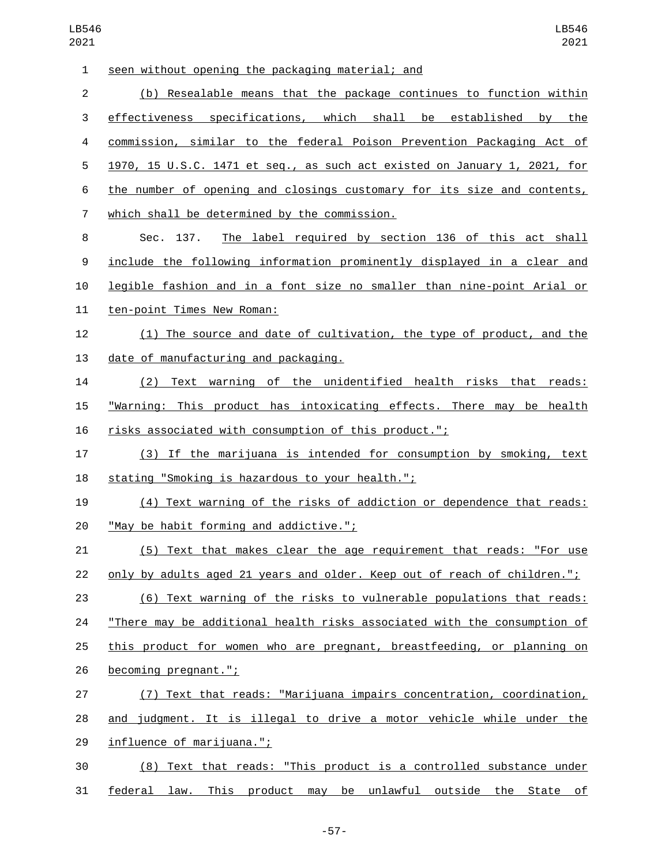| $\mathbf{1}$   | seen without opening the packaging material; and                          |
|----------------|---------------------------------------------------------------------------|
| $\overline{2}$ | (b) Resealable means that the package continues to function within        |
| 3              | effectiveness specifications, which shall be established<br>by the        |
| 4              | commission, similar to the federal Poison Prevention Packaging Act of     |
| 5              | 1970, 15 U.S.C. 1471 et seq., as such act existed on January 1, 2021, for |
| 6              | the number of opening and closings customary for its size and contents,   |
| $\overline{7}$ | which shall be determined by the commission.                              |
| 8              | Sec. 137.<br>The label required by section 136 of this act shall          |
| 9              | include the following information prominently displayed in a clear and    |
| 10             | legible fashion and in a font size no smaller than nine-point Arial or    |
| 11             | ten-point Times New Roman:                                                |
| 12             | (1) The source and date of cultivation, the type of product, and the      |
| 13             | date of manufacturing and packaging.                                      |
| 14             | (2) Text warning of the unidentified health risks that reads:             |
| 15             | "Warning: This product has intoxicating effects. There may be health      |
| 16             | risks associated with consumption of this product.";                      |
| 17             | (3) If the marijuana is intended for consumption by smoking, text         |
| 18             | stating "Smoking is hazardous to your health.";                           |
| 19             | (4) Text warning of the risks of addiction or dependence that reads:      |
| 20             | "May be habit forming and addictive.";                                    |
| 21             | (5) Text that makes clear the age requirement that reads: "For use        |
| 22             | only by adults aged 21 years and older. Keep out of reach of children.";  |
| 23             | (6) Text warning of the risks to vulnerable populations that reads:       |
| 24             | "There may be additional health risks associated with the consumption of  |
| 25             | this product for women who are pregnant, breastfeeding, or planning on    |
| 26             | becoming pregnant.";                                                      |
| 27             | (7) Text that reads: "Marijuana impairs concentration, coordination,      |
| 28             | and judgment. It is illegal to drive a motor vehicle while under the      |
| 29             | influence of marijuana.";                                                 |
| 30             | (8) Text that reads: "This product is a controlled substance under        |
| 31             | federal law. This product may be unlawful outside the State of            |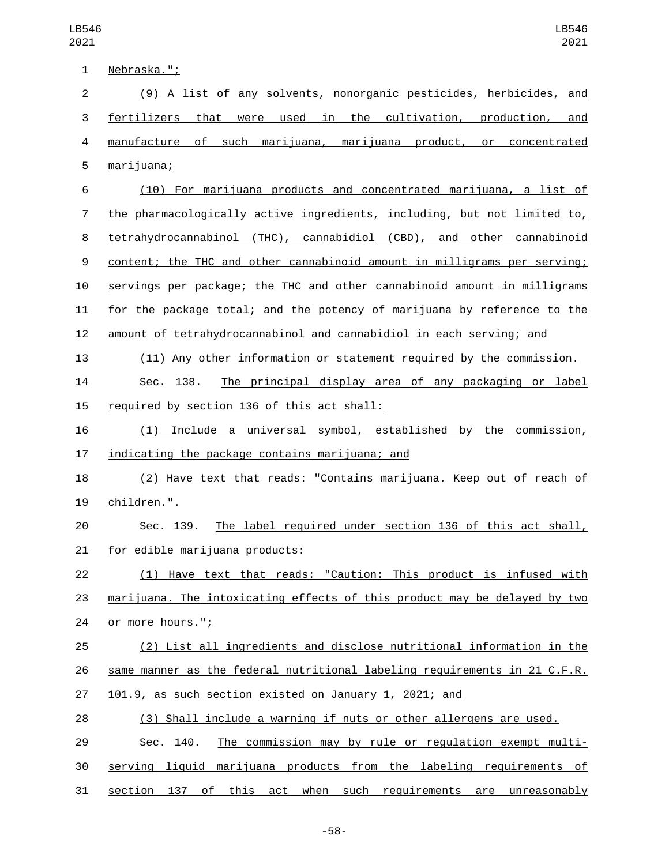| 1                | Nebraska.";                                                               |
|------------------|---------------------------------------------------------------------------|
| $\overline{2}$   | (9) A list of any solvents, nonorganic pesticides, herbicides, and        |
| 3                | fertilizers that were used in the cultivation, production,<br>and         |
| 4                | manufacture of such marijuana, marijuana product, or concentrated         |
| 5                | marijuana;                                                                |
| 6                | (10) For marijuana products and concentrated marijuana, a list of         |
| 7                | the pharmacologically active ingredients, including, but not limited to,  |
| 8                | tetrahydrocannabinol (THC), cannabidiol (CBD), and other cannabinoid      |
| $\boldsymbol{9}$ | content; the THC and other cannabinoid amount in milligrams per serving;  |
| 10               | servings per package; the THC and other cannabinoid amount in milligrams  |
| 11               | for the package total; and the potency of marijuana by reference to the   |
| 12               | amount of tetrahydrocannabinol and cannabidiol in each serving; and       |
| 13               | (11) Any other information or statement required by the commission.       |
| 14               | The principal display area of any packaging or label<br>Sec. 138.         |
| 15               | required by section 136 of this act shall:                                |
| 16               | Include a universal symbol, established by the commission,<br>(1)         |
| 17               | indicating the package contains marijuana; and                            |
| 18               | (2) Have text that reads: "Contains marijuana. Keep out of reach of       |
| 19               | children.".                                                               |
| 20               | The label required under section 136 of this act shall,<br>Sec. 139.      |
| 21               | for edible marijuana products:                                            |
| 22               | (1) Have text that reads: "Caution: This product is infused with          |
| 23               | marijuana. The intoxicating effects of this product may be delayed by two |
| 24               | or more hours.";                                                          |
| 25               | (2) List all ingredients and disclose nutritional information in the      |
| 26               | same manner as the federal nutritional labeling requirements in 21 C.F.R. |
| 27               | 101.9, as such section existed on January 1, 2021; and                    |
| 28               | (3) Shall include a warning if nuts or other allergens are used.          |
| 29               | The commission may by rule or regulation exempt multi-<br>Sec. 140.       |
| 30               | serving liquid marijuana products from the labeling requirements of       |
| 31               | section 137 of this act when such requirements are unreasonably           |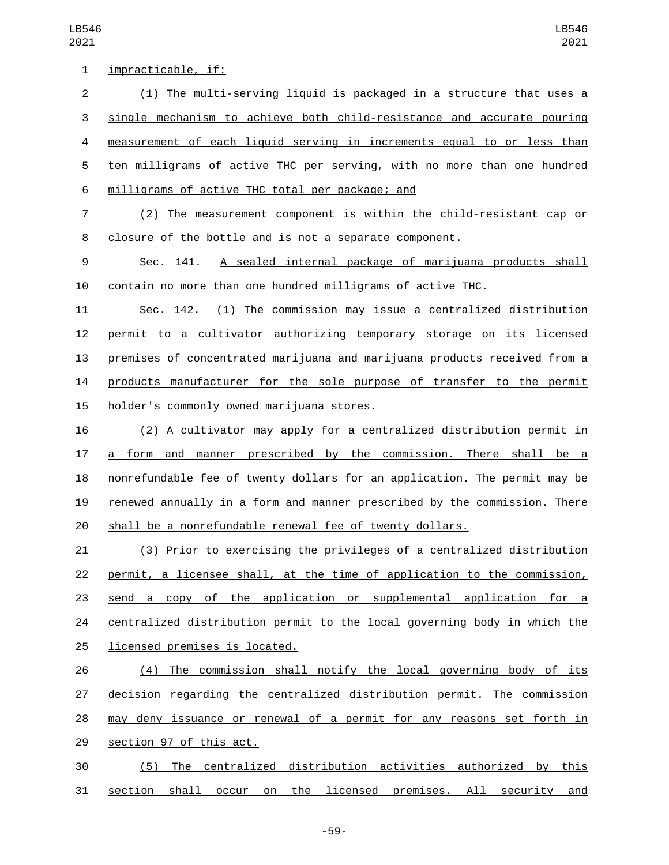| 1              | impracticable, if:                                                        |
|----------------|---------------------------------------------------------------------------|
| $\overline{2}$ | (1) The multi-serving liquid is packaged in a structure that uses a       |
| 3              | single mechanism to achieve both child-resistance and accurate pouring    |
| 4              | measurement of each liquid serving in increments equal to or less than    |
| 5              | ten milligrams of active THC per serving, with no more than one hundred   |
| 6              | milligrams of active THC total per package; and                           |
| 7              | (2) The measurement component is within the child-resistant cap or        |
| 8              | closure of the bottle and is not a separate component.                    |
| 9              | Sec. 141.<br>A sealed internal package of marijuana products shall        |
| 10             | contain no more than one hundred milligrams of active THC.                |
| 11             | Sec. 142. (1) The commission may issue a centralized distribution         |
| 12             | permit to a cultivator authorizing temporary storage on its licensed      |
| 13             | premises of concentrated marijuana and marijuana products received from a |
| 14             | products manufacturer for the sole purpose of transfer to the permit      |
| 15             | holder's commonly owned marijuana stores.                                 |
| 16             | (2) A cultivator may apply for a centralized distribution permit in       |
| 17             | manner prescribed by the commission. There shall be a<br>a form and       |
| 18             | nonrefundable fee of twenty dollars for an application. The permit may be |
| 19             | renewed annually in a form and manner prescribed by the commission. There |
| 20             | shall be a nonrefundable renewal fee of twenty dollars.                   |
| 21             | (3) Prior to exercising the privileges of a centralized distribution      |
| 22             | permit, a licensee shall, at the time of application to the commission,   |
| 23             | send a copy of the application or supplemental application for a          |
| 24             | centralized distribution permit to the local governing body in which the  |
| 25             | licensed premises is located.                                             |
| 26             | (4) The commission shall notify the local governing body of its           |
| 27             | decision regarding the centralized distribution permit. The commission    |
| 28             | may deny issuance or renewal of a permit for any reasons set forth in     |
| 29             | section 97 of this act.                                                   |
| 30             | (5) The centralized distribution activities authorized by this            |
| 31             | section shall occur on the licensed premises. All security and            |

-59-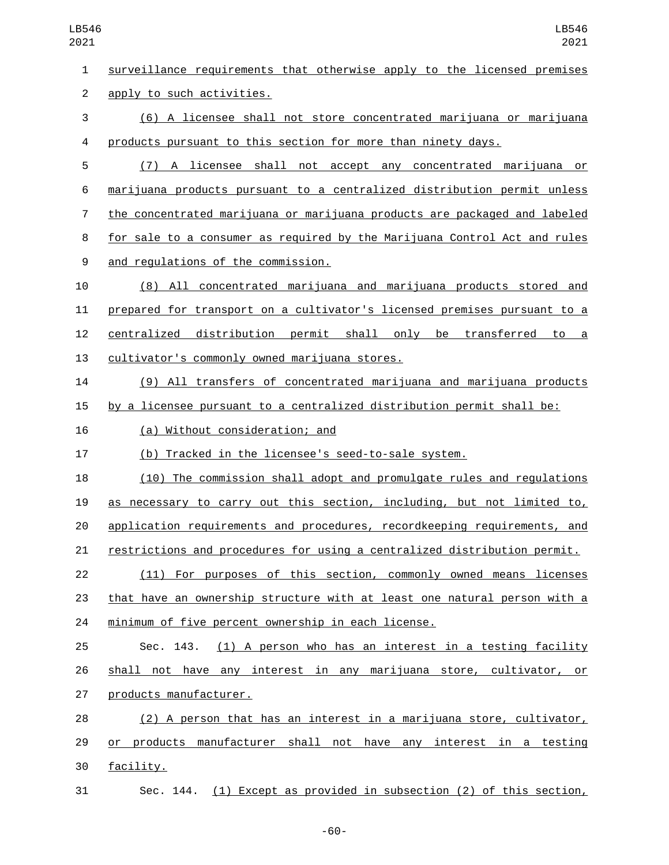surveillance requirements that otherwise apply to the licensed premises 2 apply to such activities. (6) A licensee shall not store concentrated marijuana or marijuana products pursuant to this section for more than ninety days. (7) A licensee shall not accept any concentrated marijuana or marijuana products pursuant to a centralized distribution permit unless the concentrated marijuana or marijuana products are packaged and labeled for sale to a consumer as required by the Marijuana Control Act and rules and regulations of the commission.9 (8) All concentrated marijuana and marijuana products stored and prepared for transport on a cultivator's licensed premises pursuant to a centralized distribution permit shall only be transferred to a 13 cultivator's commonly owned marijuana stores. (9) All transfers of concentrated marijuana and marijuana products by a licensee pursuant to a centralized distribution permit shall be: 16 (a) Without consideration; and (b) Tracked in the licensee's seed-to-sale system. (10) The commission shall adopt and promulgate rules and regulations as necessary to carry out this section, including, but not limited to, application requirements and procedures, recordkeeping requirements, and restrictions and procedures for using a centralized distribution permit. (11) For purposes of this section, commonly owned means licenses that have an ownership structure with at least one natural person with a minimum of five percent ownership in each license. Sec. 143. (1) A person who has an interest in a testing facility shall not have any interest in any marijuana store, cultivator, or 27 products manufacturer. (2) A person that has an interest in a marijuana store, cultivator, or products manufacturer shall not have any interest in a testing 30 facility. Sec. 144. (1) Except as provided in subsection (2) of this section,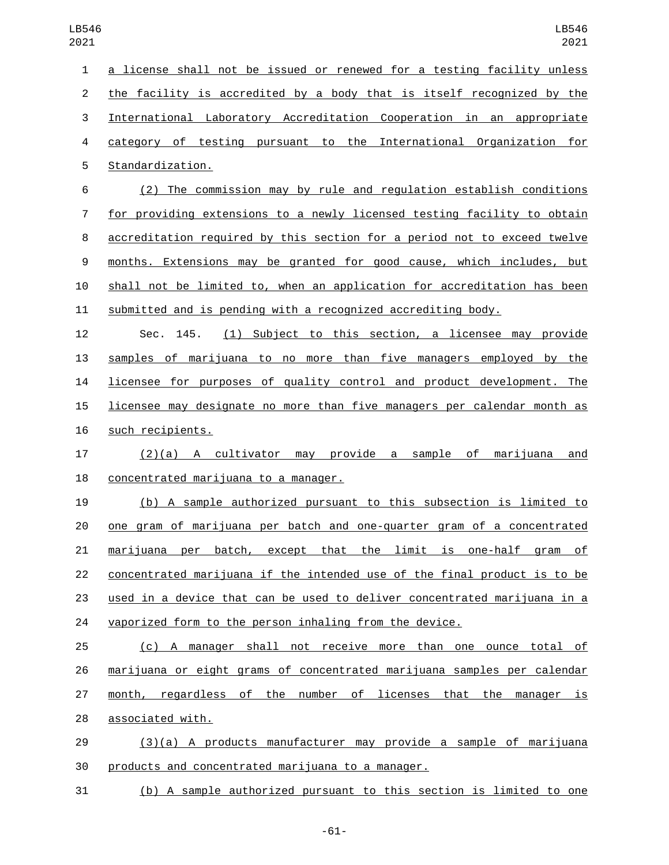| $\mathbf{1}$     | a license shall not be issued or renewed for a testing facility unless   |
|------------------|--------------------------------------------------------------------------|
| $\overline{2}$   | the facility is accredited by a body that is itself recognized by the    |
| 3                | International Laboratory Accreditation Cooperation in an appropriate     |
| 4                | category of testing pursuant to the International Organization for       |
| 5                | Standardization.                                                         |
| 6                | (2) The commission may by rule and regulation establish conditions       |
| 7                | for providing extensions to a newly licensed testing facility to obtain  |
| 8                | accreditation required by this section for a period not to exceed twelve |
| $\boldsymbol{9}$ | months. Extensions may be granted for good cause, which includes, but    |
| 10               | shall not be limited to, when an application for accreditation has been  |
| 11               | submitted and is pending with a recognized accrediting body.             |
| 12               | (1) Subject to this section, a licensee may provide<br>Sec. 145.         |
| 13               | samples of marijuana to no more than five managers employed by the       |
| 14               | licensee for purposes of quality control and product development. The    |
| 15               | licensee may designate no more than five managers per calendar month as  |
| 16               | such recipients.                                                         |
| 17               | $(2)(a)$ A cultivator may provide a sample of<br>marijuana<br><u>and</u> |
| 18               | concentrated marijuana to a manager.                                     |
| 19               | (b) A sample authorized pursuant to this subsection is limited to        |
| 20               | one gram of marijuana per batch and one-quarter gram of a concentrated   |
| 21               | marijuana per batch, except that the limit is one-half gram of           |
| 22               | concentrated marijuana if the intended use of the final product is to be |
| 23               | used in a device that can be used to deliver concentrated marijuana in a |
| 24               | vaporized form to the person inhaling from the device.                   |
| 25               | (c) A manager shall not receive more than one ounce total of             |
| 26               | marijuana or eight grams of concentrated marijuana samples per calendar  |
| 27               | month, regardless of the number of licenses that the manager is          |
| 28               | associated with.                                                         |
| 29               | (3)(a) A products manufacturer may provide a sample of marijuana         |
|                  |                                                                          |

30 products and concentrated marijuana to a manager.

(b) A sample authorized pursuant to this section is limited to one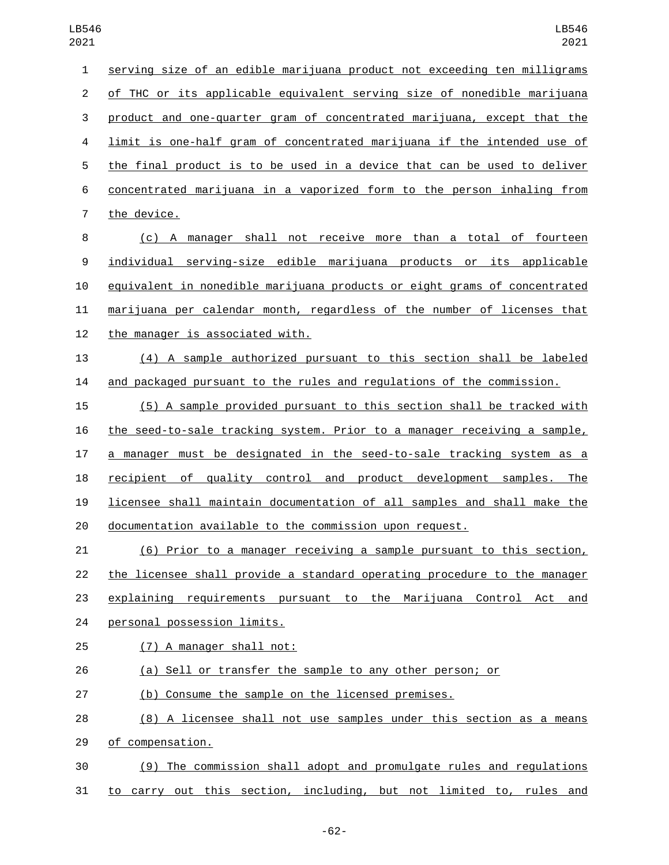| $\mathbf{1}$   | serving size of an edible marijuana product not exceeding ten milligrams       |
|----------------|--------------------------------------------------------------------------------|
| $\overline{2}$ | of THC or its applicable equivalent serving size of nonedible marijuana        |
| 3              | product and one-quarter gram of concentrated marijuana, except that the        |
| 4              | <u>limit is one-half gram of concentrated marijuana if the intended use of</u> |
| 5              | the final product is to be used in a device that can be used to deliver        |
| 6              | concentrated marijuana in a vaporized form to the person inhaling from         |
| 7              | the device.                                                                    |
| 8              | (c) A manager shall not receive more than a total of fourteen                  |
| 9              | individual serving-size edible marijuana products or its applicable            |
| 10             | equivalent in nonedible marijuana products or eight grams of concentrated      |
| 11             | marijuana per calendar month, regardless of the number of licenses that        |
| 12             | the manager is associated with.                                                |
| 13             | (4) A sample authorized pursuant to this section shall be labeled              |
| 14             | and packaged pursuant to the rules and regulations of the commission.          |
| 15             | (5) A sample provided pursuant to this section shall be tracked with           |
| 16             | the seed-to-sale tracking system. Prior to a manager receiving a sample,       |
| 17             | a manager must be designated in the seed-to-sale tracking system as a          |
| 18             | recipient of quality control and product development samples. The              |
| 19             | licensee shall maintain documentation of all samples and shall make the        |
| 20             | documentation available to the commission upon request.                        |
| 21             | (6) Prior to a manager receiving a sample pursuant to this section,            |
| 22             | the licensee shall provide a standard operating procedure to the manager       |
| 23             | explaining requirements pursuant to the Marijuana Control<br>Act<br>and        |
| 24             | personal possession limits.                                                    |
| 25             | (7) A manager shall not:                                                       |
| 26             | (a) Sell or transfer the sample to any other person; or                        |
| 27             | (b) Consume the sample on the licensed premises.                               |
| 28             | (8) A licensee shall not use samples under this section as a means             |
| 29             | of compensation.                                                               |
| 30             | (9) The commission shall adopt and promulgate rules and regulations            |
|                |                                                                                |

to carry out this section, including, but not limited to, rules and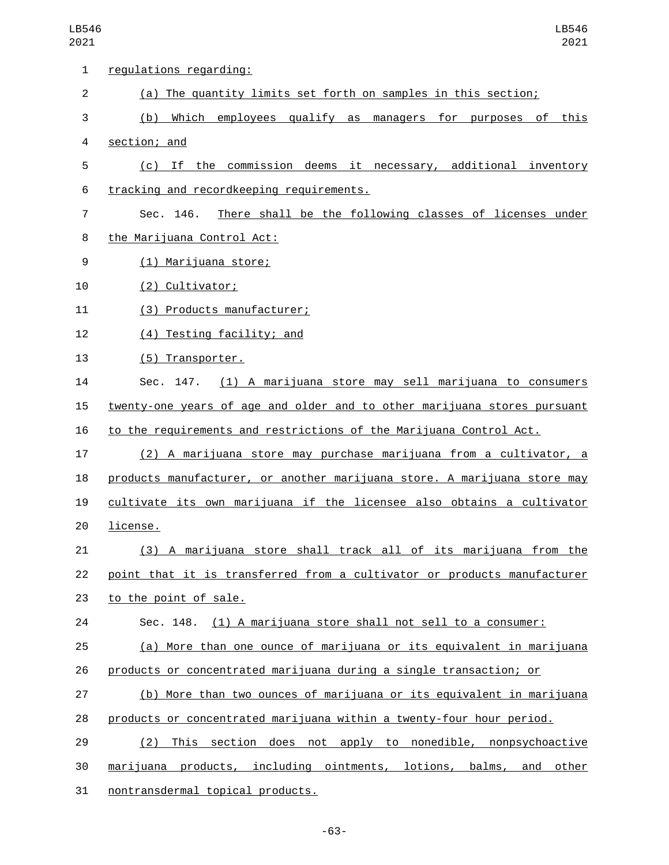| 1              | regulations regarding:                                                   |
|----------------|--------------------------------------------------------------------------|
| $\overline{2}$ | (a) The quantity limits set forth on samples in this section;            |
| 3              | (b) Which employees qualify as managers for purposes of this             |
| 4              | section; and                                                             |
| 5              | (c) If the commission deems it necessary, additional inventory           |
| 6              | tracking and recordkeeping requirements.                                 |
| 7              | There shall be the following classes of licenses under<br>Sec. 146.      |
| 8              | the Marijuana Control Act:                                               |
| 9              | (1) Marijuana store;                                                     |
| 10             | (2) Cultivator;                                                          |
| 11             | (3) Products manufacturer;                                               |
| 12             | (4) Testing facility; and                                                |
| 13             | (5) Transporter.                                                         |
| 14             | (1) A marijuana store may sell marijuana to consumers<br>Sec. 147.       |
| 15             | twenty-one years of age and older and to other marijuana stores pursuant |
| 16             | to the requirements and restrictions of the Marijuana Control Act.       |
| 17             | (2) A marijuana store may purchase marijuana from a cultivator, a        |
| 18             | products manufacturer, or another marijuana store. A marijuana store may |
| 19             | cultivate its own marijuana if the licensee also obtains a cultivator    |
| 20             | license.                                                                 |
| 21             | (3) A marijuana store shall track all of its marijuana from the          |
| 22             | point that it is transferred from a cultivator or products manufacturer  |
| 23             | to the point of sale.                                                    |
| 24             | Sec. 148. (1) A marijuana store shall not sell to a consumer:            |
| 25             | (a) More than one ounce of marijuana or its equivalent in marijuana      |
| 26             | products or concentrated marijuana during a single transaction; or       |
| 27             | (b) More than two ounces of marijuana or its equivalent in marijuana     |
| 28             | products or concentrated marijuana within a twenty-four hour period.     |
| 29             | (2) This section does not apply to nonedible, nonpsychoactive            |
| 30             | marijuana products, including ointments, lotions, balms, and other       |
| 31             | nontransdermal topical products.                                         |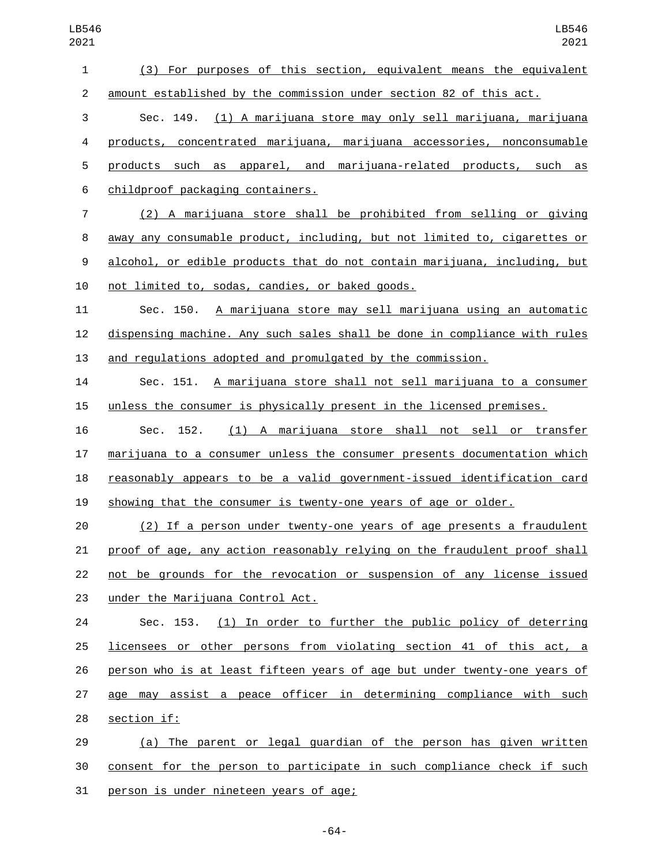(3) For purposes of this section, equivalent means the equivalent amount established by the commission under section 82 of this act. Sec. 149. (1) A marijuana store may only sell marijuana, marijuana products, concentrated marijuana, marijuana accessories, nonconsumable products such as apparel, and marijuana-related products, such as childproof packaging containers.6 (2) A marijuana store shall be prohibited from selling or giving away any consumable product, including, but not limited to, cigarettes or alcohol, or edible products that do not contain marijuana, including, but 10 not limited to, sodas, candies, or baked goods. Sec. 150. A marijuana store may sell marijuana using an automatic dispensing machine. Any such sales shall be done in compliance with rules and regulations adopted and promulgated by the commission. Sec. 151. A marijuana store shall not sell marijuana to a consumer unless the consumer is physically present in the licensed premises. Sec. 152. (1) A marijuana store shall not sell or transfer marijuana to a consumer unless the consumer presents documentation which reasonably appears to be a valid government-issued identification card showing that the consumer is twenty-one years of age or older. (2) If a person under twenty-one years of age presents a fraudulent proof of age, any action reasonably relying on the fraudulent proof shall not be grounds for the revocation or suspension of any license issued 23 under the Marijuana Control Act. Sec. 153. (1) In order to further the public policy of deterring 25 licensees or other persons from violating section 41 of this act, a person who is at least fifteen years of age but under twenty-one years of age may assist a peace officer in determining compliance with such 28 section if: (a) The parent or legal guardian of the person has given written consent for the person to participate in such compliance check if such

31 person is under nineteen years of age;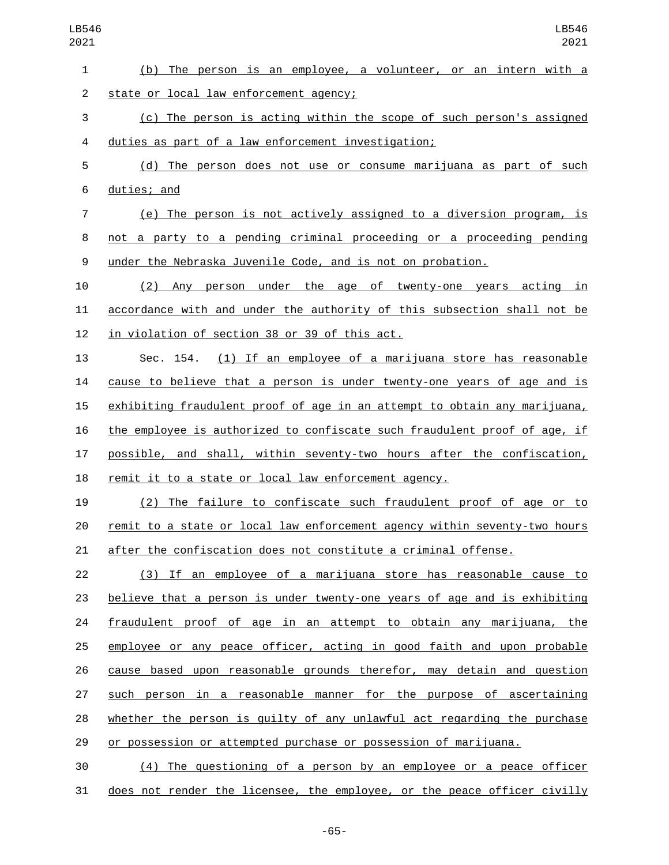| 1              | (b) The person is an employee, a volunteer, or an intern with a           |
|----------------|---------------------------------------------------------------------------|
| $\overline{2}$ | state or local law enforcement agency;                                    |
| 3              | (c) The person is acting within the scope of such person's assigned       |
| 4              | duties as part of a law enforcement investigation;                        |
| 5              | (d) The person does not use or consume marijuana as part of such          |
| 6              | duties; and                                                               |
| $\overline{7}$ | (e) The person is not actively assigned to a diversion program, is        |
| 8              | not a party to a pending criminal proceeding or a proceeding pending      |
| 9              | under the Nebraska Juvenile Code, and is not on probation.                |
| 10             | (2) Any person under the age of twenty-one years acting in                |
| 11             | accordance with and under the authority of this subsection shall not be   |
| 12             | in violation of section 38 or 39 of this act.                             |
| 13             | Sec. 154. (1) If an employee of a marijuana store has reasonable          |
| 14             | cause to believe that a person is under twenty-one years of age and is    |
| 15             | exhibiting fraudulent proof of age in an attempt to obtain any marijuana, |
| 16             | the employee is authorized to confiscate such fraudulent proof of age, if |
| 17             | possible, and shall, within seventy-two hours after the confiscation,     |
| 18             | remit it to a state or local law enforcement agency.                      |
| 19             | (2) The failure to confiscate such fraudulent proof of age or to          |
| 20             | remit to a state or local law enforcement agency within seventy-two hours |
| 21             | after the confiscation does not constitute a criminal offense.            |
| 22             | (3) If an employee of a marijuana store has reasonable cause to           |
| 23             | believe that a person is under twenty-one years of age and is exhibiting  |
| 24             | fraudulent proof of age in an attempt to obtain any marijuana, the        |
| 25             | employee or any peace officer, acting in good faith and upon probable     |
| 26             | cause based upon reasonable grounds therefor, may detain and question     |
| 27             | such person in a reasonable manner for the purpose of ascertaining        |
| 28             | whether the person is guilty of any unlawful act regarding the purchase   |
| 29             | or possession or attempted purchase or possession of marijuana.           |
| 30             | (4) The questioning of a person by an employee or a peace officer         |
| 31             | does not render the licensee, the employee, or the peace officer civilly  |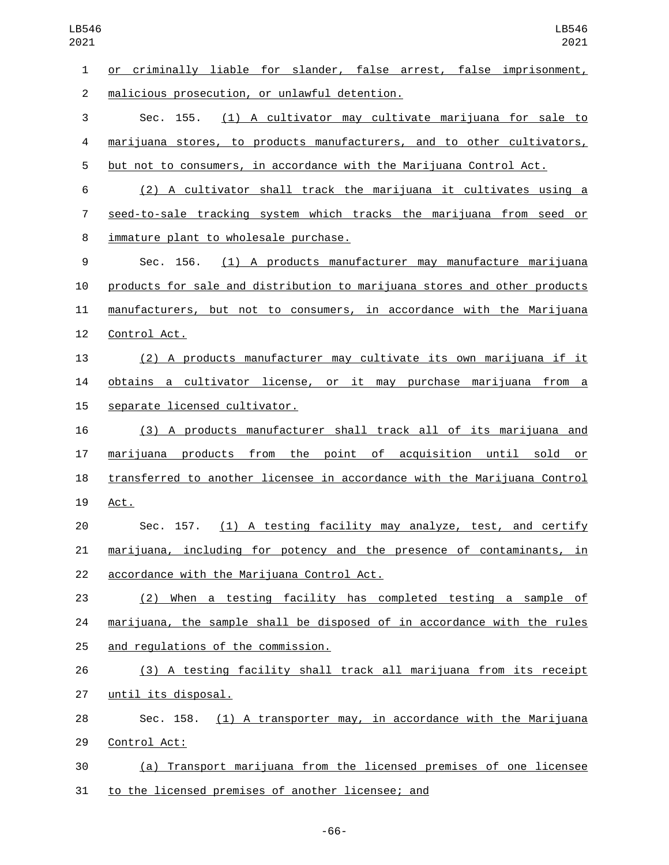| $\mathbf{1}$   | or criminally liable for slander, false arrest, false imprisonment,       |
|----------------|---------------------------------------------------------------------------|
| $\overline{2}$ | malicious prosecution, or unlawful detention.                             |
| 3              | Sec. 155. (1) A cultivator may cultivate marijuana for sale to            |
| 4              | marijuana stores, to products manufacturers, and to other cultivators,    |
| 5              | but not to consumers, in accordance with the Marijuana Control Act.       |
| 6              | (2) A cultivator shall track the marijuana it cultivates using a          |
| $\overline{7}$ | seed-to-sale tracking system which tracks the marijuana from seed or      |
| 8              | immature plant to wholesale purchase.                                     |
| 9              | Sec. 156. (1) A products manufacturer may manufacture marijuana           |
| 10             | products for sale and distribution to marijuana stores and other products |
| 11             | manufacturers, but not to consumers, in accordance with the Marijuana     |
| 12             | Control Act.                                                              |
| 13             | (2) A products manufacturer may cultivate its own marijuana if it         |
| 14             | obtains a cultivator license, or it may purchase marijuana from a         |
| 15             | separate licensed cultivator.                                             |
| 16             | (3) A products manufacturer shall track all of its marijuana and          |
| 17             | marijuana products from the point of acquisition until sold or            |
| 18             | transferred to another licensee in accordance with the Marijuana Control  |
| 19             | Act.                                                                      |
| 20             | Sec. 157. (1) A testing facility may analyze, test, and certify           |
| 21             | marijuana, including for potency and the presence of contaminants, in     |
| 22             | accordance with the Marijuana Control Act.                                |
| 23             | (2) When a testing facility has completed testing a sample of             |
| 24             | marijuana, the sample shall be disposed of in accordance with the rules   |
| 25             | and regulations of the commission.                                        |
| 26             | (3) A testing facility shall track all marijuana from its receipt         |
| 27             | until its disposal.                                                       |
| 28             | Sec. 158. (1) A transporter may, in accordance with the Marijuana         |
| 29             | Control Act:                                                              |
| 30             | (a) Transport marijuana from the licensed premises of one licensee        |
| 31             | to the licensed premises of another licensee; and                         |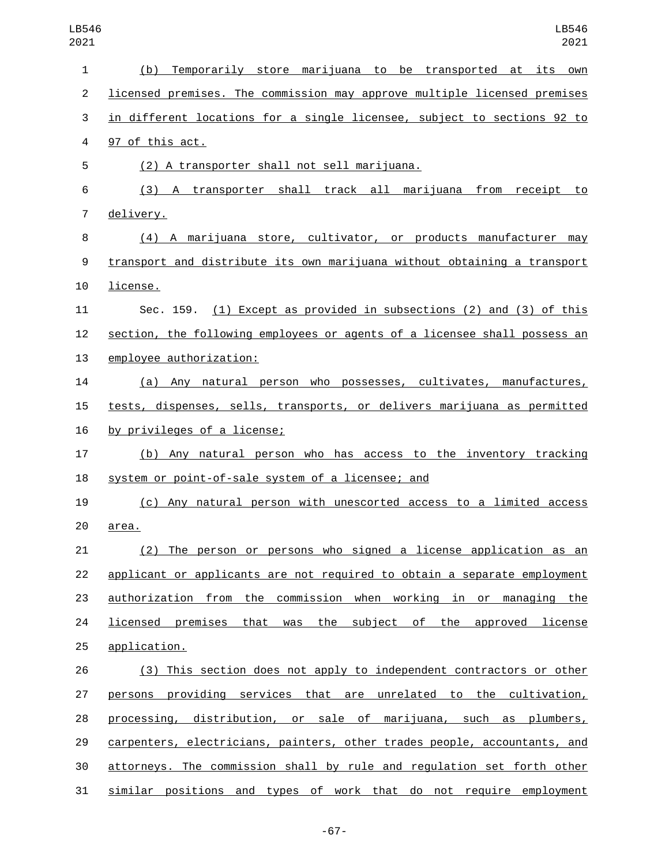| $\mathbf{1}$   | (b)<br>Temporarily store marijuana to be transported at its<br>own        |
|----------------|---------------------------------------------------------------------------|
| $\overline{2}$ | licensed premises. The commission may approve multiple licensed premises  |
| 3              | in different locations for a single licensee, subject to sections 92 to   |
| 4              | 97 of this act.                                                           |
| 5              | (2) A transporter shall not sell marijuana.                               |
| 6              | (3) A transporter shall track all marijuana from receipt to               |
| $\overline{7}$ | delivery.                                                                 |
| 8              | (4) A marijuana store, cultivator, or products manufacturer may           |
| 9              | transport and distribute its own marijuana without obtaining a transport  |
| 10             | license.                                                                  |
| 11             | Sec. 159. (1) Except as provided in subsections (2) and (3) of this       |
| 12             | section, the following employees or agents of a licensee shall possess an |
| 13             | employee authorization:                                                   |
| 14             | (a) Any natural person who possesses, cultivates, manufactures,           |
| 15             | tests, dispenses, sells, transports, or delivers marijuana as permitted   |
| 16             | by privileges of a license;                                               |
| 17             | (b) Any natural person who has access to the inventory tracking           |
| 18             | system or point-of-sale system of a licensee; and                         |
| 19             | (c) Any natural person with unescorted access to a limited access         |
| 20             | area.                                                                     |
| 21             | <u>(2) The person or persons who signed a license application as an</u>   |
| 22             | applicant or applicants are not required to obtain a separate employment  |
| 23             | authorization from the commission when working in or managing the         |
| 24             | licensed premises that was the subject of the approved license            |
| 25             | application.                                                              |
| 26             | (3) This section does not apply to independent contractors or other       |
| 27             | persons providing services that are unrelated to the cultivation,         |
| 28             | processing, distribution, or sale of marijuana, such as plumbers,         |
| 29             | carpenters, electricians, painters, other trades people, accountants, and |
| 30             | attorneys. The commission shall by rule and regulation set forth other    |
| 31             | similar positions and types of work that do not require employment        |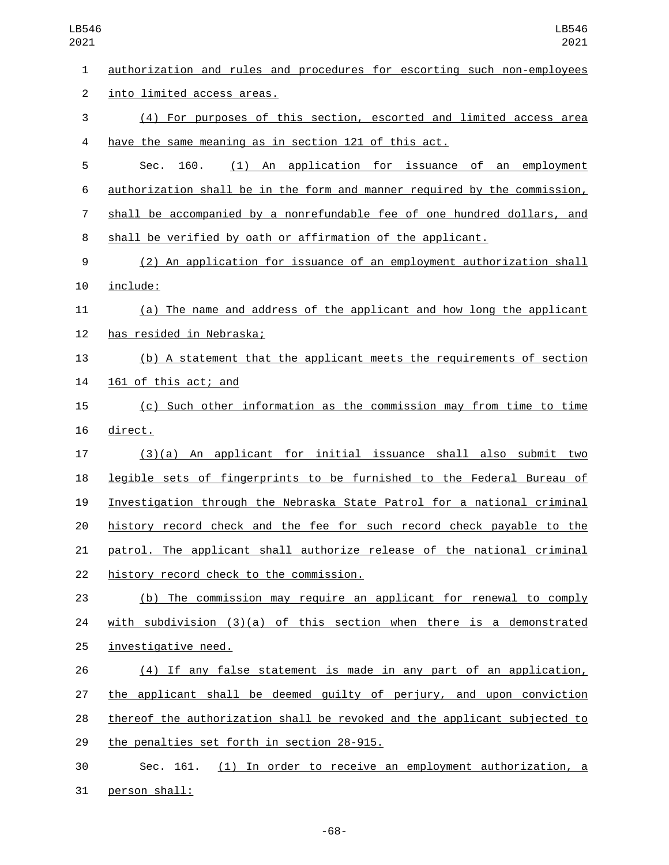| LB546<br>2021  | LB546<br>2021                                                             |
|----------------|---------------------------------------------------------------------------|
| $\mathbf 1$    | authorization and rules and procedures for escorting such non-employees   |
| $\overline{2}$ | into limited access areas.                                                |
| 3              | (4) For purposes of this section, escorted and limited access area        |
| 4              | have the same meaning as in section 121 of this act.                      |
| 5              | (1) An application for issuance of an employment<br>160.<br>Sec.          |
| 6              | authorization shall be in the form and manner required by the commission, |
| $\overline{7}$ | shall be accompanied by a nonrefundable fee of one hundred dollars, and   |
| 8              | shall be verified by oath or affirmation of the applicant.                |
| 9              | (2) An application for issuance of an employment authorization shall      |
| 10             | include:                                                                  |
| 11             | (a) The name and address of the applicant and how long the applicant      |
| 12             | has resided in Nebraska;                                                  |
| 13             | (b) A statement that the applicant meets the requirements of section      |
| 14             | 161 of this act; and                                                      |
| 15             | (c) Such other information as the commission may from time to time        |
| 16             | direct.                                                                   |
| 17             | $(3)(a)$ An applicant for initial issuance shall also submit two          |
| 18             | legible sets of fingerprints to be furnished to the Federal Bureau of     |
| 19             | Investigation through the Nebraska State Patrol for a national criminal   |
| 20             | history record check and the fee for such record check payable to the     |
| 21             | patrol. The applicant shall authorize release of the national criminal    |
| 22             | history record check to the commission.                                   |
| 23             | (b) The commission may require an applicant for renewal to comply         |
| 24             | with subdivision $(3)(a)$ of this section when there is a demonstrated    |
| 25             | investigative need.                                                       |
| 26             | (4) If any false statement is made in any part of an application,         |
| 27             | the applicant shall be deemed guilty of perjury, and upon conviction      |
| 28             | thereof the authorization shall be revoked and the applicant subjected to |
| 29             | the penalties set forth in section 28-915.                                |
| 30             | (1) In order to receive an employment authorization, a<br>Sec. 161.       |
| 31             | person shall:                                                             |

-68-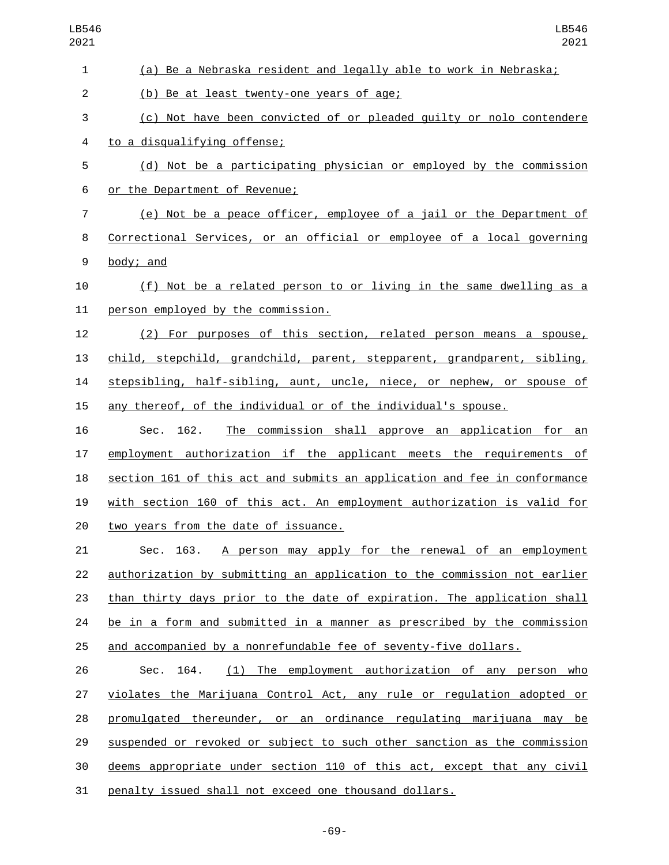| 1              | (a) Be a Nebraska resident and legally able to work in Nebraska;          |
|----------------|---------------------------------------------------------------------------|
| $\overline{c}$ | (b) Be at least twenty-one years of age;                                  |
| 3              | (c) Not have been convicted of or pleaded guilty or nolo contendere       |
| 4              | to a disqualifying offense;                                               |
| 5              | (d) Not be a participating physician or employed by the commission        |
| 6              | or the Department of Revenue;                                             |
| $\overline{7}$ | (e) Not be a peace officer, employee of a jail or the Department of       |
| 8              | Correctional Services, or an official or employee of a local governing    |
| 9              | body; and                                                                 |
| 10             | (f) Not be a related person to or living in the same dwelling as a        |
| 11             | person employed by the commission.                                        |
| 12             | (2) For purposes of this section, related person means a spouse,          |
| 13             | child, stepchild, grandchild, parent, stepparent, grandparent, sibling,   |
| 14             | stepsibling, half-sibling, aunt, uncle, niece, or nephew, or spouse of    |
| 15             | any thereof, of the individual or of the individual's spouse.             |
| 16             | Sec. 162.<br>The commission shall approve an application for an           |
| 17             | employment authorization if the applicant meets the requirements of       |
| 18             | section 161 of this act and submits an application and fee in conformance |
| 19             | with section 160 of this act. An employment authorization is valid for    |
| 20             | two years from the date of issuance.                                      |
| 21             | A person may apply for the renewal of an employment<br>Sec. 163.          |
| 22             | authorization by submitting an application to the commission not earlier  |
| 23             | than thirty days prior to the date of expiration. The application shall   |
| 24             | be in a form and submitted in a manner as prescribed by the commission    |
| 25             | and accompanied by a nonrefundable fee of seventy-five dollars.           |
| 26             | 164.<br>(1) The employment authorization of any person who<br>Sec.        |
| 27             | violates the Marijuana Control Act, any rule or regulation adopted or     |
| 28             | promulgated thereunder, or an ordinance regulating marijuana may be       |
| 29             | suspended or revoked or subject to such other sanction as the commission  |
| 30             | deems appropriate under section 110 of this act, except that any civil    |
| 31             | penalty issued shall not exceed one thousand dollars.                     |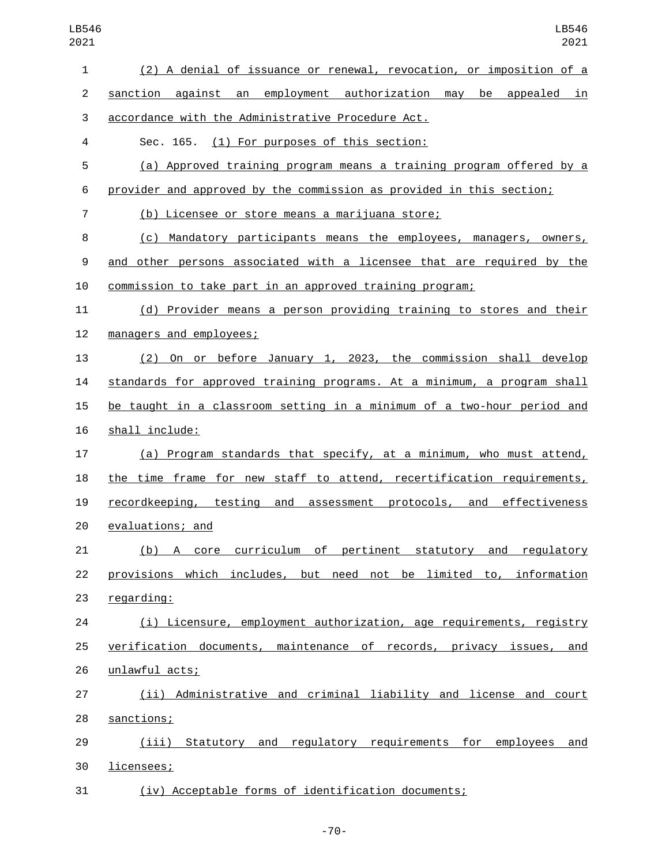| $\mathbf{1}$   | (2) A denial of issuance or renewal, revocation, or imposition of a     |
|----------------|-------------------------------------------------------------------------|
| $\overline{2}$ | sanction against an employment authorization may be appealed in         |
| 3              | accordance with the Administrative Procedure Act.                       |
| 4              | Sec. 165. (1) For purposes of this section:                             |
| 5              | (a) Approved training program means a training program offered by a     |
| 6              | provider and approved by the commission as provided in this section;    |
| $\overline{7}$ | (b) Licensee or store means a marijuana store;                          |
| 8              | (c) Mandatory participants means the employees, managers, owners,       |
| 9              | and other persons associated with a licensee that are required by the   |
| 10             | commission to take part in an approved training program;                |
| 11             | (d) Provider means a person providing training to stores and their      |
| 12             | managers and employees;                                                 |
| 13             | (2) On or before January 1, 2023, the commission shall develop          |
| 14             | standards for approved training programs. At a minimum, a program shall |
| 15             | be taught in a classroom setting in a minimum of a two-hour period and  |
| 16             | shall include:                                                          |
| 17             | (a) Program standards that specify, at a minimum, who must attend,      |
| 18             | the time frame for new staff to attend, recertification requirements,   |
| 19             | recordkeeping, testing and assessment protocols, and effectiveness      |
| 20             | evaluations; and                                                        |
| 21             | (b)<br>A core curriculum of pertinent statutory and regulatory          |
| 22             | provisions which includes, but need not be limited to, information      |
| 23             | regarding:                                                              |
| 24             | (i) Licensure, employment authorization, age requirements, registry     |
| 25             | verification documents, maintenance of records, privacy issues, and     |
| 26             | unlawful acts;                                                          |
| 27             | (ii) Administrative and criminal liability and license and court        |
| 28             | sanctions;                                                              |
| 29             | (iii) Statutory and regulatory requirements for employees and           |
| 30             | licensees;                                                              |
| 31             | (iv) Acceptable forms of identification documents;                      |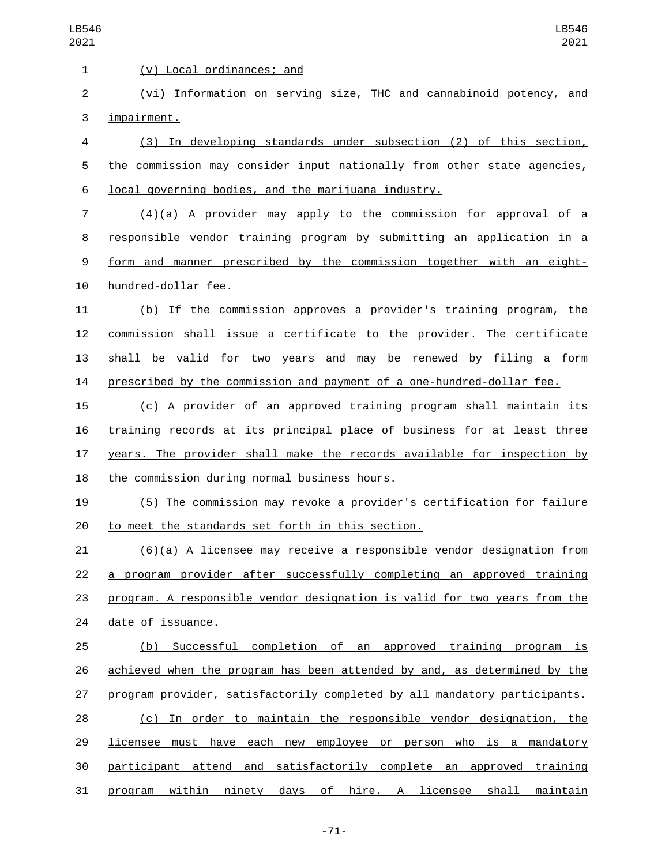| 1              | (v) Local ordinances; and                                                 |
|----------------|---------------------------------------------------------------------------|
| 2              | (vi) Information on serving size, THC and cannabinoid potency, and        |
| 3              | impairment.                                                               |
| 4              | (3) In developing standards under subsection (2) of this section,         |
| 5              | the commission may consider input nationally from other state agencies,   |
| 6              | local governing bodies, and the marijuana industry.                       |
| $\overline{7}$ | $(4)(a)$ A provider may apply to the commission for approval of a         |
| 8              | responsible vendor training program by submitting an application in a     |
| 9              | form and manner prescribed by the commission together with an eight-      |
| 10             | hundred-dollar fee.                                                       |
| 11             | (b) If the commission approves a provider's training program, the         |
| 12             | commission shall issue a certificate to the provider. The certificate     |
| 13             | shall be valid for two years and may be renewed by filing a form          |
| 14             | prescribed by the commission and payment of a one-hundred-dollar fee.     |
| 15             | (c) A provider of an approved training program shall maintain its         |
| 16             | training records at its principal place of business for at least three    |
| 17             | years. The provider shall make the records available for inspection by    |
| 18             | the commission during normal business hours.                              |
| 19             | (5) The commission may revoke a provider's certification for failure      |
| 20             | to meet the standards set forth in this section.                          |
| 21             | $(6)(a)$ A licensee may receive a responsible vendor designation from     |
| 22             | a program provider after successfully completing an approved training     |
| 23             | program. A responsible vendor designation is valid for two years from the |
| 24             | date of issuance.                                                         |
| 25             | (b) Successful completion of an approved training program is              |
| 26             | achieved when the program has been attended by and, as determined by the  |
| 27             | program provider, satisfactorily completed by all mandatory participants. |
| 28             | (c) In order to maintain the responsible vendor designation, the          |
| 29             | licensee must have each new employee or person who is a mandatory         |
| 30             | participant attend and satisfactorily complete an approved training       |
| 31             | program within ninety days of hire. A licensee shall maintain             |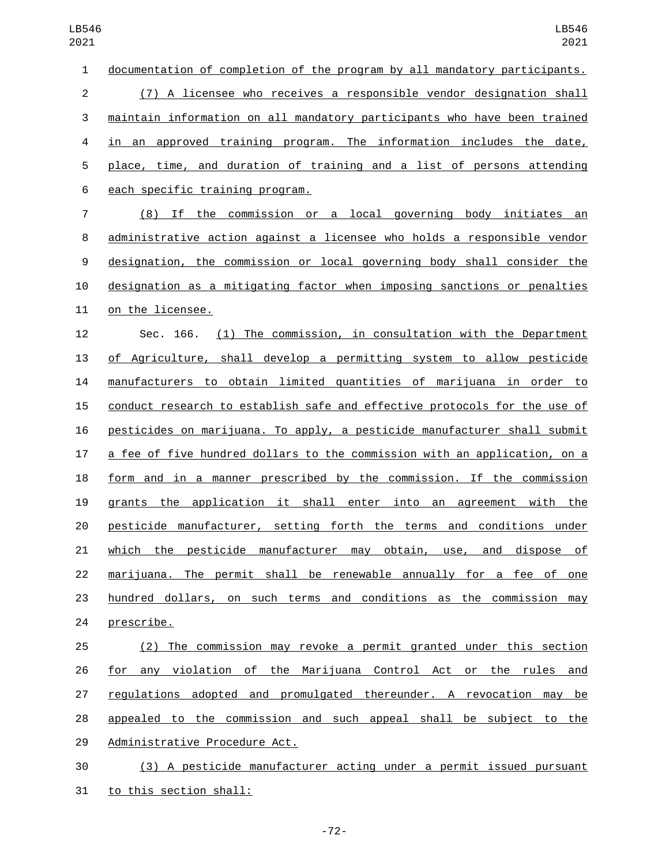| $\mathbf{1}$     | documentation of completion of the program by all mandatory participants. |
|------------------|---------------------------------------------------------------------------|
| $\overline{c}$   | (7) A licensee who receives a responsible vendor designation shall        |
| 3                | maintain information on all mandatory participants who have been trained  |
| $\overline{4}$   | in an approved training program. The information includes the date,       |
| 5                | place, time, and duration of training and a list of persons attending     |
| 6                | each specific training program.                                           |
| 7                | (8) If the commission or a local governing body initiates an              |
| 8                | administrative action against a licensee who holds a responsible vendor   |
| $\boldsymbol{9}$ | designation, the commission or local governing body shall consider the    |
| 10               | designation as a mitigating factor when imposing sanctions or penalties   |
| 11               | on the licensee.                                                          |
| 12               | (1) The commission, in consultation with the Department<br>Sec. 166.      |
| 13               | of Agriculture, shall develop a permitting system to allow pesticide      |
| 14               | manufacturers to obtain limited quantities of marijuana in order to       |
| 15               | conduct research to establish safe and effective protocols for the use of |
| 16               | pesticides on marijuana. To apply, a pesticide manufacturer shall submit  |
| 17               | a fee of five hundred dollars to the commission with an application, on a |
| 18               | form and in a manner prescribed by the commission. If the commission      |
| 19               | grants the application it shall enter into an agreement with the          |
| 20               | pesticide manufacturer, setting forth the terms and conditions under      |
| 21               | which the pesticide manufacturer may obtain, use, and dispose of          |
| 22               | marijuana. The permit shall be renewable annually for a fee of one        |
| 23               | hundred dollars, on such terms and conditions as the commission may       |
| 24               | prescribe.                                                                |
| 25               | (2) The commission may revoke a permit granted under this section         |
| 26               | for any violation of the Marijuana Control Act or the rules and           |
| 27               | regulations adopted and promulgated thereunder. A revocation may be       |
| 28               | appealed to the commission and such appeal shall be subject to the        |
| 29               | Administrative Procedure Act.                                             |

 (3) A pesticide manufacturer acting under a permit issued pursuant 31 to this section shall:

-72-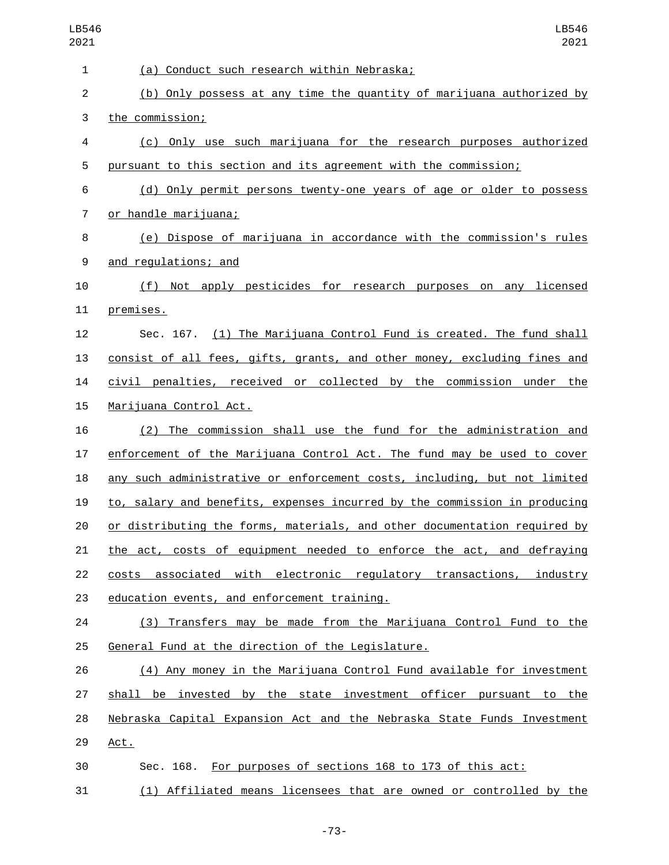| 1              | (a) Conduct such research within Nebraska;                                |
|----------------|---------------------------------------------------------------------------|
| 2              | (b) Only possess at any time the quantity of marijuana authorized by      |
| 3              | the commission;                                                           |
| 4              | (c) Only use such marijuana for the research purposes authorized          |
| 5              | pursuant to this section and its agreement with the commission;           |
| 6              | (d) Only permit persons twenty-one years of age or older to possess       |
| $\overline{7}$ | <u>or handle marijuana;</u>                                               |
| 8              | (e) Dispose of marijuana in accordance with the commission's rules        |
| 9              | and regulations; and                                                      |
| 10             | (f) Not apply pesticides for research purposes on any licensed            |
| 11             | premises.                                                                 |
| 12             | Sec. 167. (1) The Marijuana Control Fund is created. The fund shall       |
| 13             | consist of all fees, gifts, grants, and other money, excluding fines and  |
| 14             | civil penalties, received or collected by the commission under the        |
| 15             | Marijuana Control Act.                                                    |
| 16             | (2) The commission shall use the fund for the administration and          |
| 17             | enforcement of the Marijuana Control Act. The fund may be used to cover   |
| 18             | any such administrative or enforcement costs, including, but not limited  |
| 19             | to, salary and benefits, expenses incurred by the commission in producing |
| 20             | or distributing the forms, materials, and other documentation required by |
| 21             | the act, costs of equipment needed to enforce the act, and defraying      |
| 22             | costs associated with electronic regulatory transactions, industry        |
| 23             | education events, and enforcement training.                               |
| 24             | (3) Transfers may be made from the Marijuana Control Fund to the          |
| 25             | General Fund at the direction of the Legislature.                         |
| 26             | (4) Any money in the Marijuana Control Fund available for investment      |
| 27             | shall be invested by the state investment officer pursuant to the         |
| 28             | Nebraska Capital Expansion Act and the Nebraska State Funds Investment    |
| 29             | Act.                                                                      |
| 30             | Sec. 168. For purposes of sections 168 to 173 of this act:                |
| 31             | (1) Affiliated means licensees that are owned or controlled by the        |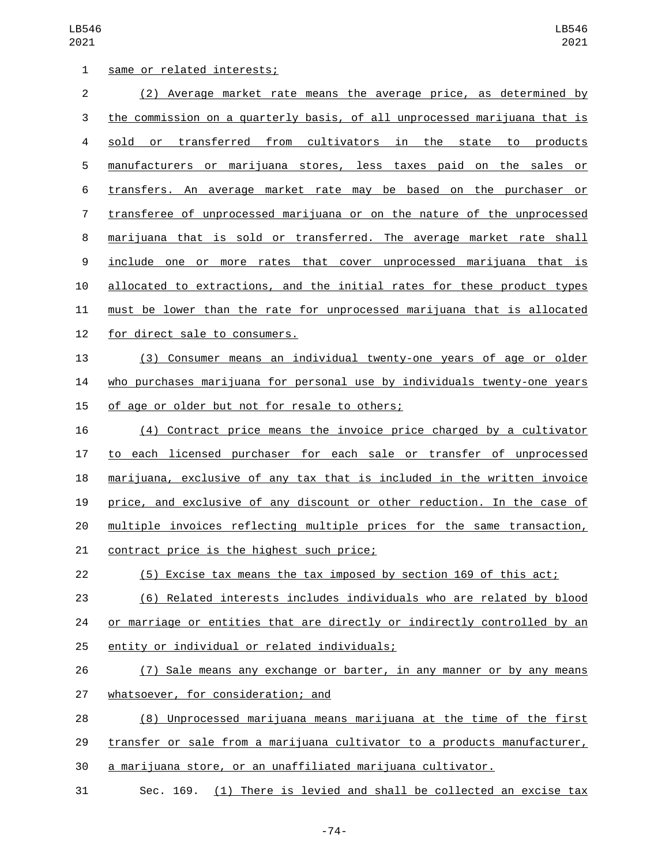| 1              | same or related interests;                                                |
|----------------|---------------------------------------------------------------------------|
| $\overline{c}$ | (2) Average market rate means the average price, as determined by         |
| 3              | the commission on a quarterly basis, of all unprocessed marijuana that is |
| 4              | sold or transferred from cultivators in the state to products             |
| 5              | manufacturers or marijuana stores, less taxes paid on the sales or        |
| 6              | transfers. An average market rate may be based on the purchaser or        |
| 7              | transferee of unprocessed marijuana or on the nature of the unprocessed   |
| 8              | marijuana that is sold or transferred. The average market rate shall      |
| 9              | include one or more rates that cover unprocessed marijuana that is        |
| 10             | allocated to extractions, and the initial rates for these product types   |
| 11             | must be lower than the rate for unprocessed marijuana that is allocated   |
| 12             | for direct sale to consumers.                                             |
| 13             | (3) Consumer means an individual twenty-one years of age or older         |
| 14             | who purchases marijuana for personal use by individuals twenty-one years  |
| 15             | of age or older but not for resale to others;                             |
| 16             | (4) Contract price means the invoice price charged by a cultivator        |
| 17             | to each licensed purchaser for each sale or transfer of unprocessed       |
| 18             | marijuana, exclusive of any tax that is included in the written invoice   |
| 19             | price, and exclusive of any discount or other reduction. In the case of   |
| 20             | multiple invoices reflecting multiple prices for the same transaction,    |
| 21             | contract price is the highest such price;                                 |
| 22             | (5) Excise tax means the tax imposed by section 169 of this act;          |
| 23             | (6) Related interests includes individuals who are related by blood       |
| 24             | or marriage or entities that are directly or indirectly controlled by an  |
| 25             | entity or individual or related individuals;                              |
| 26             | (7) Sale means any exchange or barter, in any manner or by any means      |
| 27             | whatsoever, for consideration; and                                        |
| 28             | (8) Unprocessed marijuana means marijuana at the time of the first        |
| 29             | transfer or sale from a marijuana cultivator to a products manufacturer,  |
| 30             | a marijuana store, or an unaffiliated marijuana cultivator.               |
| 31             | Sec. 169. (1) There is levied and shall be collected an excise tax        |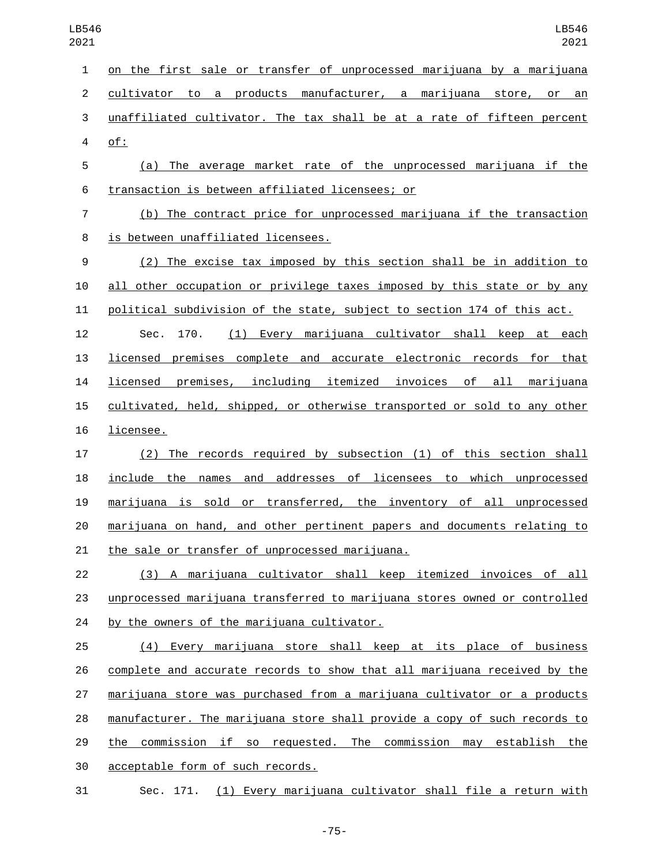on the first sale or transfer of unprocessed marijuana by a marijuana cultivator to a products manufacturer, a marijuana store, or an unaffiliated cultivator. The tax shall be at a rate of fifteen percent of:4 (a) The average market rate of the unprocessed marijuana if the

transaction is between affiliated licensees; or6

 (b) The contract price for unprocessed marijuana if the transaction 8 is between unaffiliated licensees.

 (2) The excise tax imposed by this section shall be in addition to all other occupation or privilege taxes imposed by this state or by any political subdivision of the state, subject to section 174 of this act. Sec. 170. (1) Every marijuana cultivator shall keep at each

 licensed premises complete and accurate electronic records for that licensed premises, including itemized invoices of all marijuana cultivated, held, shipped, or otherwise transported or sold to any other 16 licensee.

 (2) The records required by subsection (1) of this section shall include the names and addresses of licensees to which unprocessed marijuana is sold or transferred, the inventory of all unprocessed marijuana on hand, and other pertinent papers and documents relating to 21 the sale or transfer of unprocessed marijuana.

 (3) A marijuana cultivator shall keep itemized invoices of all unprocessed marijuana transferred to marijuana stores owned or controlled 24 by the owners of the marijuana cultivator.

 (4) Every marijuana store shall keep at its place of business complete and accurate records to show that all marijuana received by the marijuana store was purchased from a marijuana cultivator or a products manufacturer. The marijuana store shall provide a copy of such records to the commission if so requested. The commission may establish the 30 acceptable form of such records.

Sec. 171. (1) Every marijuana cultivator shall file a return with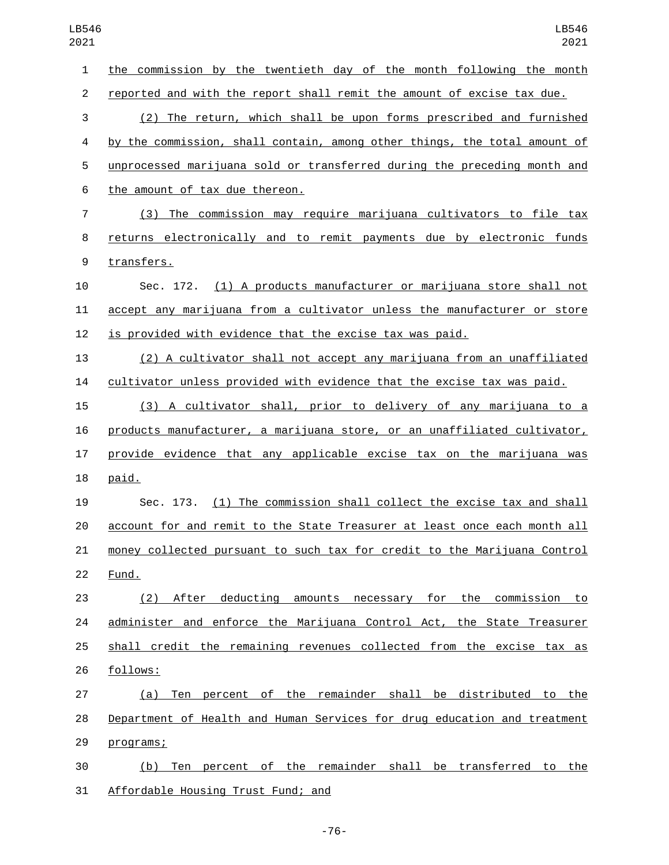the commission by the twentieth day of the month following the month reported and with the report shall remit the amount of excise tax due. (2) The return, which shall be upon forms prescribed and furnished by the commission, shall contain, among other things, the total amount of unprocessed marijuana sold or transferred during the preceding month and 6 the amount of tax due thereon. (3) The commission may require marijuana cultivators to file tax returns electronically and to remit payments due by electronic funds 9 transfers. Sec. 172. (1) A products manufacturer or marijuana store shall not accept any marijuana from a cultivator unless the manufacturer or store is provided with evidence that the excise tax was paid. (2) A cultivator shall not accept any marijuana from an unaffiliated cultivator unless provided with evidence that the excise tax was paid. (3) A cultivator shall, prior to delivery of any marijuana to a products manufacturer, a marijuana store, or an unaffiliated cultivator, provide evidence that any applicable excise tax on the marijuana was 18 paid. Sec. 173. (1) The commission shall collect the excise tax and shall account for and remit to the State Treasurer at least once each month all money collected pursuant to such tax for credit to the Marijuana Control 22 Fund. (2) After deducting amounts necessary for the commission to administer and enforce the Marijuana Control Act, the State Treasurer shall credit the remaining revenues collected from the excise tax as 26 follows: (a) Ten percent of the remainder shall be distributed to the Department of Health and Human Services for drug education and treatment 29 programs; (b) Ten percent of the remainder shall be transferred to the 31 Affordable Housing Trust Fund; and

-76-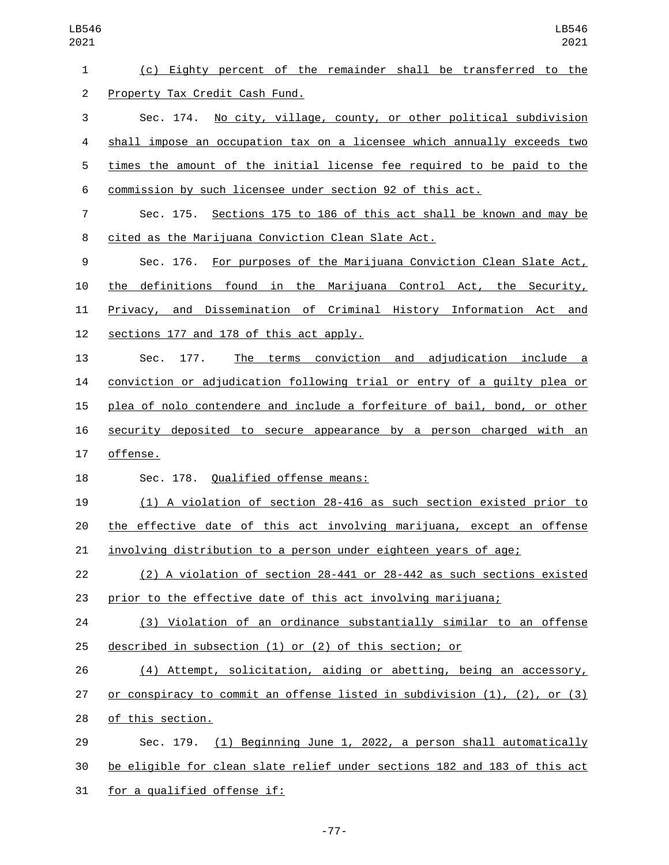| LB546<br>2021  | LB546<br>2021                                                             |
|----------------|---------------------------------------------------------------------------|
| 1              | (c) Eighty percent of the remainder shall be transferred to the           |
| $\overline{c}$ | Property Tax Credit Cash Fund.                                            |
| 3              | No city, village, county, or other political subdivision<br>Sec. 174.     |
| 4              | shall impose an occupation tax on a licensee which annually exceeds two   |
| 5              | times the amount of the initial license fee required to be paid to the    |
| 6              | commission by such licensee under section 92 of this act.                 |
| 7              | Sec. 175. Sections 175 to 186 of this act shall be known and may be       |
| 8              | cited as the Marijuana Conviction Clean Slate Act.                        |
| 9              | Sec. 176. For purposes of the Marijuana Conviction Clean Slate Act,       |
| 10             | the definitions found in the Marijuana Control Act, the Security,         |
| 11             | Privacy, and Dissemination of Criminal History Information Act and        |
| 12             | sections 177 and 178 of this act apply.                                   |
| 13             | The terms conviction and adjudication include a<br>177.<br>Sec.           |
| 14             | conviction or adjudication following trial or entry of a guilty plea or   |
| 15             | plea of nolo contendere and include a forfeiture of bail, bond, or other  |
| 16             | security deposited to secure appearance by a person charged with an       |
| 17             | offense.                                                                  |
| 18             | Sec. 178. Qualified offense means:                                        |
| 19             | (1) A violation of section 28-416 as such section existed prior to        |
| 20             | the effective date of this act involving marijuana, except an offense     |
| 21             | involving distribution to a person under eighteen years of age;           |
| 22             | (2) A violation of section 28-441 or 28-442 as such sections existed      |
| 23             | prior to the effective date of this act involving marijuana;              |
| 24             | (3) Violation of an ordinance substantially similar to an offense         |
| 25             | described in subsection (1) or (2) of this section; or                    |
| 26             | (4) Attempt, solicitation, aiding or abetting, being an accessory,        |
| 27             | or conspiracy to commit an offense listed in subdivision (1), (2), or (3) |
| 28             | of this section.                                                          |
| 29             | Sec. 179. (1) Beginning June 1, 2022, a person shall automatically        |
| 30             | be eligible for clean slate relief under sections 182 and 183 of this act |
| 31             | for a qualified offense if:                                               |

-77-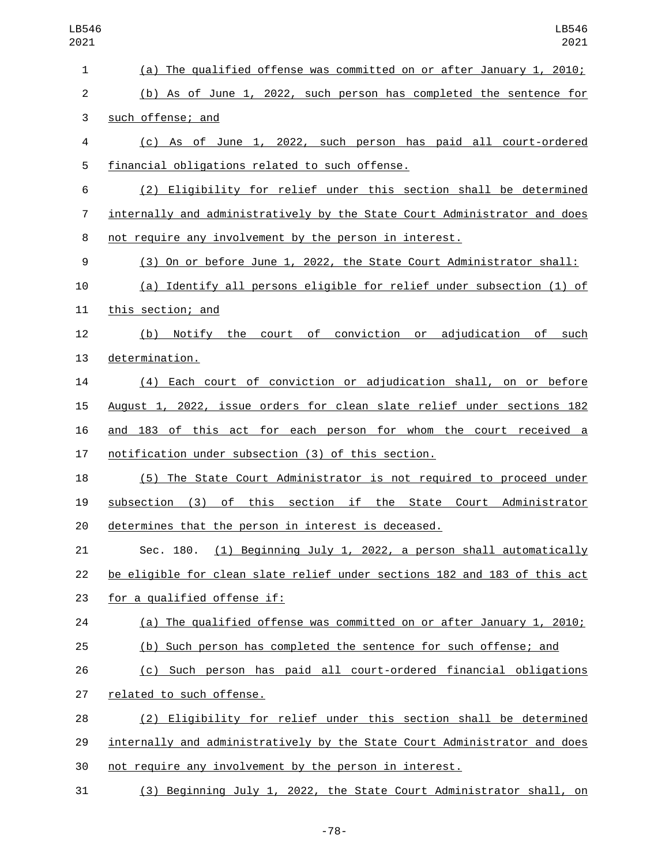| LB546<br>2021  | LB546<br>2021                                                                        |
|----------------|--------------------------------------------------------------------------------------|
| 1              | (a) The qualified offense was committed on or after January 1, 2010;                 |
| $\overline{c}$ | (b) As of June 1, 2022, such person has completed the sentence for                   |
| 3              | such offense; and                                                                    |
| 4              | (c) As of June 1, 2022, such person has paid all court-ordered                       |
| 5              | financial obligations related to such offense.                                       |
| 6              | (2) Eligibility for relief under this section shall be determined                    |
| 7              | internally and administratively by the State Court Administrator and does            |
| 8              | not require any involvement by the person in interest.                               |
| 9              | (3) On or before June 1, 2022, the State Court Administrator shall:                  |
| 10             | (a) Identify all persons eligible for relief under subsection (1) of                 |
| 11             | this section; and                                                                    |
| 12             | court of conviction or adjudication of<br>Notify the<br>such<br>(b)                  |
| 13             | determination.                                                                       |
| 14             | (4) Each court of conviction or adjudication shall, on or before                     |
| 15             | August 1, 2022, issue orders for clean slate relief under sections 182               |
| 16             | and 183 of this act for each person for whom the court received a                    |
| 17             | notification under subsection (3) of this section.                                   |
| 18             | (5) The State Court Administrator is not required to proceed under                   |
| 19             | of<br>this section if<br>Administrator<br>(3)<br>the<br>State<br>Court<br>subsection |
| 20             | determines that the person in interest is deceased.                                  |
| 21             | Sec. 180. (1) Beginning July 1, 2022, a person shall automatically                   |
| 22             | be eligible for clean slate relief under sections 182 and 183 of this act            |
| 23             | for a qualified offense if:                                                          |
| 24             | (a) The qualified offense was committed on or after January 1, 2010;                 |
| 25             | (b) Such person has completed the sentence for such offense; and                     |
| 26             | (c) Such person has paid all court-ordered financial obligations                     |
| 27             | related to such offense.                                                             |
| 28             | (2) Eligibility for relief under this section shall be determined                    |
| 29             | internally and administratively by the State Court Administrator and does            |
| 30             | not require any involvement by the person in interest.                               |
| 31             | (3) Beginning July 1, 2022, the State Court Administrator shall, on                  |

-78-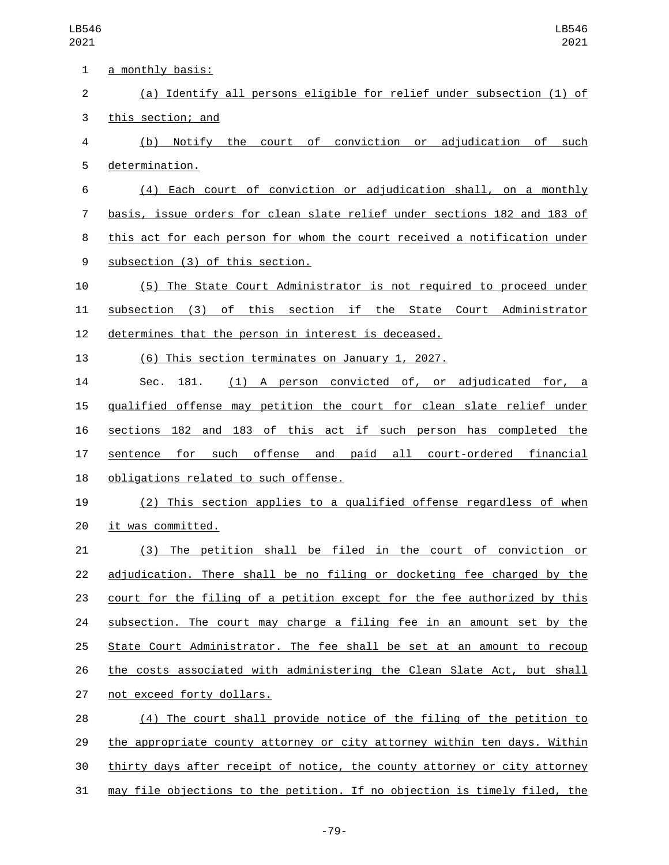| $\mathbf{1}$ | <u>a monthly basis:</u>                                                   |
|--------------|---------------------------------------------------------------------------|
| 2            | (a) Identify all persons eligible for relief under subsection (1) of      |
| 3            | this section; and                                                         |
| 4            | Notify the court of conviction or adjudication of such<br>(b)             |
| 5            | determination.                                                            |
| 6            | (4) Each court of conviction or adjudication shall, on a monthly          |
| 7            | basis, issue orders for clean slate relief under sections 182 and 183 of  |
| 8            | this act for each person for whom the court received a notification under |
| 9            | subsection (3) of this section.                                           |
| 10           | (5) The State Court Administrator is not required to proceed under        |
| 11           | subsection (3) of this section if the State Court Administrator           |
| 12           | determines that the person in interest is deceased.                       |
| 13           | (6) This section terminates on January 1, 2027.                           |
| 14           | (1) A person convicted of, or adjudicated for, a<br>181.<br>Sec.          |
| 15           | gualified offense may petition the court for clean slate relief under     |
| 16           | sections 182 and 183 of this act if such person has completed the         |
| 17           | sentence for such offense and paid all court-ordered financial            |
| 18           | obligations related to such offense.                                      |
| 19           | (2) This section applies to a qualified offense regardless of when        |
| 20           | it was committed.                                                         |
| 21           | The petition shall be filed in the court of conviction<br>(3)<br>or       |
| 22           | adjudication. There shall be no filing or docketing fee charged by the    |
| 23           | court for the filing of a petition except for the fee authorized by this  |
| 24           | subsection. The court may charge a filing fee in an amount set by the     |
| 25           | State Court Administrator. The fee shall be set at an amount to recoup    |
| 26           | the costs associated with administering the Clean Slate Act, but shall    |
| 27           | not exceed forty dollars.                                                 |
| 28           | (4) The court shall provide notice of the filing of the petition to       |
| 29           | the appropriate county attorney or city attorney within ten days. Within  |
| 30           | thirty days after receipt of notice, the county attorney or city attorney |
| 31           | may file objections to the petition. If no objection is timely filed, the |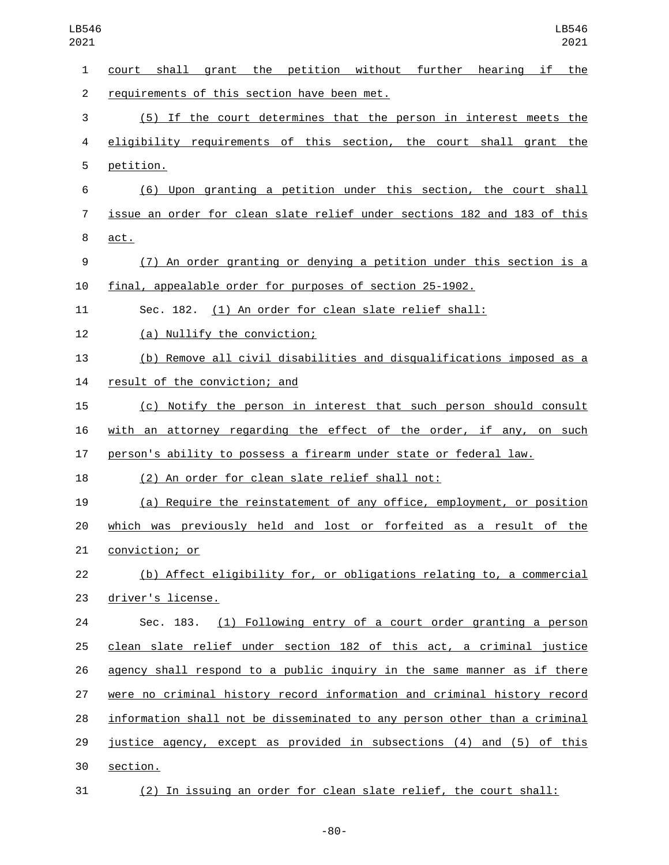| LB546<br>2021  | LB546<br>2021                                                            |
|----------------|--------------------------------------------------------------------------|
| 1              | court shall grant the petition without further<br>hearing if the         |
| $\overline{2}$ | requirements of this section have been met.                              |
| 3              | (5) If the court determines that the person in interest meets the        |
| 4              | eligibility requirements of this section, the court shall grant the      |
| 5              | petition.                                                                |
| 6              | (6) Upon granting a petition under this section, the court shall         |
| $\overline{7}$ | issue an order for clean slate relief under sections 182 and 183 of this |
| 8              | act.                                                                     |
| 9              | (7) An order granting or denying a petition under this section is a      |
| 10             | final, appealable order for purposes of section 25-1902.                 |
| 11             | Sec. 182. (1) An order for clean slate relief shall:                     |
| 12             | (a) Nullify the conviction;                                              |
| 13             | (b) Remove all civil disabilities and disqualifications imposed as a     |
| 14             | result of the conviction; and                                            |
| 15             | (c) Notify the person in interest that such person should consult        |
| 16             | with an attorney regarding the effect of the order, if any, on such      |
| 17             | person's ability to possess a firearm under state or federal law.        |
| 18             | (2) An order for clean slate relief shall not:                           |
| 19             | (a) Require the reinstatement of any office, employment, or position     |
| 20             | which was previously held and lost or forfeited as a result of the       |

21 conviction; or

 (b) Affect eligibility for, or obligations relating to, a commercial 23 driver's license.

 Sec. 183. (1) Following entry of a court order granting a person clean slate relief under section 182 of this act, a criminal justice 26 agency shall respond to a public inquiry in the same manner as if there were no criminal history record information and criminal history record information shall not be disseminated to any person other than a criminal justice agency, except as provided in subsections (4) and (5) of this 30 section.

(2) In issuing an order for clean slate relief, the court shall: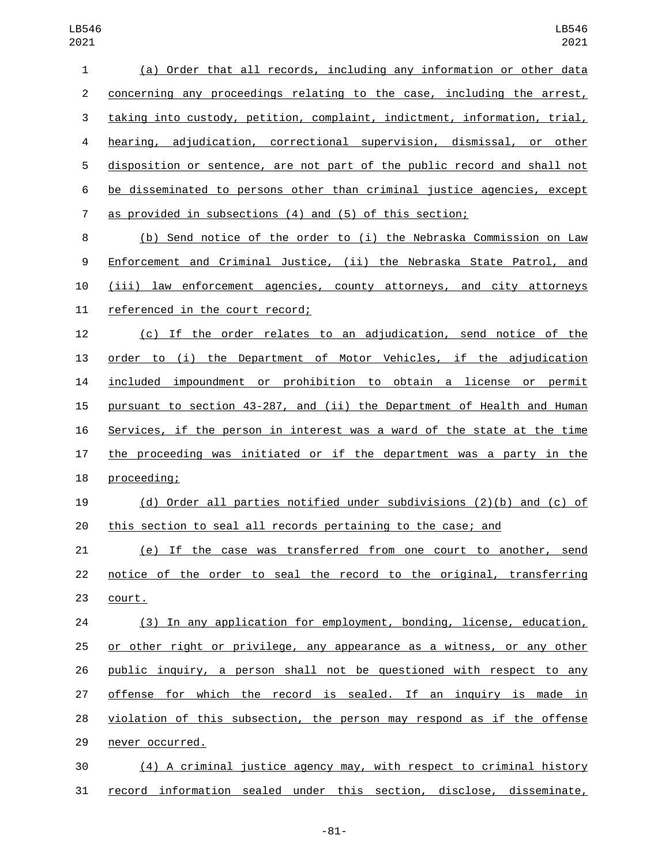| $\mathbf{1}$   | (a) Order that all records, including any information or other data       |
|----------------|---------------------------------------------------------------------------|
| $\overline{2}$ | concerning any proceedings relating to the case, including the arrest,    |
| 3              | taking into custody, petition, complaint, indictment, information, trial, |
| 4              | hearing, adjudication, correctional supervision, dismissal, or other      |
| 5              | disposition or sentence, are not part of the public record and shall not  |
| 6              | be disseminated to persons other than criminal justice agencies, except   |
| $\overline{7}$ | as provided in subsections (4) and (5) of this section;                   |
| 8              | (b) Send notice of the order to (i) the Nebraska Commission on Law        |
| 9              | Enforcement and Criminal Justice, (ii) the Nebraska State Patrol, and     |
| 10             | (iii) law enforcement agencies, county attorneys, and city attorneys      |
| 11             | referenced in the court record;                                           |
| 12             | (c) If the order relates to an adjudication, send notice of the           |
| 13             | order to (i) the Department of Motor Vehicles, if the adjudication        |
| 14             | included impoundment or prohibition to obtain a license or permit         |
| 15             | pursuant to section 43-287, and (ii) the Department of Health and Human   |
| 16             | Services, if the person in interest was a ward of the state at the time   |
| 17             | the proceeding was initiated or if the department was a party in the      |
| 18             | proceeding;                                                               |
| 19             | (d) Order all parties notified under subdivisions (2)(b) and (c) of       |
| 20             | this section to seal all records pertaining to the case; and              |
| 21             | (e) If the case was transferred from one court to another, send           |
| 22             | notice of the order to seal the record to the original, transferring      |
| 23             | court.                                                                    |
| 24             | (3) In any application for employment, bonding, license, education,       |
| 25             | or other right or privilege, any appearance as a witness, or any other    |
| 26             | public inquiry, a person shall not be questioned with respect to any      |
| 27             | offense for which the record is sealed. If an inquiry is made in          |
| 28             | violation of this subsection, the person may respond as if the offense    |
| 29             | never occurred.                                                           |
| 30             | (4) A criminal justice agency may, with respect to criminal history       |
| 31             | record information sealed under this section, disclose, disseminate,      |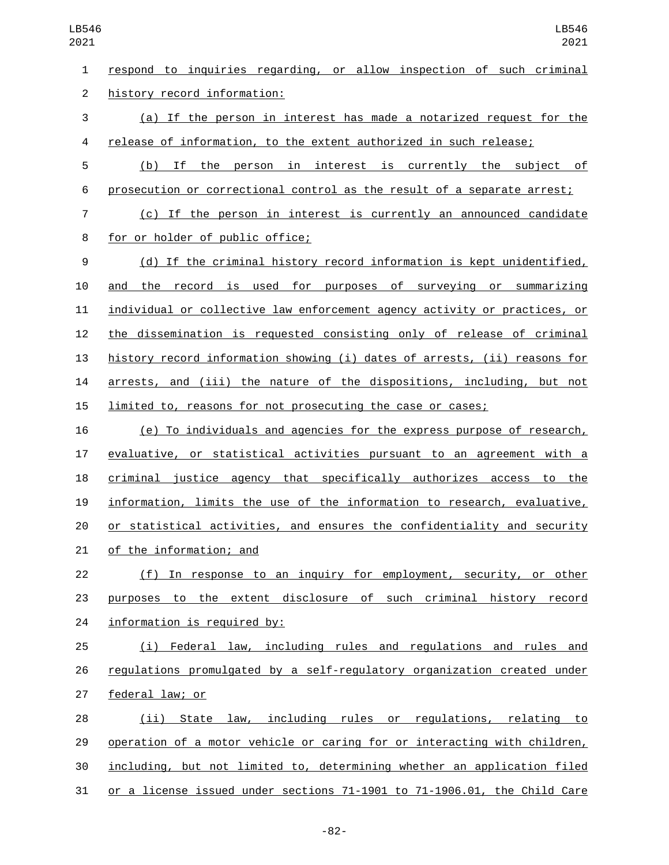respond to inquiries regarding, or allow inspection of such criminal 2 history record information: (a) If the person in interest has made a notarized request for the release of information, to the extent authorized in such release; (b) If the person in interest is currently the subject of prosecution or correctional control as the result of a separate arrest; (c) If the person in interest is currently an announced candidate 8 for or holder of public office; (d) If the criminal history record information is kept unidentified, and the record is used for purposes of surveying or summarizing individual or collective law enforcement agency activity or practices, or the dissemination is requested consisting only of release of criminal history record information showing (i) dates of arrests, (ii) reasons for arrests, and (iii) the nature of the dispositions, including, but not limited to, reasons for not prosecuting the case or cases; (e) To individuals and agencies for the express purpose of research, evaluative, or statistical activities pursuant to an agreement with a criminal justice agency that specifically authorizes access to the information, limits the use of the information to research, evaluative, or statistical activities, and ensures the confidentiality and security 21 of the information; and (f) In response to an inquiry for employment, security, or other purposes to the extent disclosure of such criminal history record information is required by: (i) Federal law, including rules and regulations and rules and regulations promulgated by a self-regulatory organization created under 27 federal law; or (ii) State law, including rules or regulations, relating to operation of a motor vehicle or caring for or interacting with children,

including, but not limited to, determining whether an application filed

or a license issued under sections 71-1901 to 71-1906.01, the Child Care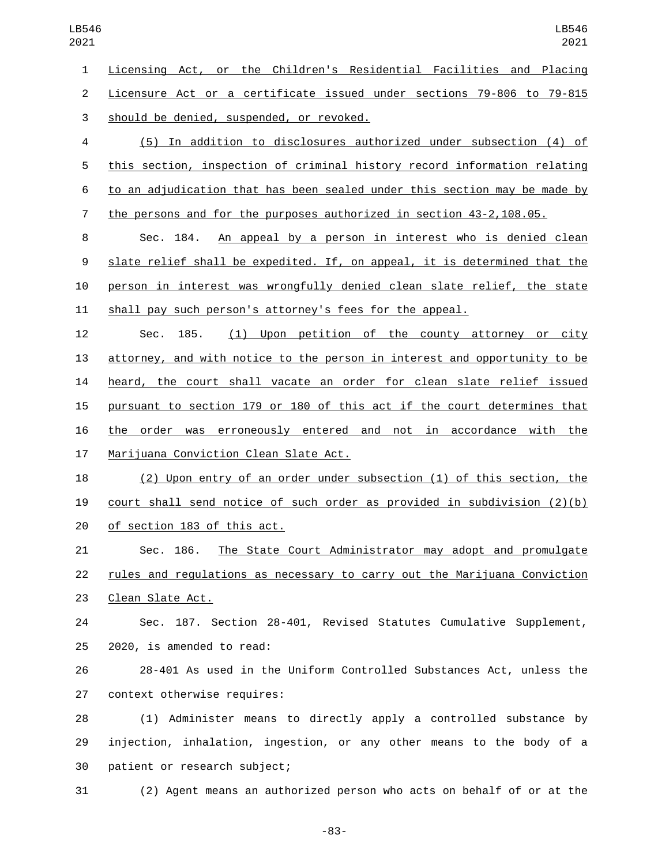Licensing Act, or the Children's Residential Facilities and Placing Licensure Act or a certificate issued under sections 79-806 to 79-815 3 should be denied, suspended, or revoked.

 (5) In addition to disclosures authorized under subsection (4) of this section, inspection of criminal history record information relating to an adjudication that has been sealed under this section may be made by the persons and for the purposes authorized in section 43-2,108.05.

 Sec. 184. An appeal by a person in interest who is denied clean slate relief shall be expedited. If, on appeal, it is determined that the person in interest was wrongfully denied clean slate relief, the state shall pay such person's attorney's fees for the appeal.

 Sec. 185. (1) Upon petition of the county attorney or city attorney, and with notice to the person in interest and opportunity to be heard, the court shall vacate an order for clean slate relief issued pursuant to section 179 or 180 of this act if the court determines that the order was erroneously entered and not in accordance with the 17 Marijuana Conviction Clean Slate Act.

 (2) Upon entry of an order under subsection (1) of this section, the court shall send notice of such order as provided in subdivision (2)(b) 20 of section 183 of this act.

 Sec. 186. The State Court Administrator may adopt and promulgate rules and regulations as necessary to carry out the Marijuana Conviction 23 Clean Slate Act.

 Sec. 187. Section 28-401, Revised Statutes Cumulative Supplement,  $2020$ , is amended to read:

 28-401 As used in the Uniform Controlled Substances Act, unless the 27 context otherwise requires:

 (1) Administer means to directly apply a controlled substance by injection, inhalation, ingestion, or any other means to the body of a 30 patient or research subject;

(2) Agent means an authorized person who acts on behalf of or at the

-83-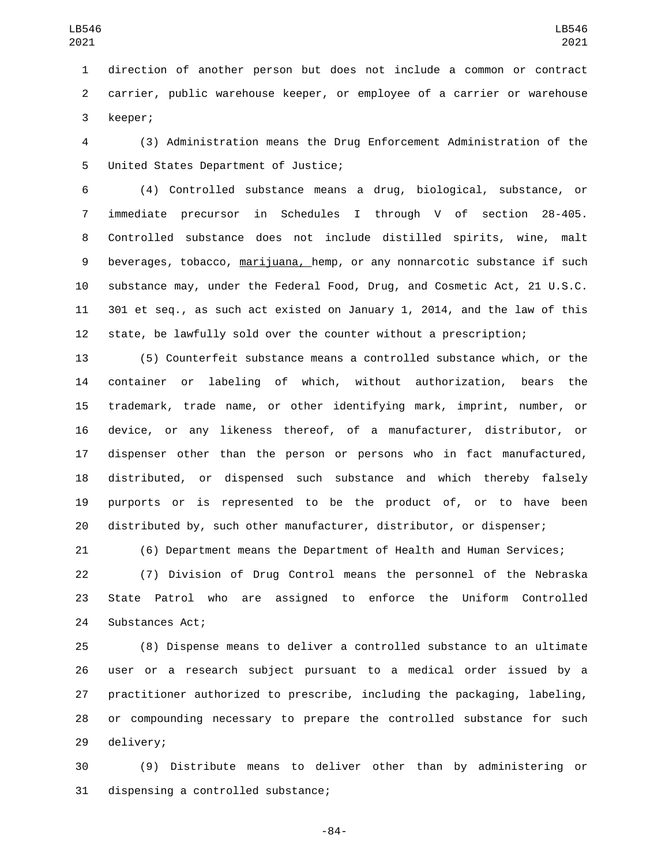direction of another person but does not include a common or contract carrier, public warehouse keeper, or employee of a carrier or warehouse 3 keeper;

 (3) Administration means the Drug Enforcement Administration of the 5 United States Department of Justice;

 (4) Controlled substance means a drug, biological, substance, or immediate precursor in Schedules I through V of section 28-405. Controlled substance does not include distilled spirits, wine, malt beverages, tobacco, marijuana, hemp, or any nonnarcotic substance if such substance may, under the Federal Food, Drug, and Cosmetic Act, 21 U.S.C. 301 et seq., as such act existed on January 1, 2014, and the law of this state, be lawfully sold over the counter without a prescription;

 (5) Counterfeit substance means a controlled substance which, or the container or labeling of which, without authorization, bears the trademark, trade name, or other identifying mark, imprint, number, or device, or any likeness thereof, of a manufacturer, distributor, or dispenser other than the person or persons who in fact manufactured, distributed, or dispensed such substance and which thereby falsely purports or is represented to be the product of, or to have been distributed by, such other manufacturer, distributor, or dispenser;

(6) Department means the Department of Health and Human Services;

 (7) Division of Drug Control means the personnel of the Nebraska State Patrol who are assigned to enforce the Uniform Controlled 24 Substances Act;

 (8) Dispense means to deliver a controlled substance to an ultimate user or a research subject pursuant to a medical order issued by a practitioner authorized to prescribe, including the packaging, labeling, or compounding necessary to prepare the controlled substance for such 29 delivery;

 (9) Distribute means to deliver other than by administering or 31 dispensing a controlled substance;

-84-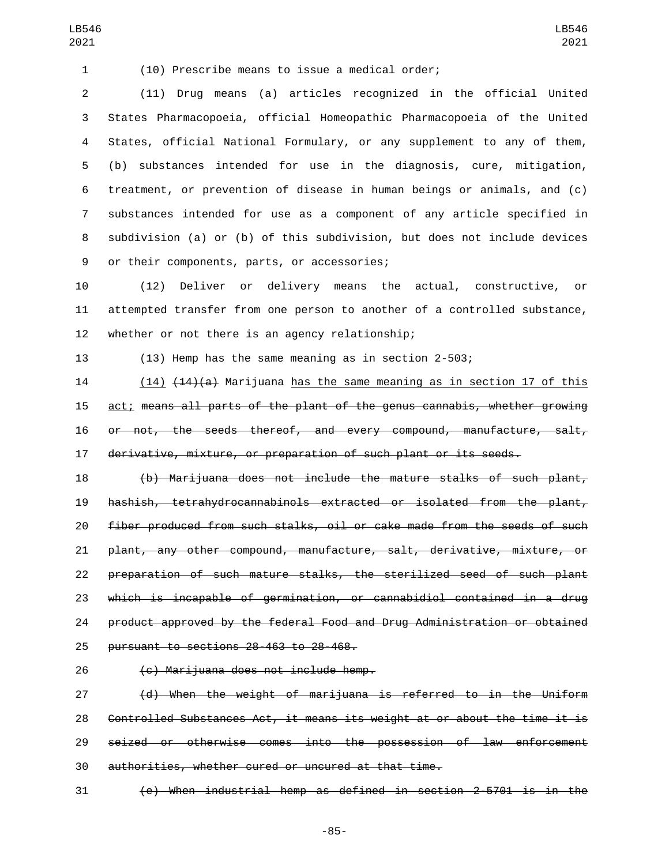(10) Prescribe means to issue a medical order;

 (11) Drug means (a) articles recognized in the official United States Pharmacopoeia, official Homeopathic Pharmacopoeia of the United States, official National Formulary, or any supplement to any of them, (b) substances intended for use in the diagnosis, cure, mitigation, treatment, or prevention of disease in human beings or animals, and (c) substances intended for use as a component of any article specified in subdivision (a) or (b) of this subdivision, but does not include devices 9 or their components, parts, or accessories;

 (12) Deliver or delivery means the actual, constructive, or attempted transfer from one person to another of a controlled substance, 12 whether or not there is an agency relationship;

(13) Hemp has the same meaning as in section 2-503;

14 (14) (14)(a) Marijuana has the same meaning as in section 17 of this act; means all parts of the plant of the genus cannabis, whether growing 16 or not, the seeds thereof, and every compound, manufacture, salt, derivative, mixture, or preparation of such plant or its seeds.

 (b) Marijuana does not include the mature stalks of such plant, hashish, tetrahydrocannabinols extracted or isolated from the plant, fiber produced from such stalks, oil or cake made from the seeds of such plant, any other compound, manufacture, salt, derivative, mixture, or preparation of such mature stalks, the sterilized seed of such plant which is incapable of germination, or cannabidiol contained in a drug product approved by the federal Food and Drug Administration or obtained 25 pursuant to sections 28-463 to 28-468.

26 (c) Marijuana does not include hemp.

 (d) When the weight of marijuana is referred to in the Uniform Controlled Substances Act, it means its weight at or about the time it is seized or otherwise comes into the possession of law enforcement authorities, whether cured or uncured at that time.

(e) When industrial hemp as defined in section 2-5701 is in the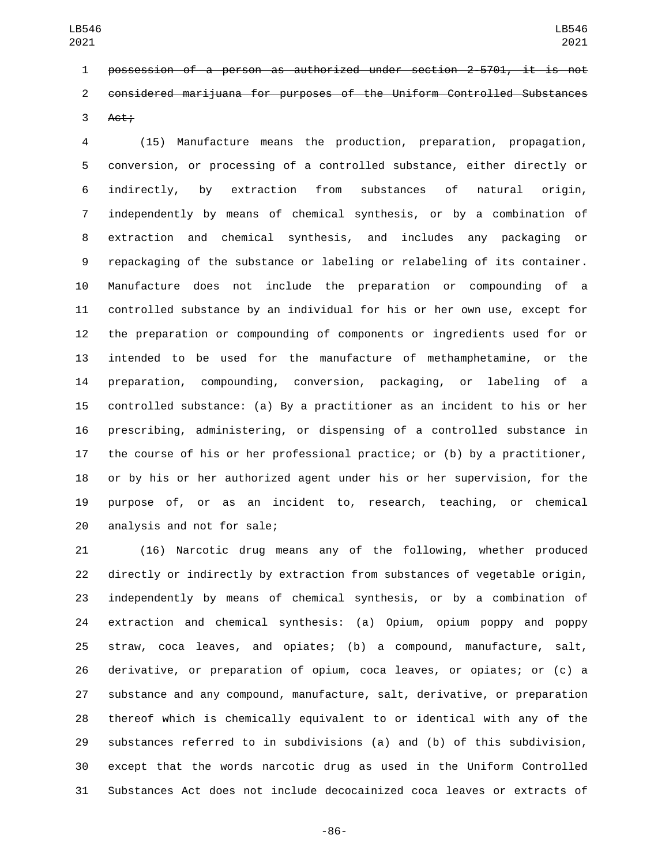possession of a person as authorized under section 2-5701, it is not considered marijuana for purposes of the Uniform Controlled Substances Act;

 (15) Manufacture means the production, preparation, propagation, conversion, or processing of a controlled substance, either directly or indirectly, by extraction from substances of natural origin, independently by means of chemical synthesis, or by a combination of extraction and chemical synthesis, and includes any packaging or repackaging of the substance or labeling or relabeling of its container. Manufacture does not include the preparation or compounding of a controlled substance by an individual for his or her own use, except for the preparation or compounding of components or ingredients used for or intended to be used for the manufacture of methamphetamine, or the preparation, compounding, conversion, packaging, or labeling of a controlled substance: (a) By a practitioner as an incident to his or her prescribing, administering, or dispensing of a controlled substance in the course of his or her professional practice; or (b) by a practitioner, or by his or her authorized agent under his or her supervision, for the purpose of, or as an incident to, research, teaching, or chemical 20 analysis and not for sale;

 (16) Narcotic drug means any of the following, whether produced directly or indirectly by extraction from substances of vegetable origin, independently by means of chemical synthesis, or by a combination of extraction and chemical synthesis: (a) Opium, opium poppy and poppy straw, coca leaves, and opiates; (b) a compound, manufacture, salt, derivative, or preparation of opium, coca leaves, or opiates; or (c) a substance and any compound, manufacture, salt, derivative, or preparation thereof which is chemically equivalent to or identical with any of the substances referred to in subdivisions (a) and (b) of this subdivision, except that the words narcotic drug as used in the Uniform Controlled Substances Act does not include decocainized coca leaves or extracts of

-86-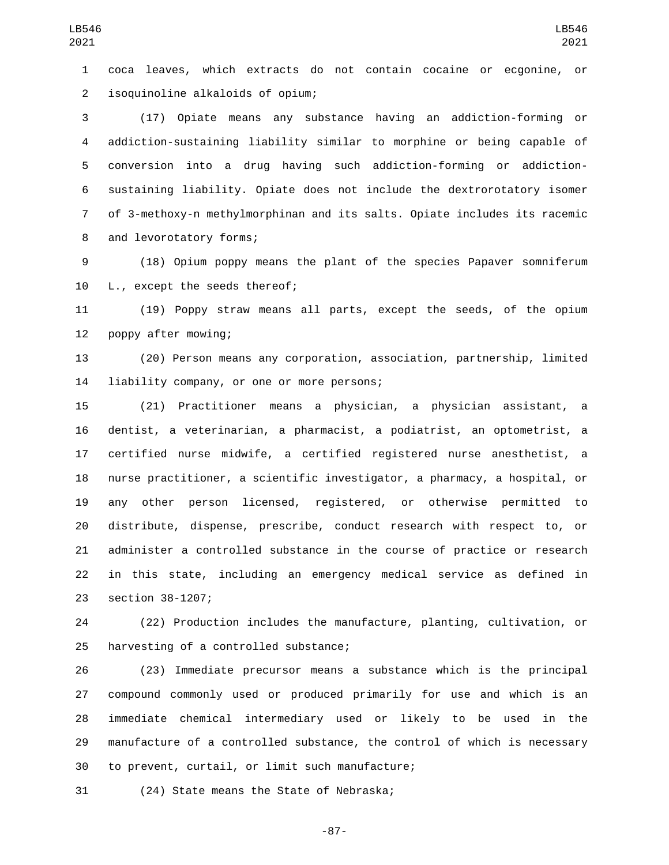coca leaves, which extracts do not contain cocaine or ecgonine, or isoquinoline alkaloids of opium;2

 (17) Opiate means any substance having an addiction-forming or addiction-sustaining liability similar to morphine or being capable of conversion into a drug having such addiction-forming or addiction- sustaining liability. Opiate does not include the dextrorotatory isomer of 3-methoxy-n methylmorphinan and its salts. Opiate includes its racemic 8 and levorotatory forms;

 (18) Opium poppy means the plant of the species Papaver somniferum 10 L., except the seeds thereof;

 (19) Poppy straw means all parts, except the seeds, of the opium 12 poppy after mowing;

 (20) Person means any corporation, association, partnership, limited 14 liability company, or one or more persons;

 (21) Practitioner means a physician, a physician assistant, a dentist, a veterinarian, a pharmacist, a podiatrist, an optometrist, a certified nurse midwife, a certified registered nurse anesthetist, a nurse practitioner, a scientific investigator, a pharmacy, a hospital, or any other person licensed, registered, or otherwise permitted to distribute, dispense, prescribe, conduct research with respect to, or administer a controlled substance in the course of practice or research in this state, including an emergency medical service as defined in 23 section 38-1207;

 (22) Production includes the manufacture, planting, cultivation, or 25 harvesting of a controlled substance;

 (23) Immediate precursor means a substance which is the principal compound commonly used or produced primarily for use and which is an immediate chemical intermediary used or likely to be used in the manufacture of a controlled substance, the control of which is necessary 30 to prevent, curtail, or limit such manufacture;

31 (24) State means the State of Nebraska;

-87-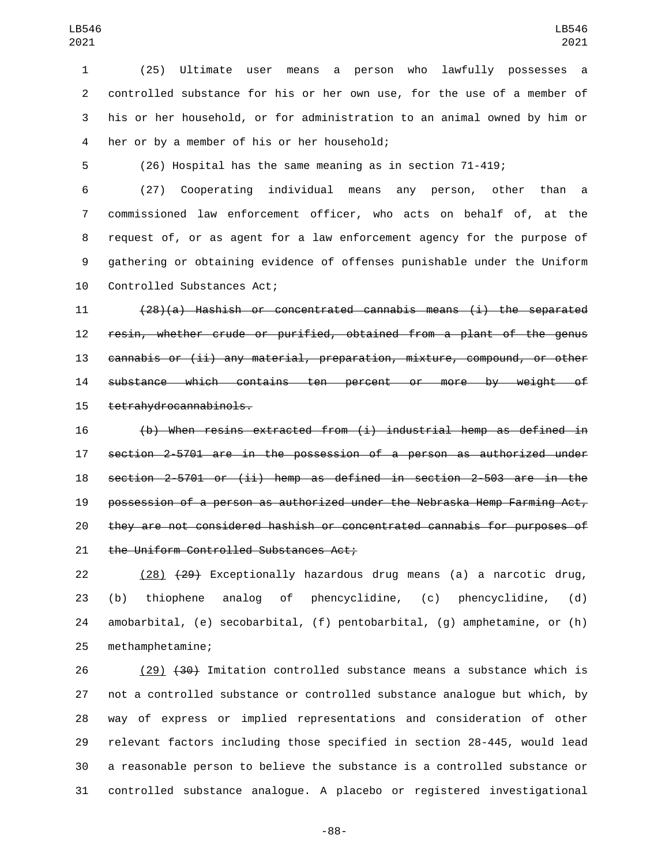(25) Ultimate user means a person who lawfully possesses a controlled substance for his or her own use, for the use of a member of his or her household, or for administration to an animal owned by him or 4 her or by a member of his or her household;

(26) Hospital has the same meaning as in section 71-419;

 (27) Cooperating individual means any person, other than a commissioned law enforcement officer, who acts on behalf of, at the request of, or as agent for a law enforcement agency for the purpose of gathering or obtaining evidence of offenses punishable under the Uniform 10 Controlled Substances Act;

 (28)(a) Hashish or concentrated cannabis means (i) the separated resin, whether crude or purified, obtained from a plant of the genus cannabis or (ii) any material, preparation, mixture, compound, or other substance which contains ten percent or more by weight of 15 tetrahydrocannabinols.

 (b) When resins extracted from (i) industrial hemp as defined in section 2-5701 are in the possession of a person as authorized under section 2-5701 or (ii) hemp as defined in section 2-503 are in the possession of a person as authorized under the Nebraska Hemp Farming Act, they are not considered hashish or concentrated cannabis for purposes of 21 the Uniform Controlled Substances Act;

 (28) (29) Exceptionally hazardous drug means (a) a narcotic drug, (b) thiophene analog of phencyclidine, (c) phencyclidine, (d) amobarbital, (e) secobarbital, (f) pentobarbital, (g) amphetamine, or (h) 25 methamphetamine;

26 (29) (30) Imitation controlled substance means a substance which is not a controlled substance or controlled substance analogue but which, by way of express or implied representations and consideration of other relevant factors including those specified in section 28-445, would lead a reasonable person to believe the substance is a controlled substance or controlled substance analogue. A placebo or registered investigational

-88-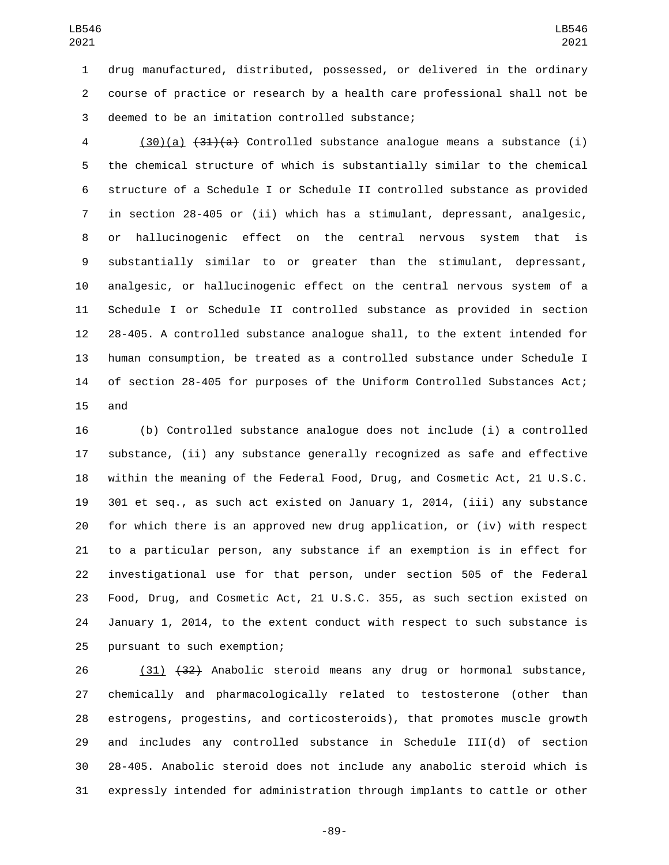drug manufactured, distributed, possessed, or delivered in the ordinary course of practice or research by a health care professional shall not be 3 deemed to be an imitation controlled substance;

4 (30)(a)  $(31)(a)$  Controlled substance analogue means a substance (i) the chemical structure of which is substantially similar to the chemical structure of a Schedule I or Schedule II controlled substance as provided in section 28-405 or (ii) which has a stimulant, depressant, analgesic, or hallucinogenic effect on the central nervous system that is substantially similar to or greater than the stimulant, depressant, analgesic, or hallucinogenic effect on the central nervous system of a Schedule I or Schedule II controlled substance as provided in section 28-405. A controlled substance analogue shall, to the extent intended for human consumption, be treated as a controlled substance under Schedule I of section 28-405 for purposes of the Uniform Controlled Substances Act; 15 and

 (b) Controlled substance analogue does not include (i) a controlled substance, (ii) any substance generally recognized as safe and effective within the meaning of the Federal Food, Drug, and Cosmetic Act, 21 U.S.C. 301 et seq., as such act existed on January 1, 2014, (iii) any substance for which there is an approved new drug application, or (iv) with respect to a particular person, any substance if an exemption is in effect for investigational use for that person, under section 505 of the Federal Food, Drug, and Cosmetic Act, 21 U.S.C. 355, as such section existed on January 1, 2014, to the extent conduct with respect to such substance is 25 pursuant to such exemption;

 (31) (32) Anabolic steroid means any drug or hormonal substance, chemically and pharmacologically related to testosterone (other than estrogens, progestins, and corticosteroids), that promotes muscle growth and includes any controlled substance in Schedule III(d) of section 28-405. Anabolic steroid does not include any anabolic steroid which is expressly intended for administration through implants to cattle or other

-89-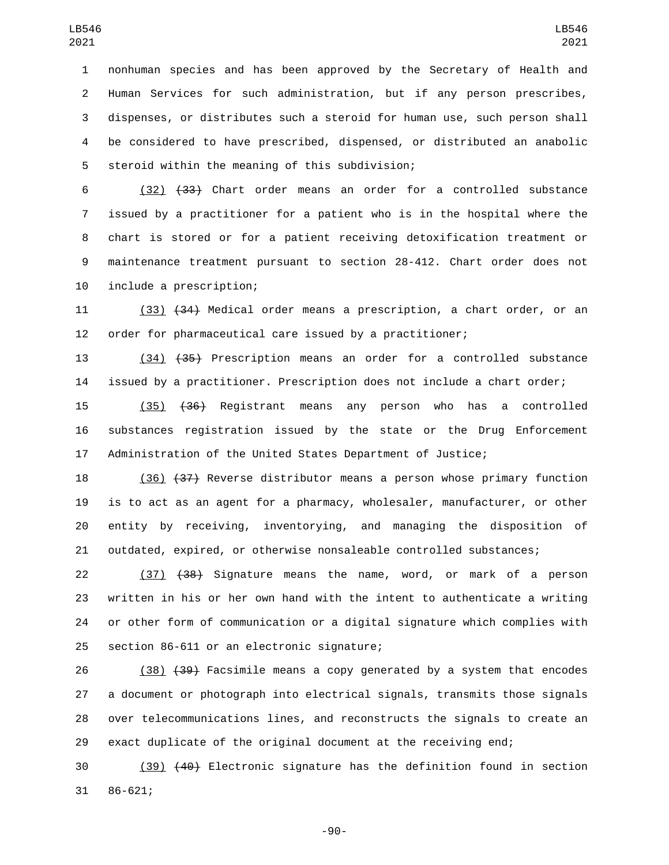nonhuman species and has been approved by the Secretary of Health and Human Services for such administration, but if any person prescribes, dispenses, or distributes such a steroid for human use, such person shall be considered to have prescribed, dispensed, or distributed an anabolic 5 steroid within the meaning of this subdivision;

 (32) (33) Chart order means an order for a controlled substance issued by a practitioner for a patient who is in the hospital where the chart is stored or for a patient receiving detoxification treatment or maintenance treatment pursuant to section 28-412. Chart order does not 10 include a prescription;

 (33) (34) Medical order means a prescription, a chart order, or an order for pharmaceutical care issued by a practitioner;

 (34) (35) Prescription means an order for a controlled substance issued by a practitioner. Prescription does not include a chart order;

 (35) (36) Registrant means any person who has a controlled substances registration issued by the state or the Drug Enforcement Administration of the United States Department of Justice;

 (36) (37) Reverse distributor means a person whose primary function is to act as an agent for a pharmacy, wholesaler, manufacturer, or other entity by receiving, inventorying, and managing the disposition of outdated, expired, or otherwise nonsaleable controlled substances;

 (37) (38) Signature means the name, word, or mark of a person written in his or her own hand with the intent to authenticate a writing or other form of communication or a digital signature which complies with 25 section 86-611 or an electronic signature;

 (38) (39) Facsimile means a copy generated by a system that encodes a document or photograph into electrical signals, transmits those signals over telecommunications lines, and reconstructs the signals to create an exact duplicate of the original document at the receiving end;

 (39) (40) Electronic signature has the definition found in section 31 86-621;

-90-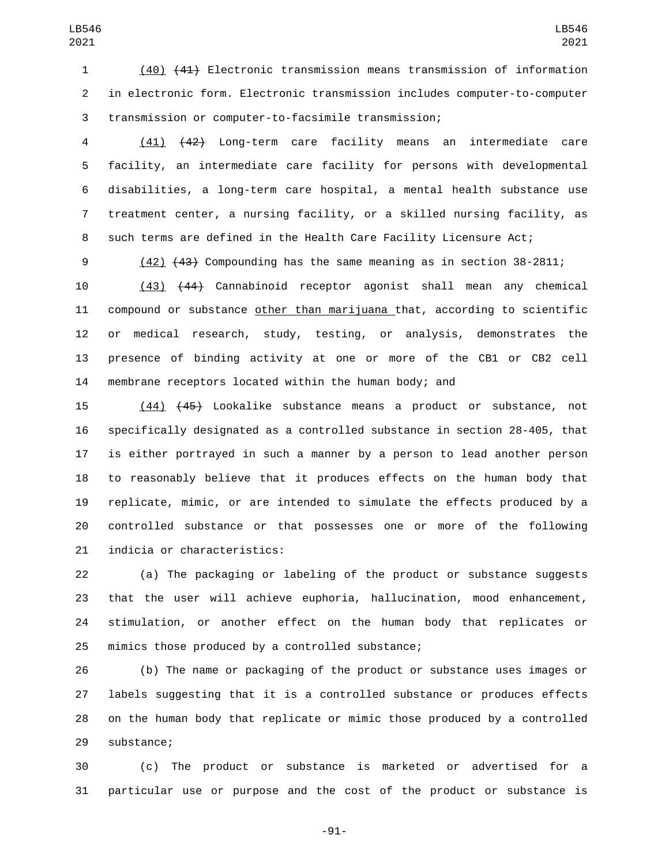(40) (41) Electronic transmission means transmission of information in electronic form. Electronic transmission includes computer-to-computer transmission or computer-to-facsimile transmission;

 (41) (42) Long-term care facility means an intermediate care facility, an intermediate care facility for persons with developmental disabilities, a long-term care hospital, a mental health substance use treatment center, a nursing facility, or a skilled nursing facility, as such terms are defined in the Health Care Facility Licensure Act;

(42) (43) Compounding has the same meaning as in section 38-2811;

 (43) (44) Cannabinoid receptor agonist shall mean any chemical compound or substance other than marijuana that, according to scientific or medical research, study, testing, or analysis, demonstrates the presence of binding activity at one or more of the CB1 or CB2 cell membrane receptors located within the human body; and

 (44) (45) Lookalike substance means a product or substance, not specifically designated as a controlled substance in section 28-405, that is either portrayed in such a manner by a person to lead another person to reasonably believe that it produces effects on the human body that replicate, mimic, or are intended to simulate the effects produced by a controlled substance or that possesses one or more of the following 21 indicia or characteristics:

 (a) The packaging or labeling of the product or substance suggests that the user will achieve euphoria, hallucination, mood enhancement, stimulation, or another effect on the human body that replicates or 25 mimics those produced by a controlled substance;

 (b) The name or packaging of the product or substance uses images or labels suggesting that it is a controlled substance or produces effects on the human body that replicate or mimic those produced by a controlled 29 substance;

 (c) The product or substance is marketed or advertised for a particular use or purpose and the cost of the product or substance is

-91-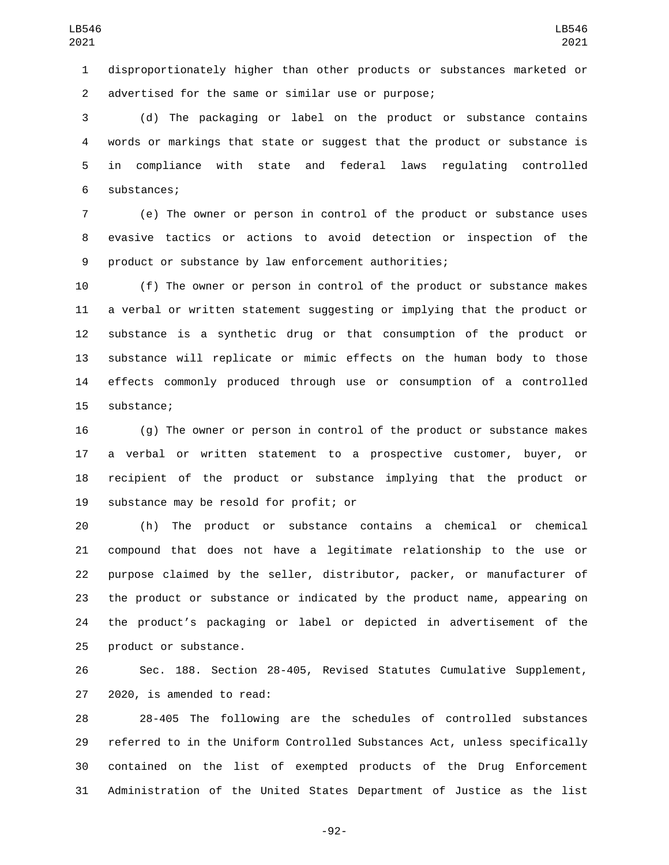disproportionately higher than other products or substances marketed or advertised for the same or similar use or purpose;2

 (d) The packaging or label on the product or substance contains words or markings that state or suggest that the product or substance is in compliance with state and federal laws regulating controlled 6 substances;

 (e) The owner or person in control of the product or substance uses evasive tactics or actions to avoid detection or inspection of the product or substance by law enforcement authorities;

 (f) The owner or person in control of the product or substance makes a verbal or written statement suggesting or implying that the product or substance is a synthetic drug or that consumption of the product or substance will replicate or mimic effects on the human body to those effects commonly produced through use or consumption of a controlled 15 substance;

 (g) The owner or person in control of the product or substance makes a verbal or written statement to a prospective customer, buyer, or recipient of the product or substance implying that the product or 19 substance may be resold for profit; or

 (h) The product or substance contains a chemical or chemical compound that does not have a legitimate relationship to the use or purpose claimed by the seller, distributor, packer, or manufacturer of the product or substance or indicated by the product name, appearing on the product's packaging or label or depicted in advertisement of the 25 product or substance.

 Sec. 188. Section 28-405, Revised Statutes Cumulative Supplement, 27 2020, is amended to read:

 28-405 The following are the schedules of controlled substances referred to in the Uniform Controlled Substances Act, unless specifically contained on the list of exempted products of the Drug Enforcement Administration of the United States Department of Justice as the list

-92-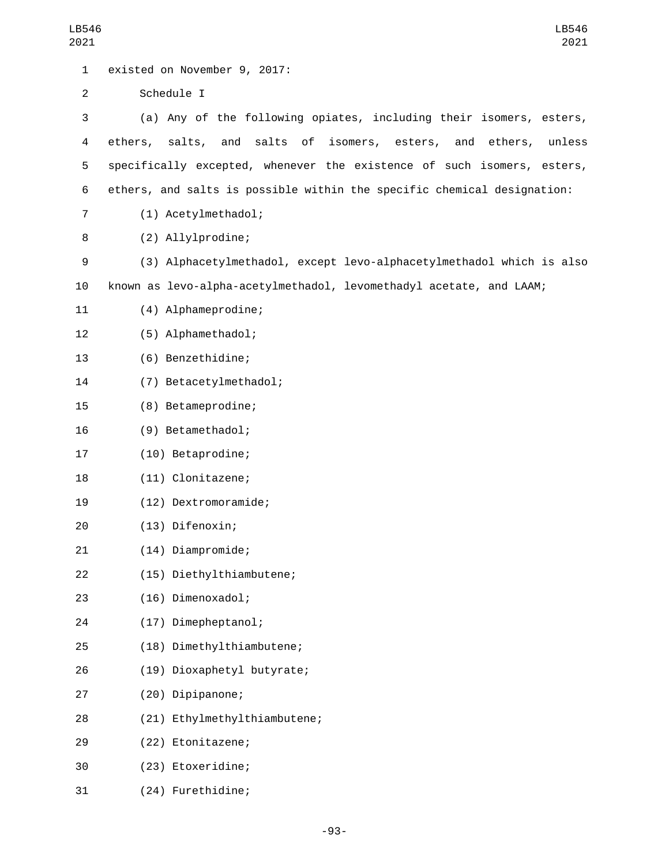| LB546<br>2021  | LB546<br>2021                                                           |
|----------------|-------------------------------------------------------------------------|
| $\mathbf 1$    | existed on November 9, 2017:                                            |
| $\overline{2}$ | Schedule I                                                              |
| 3              | (a) Any of the following opiates, including their isomers, esters,      |
| 4              | ethers, salts, and salts of isomers, esters, and ethers,<br>unless      |
| 5              | specifically excepted, whenever the existence of such isomers, esters,  |
| 6              | ethers, and salts is possible within the specific chemical designation: |
| 7              | (1) Acetylmethadol;                                                     |
| 8              | (2) Allylprodine;                                                       |
| 9              | (3) Alphacetylmethadol, except levo-alphacetylmethadol which is also    |
| 10             | known as levo-alpha-acetylmethadol, levomethadyl acetate, and LAAM;     |
| 11             | (4) Alphameprodine;                                                     |
| 12             | (5) Alphamethadol;                                                      |
| 13             | (6) Benzethidine;                                                       |
| 14             | (7) Betacetylmethadol;                                                  |
| 15             | (8) Betameprodine;                                                      |
| 16             | (9) Betamethadol;                                                       |
| 17             | (10) Betaprodine;                                                       |
| 18             | (11) Clonitazene;                                                       |
| 19             | (12) Dextromoramide;                                                    |
| 20             | (13) Difenoxin;                                                         |
| 21             | (14) Diampromide;                                                       |
| 22             | (15) Diethylthiambutene;                                                |
| 23             | (16) Dimenoxadol;                                                       |
| 24             | (17) Dimepheptanol;                                                     |
| 25             | (18) Dimethylthiambutene;                                               |
| 26             | (19) Dioxaphetyl butyrate;                                              |
| 27             | (20) Dipipanone;                                                        |
| 28             | (21) Ethylmethylthiambutene;                                            |
| 29             | (22) Etonitazene;                                                       |
| 30             | (23) Etoxeridine;                                                       |
| 31             | (24) Furethidine;                                                       |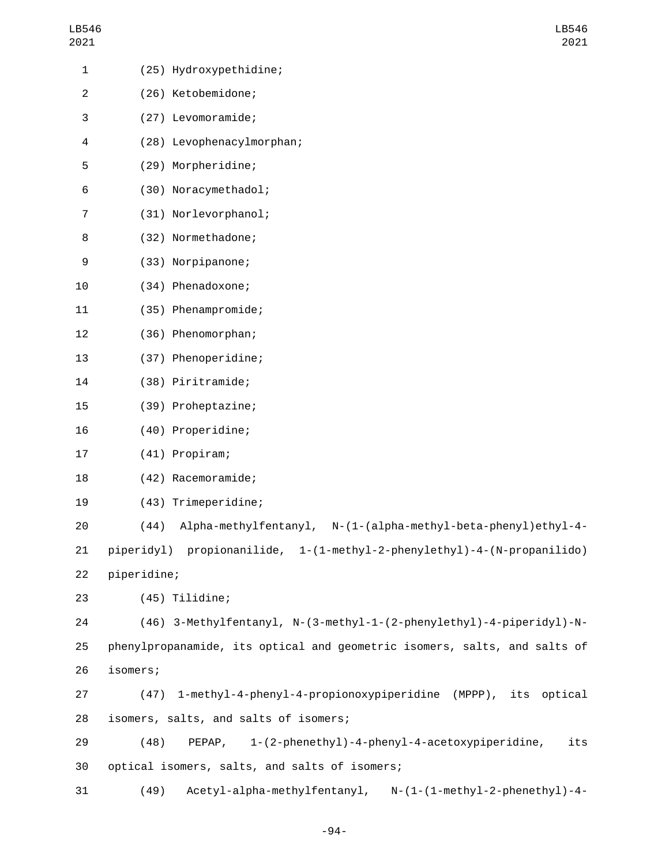| l B54 | h |
|-------|---|
| 2021  |   |

| 1              |             | (25) Hydroxypethidine;                                                    |
|----------------|-------------|---------------------------------------------------------------------------|
| $\overline{c}$ |             | (26) Ketobemidone;                                                        |
| 3              |             | (27) Levomoramide;                                                        |
| 4              |             | (28) Levophenacylmorphan;                                                 |
| 5              |             | (29) Morpheridine;                                                        |
| 6              |             | (30) Noracymethadol;                                                      |
| 7              |             | (31) Norlevorphanol;                                                      |
| 8              |             | (32) Normethadone;                                                        |
| 9              |             | (33) Norpipanone;                                                         |
| 10             |             | (34) Phenadoxone;                                                         |
| 11             |             | (35) Phenampromide;                                                       |
| 12             |             | (36) Phenomorphan;                                                        |
| 13             |             | (37) Phenoperidine;                                                       |
| 14             |             | (38) Piritramide;                                                         |
| 15             |             | (39) Proheptazine;                                                        |
| 16             |             | (40) Properidine;                                                         |
| 17             |             | (41) Propiram;                                                            |
| 18             |             | (42) Racemoramide;                                                        |
| 19             |             | (43) Trimeperidine;                                                       |
| 20             | (44)        | Alpha-methylfentanyl, N-(1-(alpha-methyl-beta-phenyl)ethyl-4-             |
| 21             |             | piperidyl) propionanilide, 1-(1-methyl-2-phenylethyl)-4-(N-propanilido)   |
| 22             | piperidine; |                                                                           |
| 23             |             | (45) Tilidine;                                                            |
| 24             |             | (46) 3-Methylfentanyl, N-(3-methyl-1-(2-phenylethyl)-4-piperidyl)-N-      |
| 25             |             | phenylpropanamide, its optical and geometric isomers, salts, and salts of |
| 26             | isomers;    |                                                                           |
| 27             |             | (47) 1-methyl-4-phenyl-4-propionoxypiperidine (MPPP), its optical         |
| 28             |             | isomers, salts, and salts of isomers;                                     |
| 29             | (48)        | 1-(2-phenethyl)-4-phenyl-4-acetoxypiperidine,<br>its<br>PEPAP,            |
| 30             |             | optical isomers, salts, and salts of isomers;                             |
| 31             | (49)        | Acetyl-alpha-methylfentanyl, N-(1-(1-methyl-2-phenethyl)-4-               |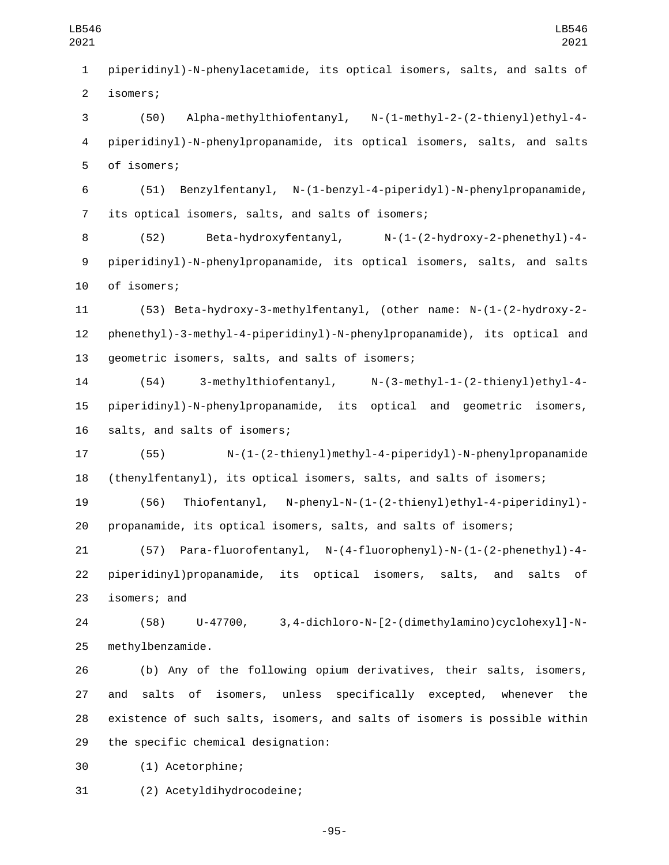piperidinyl)-N-phenylacetamide, its optical isomers, salts, and salts of 2 isomers;

 (50) Alpha-methylthiofentanyl, N-(1-methyl-2-(2-thienyl)ethyl-4- piperidinyl)-N-phenylpropanamide, its optical isomers, salts, and salts 5 of isomers;

 (51) Benzylfentanyl, N-(1-benzyl-4-piperidyl)-N-phenylpropanamide, 7 its optical isomers, salts, and salts of isomers;

 (52) Beta-hydroxyfentanyl, N-(1-(2-hydroxy-2-phenethyl)-4- piperidinyl)-N-phenylpropanamide, its optical isomers, salts, and salts 10 of isomers;

 (53) Beta-hydroxy-3-methylfentanyl, (other name: N-(1-(2-hydroxy-2- phenethyl)-3-methyl-4-piperidinyl)-N-phenylpropanamide), its optical and 13 qeometric isomers, salts, and salts of isomers;

 (54) 3-methylthiofentanyl, N-(3-methyl-1-(2-thienyl)ethyl-4- piperidinyl)-N-phenylpropanamide, its optical and geometric isomers, 16 salts, and salts of isomers;

 (55) N-(1-(2-thienyl)methyl-4-piperidyl)-N-phenylpropanamide (thenylfentanyl), its optical isomers, salts, and salts of isomers;

 (56) Thiofentanyl, N-phenyl-N-(1-(2-thienyl)ethyl-4-piperidinyl)- propanamide, its optical isomers, salts, and salts of isomers;

 (57) Para-fluorofentanyl, N-(4-fluorophenyl)-N-(1-(2-phenethyl)-4- piperidinyl)propanamide, its optical isomers, salts, and salts of 23 isomers; and

 (58) U-47700, 3,4-dichloro-N-[2-(dimethylamino)cyclohexyl]-N-25 methylbenzamide.

 (b) Any of the following opium derivatives, their salts, isomers, and salts of isomers, unless specifically excepted, whenever the existence of such salts, isomers, and salts of isomers is possible within 29 the specific chemical designation:

(1) Acetorphine;30

(2) Acetyldihydrocodeine;31

-95-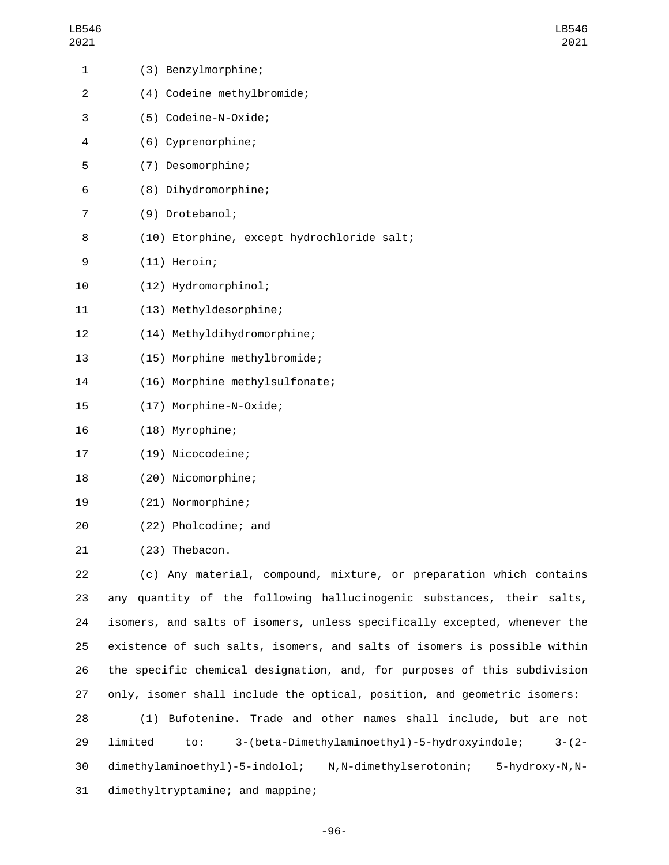| LB546<br>2021  |                                                   |
|----------------|---------------------------------------------------|
| 1              | (3) Benzylmorphine;                               |
| $\overline{c}$ | (4) Codeine methylbromide;                        |
| 3              | (5) Codeine-N-Oxide;                              |
| 4              | (6) Cyprenorphine;                                |
| 5              | (7) Desomorphine;                                 |
| 6              | (8) Dihydromorphine;                              |
| 7              | (9) Drotebanol;                                   |
| 8              | (10) Etorphine, except hydrochloride salt;        |
| 9              | $(11)$ Heroin;                                    |
| 10             | (12) Hydromorphinol;                              |
| 11             | (13) Methyldesorphine;                            |
| 12             | (14) Methyldihydromorphine;                       |
| 13             | (15) Morphine methylbromide;                      |
| 14             | (16) Morphine methylsulfonate;                    |
| 15             | (17) Morphine-N-Oxide;                            |
| 16             | (18) Myrophine;                                   |
| 17             | (19) Nicocodeine;                                 |
| 18             | (20) Nicomorphine;                                |
| 19             | (21) Normorphine;                                 |
| 20             | (22) Pholcodine; and                              |
| 21             | (23) Thebacon.                                    |
| 22             | (c) Any material, compound, mixture, or preparat: |

LB546 2021

ion which contains any quantity of the following hallucinogenic substances, their salts, isomers, and salts of isomers, unless specifically excepted, whenever the existence of such salts, isomers, and salts of isomers is possible within the specific chemical designation, and, for purposes of this subdivision only, isomer shall include the optical, position, and geometric isomers:

 (1) Bufotenine. Trade and other names shall include, but are not limited to: 3-(beta-Dimethylaminoethyl)-5-hydroxyindole; 3-(2- dimethylaminoethyl)-5-indolol; N,N-dimethylserotonin; 5-hydroxy-N,N-31 dimethyltryptamine; and mappine;

-96-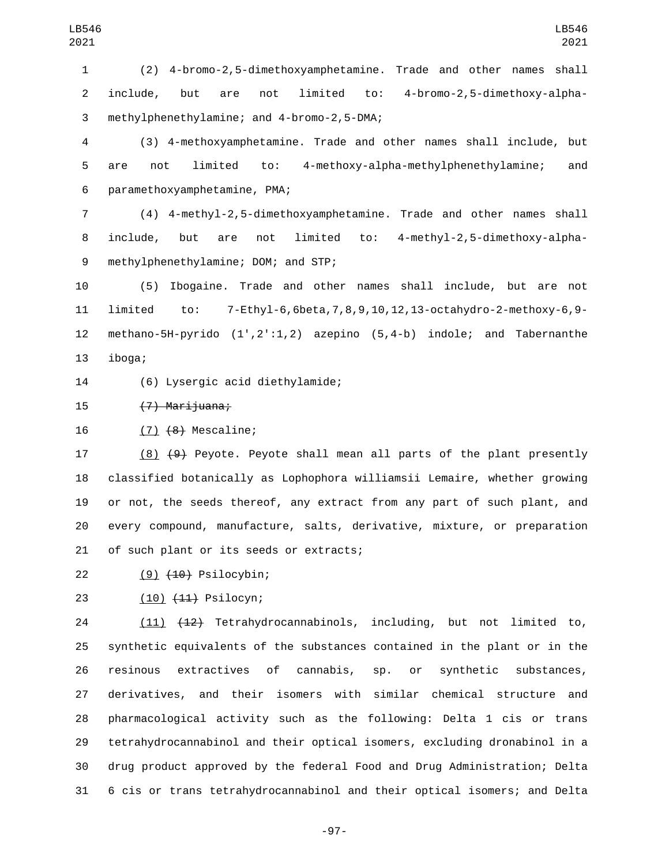(2) 4-bromo-2,5-dimethoxyamphetamine. Trade and other names shall include, but are not limited to: 4-bromo-2,5-dimethoxy-alphamethylphenethylamine; and 4-bromo-2,5-DMA;3

 (3) 4-methoxyamphetamine. Trade and other names shall include, but are not limited to: 4-methoxy-alpha-methylphenethylamine; and 6 paramethoxyamphetamine, PMA;

 (4) 4-methyl-2,5-dimethoxyamphetamine. Trade and other names shall include, but are not limited to: 4-methyl-2,5-dimethoxy-alpha-9 methylphenethylamine; DOM; and STP;

 (5) Ibogaine. Trade and other names shall include, but are not limited to: 7-Ethyl-6,6beta,7,8,9,10,12,13-octahydro-2-methoxy-6,9- methano-5H-pyrido (1',2':1,2) azepino (5,4-b) indole; and Tabernanthe 13 iboga;

(6) Lysergic acid diethylamide;14

15 (7) Marijuana;

16 (7) <del>(8)</del> Mescaline;

 (8) (9) Peyote. Peyote shall mean all parts of the plant presently classified botanically as Lophophora williamsii Lemaire, whether growing or not, the seeds thereof, any extract from any part of such plant, and every compound, manufacture, salts, derivative, mixture, or preparation 21 of such plant or its seeds or extracts;

(9) (10) Psilocybin;

23 (10) (11) Psilocyn;

 (11) (12) Tetrahydrocannabinols, including, but not limited to, synthetic equivalents of the substances contained in the plant or in the resinous extractives of cannabis, sp. or synthetic substances, derivatives, and their isomers with similar chemical structure and pharmacological activity such as the following: Delta 1 cis or trans tetrahydrocannabinol and their optical isomers, excluding dronabinol in a drug product approved by the federal Food and Drug Administration; Delta 6 cis or trans tetrahydrocannabinol and their optical isomers; and Delta

-97-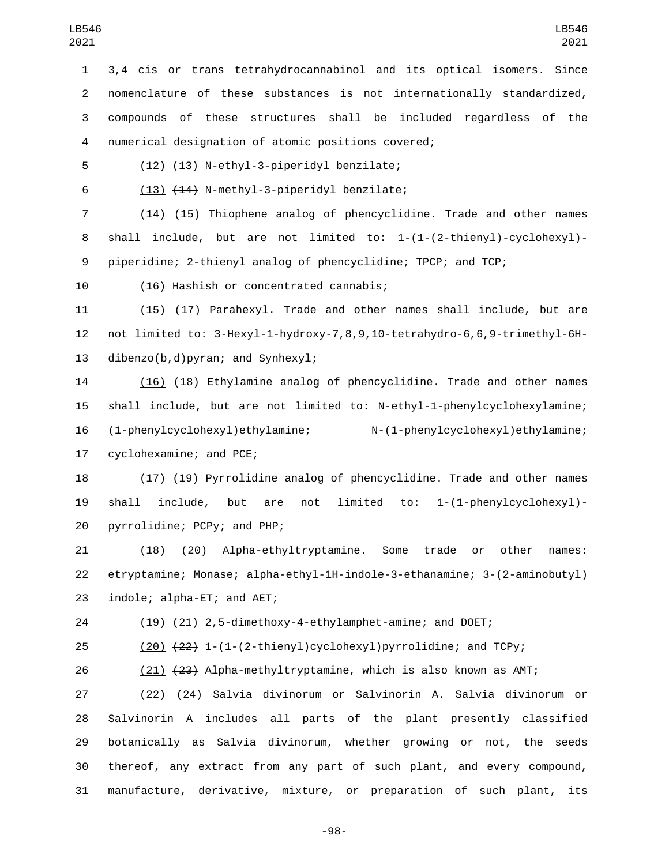3,4 cis or trans tetrahydrocannabinol and its optical isomers. Since nomenclature of these substances is not internationally standardized, compounds of these structures shall be included regardless of the numerical designation of atomic positions covered;4

5 (12) <del>(13)</del> N-ethyl-3-piperidyl benzilate;

6  $(13)$   $(14)$  N-methyl-3-piperidyl benzilate;

7 (14) (15) Thiophene analog of phencyclidine. Trade and other names shall include, but are not limited to: 1-(1-(2-thienyl)-cyclohexyl)- piperidine; 2-thienyl analog of phencyclidine; TPCP; and TCP;

(16) Hashish or concentrated cannabis;10

11 (15) (17) Parahexyl. Trade and other names shall include, but are not limited to: 3-Hexyl-1-hydroxy-7,8,9,10-tetrahydro-6,6,9-trimethyl-6H-13 dibenzo(b,d)pyran; and Synhexyl;

 (16) (18) Ethylamine analog of phencyclidine. Trade and other names shall include, but are not limited to: N-ethyl-1-phenylcyclohexylamine; (1-phenylcyclohexyl)ethylamine; N-(1-phenylcyclohexyl)ethylamine; 17 cyclohexamine; and PCE;

 (17) (19) Pyrrolidine analog of phencyclidine. Trade and other names shall include, but are not limited to: 1-(1-phenylcyclohexyl) pyrrolidine; PCPy; and PHP;20

 (18) (20) Alpha-ethyltryptamine. Some trade or other names: etryptamine; Monase; alpha-ethyl-1H-indole-3-ethanamine; 3-(2-aminobutyl) 23 indole; alpha-ET; and AET;

(19) (21) 2,5-dimethoxy-4-ethylamphet-amine; and DOET;

(20) (22) 1-(1-(2-thienyl)cyclohexyl)pyrrolidine; and TCPy;

(21) (23) Alpha-methyltryptamine, which is also known as AMT;

 (22) (24) Salvia divinorum or Salvinorin A. Salvia divinorum or Salvinorin A includes all parts of the plant presently classified botanically as Salvia divinorum, whether growing or not, the seeds thereof, any extract from any part of such plant, and every compound, manufacture, derivative, mixture, or preparation of such plant, its

-98-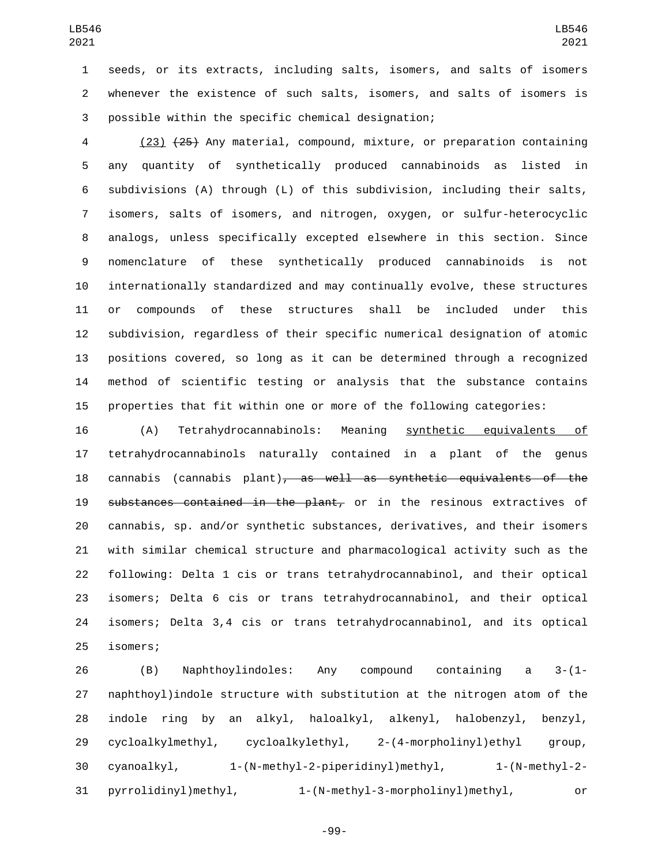seeds, or its extracts, including salts, isomers, and salts of isomers whenever the existence of such salts, isomers, and salts of isomers is 3 possible within the specific chemical designation;

 (23) (25) Any material, compound, mixture, or preparation containing any quantity of synthetically produced cannabinoids as listed in subdivisions (A) through (L) of this subdivision, including their salts, isomers, salts of isomers, and nitrogen, oxygen, or sulfur-heterocyclic analogs, unless specifically excepted elsewhere in this section. Since nomenclature of these synthetically produced cannabinoids is not internationally standardized and may continually evolve, these structures or compounds of these structures shall be included under this subdivision, regardless of their specific numerical designation of atomic positions covered, so long as it can be determined through a recognized method of scientific testing or analysis that the substance contains properties that fit within one or more of the following categories:

 (A) Tetrahydrocannabinols: Meaning synthetic equivalents of tetrahydrocannabinols naturally contained in a plant of the genus cannabis (cannabis plant), as well as synthetic equivalents of the 19 substances contained in the plant, or in the resinous extractives of cannabis, sp. and/or synthetic substances, derivatives, and their isomers with similar chemical structure and pharmacological activity such as the following: Delta 1 cis or trans tetrahydrocannabinol, and their optical isomers; Delta 6 cis or trans tetrahydrocannabinol, and their optical isomers; Delta 3,4 cis or trans tetrahydrocannabinol, and its optical isomers;25

 (B) Naphthoylindoles: Any compound containing a 3-(1- naphthoyl)indole structure with substitution at the nitrogen atom of the indole ring by an alkyl, haloalkyl, alkenyl, halobenzyl, benzyl, cycloalkylmethyl, cycloalkylethyl, 2-(4-morpholinyl)ethyl group, cyanoalkyl, 1-(N-methyl-2-piperidinyl)methyl, 1-(N-methyl-2- pyrrolidinyl)methyl, 1-(N-methyl-3-morpholinyl)methyl, or

-99-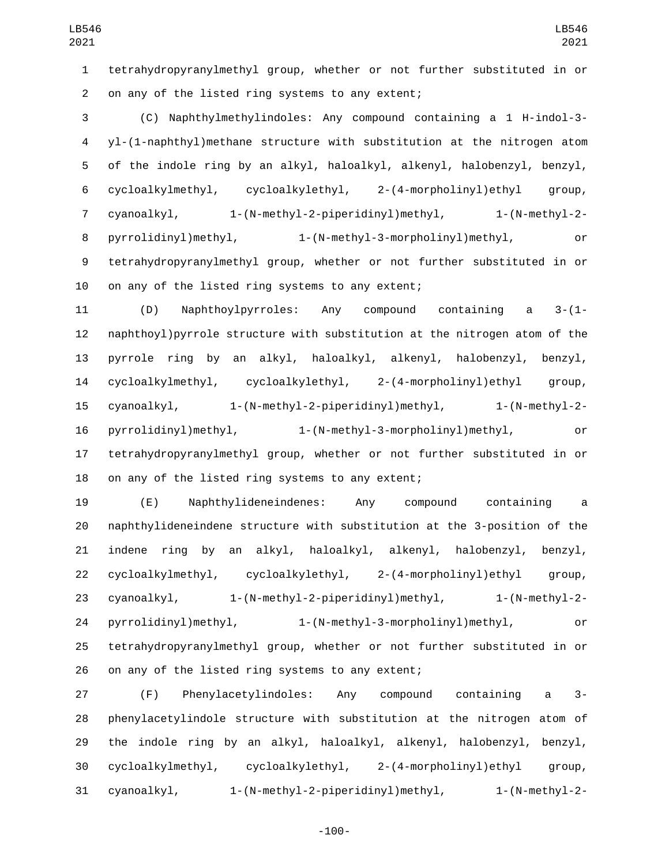tetrahydropyranylmethyl group, whether or not further substituted in or 2 on any of the listed ring systems to any extent;

 (C) Naphthylmethylindoles: Any compound containing a 1 H-indol-3- yl-(1-naphthyl)methane structure with substitution at the nitrogen atom of the indole ring by an alkyl, haloalkyl, alkenyl, halobenzyl, benzyl, cycloalkylmethyl, cycloalkylethyl, 2-(4-morpholinyl)ethyl group, cyanoalkyl, 1-(N-methyl-2-piperidinyl)methyl, 1-(N-methyl-2- pyrrolidinyl)methyl, 1-(N-methyl-3-morpholinyl)methyl, or tetrahydropyranylmethyl group, whether or not further substituted in or 10 on any of the listed ring systems to any extent;

 (D) Naphthoylpyrroles: Any compound containing a 3-(1- naphthoyl)pyrrole structure with substitution at the nitrogen atom of the pyrrole ring by an alkyl, haloalkyl, alkenyl, halobenzyl, benzyl, cycloalkylmethyl, cycloalkylethyl, 2-(4-morpholinyl)ethyl group, cyanoalkyl, 1-(N-methyl-2-piperidinyl)methyl, 1-(N-methyl-2- pyrrolidinyl)methyl, 1-(N-methyl-3-morpholinyl)methyl, or tetrahydropyranylmethyl group, whether or not further substituted in or 18 on any of the listed ring systems to any extent;

 (E) Naphthylideneindenes: Any compound containing a naphthylideneindene structure with substitution at the 3-position of the indene ring by an alkyl, haloalkyl, alkenyl, halobenzyl, benzyl, cycloalkylmethyl, cycloalkylethyl, 2-(4-morpholinyl)ethyl group, cyanoalkyl, 1-(N-methyl-2-piperidinyl)methyl, 1-(N-methyl-2- pyrrolidinyl)methyl, 1-(N-methyl-3-morpholinyl)methyl, or tetrahydropyranylmethyl group, whether or not further substituted in or 26 on any of the listed ring systems to any extent;

 (F) Phenylacetylindoles: Any compound containing a 3- phenylacetylindole structure with substitution at the nitrogen atom of the indole ring by an alkyl, haloalkyl, alkenyl, halobenzyl, benzyl, cycloalkylmethyl, cycloalkylethyl, 2-(4-morpholinyl)ethyl group, cyanoalkyl, 1-(N-methyl-2-piperidinyl)methyl, 1-(N-methyl-2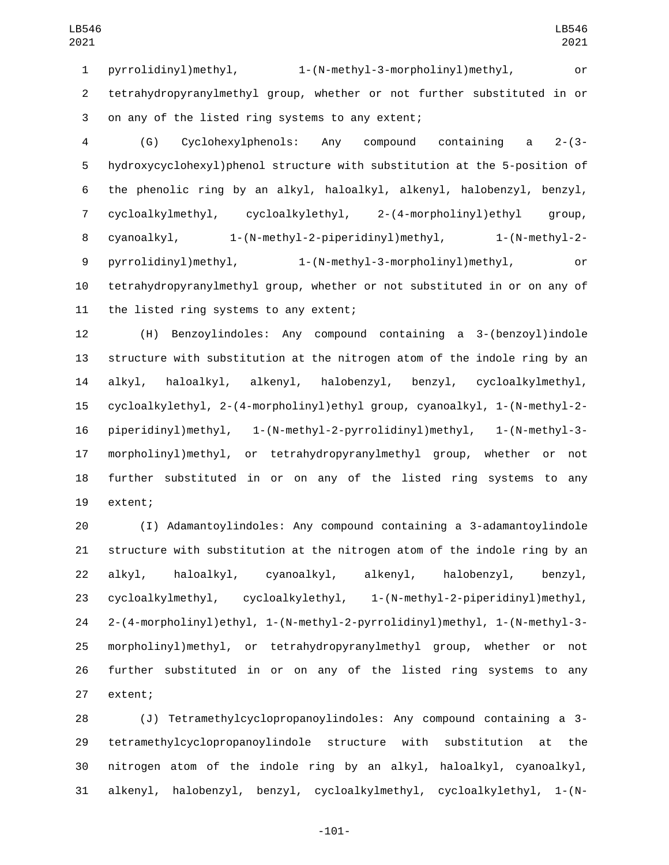pyrrolidinyl)methyl, 1-(N-methyl-3-morpholinyl)methyl, or tetrahydropyranylmethyl group, whether or not further substituted in or 3 on any of the listed ring systems to any extent;

 (G) Cyclohexylphenols: Any compound containing a 2-(3- hydroxycyclohexyl)phenol structure with substitution at the 5-position of the phenolic ring by an alkyl, haloalkyl, alkenyl, halobenzyl, benzyl, cycloalkylmethyl, cycloalkylethyl, 2-(4-morpholinyl)ethyl group, cyanoalkyl, 1-(N-methyl-2-piperidinyl)methyl, 1-(N-methyl-2- pyrrolidinyl)methyl, 1-(N-methyl-3-morpholinyl)methyl, or tetrahydropyranylmethyl group, whether or not substituted in or on any of 11 the listed ring systems to any extent;

 (H) Benzoylindoles: Any compound containing a 3-(benzoyl)indole structure with substitution at the nitrogen atom of the indole ring by an alkyl, haloalkyl, alkenyl, halobenzyl, benzyl, cycloalkylmethyl, cycloalkylethyl, 2-(4-morpholinyl)ethyl group, cyanoalkyl, 1-(N-methyl-2- piperidinyl)methyl, 1-(N-methyl-2-pyrrolidinyl)methyl, 1-(N-methyl-3- morpholinyl)methyl, or tetrahydropyranylmethyl group, whether or not further substituted in or on any of the listed ring systems to any 19 extent;

 (I) Adamantoylindoles: Any compound containing a 3-adamantoylindole structure with substitution at the nitrogen atom of the indole ring by an alkyl, haloalkyl, cyanoalkyl, alkenyl, halobenzyl, benzyl, cycloalkylmethyl, cycloalkylethyl, 1-(N-methyl-2-piperidinyl)methyl, 2-(4-morpholinyl)ethyl, 1-(N-methyl-2-pyrrolidinyl)methyl, 1-(N-methyl-3- morpholinyl)methyl, or tetrahydropyranylmethyl group, whether or not further substituted in or on any of the listed ring systems to any 27 extent;

 (J) Tetramethylcyclopropanoylindoles: Any compound containing a 3- tetramethylcyclopropanoylindole structure with substitution at the nitrogen atom of the indole ring by an alkyl, haloalkyl, cyanoalkyl, alkenyl, halobenzyl, benzyl, cycloalkylmethyl, cycloalkylethyl, 1-(N-

-101-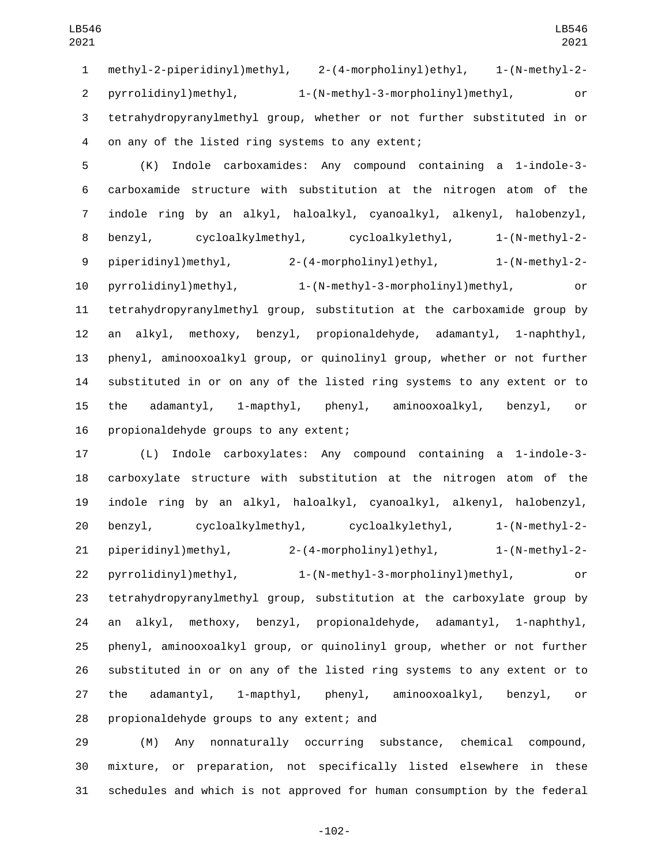pyrrolidinyl)methyl, 1-(N-methyl-3-morpholinyl)methyl, or tetrahydropyranylmethyl group, whether or not further substituted in or 4 on any of the listed ring systems to any extent;

 (K) Indole carboxamides: Any compound containing a 1-indole-3- carboxamide structure with substitution at the nitrogen atom of the indole ring by an alkyl, haloalkyl, cyanoalkyl, alkenyl, halobenzyl, benzyl, cycloalkylmethyl, cycloalkylethyl, 1-(N-methyl-2- piperidinyl)methyl, 2-(4-morpholinyl)ethyl, 1-(N-methyl-2- pyrrolidinyl)methyl, 1-(N-methyl-3-morpholinyl)methyl, or tetrahydropyranylmethyl group, substitution at the carboxamide group by an alkyl, methoxy, benzyl, propionaldehyde, adamantyl, 1-naphthyl, phenyl, aminooxoalkyl group, or quinolinyl group, whether or not further substituted in or on any of the listed ring systems to any extent or to the adamantyl, 1-mapthyl, phenyl, aminooxoalkyl, benzyl, or 16 propionaldehyde groups to any extent;

 (L) Indole carboxylates: Any compound containing a 1-indole-3- carboxylate structure with substitution at the nitrogen atom of the indole ring by an alkyl, haloalkyl, cyanoalkyl, alkenyl, halobenzyl, benzyl, cycloalkylmethyl, cycloalkylethyl, 1-(N-methyl-2- piperidinyl)methyl, 2-(4-morpholinyl)ethyl, 1-(N-methyl-2- pyrrolidinyl)methyl, 1-(N-methyl-3-morpholinyl)methyl, or tetrahydropyranylmethyl group, substitution at the carboxylate group by an alkyl, methoxy, benzyl, propionaldehyde, adamantyl, 1-naphthyl, phenyl, aminooxoalkyl group, or quinolinyl group, whether or not further substituted in or on any of the listed ring systems to any extent or to the adamantyl, 1-mapthyl, phenyl, aminooxoalkyl, benzyl, or 28 propionaldehyde groups to any extent; and

 (M) Any nonnaturally occurring substance, chemical compound, mixture, or preparation, not specifically listed elsewhere in these schedules and which is not approved for human consumption by the federal

-102-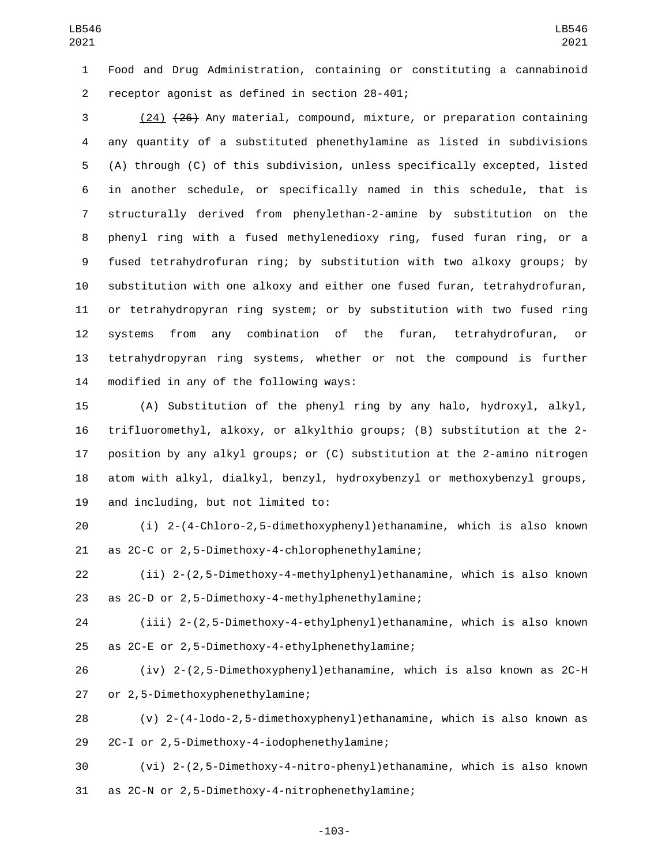Food and Drug Administration, containing or constituting a cannabinoid 2 receptor agonist as defined in section 28-401;

 (24) (26) Any material, compound, mixture, or preparation containing any quantity of a substituted phenethylamine as listed in subdivisions (A) through (C) of this subdivision, unless specifically excepted, listed in another schedule, or specifically named in this schedule, that is structurally derived from phenylethan-2-amine by substitution on the phenyl ring with a fused methylenedioxy ring, fused furan ring, or a fused tetrahydrofuran ring; by substitution with two alkoxy groups; by substitution with one alkoxy and either one fused furan, tetrahydrofuran, or tetrahydropyran ring system; or by substitution with two fused ring systems from any combination of the furan, tetrahydrofuran, or tetrahydropyran ring systems, whether or not the compound is further 14 modified in any of the following ways:

 (A) Substitution of the phenyl ring by any halo, hydroxyl, alkyl, trifluoromethyl, alkoxy, or alkylthio groups; (B) substitution at the 2- position by any alkyl groups; or (C) substitution at the 2-amino nitrogen atom with alkyl, dialkyl, benzyl, hydroxybenzyl or methoxybenzyl groups, 19 and including, but not limited to:

 (i) 2-(4-Chloro-2,5-dimethoxyphenyl)ethanamine, which is also known 21 as 2C-C or 2,5-Dimethoxy-4-chlorophenethylamine;

 (ii) 2-(2,5-Dimethoxy-4-methylphenyl)ethanamine, which is also known 23 as 2C-D or 2,5-Dimethoxy-4-methylphenethylamine;

 (iii) 2-(2,5-Dimethoxy-4-ethylphenyl)ethanamine, which is also known 25 as 2C-E or 2,5-Dimethoxy-4-ethylphenethylamine;

 (iv) 2-(2,5-Dimethoxyphenyl)ethanamine, which is also known as 2C-H 27 or 2,5-Dimethoxyphenethylamine;

 (v) 2-(4-lodo-2,5-dimethoxyphenyl)ethanamine, which is also known as 29 2C-I or 2,5-Dimethoxy-4-iodophenethylamine;

 (vi) 2-(2,5-Dimethoxy-4-nitro-phenyl)ethanamine, which is also known 31 as 2C-N or 2,5-Dimethoxy-4-nitrophenethylamine;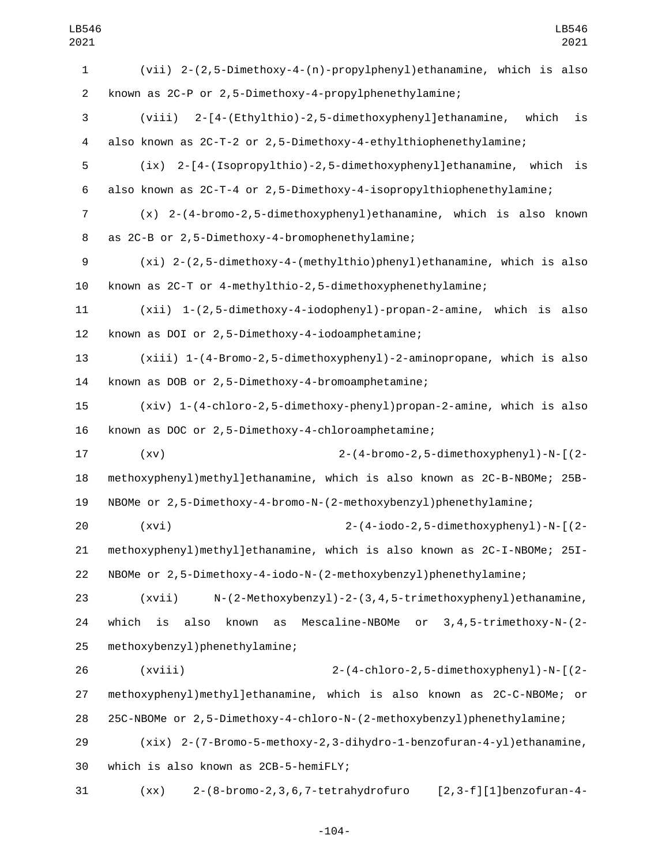| LB546                     | LB546                                                                             |
|---------------------------|-----------------------------------------------------------------------------------|
| 2021                      | 2021                                                                              |
| $\mathbf{1}$              | (vii) 2-(2,5-Dimethoxy-4-(n)-propylphenyl)ethanamine, which is also               |
| $\overline{2}$            | known as 2C-P or 2,5-Dimethoxy-4-propylphenethylamine;                            |
| $\ensuremath{\mathsf{3}}$ | (viii) 2-[4-(Ethylthio)-2,5-dimethoxyphenyl]ethanamine,<br>is<br>which            |
| $\overline{\mathbf{4}}$   | also known as 2C-T-2 or 2,5-Dimethoxy-4-ethylthiophenethylamine;                  |
| 5                         | 2-[4-(Isopropylthio)-2,5-dimethoxyphenyl]ethanamine, which<br>(ix)<br>is          |
| 6                         | also known as 2C-T-4 or 2,5-Dimethoxy-4-isopropylthiophenethylamine;              |
| 7                         | $(x)$ 2-(4-bromo-2,5-dimethoxyphenyl)ethanamine, which is also known              |
| 8                         | as 2C-B or 2,5-Dimethoxy-4-bromophenethylamine;                                   |
| 9                         | $(xi)$ 2-(2,5-dimethoxy-4-(methylthio)phenyl)ethanamine, which is also            |
| 10                        | known as 2C-T or 4-methylthio-2,5-dimethoxyphenethylamine;                        |
| 11                        | $(xii)$ 1- $(2,5$ -dimethoxy-4-iodophenyl)-propan-2-amine, which is also          |
| 12                        | known as DOI or 2,5-Dimethoxy-4-iodoamphetamine;                                  |
| 13                        | (xiii) 1-(4-Bromo-2,5-dimethoxyphenyl)-2-aminopropane, which is also              |
| 14                        | known as DOB or 2,5-Dimethoxy-4-bromoamphetamine;                                 |
| 15                        | (xiv) 1-(4-chloro-2,5-dimethoxy-phenyl)propan-2-amine, which is also              |
| 16                        | known as DOC or 2,5-Dimethoxy-4-chloroamphetamine;                                |
| 17                        | 2-(4-bromo-2,5-dimethoxyphenyl)-N-[(2-<br>(xv)                                    |
| 18                        | methoxyphenyl)methyl]ethanamine, which is also known as 2C-B-NBOMe; 25B-          |
| 19                        | NBOMe or 2,5-Dimethoxy-4-bromo-N-(2-methoxybenzyl)phenethylamine;                 |
| 20                        | 2-(4-iodo-2,5-dimethoxyphenyl)-N-[(2-<br>(xvi)                                    |
| 21                        | methoxyphenyl)methyl]ethanamine, which is also known as 2C-I-NBOMe; 25I-          |
| 22                        | NBOMe or 2,5-Dimethoxy-4-iodo-N-(2-methoxybenzyl)phenethylamine;                  |
| 23                        | N-(2-Methoxybenzyl)-2-(3,4,5-trimethoxyphenyl)ethanamine,<br>(xvii)               |
| 24                        | also<br>known<br>Mescaline-NBOMe or 3, 4, 5-trimethoxy-N-(2-<br>which<br>is<br>as |
| 25                        | methoxybenzyl)phenethylamine;                                                     |
| 26                        | (xviii)<br>2-(4-chloro-2,5-dimethoxyphenyl)-N-[(2-                                |
| 27                        | methoxyphenyl)methyl]ethanamine, which is also known as 2C-C-NBOMe; or            |
| 28                        | 25C-NBOMe or 2,5-Dimethoxy-4-chloro-N-(2-methoxybenzyl)phenethylamine;            |
| 29                        | $(xix)$ 2- $(7-1000-5-$ methoxy-2,3-dihydro-1-benzofuran-4-yl)ethanamine,         |
| 30                        | which is also known as 2CB-5-hemiFLY;                                             |
| 31                        | $[2, 3-f][1]$ benzofuran-4-<br>2-(8-bromo-2, 3, 6, 7-tetrahydrofuro<br>(xx)       |

-104-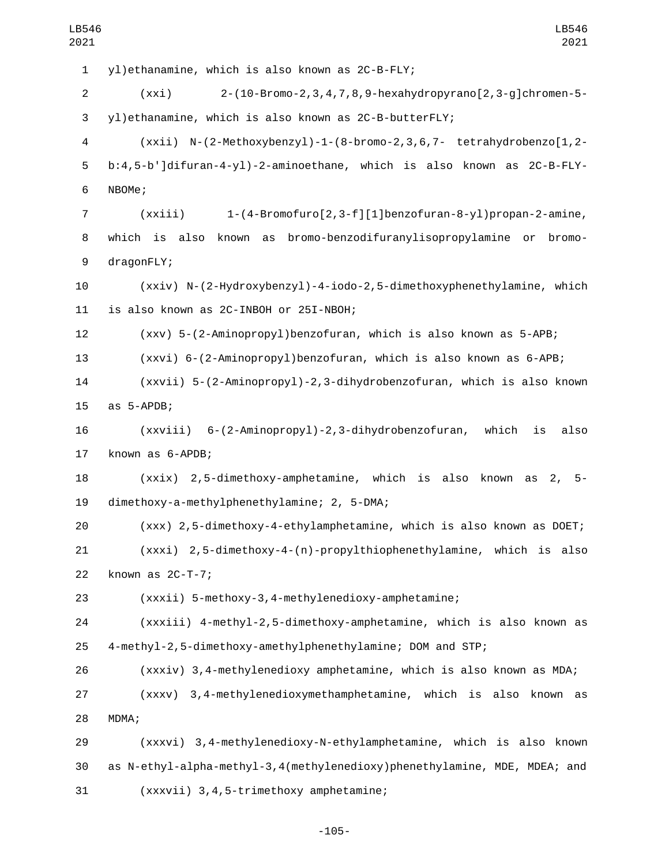1 yl)ethanamine, which is also known as 2C-B-FLY; (xxi) 2-(10-Bromo-2,3,4,7,8,9-hexahydropyrano[2,3-g]chromen-5- yl)ethanamine, which is also known as 2C-B-butterFLY; (xxii) N-(2-Methoxybenzyl)-1-(8-bromo-2,3,6,7- tetrahydrobenzo[1,2- b:4,5-b']difuran-4-yl)-2-aminoethane, which is also known as 2C-B-FLY-6 NBOMe; (xxiii) 1-(4-Bromofuro[2,3-f][1]benzofuran-8-yl)propan-2-amine, which is also known as bromo-benzodifuranylisopropylamine or bromo-9 dragonFLY; (xxiv) N-(2-Hydroxybenzyl)-4-iodo-2,5-dimethoxyphenethylamine, which 11 is also known as 2C-INBOH or 25I-NBOH; (xxv) 5-(2-Aminopropyl)benzofuran, which is also known as 5-APB; (xxvi) 6-(2-Aminopropyl)benzofuran, which is also known as 6-APB; (xxvii) 5-(2-Aminopropyl)-2,3-dihydrobenzofuran, which is also known 15 as 5-APDB; (xxviii) 6-(2-Aminopropyl)-2,3-dihydrobenzofuran, which is also 17 known as 6-APDB; (xxix) 2,5-dimethoxy-amphetamine, which is also known as 2, 5 dimethoxy-a-methylphenethylamine; 2, 5-DMA;19 (xxx) 2,5-dimethoxy-4-ethylamphetamine, which is also known as DOET; (xxxi) 2,5-dimethoxy-4-(n)-propylthiophenethylamine, which is also 22 known as 2C-T-7; (xxxii) 5-methoxy-3,4-methylenedioxy-amphetamine; (xxxiii) 4-methyl-2,5-dimethoxy-amphetamine, which is also known as 4-methyl-2,5-dimethoxy-amethylphenethylamine; DOM and STP; (xxxiv) 3,4-methylenedioxy amphetamine, which is also known as MDA; (xxxv) 3,4-methylenedioxymethamphetamine, which is also known as 28 MDMA: (xxxvi) 3,4-methylenedioxy-N-ethylamphetamine, which is also known as N-ethyl-alpha-methyl-3,4(methylenedioxy)phenethylamine, MDE, MDEA; and 31 (xxxvii) 3,4,5-trimethoxy amphetamine;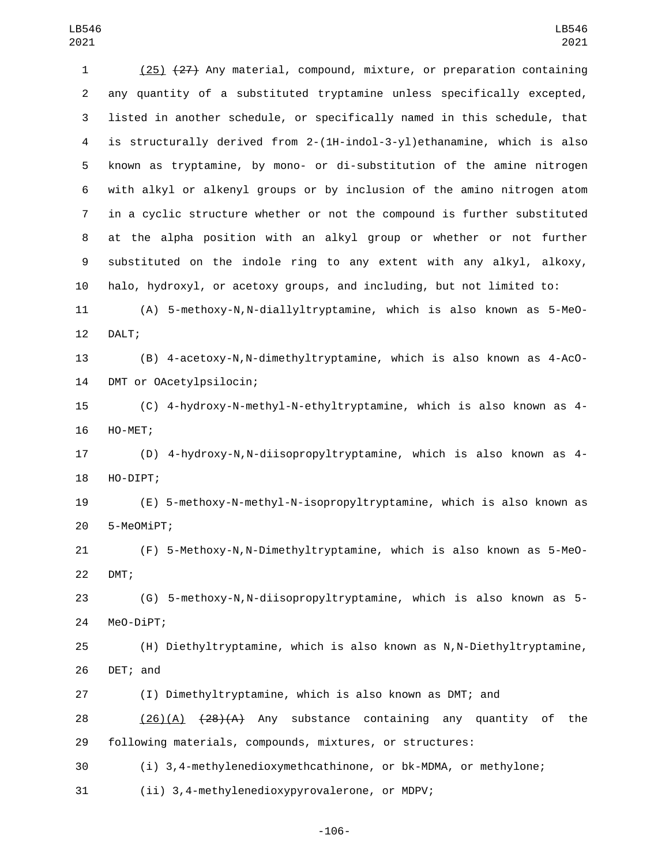(25) (27) Any material, compound, mixture, or preparation containing any quantity of a substituted tryptamine unless specifically excepted, listed in another schedule, or specifically named in this schedule, that is structurally derived from 2-(1H-indol-3-yl)ethanamine, which is also known as tryptamine, by mono- or di-substitution of the amine nitrogen with alkyl or alkenyl groups or by inclusion of the amino nitrogen atom in a cyclic structure whether or not the compound is further substituted at the alpha position with an alkyl group or whether or not further substituted on the indole ring to any extent with any alkyl, alkoxy, halo, hydroxyl, or acetoxy groups, and including, but not limited to: (A) 5-methoxy-N,N-diallyltryptamine, which is also known as 5-MeO-12 DALT; (B) 4-acetoxy-N,N-dimethyltryptamine, which is also known as 4-AcO-14 DMT or OAcetylpsilocin; (C) 4-hydroxy-N-methyl-N-ethyltryptamine, which is also known as 4- 16 HO-MET; (D) 4-hydroxy-N,N-diisopropyltryptamine, which is also known as 4- 18 HO-DIPT; (E) 5-methoxy-N-methyl-N-isopropyltryptamine, which is also known as 5-MeOMiPT;20 (F) 5-Methoxy-N,N-Dimethyltryptamine, which is also known as 5-MeO-22 DMT; (G) 5-methoxy-N,N-diisopropyltryptamine, which is also known as 5- 24 MeO-DiPT; (H) Diethyltryptamine, which is also known as N,N-Diethyltryptamine, 26 DET; and (I) Dimethyltryptamine, which is also known as DMT; and  $(26)(A)$   $(28)(A)$  Any substance containing any quantity of the following materials, compounds, mixtures, or structures: (i) 3,4-methylenedioxymethcathinone, or bk-MDMA, or methylone; (ii) 3,4-methylenedioxypyrovalerone, or MDPV;

-106-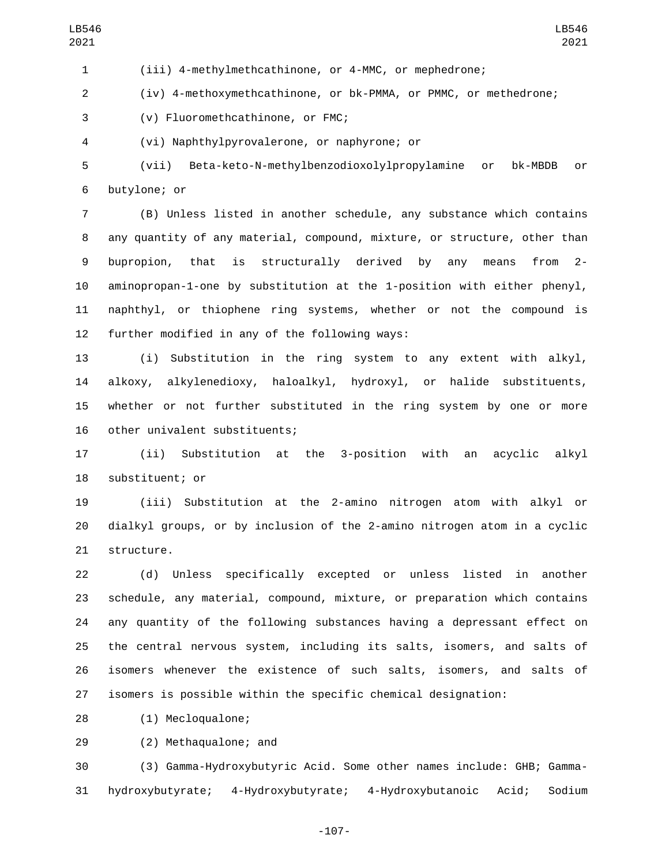(iii) 4-methylmethcathinone, or 4-MMC, or mephedrone;

(iv) 4-methoxymethcathinone, or bk-PMMA, or PMMC, or methedrone;

3 (v) Fluoromethcathinone, or FMC;

(vi) Naphthylpyrovalerone, or naphyrone; or4

 (vii) Beta-keto-N-methylbenzodioxolylpropylamine or bk-MBDB or 6 butylone; or

 (B) Unless listed in another schedule, any substance which contains any quantity of any material, compound, mixture, or structure, other than bupropion, that is structurally derived by any means from 2- aminopropan-1-one by substitution at the 1-position with either phenyl, naphthyl, or thiophene ring systems, whether or not the compound is 12 further modified in any of the following ways:

 (i) Substitution in the ring system to any extent with alkyl, alkoxy, alkylenedioxy, haloalkyl, hydroxyl, or halide substituents, whether or not further substituted in the ring system by one or more 16 other univalent substituents;

 (ii) Substitution at the 3-position with an acyclic alkyl 18 substituent; or

 (iii) Substitution at the 2-amino nitrogen atom with alkyl or dialkyl groups, or by inclusion of the 2-amino nitrogen atom in a cyclic 21 structure.

 (d) Unless specifically excepted or unless listed in another schedule, any material, compound, mixture, or preparation which contains any quantity of the following substances having a depressant effect on the central nervous system, including its salts, isomers, and salts of isomers whenever the existence of such salts, isomers, and salts of isomers is possible within the specific chemical designation:

(1) Mecloqualone;28

29 (2) Methaqualone; and

 (3) Gamma-Hydroxybutyric Acid. Some other names include: GHB; Gamma-hydroxybutyrate; 4-Hydroxybutyrate; 4-Hydroxybutanoic Acid; Sodium

-107-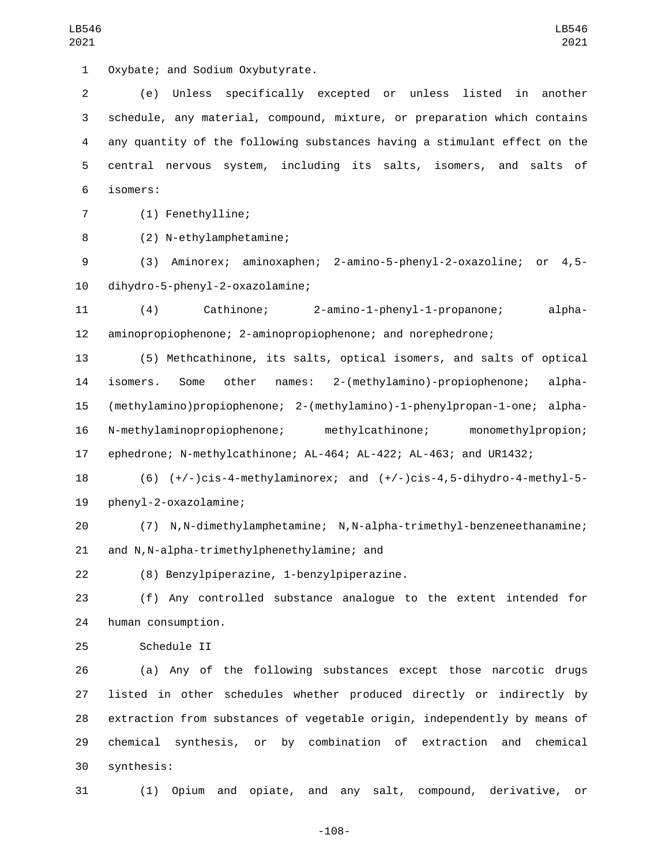1 Oxybate; and Sodium Oxybutyrate.

 (e) Unless specifically excepted or unless listed in another schedule, any material, compound, mixture, or preparation which contains any quantity of the following substances having a stimulant effect on the central nervous system, including its salts, isomers, and salts of isomers:6

7 (1) Fenethylline;

(2) N-ethylamphetamine;8

 (3) Aminorex; aminoxaphen; 2-amino-5-phenyl-2-oxazoline; or 4,5 dihydro-5-phenyl-2-oxazolamine;10

 (4) Cathinone; 2-amino-1-phenyl-1-propanone; alpha-aminopropiophenone; 2-aminopropiophenone; and norephedrone;

 (5) Methcathinone, its salts, optical isomers, and salts of optical isomers. Some other names: 2-(methylamino)-propiophenone; alpha- (methylamino)propiophenone; 2-(methylamino)-1-phenylpropan-1-one; alpha- N-methylaminopropiophenone; methylcathinone; monomethylpropion; ephedrone; N-methylcathinone; AL-464; AL-422; AL-463; and UR1432;

 (6) (+/-)cis-4-methylaminorex; and (+/-)cis-4,5-dihydro-4-methyl-5- 19 phenyl-2-oxazolamine;

 (7) N,N-dimethylamphetamine; N,N-alpha-trimethyl-benzeneethanamine; 21 and N,N-alpha-trimethylphenethylamine; and

(8) Benzylpiperazine, 1-benzylpiperazine.22

 (f) Any controlled substance analogue to the extent intended for 24 human consumption.

25 Schedule II

 (a) Any of the following substances except those narcotic drugs listed in other schedules whether produced directly or indirectly by extraction from substances of vegetable origin, independently by means of chemical synthesis, or by combination of extraction and chemical synthesis:30

(1) Opium and opiate, and any salt, compound, derivative, or

-108-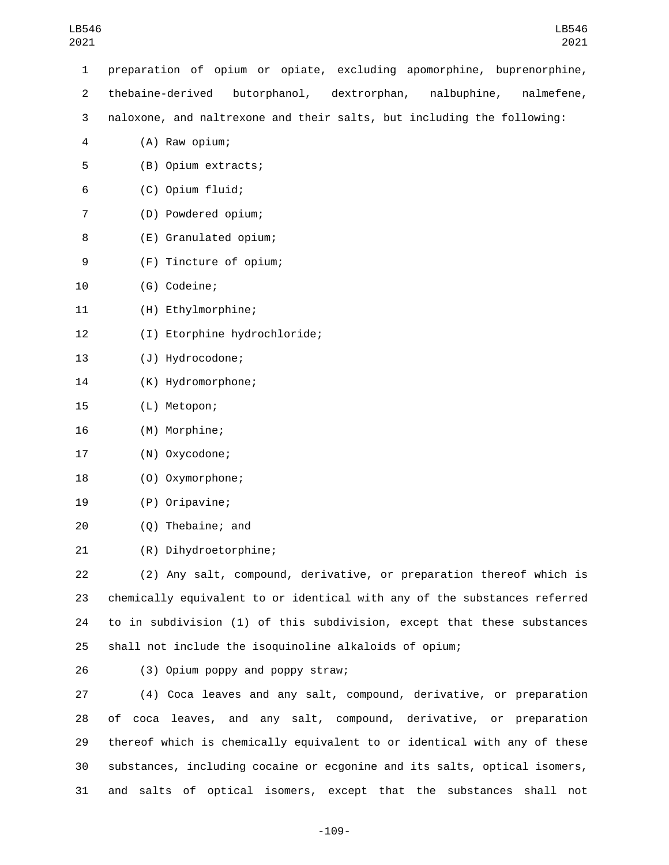| 1              | preparation of opium or opiate, excluding apomorphine, buprenorphine,         |
|----------------|-------------------------------------------------------------------------------|
| $\overline{c}$ | thebaine-derived<br>butorphanol,<br>dextrorphan,<br>nalbuphine,<br>nalmefene, |
| 3              | naloxone, and naltrexone and their salts, but including the following:        |
| 4              | (A) Raw opium;                                                                |
| 5              | (B) Opium extracts;                                                           |
| 6              | (C) Opium fluid;                                                              |
| 7              | (D) Powdered opium;                                                           |
| 8              | (E) Granulated opium;                                                         |
| 9              | (F) Tincture of opium;                                                        |
| 10             | (G) Codeine;                                                                  |
| 11             | (H) Ethylmorphine;                                                            |
| 12             | (I) Etorphine hydrochloride;                                                  |
| 13             | (J) Hydrocodone;                                                              |
| 14             | (K) Hydromorphone;                                                            |
| 15             | (L) Metopon;                                                                  |
| 16             | (M) Morphine;                                                                 |
| 17             | (N) Oxycodone;                                                                |
| 18             | (0) Oxymorphone;                                                              |
| 19             | (P) Oripavine;                                                                |
| 20             | (Q) Thebaine; and                                                             |
| 21             | (R) Dihydroetorphine;                                                         |
| 22             | (2) Any salt, compound, derivative, or preparation thereof which is           |
| 23             | chemically equivalent to or identical with any of the substances referred     |
| 24             | to in subdivision (1) of this subdivision, except that these substances       |
| 25             | shall not include the isoquinoline alkaloids of opium;                        |
| 26             | (3) Opium poppy and poppy straw;                                              |

 (4) Coca leaves and any salt, compound, derivative, or preparation of coca leaves, and any salt, compound, derivative, or preparation thereof which is chemically equivalent to or identical with any of these substances, including cocaine or ecgonine and its salts, optical isomers, and salts of optical isomers, except that the substances shall not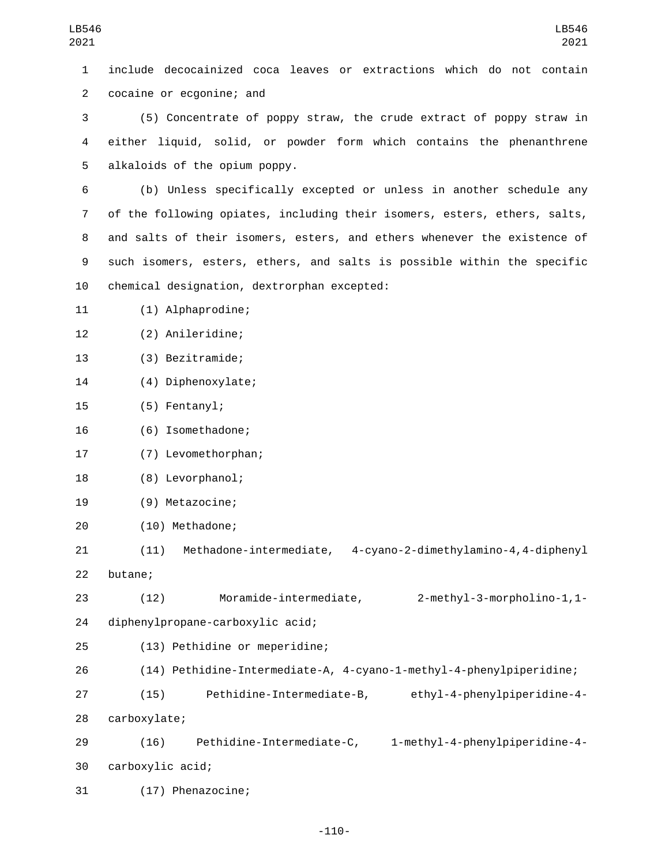| LB546<br>2021  | LB546<br>2021                                                             |  |  |  |
|----------------|---------------------------------------------------------------------------|--|--|--|
| 1              | include decocainized coca leaves or extractions which do not contain      |  |  |  |
| $\overline{2}$ | cocaine or ecgonine; and                                                  |  |  |  |
| 3              | (5) Concentrate of poppy straw, the crude extract of poppy straw in       |  |  |  |
| 4              | either liquid, solid, or powder form which contains the phenanthrene      |  |  |  |
| 5              | alkaloids of the opium poppy.                                             |  |  |  |
| 6              | (b) Unless specifically excepted or unless in another schedule any        |  |  |  |
| $\overline{7}$ | of the following opiates, including their isomers, esters, ethers, salts, |  |  |  |
| 8              | and salts of their isomers, esters, and ethers whenever the existence of  |  |  |  |
| 9              | such isomers, esters, ethers, and salts is possible within the specific   |  |  |  |
| 10             | chemical designation, dextrorphan excepted:                               |  |  |  |
| 11             | (1) Alphaprodine;                                                         |  |  |  |
| 12             | (2) Anileridine;                                                          |  |  |  |
| 13             | (3) Bezitramide;                                                          |  |  |  |
| 14             | (4) Diphenoxylate;                                                        |  |  |  |
| 15             | (5) Fentanyl;                                                             |  |  |  |
| 16             | (6) Isomethadone;                                                         |  |  |  |
| 17             | (7) Levomethorphan;                                                       |  |  |  |
| 18             | (8) Levorphanol;                                                          |  |  |  |
| 19             | (9) Metazocine;                                                           |  |  |  |
| 20             | (10) Methadone;                                                           |  |  |  |
| 21             | Methadone-intermediate, 4-cyano-2-dimethylamino-4,4-diphenyl<br>(11)      |  |  |  |
| 22             | butane;                                                                   |  |  |  |
| 23             | 2-methyl-3-morpholino-1,1-<br>Moramide-intermediate,<br>(12)              |  |  |  |
| 24             | diphenylpropane-carboxylic acid;                                          |  |  |  |
| 25             | (13) Pethidine or meperidine;                                             |  |  |  |
| 26             | (14) Pethidine-Intermediate-A, 4-cyano-1-methyl-4-phenylpiperidine;       |  |  |  |
| 27             | Pethidine-Intermediate-B, ethyl-4-phenylpiperidine-4-<br>(15)             |  |  |  |
| 28             | carboxylate;                                                              |  |  |  |
| 29             | Pethidine-Intermediate-C, 1-methyl-4-phenylpiperidine-4-<br>(16)          |  |  |  |
| 30             | carboxylic acid;                                                          |  |  |  |
| 31             | (17) Phenazocine;                                                         |  |  |  |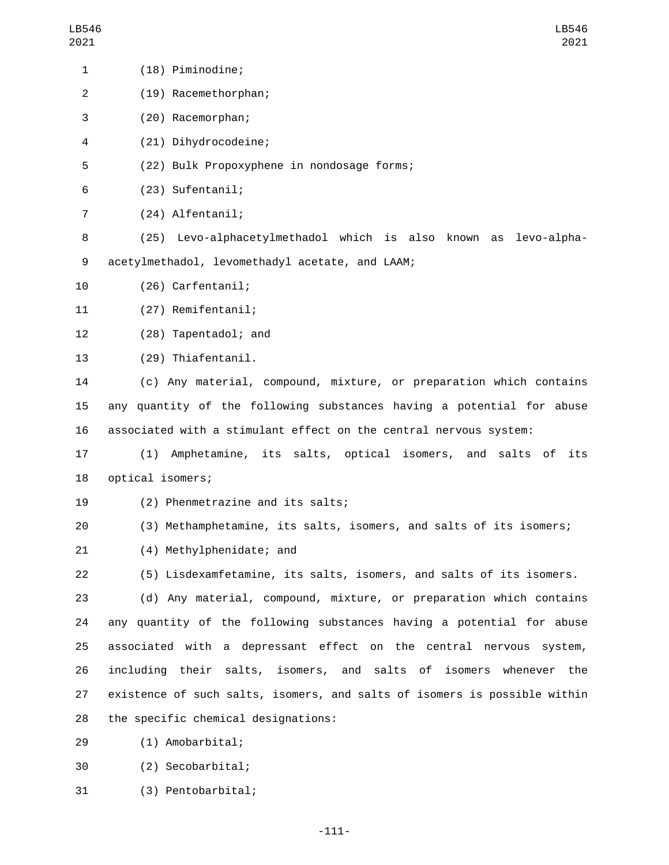| $\mathbf{1}$   | (18) Piminodine;                                                          |
|----------------|---------------------------------------------------------------------------|
| $\overline{2}$ | (19) Racemethorphan;                                                      |
| 3              | (20) Racemorphan;                                                         |
| 4              | (21) Dihydrocodeine;                                                      |
| 5              | (22) Bulk Propoxyphene in nondosage forms;                                |
| 6              | (23) Sufentanil;                                                          |
| 7              | (24) Alfentanil;                                                          |
| 8              | (25) Levo-alphacetylmethadol which is also known as<br>levo-alpha-        |
| 9              | acetylmethadol, levomethadyl acetate, and LAAM;                           |
| 10             | (26) Carfentanil;                                                         |
| 11             | (27) Remifentanil;                                                        |
| 12             | (28) Tapentadol; and                                                      |
| 13             | (29) Thiafentanil.                                                        |
| 14             | (c) Any material, compound, mixture, or preparation which contains        |
| 15             | any quantity of the following substances having a potential for abuse     |
| 16             | associated with a stimulant effect on the central nervous system:         |
| 17             | Amphetamine, its salts, optical isomers, and salts of its<br>(1)          |
| 18             | optical isomers;                                                          |
| 19             | (2) Phenmetrazine and its salts;                                          |
| 20             | (3) Methamphetamine, its salts, isomers, and salts of its isomers;        |
| 21             | (4) Methylphenidate; and                                                  |
| 22             | (5) Lisdexamfetamine, its salts, isomers, and salts of its isomers.       |
| 23             | (d) Any material, compound, mixture, or preparation which contains        |
| 24             | any quantity of the following substances having a potential for abuse     |
| 25             | associated with a depressant effect on the central nervous system,        |
| 26             | including their salts, isomers, and salts of isomers whenever<br>the      |
| 27             | existence of such salts, isomers, and salts of isomers is possible within |
| 28             | the specific chemical designations:                                       |
| 29             | (1) Amobarbital;                                                          |
| 30             | (2) Secobarbital;                                                         |

31 (3) Pentobarbital;

-111-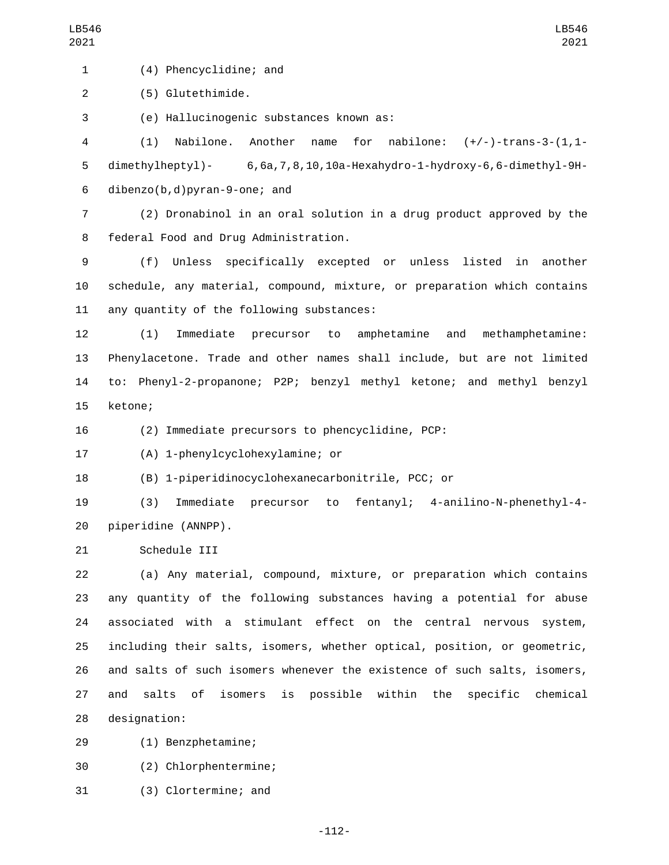(4) Phencyclidine; and1

2 (5) Glutethimide.

(e) Hallucinogenic substances known as:3

4 (1) Nabilone. Another name for nabilone: (+/-)-trans-3-(1,1- 5 dimethylheptyl)- 6,6a,7,8,10,10a-Hexahydro-1-hydroxy-6,6-dimethyl-9H-6 dibenzo( $b, d$ ) pyran-9-one; and

7 (2) Dronabinol in an oral solution in a drug product approved by the 8 federal Food and Drug Administration.

9 (f) Unless specifically excepted or unless listed in another 10 schedule, any material, compound, mixture, or preparation which contains 11 any quantity of the following substances:

 (1) Immediate precursor to amphetamine and methamphetamine: Phenylacetone. Trade and other names shall include, but are not limited to: Phenyl-2-propanone; P2P; benzyl methyl ketone; and methyl benzyl 15 ketone;

16 (2) Immediate precursors to phencyclidine, PCP:

(A) 1-phenylcyclohexylamine; or17

18 (B) 1-piperidinocyclohexanecarbonitrile, PCC; or

19 (3) Immediate precursor to fentanyl; 4-anilino-N-phenethyl-4- 20 piperidine (ANNPP).

21 Schedule III

 (a) Any material, compound, mixture, or preparation which contains any quantity of the following substances having a potential for abuse associated with a stimulant effect on the central nervous system, including their salts, isomers, whether optical, position, or geometric, and salts of such isomers whenever the existence of such salts, isomers, and salts of isomers is possible within the specific chemical 28 designation:

(1) Benzphetamine;29

(2) Chlorphentermine;30

31 (3) Clortermine; and

-112-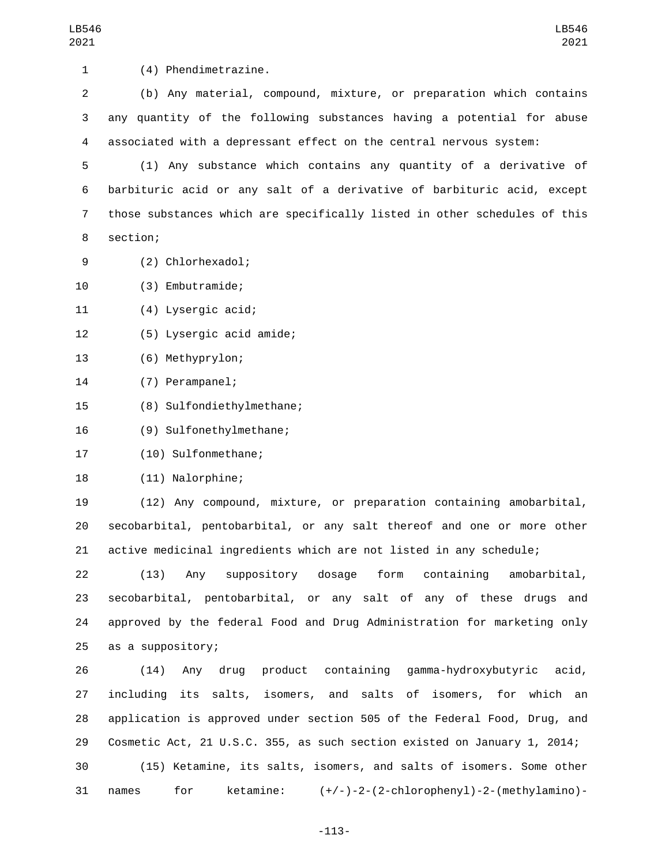1 (4) Phendimetrazine.

2 (b) Any material, compound, mixture, or preparation which contains 3 any quantity of the following substances having a potential for abuse 4 associated with a depressant effect on the central nervous system:

 (1) Any substance which contains any quantity of a derivative of barbituric acid or any salt of a derivative of barbituric acid, except those substances which are specifically listed in other schedules of this 8 section;

- (2) Chlorhexadol;9
- (3) Embutramide;10

(4) Lysergic acid;11

- (5) Lysergic acid amide;12
- 13 (6) Methyprylon;
- 14 (7) Perampanel;
- 15 (8) Sulfondiethylmethane;
- 16 (9) Sulfonethylmethane;

17 (10) Sulfonmethane;

18 (11) Nalorphine;

19 (12) Any compound, mixture, or preparation containing amobarbital, 20 secobarbital, pentobarbital, or any salt thereof and one or more other 21 active medicinal ingredients which are not listed in any schedule;

 (13) Any suppository dosage form containing amobarbital, secobarbital, pentobarbital, or any salt of any of these drugs and approved by the federal Food and Drug Administration for marketing only 25 as a suppository;

 (14) Any drug product containing gamma-hydroxybutyric acid, including its salts, isomers, and salts of isomers, for which an application is approved under section 505 of the Federal Food, Drug, and Cosmetic Act, 21 U.S.C. 355, as such section existed on January 1, 2014; (15) Ketamine, its salts, isomers, and salts of isomers. Some other names for ketamine: (+/-)-2-(2-chlorophenyl)-2-(methylamino)-

-113-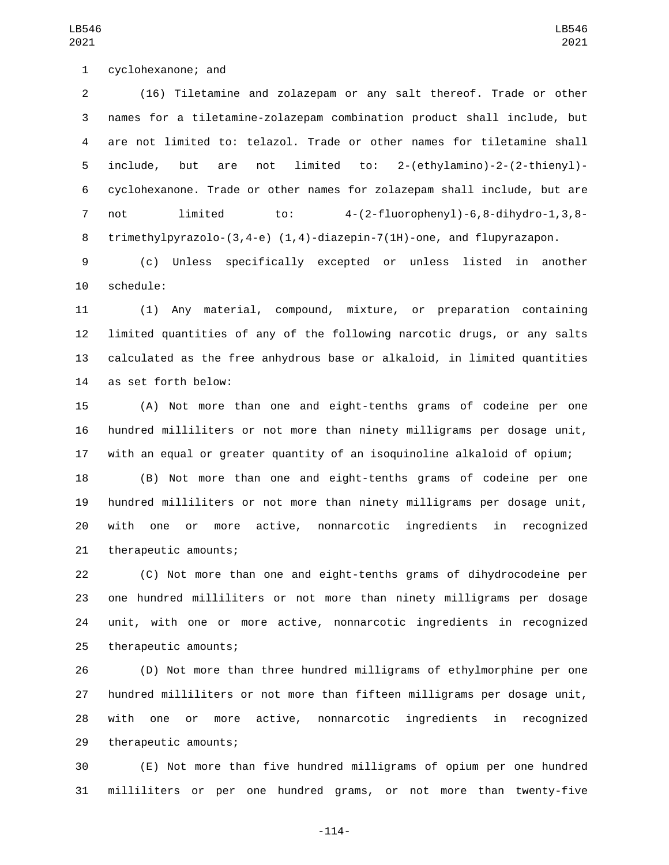1 cyclohexanone; and

 (16) Tiletamine and zolazepam or any salt thereof. Trade or other names for a tiletamine-zolazepam combination product shall include, but are not limited to: telazol. Trade or other names for tiletamine shall include, but are not limited to: 2-(ethylamino)-2-(2-thienyl)- cyclohexanone. Trade or other names for zolazepam shall include, but are not limited to: 4-(2-fluorophenyl)-6,8-dihydro-1,3,8- trimethylpyrazolo-(3,4-e) (1,4)-diazepin-7(1H)-one, and flupyrazapon.

 (c) Unless specifically excepted or unless listed in another 10 schedule:

 (1) Any material, compound, mixture, or preparation containing limited quantities of any of the following narcotic drugs, or any salts calculated as the free anhydrous base or alkaloid, in limited quantities as set forth below:14

 (A) Not more than one and eight-tenths grams of codeine per one hundred milliliters or not more than ninety milligrams per dosage unit, with an equal or greater quantity of an isoquinoline alkaloid of opium;

 (B) Not more than one and eight-tenths grams of codeine per one hundred milliliters or not more than ninety milligrams per dosage unit, with one or more active, nonnarcotic ingredients in recognized 21 therapeutic amounts;

 (C) Not more than one and eight-tenths grams of dihydrocodeine per one hundred milliliters or not more than ninety milligrams per dosage unit, with one or more active, nonnarcotic ingredients in recognized 25 therapeutic amounts;

 (D) Not more than three hundred milligrams of ethylmorphine per one hundred milliliters or not more than fifteen milligrams per dosage unit, with one or more active, nonnarcotic ingredients in recognized 29 therapeutic amounts;

 (E) Not more than five hundred milligrams of opium per one hundred milliliters or per one hundred grams, or not more than twenty-five

LB546 

-114-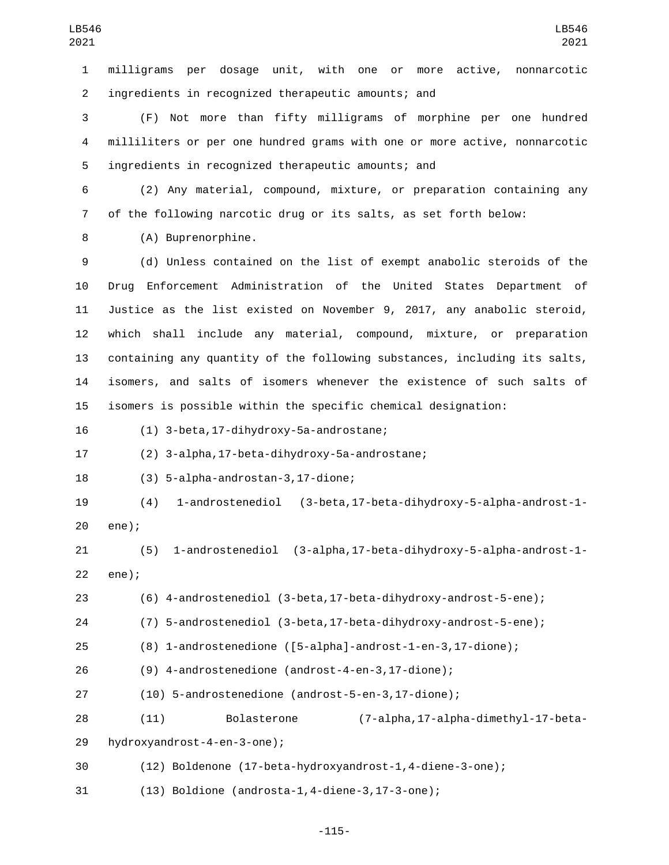milligrams per dosage unit, with one or more active, nonnarcotic ingredients in recognized therapeutic amounts; and2

 (F) Not more than fifty milligrams of morphine per one hundred milliliters or per one hundred grams with one or more active, nonnarcotic 5 ingredients in recognized therapeutic amounts; and

 (2) Any material, compound, mixture, or preparation containing any of the following narcotic drug or its salts, as set forth below:

8 (A) Buprenorphine.

 (d) Unless contained on the list of exempt anabolic steroids of the Drug Enforcement Administration of the United States Department of Justice as the list existed on November 9, 2017, any anabolic steroid, which shall include any material, compound, mixture, or preparation containing any quantity of the following substances, including its salts, isomers, and salts of isomers whenever the existence of such salts of isomers is possible within the specific chemical designation:

(1) 3-beta,17-dihydroxy-5a-androstane;16

(2) 3-alpha,17-beta-dihydroxy-5a-androstane;17

(3) 5-alpha-androstan-3,17-dione;18

 (4) 1-androstenediol (3-beta,17-beta-dihydroxy-5-alpha-androst-1- 20 ene);

 (5) 1-androstenediol (3-alpha,17-beta-dihydroxy-5-alpha-androst-1- 22 ene);

(6) 4-androstenediol (3-beta,17-beta-dihydroxy-androst-5-ene);

(7) 5-androstenediol (3-beta,17-beta-dihydroxy-androst-5-ene);

(8) 1-androstenedione ([5-alpha]-androst-1-en-3,17-dione);

(9) 4-androstenedione (androst-4-en-3,17-dione);

(10) 5-androstenedione (androst-5-en-3,17-dione);

(11) Bolasterone (7-alpha,17-alpha-dimethyl-17-beta-

29 hydroxyandrost-4-en-3-one);

(12) Boldenone (17-beta-hydroxyandrost-1,4-diene-3-one);

(13) Boldione (androsta-1,4-diene-3,17-3-one);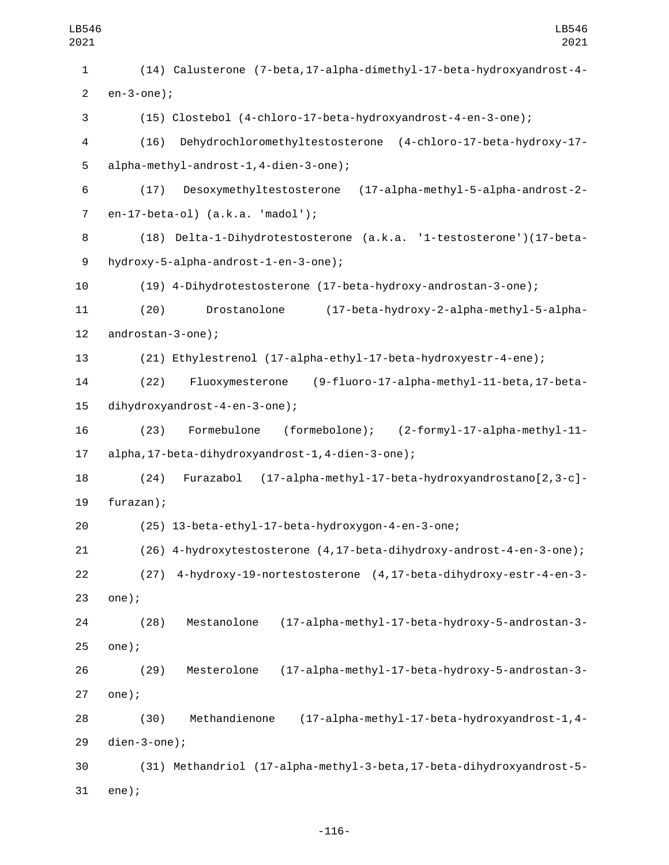| LB546<br>2021  | LB546<br>2021                                                           |  |  |  |
|----------------|-------------------------------------------------------------------------|--|--|--|
| $\mathbf{1}$   | (14) Calusterone (7-beta, 17-alpha-dimethyl-17-beta-hydroxyandrost-4-   |  |  |  |
| $\overline{2}$ | $en-3$ -one);                                                           |  |  |  |
| 3              | (15) Clostebol (4-chloro-17-beta-hydroxyandrost-4-en-3-one);            |  |  |  |
| 4              | Dehydrochloromethyltestosterone (4-chloro-17-beta-hydroxy-17-<br>(16)   |  |  |  |
| 5              | alpha-methyl-androst-1,4-dien-3-one);                                   |  |  |  |
| 6              | Desoxymethyltestosterone (17-alpha-methyl-5-alpha-androst-2-<br>(17)    |  |  |  |
| $\overline{7}$ | en-17-beta-ol) (a.k.a. 'madol');                                        |  |  |  |
| 8              | (18) Delta-1-Dihydrotestosterone (a.k.a. '1-testosterone')(17-beta-     |  |  |  |
| 9              | hydroxy-5-alpha-androst-1-en-3-one);                                    |  |  |  |
| 10             | (19) 4-Dihydrotestosterone (17-beta-hydroxy-androstan-3-one);           |  |  |  |
| 11             | Drostanolone<br>(17-beta-hydroxy-2-alpha-methyl-5-alpha-<br>(20)        |  |  |  |
| 12             | androstan-3-one);                                                       |  |  |  |
| 13             | (21) Ethylestrenol (17-alpha-ethyl-17-beta-hydroxyestr-4-ene);          |  |  |  |
| 14             | (9-fluoro-17-alpha-methyl-11-beta, 17-beta-<br>(22)<br>Fluoxymesterone  |  |  |  |
| 15             | dihydroxyandrost-4-en-3-one);                                           |  |  |  |
| 16             | (formebolone); (2-formyl-17-alpha-methyl-11-<br>(23)<br>Formebulone     |  |  |  |
| 17             | alpha, 17-beta-dihydroxyandrost-1, 4-dien-3-one);                       |  |  |  |
| 18             | (17-alpha-methyl-17-beta-hydroxyandrostano[2,3-c]-<br>Furazabol<br>(24) |  |  |  |
| 19             | furazan);                                                               |  |  |  |
| 20             | (25) 13-beta-ethyl-17-beta-hydroxygon-4-en-3-one;                       |  |  |  |
| 21             | (26) 4-hydroxytestosterone (4, 17-beta-dihydroxy-androst-4-en-3-one);   |  |  |  |
| 22             | 4-hydroxy-19-nortestosterone (4,17-beta-dihydroxy-estr-4-en-3-<br>(27)  |  |  |  |
| 23             | $one$ );                                                                |  |  |  |
| 24             | (17-alpha-methyl-17-beta-hydroxy-5-androstan-3-<br>(28)<br>Mestanolone  |  |  |  |
| 25             | $one$ );                                                                |  |  |  |
| 26             | Mesterolone<br>(17-alpha-methyl-17-beta-hydroxy-5-androstan-3-<br>(29)  |  |  |  |
| 27             | $one$ ;                                                                 |  |  |  |
| 28             | Methandienone<br>(17-alpha-methyl-17-beta-hydroxyandrost-1,4-<br>(30)   |  |  |  |
| 29             | $dien-3-one);$                                                          |  |  |  |
| 30             | (31) Methandriol (17-alpha-methyl-3-beta, 17-beta-dihydroxyandrost-5-   |  |  |  |
| 31             | $ene$ );                                                                |  |  |  |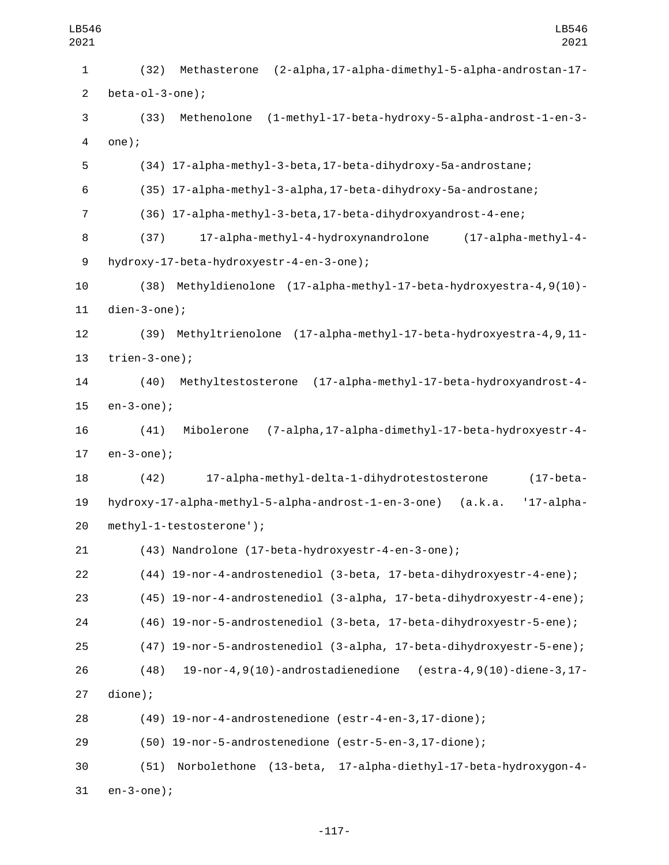| LB546<br>2021  | LB546<br>2021                                                                   |  |  |  |
|----------------|---------------------------------------------------------------------------------|--|--|--|
| 1              | (2-alpha, 17-alpha-dimethyl-5-alpha-androstan-17-<br>(32)<br>Methasterone       |  |  |  |
| $\mathbf{2}$   | $beta-ol-3-one$ ;                                                               |  |  |  |
| 3              | (1-methyl-17-beta-hydroxy-5-alpha-androst-1-en-3-<br>(33)<br>Methenolone        |  |  |  |
| 4              | $one$ );                                                                        |  |  |  |
| 5              | (34) 17-alpha-methyl-3-beta, 17-beta-dihydroxy-5a-androstane;                   |  |  |  |
| 6              | (35) 17-alpha-methyl-3-alpha, 17-beta-dihydroxy-5a-androstane;                  |  |  |  |
| $\overline{7}$ | (36) 17-alpha-methyl-3-beta, 17-beta-dihydroxyandrost-4-ene;                    |  |  |  |
| 8              | 17-alpha-methyl-4-hydroxynandrolone<br>$(17 - alpha - method - 4 -$<br>(37)     |  |  |  |
| 9              | hydroxy-17-beta-hydroxyestr-4-en-3-one);                                        |  |  |  |
| 10             | Methyldienolone (17-alpha-methyl-17-beta-hydroxyestra-4, 9(10)-<br>(38)         |  |  |  |
| 11             | $dien-3-one);$                                                                  |  |  |  |
| 12             | Methyltrienolone (17-alpha-methyl-17-beta-hydroxyestra-4, 9, 11-<br>(39)        |  |  |  |
| 13             | $triangle-3$ -one);                                                             |  |  |  |
| 14             | Methyltestosterone (17-alpha-methyl-17-beta-hydroxyandrost-4-<br>(40)           |  |  |  |
| 15             | $en-3$ -one);                                                                   |  |  |  |
| 16             | (7-alpha, 17-alpha-dimethyl-17-beta-hydroxyestr-4-<br>(41)<br>Mibolerone        |  |  |  |
| 17             | $en-3$ -one);                                                                   |  |  |  |
| 18             | 17-alpha-methyl-delta-1-dihydrotestosterone<br>(42)<br>$(17 - beta -$           |  |  |  |
| 19             | hydroxy-17-alpha-methyl-5-alpha-androst-1-en-3-one)<br>$'17$ -alpha-<br>(a.k.a. |  |  |  |
| 20             | methyl-1-testosterone');                                                        |  |  |  |
| 21             | (43) Nandrolone (17-beta-hydroxyestr-4-en-3-one);                               |  |  |  |
| 22             | (44) 19-nor-4-androstenediol (3-beta, 17-beta-dihydroxyestr-4-ene);             |  |  |  |
| 23             | (45) 19-nor-4-androstenediol (3-alpha, 17-beta-dihydroxyestr-4-ene);            |  |  |  |
| 24             | (46) 19-nor-5-androstenediol (3-beta, 17-beta-dihydroxyestr-5-ene);             |  |  |  |
| 25             | (47) 19-nor-5-androstenediol (3-alpha, 17-beta-dihydroxyestr-5-ene);            |  |  |  |
| 26             | $19$ -nor-4,9(10)-androstadienedione (estra-4,9(10)-diene-3,17-<br>(48)         |  |  |  |
| 27             | dione);                                                                         |  |  |  |
| 28             | (49) 19-nor-4-androstenedione (estr-4-en-3,17-dione);                           |  |  |  |
| 29             | (50) 19-nor-5-androstenedione (estr-5-en-3,17-dione);                           |  |  |  |
| 30             | Norbolethone (13-beta, 17-alpha-diethyl-17-beta-hydroxygon-4-<br>(51)           |  |  |  |
| 31             | $en-3$ -one);                                                                   |  |  |  |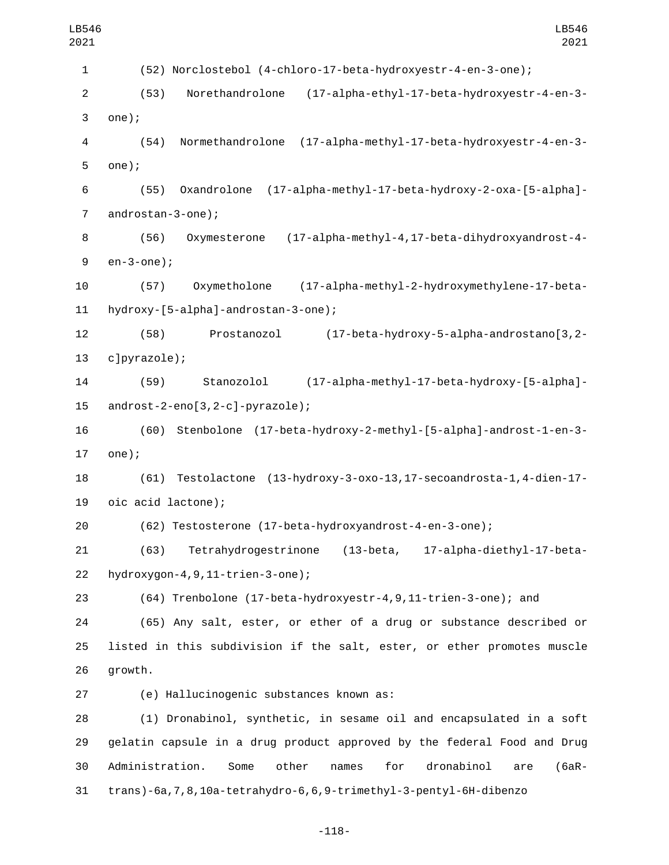| LB546<br>2021             | LB546<br>2021                                                                     |  |  |
|---------------------------|-----------------------------------------------------------------------------------|--|--|
| $\mathbf{1}$              | (52) Norclostebol (4-chloro-17-beta-hydroxyestr-4-en-3-one);                      |  |  |
| $\overline{2}$            | (17-alpha-ethyl-17-beta-hydroxyestr-4-en-3-<br>(53)<br>Norethandrolone            |  |  |
| $\ensuremath{\mathsf{3}}$ | $one$ );                                                                          |  |  |
| 4                         | Normethandrolone (17-alpha-methyl-17-beta-hydroxyestr-4-en-3-<br>(54)             |  |  |
| 5                         | $one$ );                                                                          |  |  |
| 6                         | (17-alpha-methyl-17-beta-hydroxy-2-oxa-[5-alpha]-<br>Oxandrolone<br>(55)          |  |  |
| $\overline{7}$            | androstan-3-one);                                                                 |  |  |
| 8                         | (17-alpha-methyl-4,17-beta-dihydroxyandrost-4-<br>(56)<br>Oxymesterone            |  |  |
| 9                         | $en-3$ -one);                                                                     |  |  |
| 10                        | Oxymetholone<br>(17-alpha-methyl-2-hydroxymethylene-17-beta-<br>(57)              |  |  |
| 11                        | hydroxy-[5-alpha]-androstan-3-one);                                               |  |  |
| 12                        | (17-beta-hydroxy-5-alpha-androstano[3,2-<br>(58)<br>Prostanozol                   |  |  |
| 13                        | c]pyrazole);                                                                      |  |  |
| 14                        | (17-alpha-methyl-17-beta-hydroxy-[5-alpha]-<br>Stanozolol<br>(59)                 |  |  |
| 15                        | $androst-2-eno[3,2-c]$ -pyrazole);                                                |  |  |
| 16                        | (60) Stenbolone (17-beta-hydroxy-2-methyl-[5-alpha]-androst-1-en-3-               |  |  |
| 17                        | $one$ ;                                                                           |  |  |
| 18                        | Testolactone (13-hydroxy-3-oxo-13, 17-secoandrosta-1, 4-dien-17-<br>(61)          |  |  |
| 19                        | oic acid lactone);                                                                |  |  |
| 20                        | (62) Testosterone (17-beta-hydroxyandrost-4-en-3-one);                            |  |  |
| 21                        | 17-alpha-diethyl-17-beta-<br>Tetrahydrogestrinone<br>(13-beta,<br>(63)            |  |  |
| 22                        | $hydroxygon-4, 9, 11-trien-3-one);$                                               |  |  |
| 23                        | (64) Trenbolone (17-beta-hydroxyestr-4, 9, 11-trien-3-one); and                   |  |  |
| 24                        | (65) Any salt, ester, or ether of a drug or substance described or                |  |  |
| 25                        | listed in this subdivision if the salt, ester, or ether promotes muscle           |  |  |
| 26                        | growth.                                                                           |  |  |
| 27                        | (e) Hallucinogenic substances known as:                                           |  |  |
| 28                        | (1) Dronabinol, synthetic, in sesame oil and encapsulated in a soft               |  |  |
| 29                        | gelatin capsule in a drug product approved by the federal Food and Drug           |  |  |
| 30                        | Administration.<br>Some<br>other<br>for<br>dronabinol<br>names<br>$(6aR -$<br>are |  |  |
| 31                        | trans)-6a, 7, 8, 10a-tetrahydro-6, 6, 9-trimethyl-3-pentyl-6H-dibenzo             |  |  |

-118-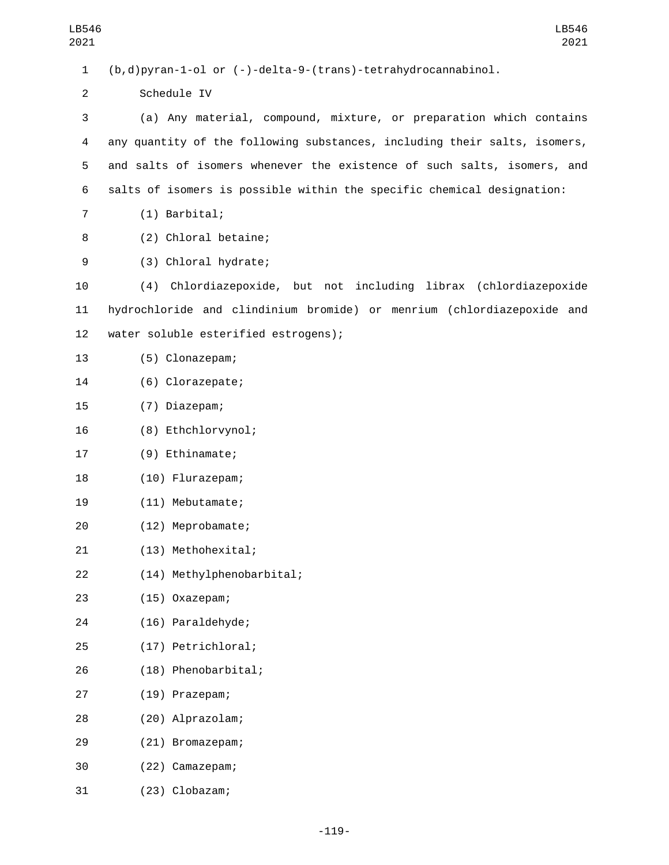1 (b,d)pyran-1-ol or (-)-delta-9-(trans)-tetrahydrocannabinol. 2 Schedule IV 3 (a) Any material, compound, mixture, or preparation which contains 4 any quantity of the following substances, including their salts, isomers, 5 and salts of isomers whenever the existence of such salts, isomers, and 6 salts of isomers is possible within the specific chemical designation: 7 (1) Barbital; 8 (2) Chloral betaine; (3) Chloral hydrate;9 10 (4) Chlordiazepoxide, but not including librax (chlordiazepoxide 11 hydrochloride and clindinium bromide) or menrium (chlordiazepoxide and 12 water soluble esterified estrogens); 13 (5) Clonazepam; 14 (6) Clorazepate; (7) Diazepam;15 16 (8) Ethchlorvynol; 17 (9) Ethinamate; 18 (10) Flurazepam; 19 (11) Mebutamate; (12) Meprobamate;20 (13) Methohexital;21 (14) Methylphenobarbital;22 (15) Oxazepam;23 (16) Paraldehyde;24 (17) Petrichloral;25 (18) Phenobarbital;26 (19) Prazepam;27 (20) Alprazolam;28 (21) Bromazepam;29 (22) Camazepam;30

(23) Clobazam;31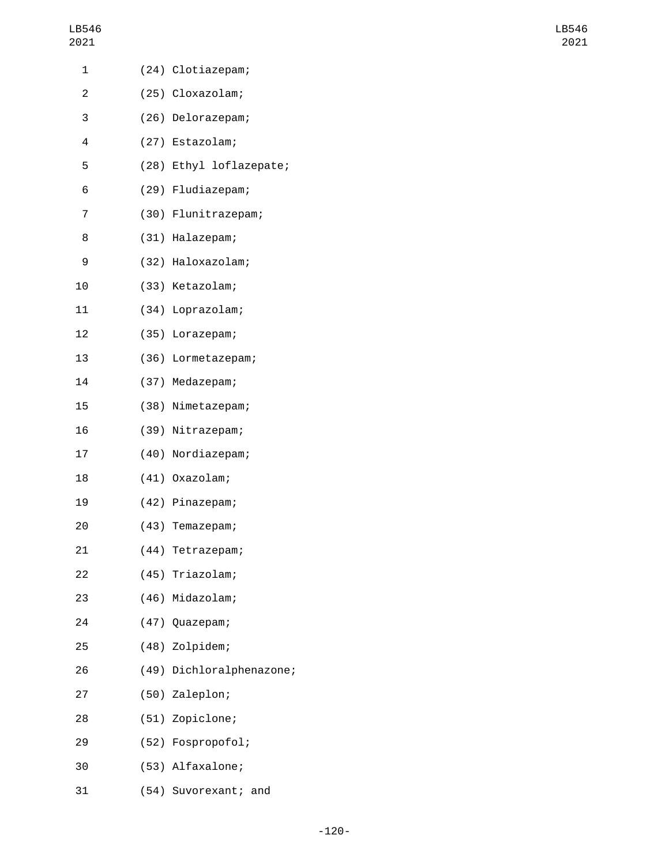| 1  | (24) Clotiazepam;        |
|----|--------------------------|
| 2  | (25) Cloxazolam;         |
| 3  | (26) Delorazepam;        |
| 4  | (27) Estazolam;          |
| 5  | (28) Ethyl loflazepate;  |
| 6  | (29) Fludiazepam;        |
| 7  | (30) Flunitrazepam;      |
| 8  | (31) Halazepam;          |
| 9  | (32) Haloxazolam;        |
| 10 | (33) Ketazolam;          |
| 11 | (34) Loprazolam;         |
| 12 | (35) Lorazepam;          |
| 13 | (36) Lormetazepam;       |
| 14 | (37) Medazepam;          |
| 15 | (38) Nimetazepam;        |
| 16 | (39) Nitrazepam;         |
| 17 | (40) Nordiazepam;        |
| 18 | (41) Oxazolam;           |
| 19 | (42) Pinazepam;          |
| 20 | (43) Temazepam;          |
| 21 | (44) Tetrazepam;         |
| 22 | (45) Triazolam;          |
| 23 | (46) Midazolam;          |
| 24 | (47) Quazepam;           |
| 25 | (48) Zolpidem;           |
| 26 | (49) Dichloralphenazone; |
| 27 | (50) Zaleplon;           |
| 28 | (51) Zopiclone;          |
| 29 | (52) Fospropofol;        |
| 30 | (53) Alfaxalone;         |
| 31 | (54) Suvorexant; and     |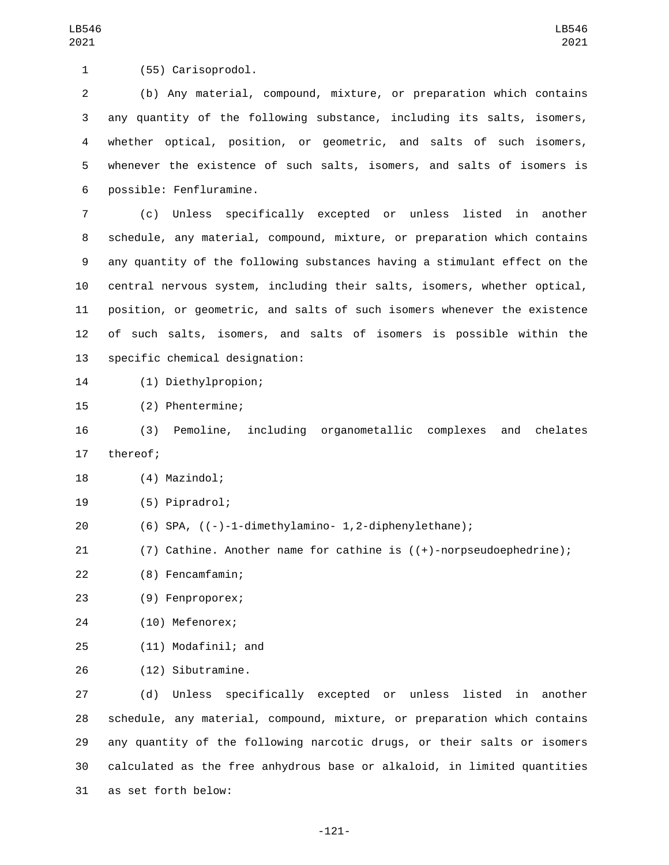1 (55) Carisoprodol.

 (b) Any material, compound, mixture, or preparation which contains any quantity of the following substance, including its salts, isomers, whether optical, position, or geometric, and salts of such isomers, whenever the existence of such salts, isomers, and salts of isomers is possible: Fenfluramine.6

 (c) Unless specifically excepted or unless listed in another schedule, any material, compound, mixture, or preparation which contains any quantity of the following substances having a stimulant effect on the central nervous system, including their salts, isomers, whether optical, position, or geometric, and salts of such isomers whenever the existence of such salts, isomers, and salts of isomers is possible within the 13 specific chemical designation:

(1) Diethylpropion;14

15 (2) Phentermine;

16 (3) Pemoline, including organometallic complexes and chelates 17 thereof;

- 18 (4) Mazindol;
- (5) Pipradrol;19
- 20 (6) SPA, ((-)-1-dimethylamino- 1,2-diphenylethane);
- 21 (7) Cathine. Another name for cathine is ((+)-norpseudoephedrine);

(8) Fencamfamin;22

(9) Fenproporex;23

24 (10) Mefenorex;

(11) Modafinil; and25

26 (12) Sibutramine.

 (d) Unless specifically excepted or unless listed in another schedule, any material, compound, mixture, or preparation which contains any quantity of the following narcotic drugs, or their salts or isomers calculated as the free anhydrous base or alkaloid, in limited quantities as set forth below:31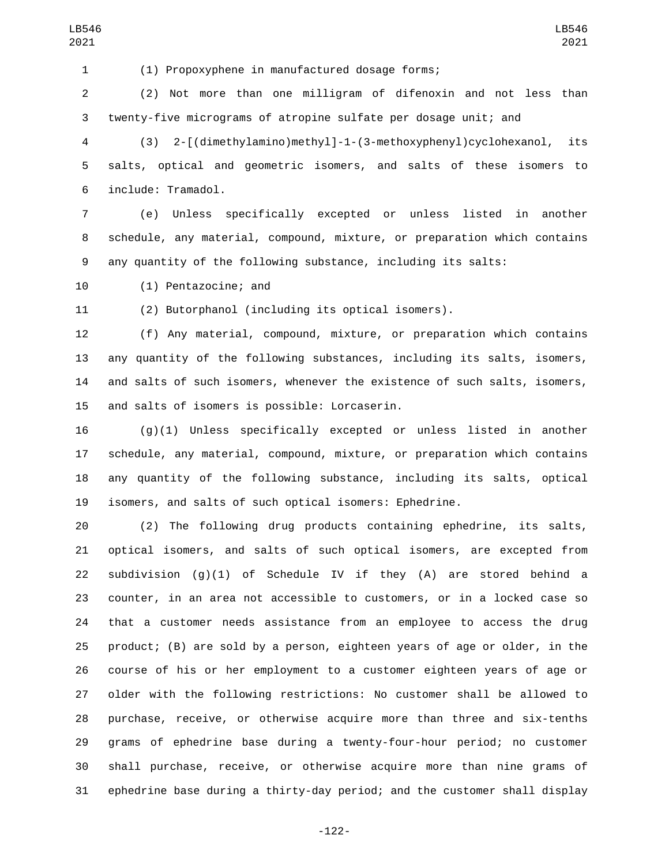(1) Propoxyphene in manufactured dosage forms;

 (2) Not more than one milligram of difenoxin and not less than twenty-five micrograms of atropine sulfate per dosage unit; and

 (3) 2-[(dimethylamino)methyl]-1-(3-methoxyphenyl)cyclohexanol, its salts, optical and geometric isomers, and salts of these isomers to include: Tramadol.6

 (e) Unless specifically excepted or unless listed in another schedule, any material, compound, mixture, or preparation which contains any quantity of the following substance, including its salts:

10 (1) Pentazocine; and

(2) Butorphanol (including its optical isomers).

 (f) Any material, compound, mixture, or preparation which contains any quantity of the following substances, including its salts, isomers, and salts of such isomers, whenever the existence of such salts, isomers, 15 and salts of isomers is possible: Lorcaserin.

 (g)(1) Unless specifically excepted or unless listed in another schedule, any material, compound, mixture, or preparation which contains any quantity of the following substance, including its salts, optical isomers, and salts of such optical isomers: Ephedrine.

 (2) The following drug products containing ephedrine, its salts, optical isomers, and salts of such optical isomers, are excepted from 22 subdivision  $(g)(1)$  of Schedule IV if they  $(A)$  are stored behind a counter, in an area not accessible to customers, or in a locked case so that a customer needs assistance from an employee to access the drug product; (B) are sold by a person, eighteen years of age or older, in the course of his or her employment to a customer eighteen years of age or older with the following restrictions: No customer shall be allowed to purchase, receive, or otherwise acquire more than three and six-tenths grams of ephedrine base during a twenty-four-hour period; no customer shall purchase, receive, or otherwise acquire more than nine grams of ephedrine base during a thirty-day period; and the customer shall display

-122-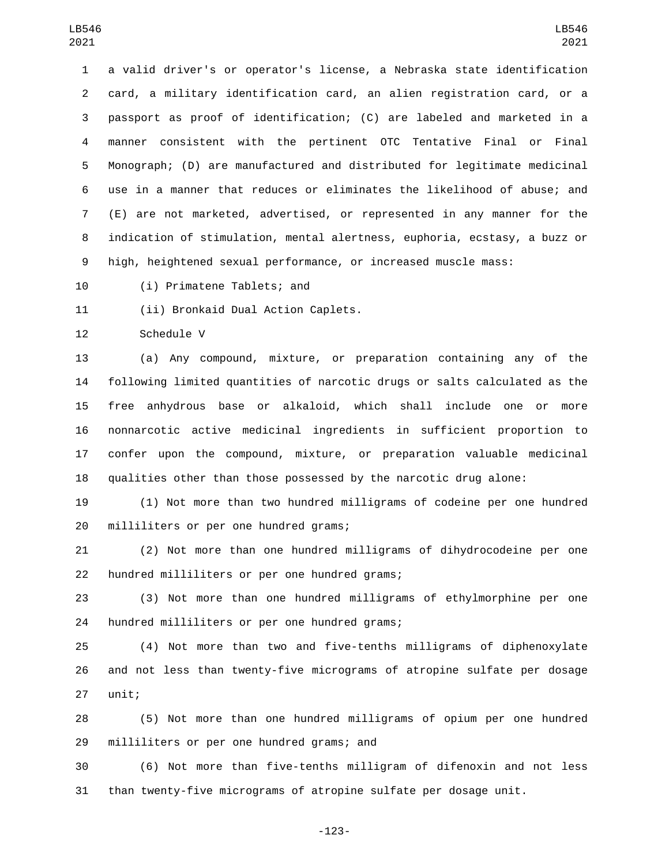a valid driver's or operator's license, a Nebraska state identification card, a military identification card, an alien registration card, or a passport as proof of identification; (C) are labeled and marketed in a manner consistent with the pertinent OTC Tentative Final or Final Monograph; (D) are manufactured and distributed for legitimate medicinal use in a manner that reduces or eliminates the likelihood of abuse; and (E) are not marketed, advertised, or represented in any manner for the indication of stimulation, mental alertness, euphoria, ecstasy, a buzz or high, heightened sexual performance, or increased muscle mass:

10 (i) Primatene Tablets; and

11 (ii) Bronkaid Dual Action Caplets.

12 Schedule V

 (a) Any compound, mixture, or preparation containing any of the following limited quantities of narcotic drugs or salts calculated as the free anhydrous base or alkaloid, which shall include one or more nonnarcotic active medicinal ingredients in sufficient proportion to confer upon the compound, mixture, or preparation valuable medicinal qualities other than those possessed by the narcotic drug alone:

 (1) Not more than two hundred milligrams of codeine per one hundred 20 milliliters or per one hundred grams;

 (2) Not more than one hundred milligrams of dihydrocodeine per one 22 hundred milliliters or per one hundred grams;

 (3) Not more than one hundred milligrams of ethylmorphine per one 24 hundred milliliters or per one hundred grams;

 (4) Not more than two and five-tenths milligrams of diphenoxylate and not less than twenty-five micrograms of atropine sulfate per dosage 27 unit;

 (5) Not more than one hundred milligrams of opium per one hundred 29 milliliters or per one hundred grams; and

 (6) Not more than five-tenths milligram of difenoxin and not less than twenty-five micrograms of atropine sulfate per dosage unit.

-123-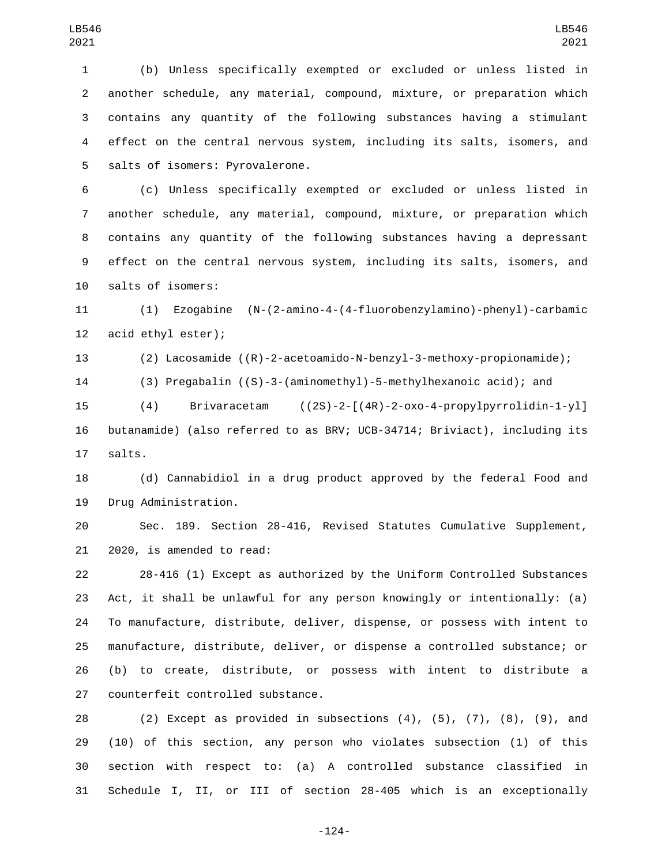(b) Unless specifically exempted or excluded or unless listed in another schedule, any material, compound, mixture, or preparation which contains any quantity of the following substances having a stimulant effect on the central nervous system, including its salts, isomers, and 5 salts of isomers: Pyrovalerone.

 (c) Unless specifically exempted or excluded or unless listed in another schedule, any material, compound, mixture, or preparation which contains any quantity of the following substances having a depressant effect on the central nervous system, including its salts, isomers, and 10 salts of isomers:

 (1) Ezogabine (N-(2-amino-4-(4-fluorobenzylamino)-phenyl)-carbamic 12 acid ethyl ester);

(2) Lacosamide ((R)-2-acetoamido-N-benzyl-3-methoxy-propionamide);

(3) Pregabalin ((S)-3-(aminomethyl)-5-methylhexanoic acid); and

 (4) Brivaracetam ((2S)-2-[(4R)-2-oxo-4-propylpyrrolidin-1-yl] butanamide) (also referred to as BRV; UCB-34714; Briviact), including its 17 salts.

 (d) Cannabidiol in a drug product approved by the federal Food and 19 Drug Administration.

 Sec. 189. Section 28-416, Revised Statutes Cumulative Supplement, 21 2020, is amended to read:

 28-416 (1) Except as authorized by the Uniform Controlled Substances Act, it shall be unlawful for any person knowingly or intentionally: (a) To manufacture, distribute, deliver, dispense, or possess with intent to manufacture, distribute, deliver, or dispense a controlled substance; or (b) to create, distribute, or possess with intent to distribute a 27 counterfeit controlled substance.

 (2) Except as provided in subsections (4), (5), (7), (8), (9), and (10) of this section, any person who violates subsection (1) of this section with respect to: (a) A controlled substance classified in Schedule I, II, or III of section 28-405 which is an exceptionally

-124-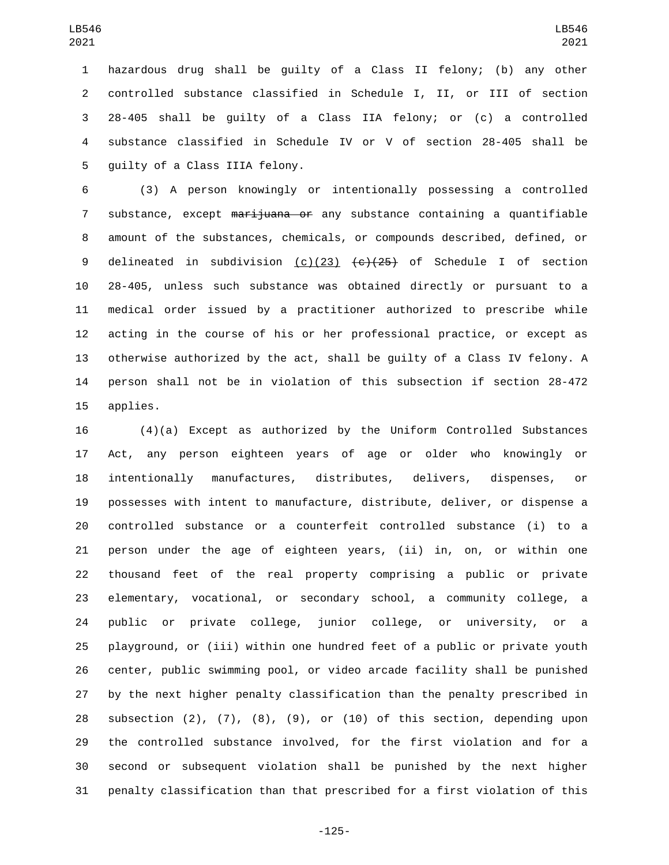hazardous drug shall be guilty of a Class II felony; (b) any other controlled substance classified in Schedule I, II, or III of section 28-405 shall be guilty of a Class IIA felony; or (c) a controlled substance classified in Schedule IV or V of section 28-405 shall be 5 guilty of a Class IIIA felony.

 (3) A person knowingly or intentionally possessing a controlled 7 substance, except marijuana or any substance containing a quantifiable amount of the substances, chemicals, or compounds described, defined, or 9 delineated in subdivision (c)(23)  $\left\{ \frac{c}{25} \right\}$  of Schedule I of section 28-405, unless such substance was obtained directly or pursuant to a medical order issued by a practitioner authorized to prescribe while acting in the course of his or her professional practice, or except as otherwise authorized by the act, shall be guilty of a Class IV felony. A person shall not be in violation of this subsection if section 28-472 15 applies.

 (4)(a) Except as authorized by the Uniform Controlled Substances Act, any person eighteen years of age or older who knowingly or intentionally manufactures, distributes, delivers, dispenses, or possesses with intent to manufacture, distribute, deliver, or dispense a controlled substance or a counterfeit controlled substance (i) to a person under the age of eighteen years, (ii) in, on, or within one thousand feet of the real property comprising a public or private elementary, vocational, or secondary school, a community college, a public or private college, junior college, or university, or a playground, or (iii) within one hundred feet of a public or private youth center, public swimming pool, or video arcade facility shall be punished by the next higher penalty classification than the penalty prescribed in subsection (2), (7), (8), (9), or (10) of this section, depending upon the controlled substance involved, for the first violation and for a second or subsequent violation shall be punished by the next higher penalty classification than that prescribed for a first violation of this

-125-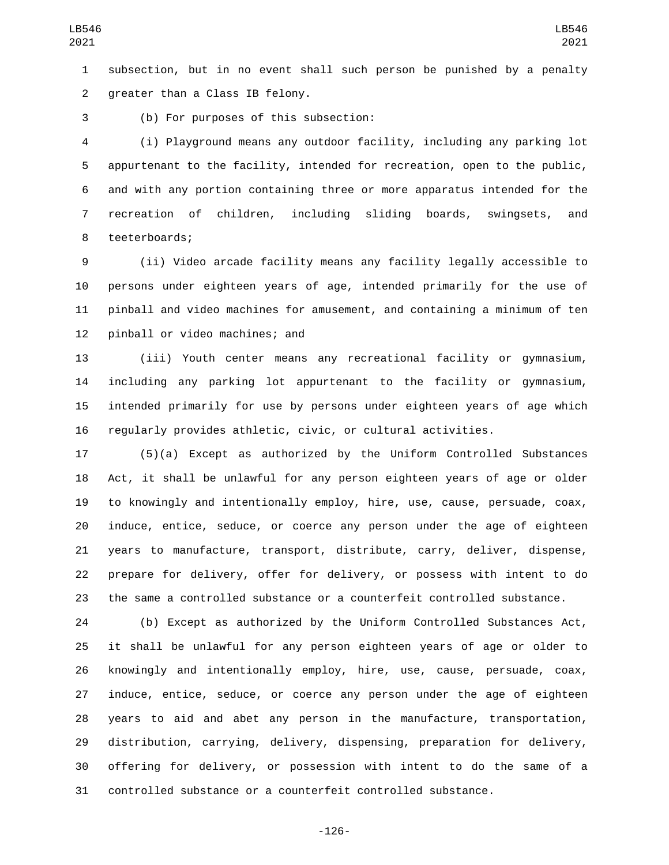subsection, but in no event shall such person be punished by a penalty 2 greater than a Class IB felony.

(b) For purposes of this subsection:3

 (i) Playground means any outdoor facility, including any parking lot appurtenant to the facility, intended for recreation, open to the public, and with any portion containing three or more apparatus intended for the recreation of children, including sliding boards, swingsets, and 8 teeterboards;

 (ii) Video arcade facility means any facility legally accessible to persons under eighteen years of age, intended primarily for the use of pinball and video machines for amusement, and containing a minimum of ten 12 pinball or video machines; and

 (iii) Youth center means any recreational facility or gymnasium, including any parking lot appurtenant to the facility or gymnasium, intended primarily for use by persons under eighteen years of age which regularly provides athletic, civic, or cultural activities.

 (5)(a) Except as authorized by the Uniform Controlled Substances Act, it shall be unlawful for any person eighteen years of age or older to knowingly and intentionally employ, hire, use, cause, persuade, coax, induce, entice, seduce, or coerce any person under the age of eighteen years to manufacture, transport, distribute, carry, deliver, dispense, prepare for delivery, offer for delivery, or possess with intent to do the same a controlled substance or a counterfeit controlled substance.

 (b) Except as authorized by the Uniform Controlled Substances Act, it shall be unlawful for any person eighteen years of age or older to knowingly and intentionally employ, hire, use, cause, persuade, coax, induce, entice, seduce, or coerce any person under the age of eighteen years to aid and abet any person in the manufacture, transportation, distribution, carrying, delivery, dispensing, preparation for delivery, offering for delivery, or possession with intent to do the same of a controlled substance or a counterfeit controlled substance.

-126-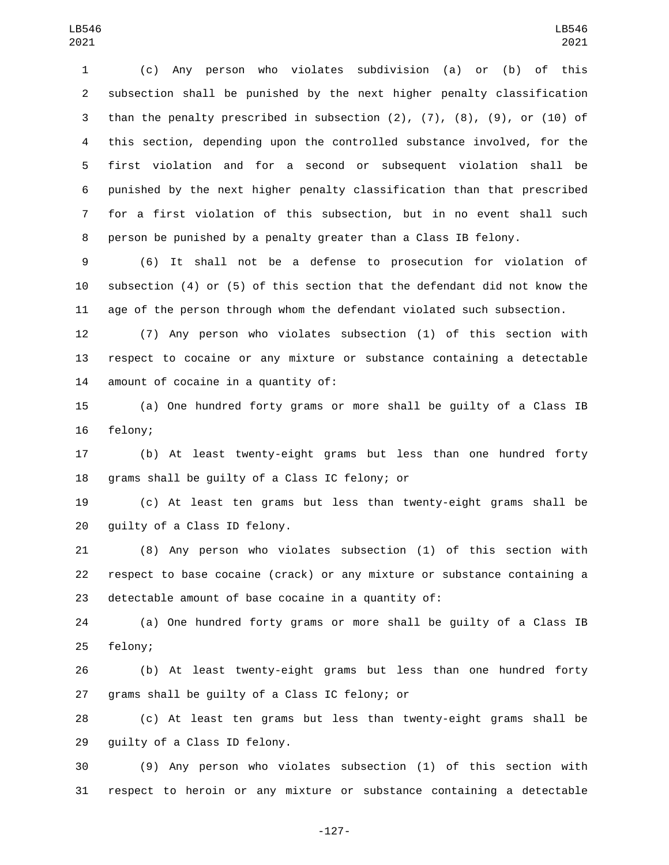(c) Any person who violates subdivision (a) or (b) of this subsection shall be punished by the next higher penalty classification than the penalty prescribed in subsection (2), (7), (8), (9), or (10) of this section, depending upon the controlled substance involved, for the first violation and for a second or subsequent violation shall be punished by the next higher penalty classification than that prescribed for a first violation of this subsection, but in no event shall such person be punished by a penalty greater than a Class IB felony.

 (6) It shall not be a defense to prosecution for violation of subsection (4) or (5) of this section that the defendant did not know the age of the person through whom the defendant violated such subsection.

 (7) Any person who violates subsection (1) of this section with respect to cocaine or any mixture or substance containing a detectable 14 amount of cocaine in a quantity of:

 (a) One hundred forty grams or more shall be guilty of a Class IB 16 felony;

 (b) At least twenty-eight grams but less than one hundred forty 18 grams shall be guilty of a Class IC felony; or

 (c) At least ten grams but less than twenty-eight grams shall be 20 quilty of a Class ID felony.

 (8) Any person who violates subsection (1) of this section with respect to base cocaine (crack) or any mixture or substance containing a detectable amount of base cocaine in a quantity of:

 (a) One hundred forty grams or more shall be guilty of a Class IB 25 felony;

 (b) At least twenty-eight grams but less than one hundred forty 27 grams shall be guilty of a Class IC felony; or

 (c) At least ten grams but less than twenty-eight grams shall be 29 guilty of a Class ID felony.

 (9) Any person who violates subsection (1) of this section with respect to heroin or any mixture or substance containing a detectable

-127-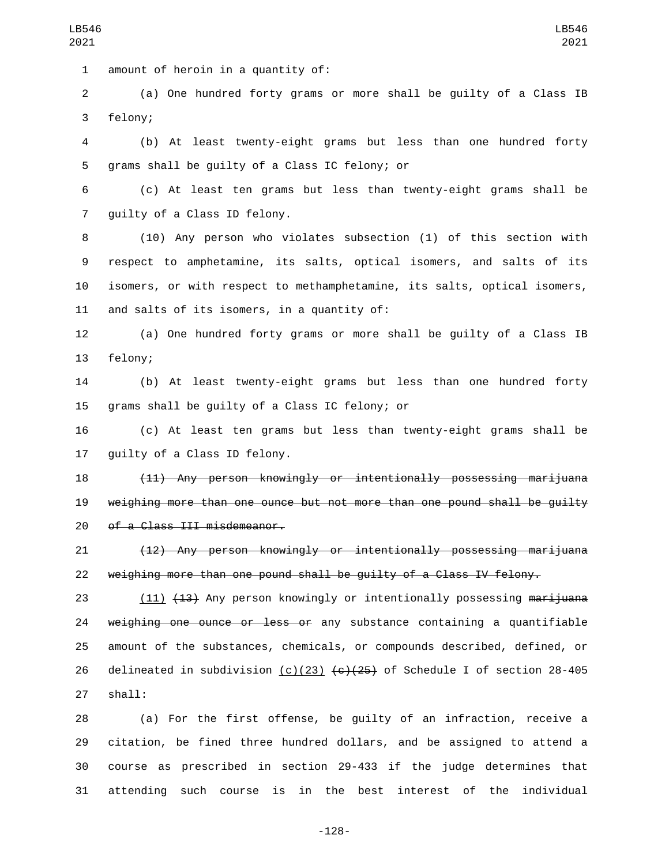1 amount of heroin in a quantity of:

2 (a) One hundred forty grams or more shall be guilty of a Class IB 3 felony;

4 (b) At least twenty-eight grams but less than one hundred forty 5 grams shall be guilty of a Class IC felony; or

6 (c) At least ten grams but less than twenty-eight grams shall be 7 guilty of a Class ID felony.

 (10) Any person who violates subsection (1) of this section with respect to amphetamine, its salts, optical isomers, and salts of its isomers, or with respect to methamphetamine, its salts, optical isomers, 11 and salts of its isomers, in a quantity of:

12 (a) One hundred forty grams or more shall be guilty of a Class IB 13 felony;

14 (b) At least twenty-eight grams but less than one hundred forty 15 grams shall be quilty of a Class IC felony; or

16 (c) At least ten grams but less than twenty-eight grams shall be 17 guilty of a Class ID felony.

18 (11) Any person knowingly or intentionally possessing marijuana 19 weighing more than one ounce but not more than one pound shall be guilty 20 of a Class III misdemeanor.

21 (12) Any person knowingly or intentionally possessing marijuana 22 weighing more than one pound shall be guilty of a Class IV felony.

23 (11) (13) Any person knowingly or intentionally possessing marijuana 24 weighing one ounce or less or any substance containing a quantifiable 25 amount of the substances, chemicals, or compounds described, defined, or 26 delineated in subdivision  $(c)(23)$   $(e)(25)$  of Schedule I of section 28-405 27 shall:

 (a) For the first offense, be guilty of an infraction, receive a citation, be fined three hundred dollars, and be assigned to attend a course as prescribed in section 29-433 if the judge determines that attending such course is in the best interest of the individual

-128-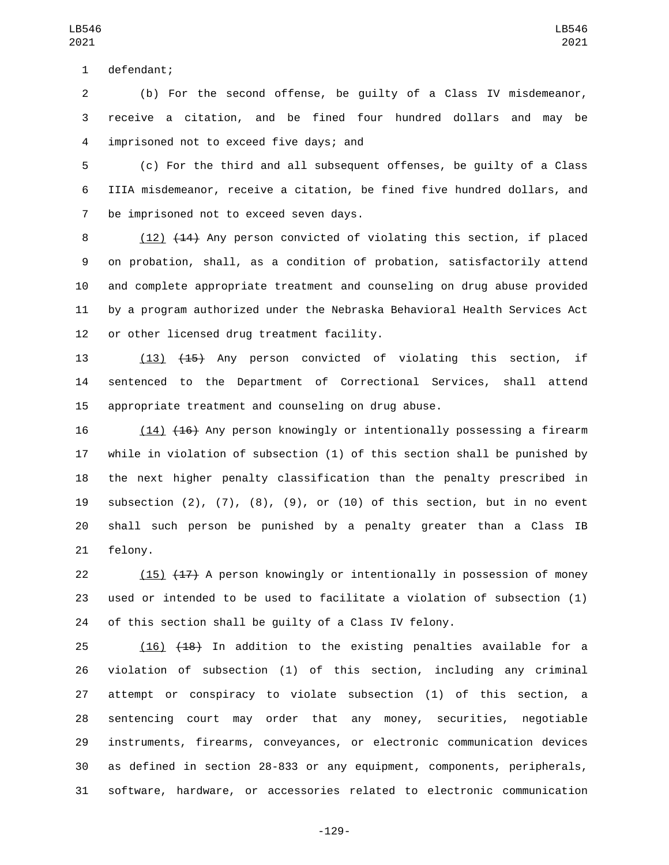1 defendant;

 (b) For the second offense, be guilty of a Class IV misdemeanor, receive a citation, and be fined four hundred dollars and may be imprisoned not to exceed five days; and4

 (c) For the third and all subsequent offenses, be guilty of a Class IIIA misdemeanor, receive a citation, be fined five hundred dollars, and 7 be imprisoned not to exceed seven days.

8 (12) (14) Any person convicted of violating this section, if placed on probation, shall, as a condition of probation, satisfactorily attend and complete appropriate treatment and counseling on drug abuse provided by a program authorized under the Nebraska Behavioral Health Services Act 12 or other licensed drug treatment facility.

 (13) (15) Any person convicted of violating this section, if sentenced to the Department of Correctional Services, shall attend appropriate treatment and counseling on drug abuse.

 (14) (16) Any person knowingly or intentionally possessing a firearm while in violation of subsection (1) of this section shall be punished by the next higher penalty classification than the penalty prescribed in subsection (2), (7), (8), (9), or (10) of this section, but in no event shall such person be punished by a penalty greater than a Class IB 21 felony.

 (15) (17) A person knowingly or intentionally in possession of money used or intended to be used to facilitate a violation of subsection (1) of this section shall be guilty of a Class IV felony.

 (16) (18) In addition to the existing penalties available for a violation of subsection (1) of this section, including any criminal attempt or conspiracy to violate subsection (1) of this section, a sentencing court may order that any money, securities, negotiable instruments, firearms, conveyances, or electronic communication devices as defined in section 28-833 or any equipment, components, peripherals, software, hardware, or accessories related to electronic communication

-129-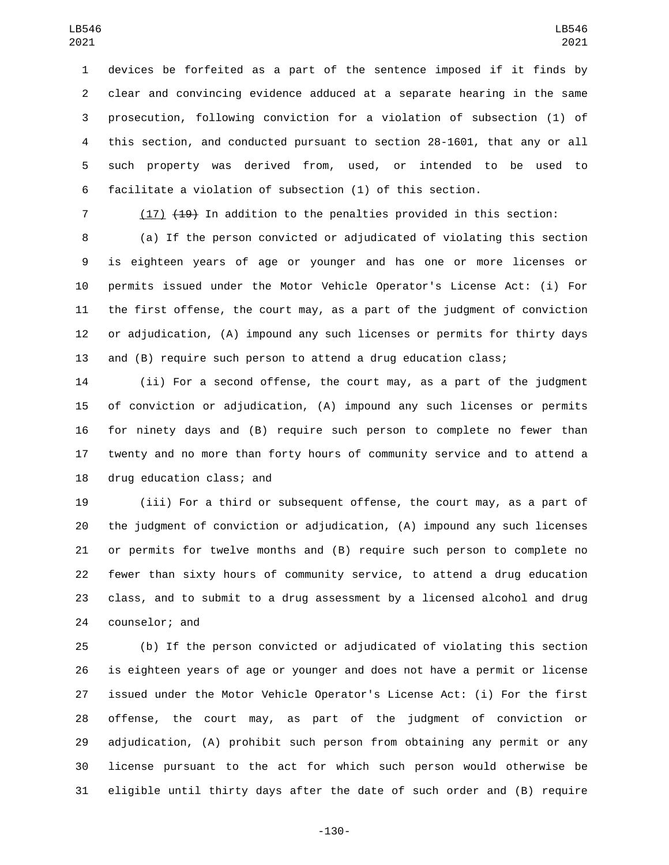devices be forfeited as a part of the sentence imposed if it finds by clear and convincing evidence adduced at a separate hearing in the same prosecution, following conviction for a violation of subsection (1) of this section, and conducted pursuant to section 28-1601, that any or all such property was derived from, used, or intended to be used to facilitate a violation of subsection (1) of this section.

(17) (19) In addition to the penalties provided in this section:

 (a) If the person convicted or adjudicated of violating this section is eighteen years of age or younger and has one or more licenses or permits issued under the Motor Vehicle Operator's License Act: (i) For the first offense, the court may, as a part of the judgment of conviction or adjudication, (A) impound any such licenses or permits for thirty days and (B) require such person to attend a drug education class;

 (ii) For a second offense, the court may, as a part of the judgment of conviction or adjudication, (A) impound any such licenses or permits for ninety days and (B) require such person to complete no fewer than twenty and no more than forty hours of community service and to attend a 18 drug education class; and

 (iii) For a third or subsequent offense, the court may, as a part of the judgment of conviction or adjudication, (A) impound any such licenses or permits for twelve months and (B) require such person to complete no fewer than sixty hours of community service, to attend a drug education class, and to submit to a drug assessment by a licensed alcohol and drug 24 counselor; and

 (b) If the person convicted or adjudicated of violating this section is eighteen years of age or younger and does not have a permit or license issued under the Motor Vehicle Operator's License Act: (i) For the first offense, the court may, as part of the judgment of conviction or adjudication, (A) prohibit such person from obtaining any permit or any license pursuant to the act for which such person would otherwise be eligible until thirty days after the date of such order and (B) require

-130-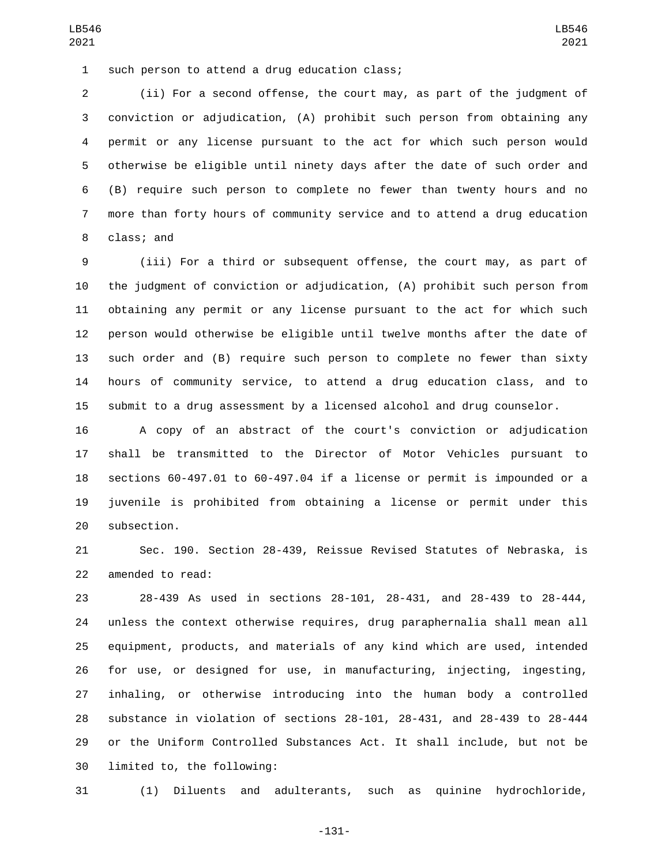1 such person to attend a drug education class;

 (ii) For a second offense, the court may, as part of the judgment of conviction or adjudication, (A) prohibit such person from obtaining any permit or any license pursuant to the act for which such person would otherwise be eligible until ninety days after the date of such order and (B) require such person to complete no fewer than twenty hours and no more than forty hours of community service and to attend a drug education 8 class; and

 (iii) For a third or subsequent offense, the court may, as part of the judgment of conviction or adjudication, (A) prohibit such person from obtaining any permit or any license pursuant to the act for which such person would otherwise be eligible until twelve months after the date of such order and (B) require such person to complete no fewer than sixty hours of community service, to attend a drug education class, and to submit to a drug assessment by a licensed alcohol and drug counselor.

 A copy of an abstract of the court's conviction or adjudication shall be transmitted to the Director of Motor Vehicles pursuant to sections 60-497.01 to 60-497.04 if a license or permit is impounded or a juvenile is prohibited from obtaining a license or permit under this 20 subsection.

 Sec. 190. Section 28-439, Reissue Revised Statutes of Nebraska, is 22 amended to read:

 28-439 As used in sections 28-101, 28-431, and 28-439 to 28-444, unless the context otherwise requires, drug paraphernalia shall mean all equipment, products, and materials of any kind which are used, intended for use, or designed for use, in manufacturing, injecting, ingesting, inhaling, or otherwise introducing into the human body a controlled substance in violation of sections 28-101, 28-431, and 28-439 to 28-444 or the Uniform Controlled Substances Act. It shall include, but not be 30 limited to, the following:

(1) Diluents and adulterants, such as quinine hydrochloride,

-131-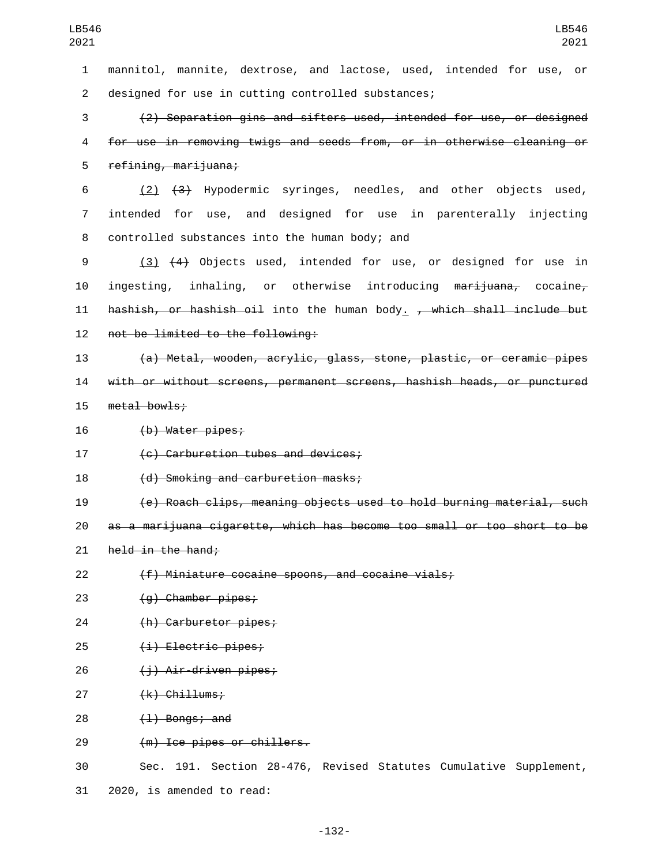mannitol, mannite, dextrose, and lactose, used, intended for use, or 2 designed for use in cutting controlled substances; (2) Separation gins and sifters used, intended for use, or designed for use in removing twigs and seeds from, or in otherwise cleaning or 5 refining, marijuana; (2) (3) Hypodermic syringes, needles, and other objects used, intended for use, and designed for use in parenterally injecting 8 controlled substances into the human body; and

9 (3) (4) Objects used, intended for use, or designed for use in 10 ingesting, inhaling, or otherwise introducing marijuana, cocaine, 11  $\overline{h}$  hashish, or hashish oil into the human body. , which shall include but 12 not be limited to the following:

13 (a) Metal, wooden, acrylic, glass, stone, plastic, or ceramic pipes 14 with or without screens, permanent screens, hashish heads, or punctured 15 metal bowls;

16 (b) Water pipes;

17 (c) Carburetion tubes and devices;

18 (d) Smoking and carburetion masks;

19 (e) Roach clips, meaning objects used to hold burning material, such

20 as a marijuana cigarette, which has become too small or too short to be

21  $h$ eld in the hand;

22 (f) Miniature cocaine spoons, and cocaine vials;

23 (g) Chamber pipes;

24 (h) Carburetor pipes;

25 (i) Electric pipes;

26 <del>(j) Air-driven pipes;</del>

27 (k) Chillums;

 $(1)$  Bongs; and

29 (m) Ice pipes or chillers.

30 Sec. 191. Section 28-476, Revised Statutes Cumulative Supplement, 31 2020, is amended to read: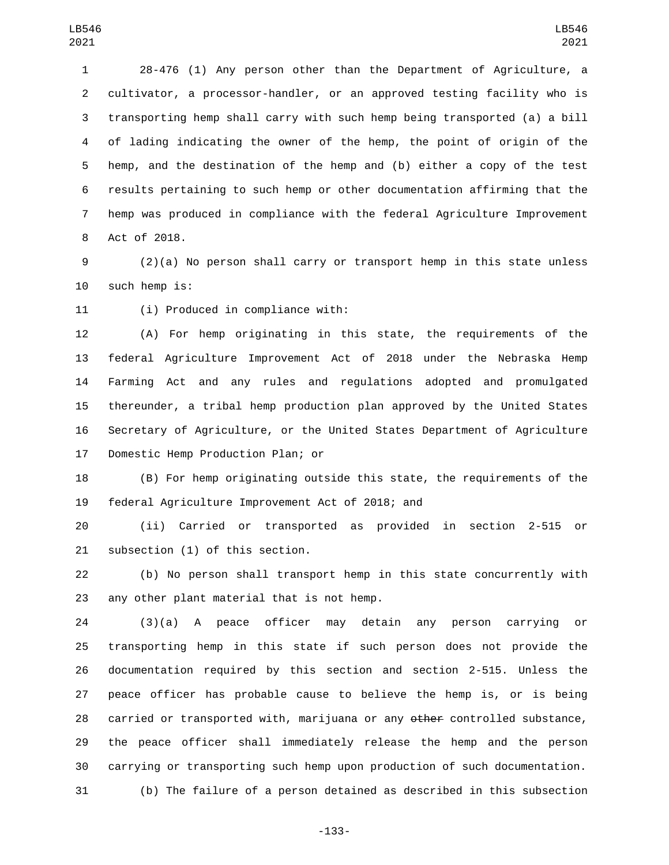28-476 (1) Any person other than the Department of Agriculture, a cultivator, a processor-handler, or an approved testing facility who is transporting hemp shall carry with such hemp being transported (a) a bill of lading indicating the owner of the hemp, the point of origin of the hemp, and the destination of the hemp and (b) either a copy of the test results pertaining to such hemp or other documentation affirming that the hemp was produced in compliance with the federal Agriculture Improvement 8 Act of 2018.

 (2)(a) No person shall carry or transport hemp in this state unless 10 such hemp is:

11 (i) Produced in compliance with:

 (A) For hemp originating in this state, the requirements of the federal Agriculture Improvement Act of 2018 under the Nebraska Hemp Farming Act and any rules and regulations adopted and promulgated thereunder, a tribal hemp production plan approved by the United States Secretary of Agriculture, or the United States Department of Agriculture 17 Domestic Hemp Production Plan; or

 (B) For hemp originating outside this state, the requirements of the 19 federal Agriculture Improvement Act of 2018; and

 (ii) Carried or transported as provided in section 2-515 or 21 subsection (1) of this section.

 (b) No person shall transport hemp in this state concurrently with 23 any other plant material that is not hemp.

 (3)(a) A peace officer may detain any person carrying or transporting hemp in this state if such person does not provide the documentation required by this section and section 2-515. Unless the peace officer has probable cause to believe the hemp is, or is being 28 carried or transported with, marijuana or any other controlled substance, the peace officer shall immediately release the hemp and the person carrying or transporting such hemp upon production of such documentation. (b) The failure of a person detained as described in this subsection

-133-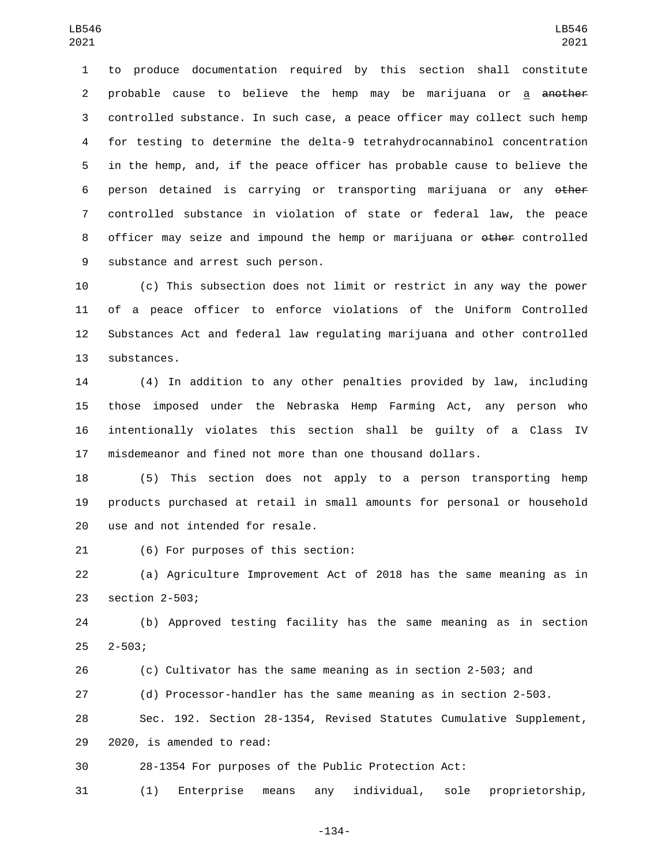to produce documentation required by this section shall constitute 2 probable cause to believe the hemp may be marijuana or a <del>another</del> controlled substance. In such case, a peace officer may collect such hemp for testing to determine the delta-9 tetrahydrocannabinol concentration in the hemp, and, if the peace officer has probable cause to believe the person detained is carrying or transporting marijuana or any other controlled substance in violation of state or federal law, the peace 8 officer may seize and impound the hemp or marijuana or  $\theta$  other controlled 9 substance and arrest such person.

 (c) This subsection does not limit or restrict in any way the power of a peace officer to enforce violations of the Uniform Controlled Substances Act and federal law regulating marijuana and other controlled 13 substances.

 (4) In addition to any other penalties provided by law, including those imposed under the Nebraska Hemp Farming Act, any person who intentionally violates this section shall be guilty of a Class IV misdemeanor and fined not more than one thousand dollars.

 (5) This section does not apply to a person transporting hemp products purchased at retail in small amounts for personal or household 20 use and not intended for resale.

(6) For purposes of this section:21

 (a) Agriculture Improvement Act of 2018 has the same meaning as in 23 section 2-503;

 (b) Approved testing facility has the same meaning as in section  $2-503$ ;

(c) Cultivator has the same meaning as in section 2-503; and

(d) Processor-handler has the same meaning as in section 2-503.

 Sec. 192. Section 28-1354, Revised Statutes Cumulative Supplement, 29 2020, is amended to read:

28-1354 For purposes of the Public Protection Act:

(1) Enterprise means any individual, sole proprietorship,

-134-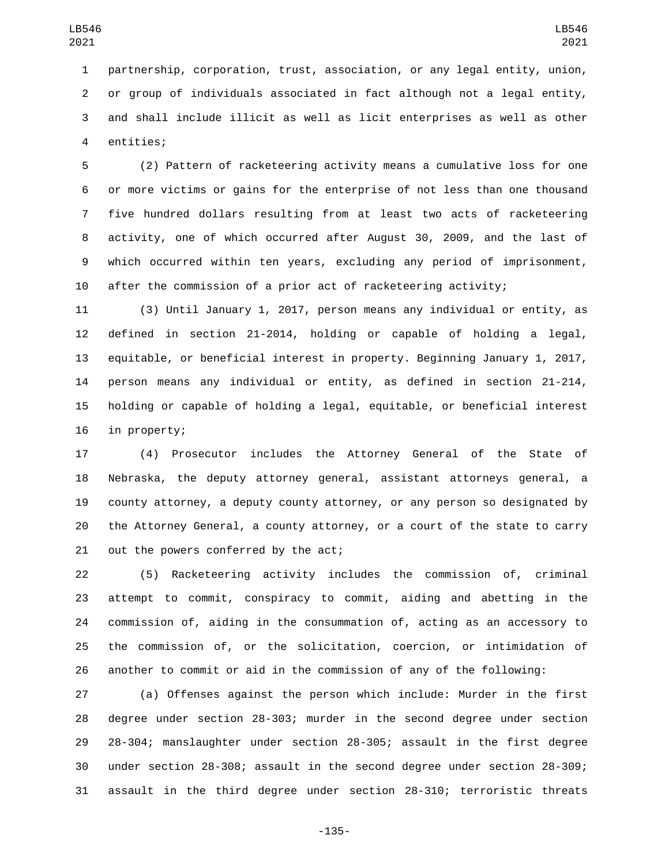partnership, corporation, trust, association, or any legal entity, union, or group of individuals associated in fact although not a legal entity, and shall include illicit as well as licit enterprises as well as other 4 entities;

 (2) Pattern of racketeering activity means a cumulative loss for one or more victims or gains for the enterprise of not less than one thousand five hundred dollars resulting from at least two acts of racketeering activity, one of which occurred after August 30, 2009, and the last of which occurred within ten years, excluding any period of imprisonment, after the commission of a prior act of racketeering activity;

 (3) Until January 1, 2017, person means any individual or entity, as defined in section 21-2014, holding or capable of holding a legal, equitable, or beneficial interest in property. Beginning January 1, 2017, person means any individual or entity, as defined in section 21-214, holding or capable of holding a legal, equitable, or beneficial interest 16 in property;

 (4) Prosecutor includes the Attorney General of the State of Nebraska, the deputy attorney general, assistant attorneys general, a county attorney, a deputy county attorney, or any person so designated by the Attorney General, a county attorney, or a court of the state to carry 21 out the powers conferred by the act;

 (5) Racketeering activity includes the commission of, criminal attempt to commit, conspiracy to commit, aiding and abetting in the commission of, aiding in the consummation of, acting as an accessory to the commission of, or the solicitation, coercion, or intimidation of another to commit or aid in the commission of any of the following:

 (a) Offenses against the person which include: Murder in the first degree under section 28-303; murder in the second degree under section 28-304; manslaughter under section 28-305; assault in the first degree under section 28-308; assault in the second degree under section 28-309; assault in the third degree under section 28-310; terroristic threats

-135-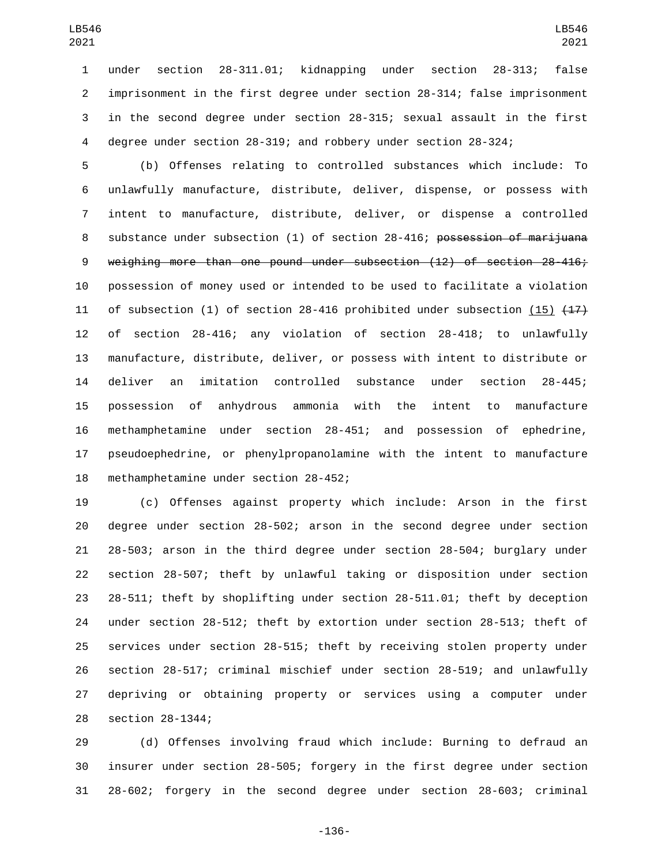under section 28-311.01; kidnapping under section 28-313; false imprisonment in the first degree under section 28-314; false imprisonment in the second degree under section 28-315; sexual assault in the first degree under section 28-319; and robbery under section 28-324;

 (b) Offenses relating to controlled substances which include: To unlawfully manufacture, distribute, deliver, dispense, or possess with intent to manufacture, distribute, deliver, or dispense a controlled 8 substance under subsection (1) of section 28-416; possession of marijuana weighing more than one pound under subsection (12) of section 28-416; possession of money used or intended to be used to facilitate a violation 11 of subsection (1) of section 28-416 prohibited under subsection (15)  $\{47\}$  of section 28-416; any violation of section 28-418; to unlawfully manufacture, distribute, deliver, or possess with intent to distribute or deliver an imitation controlled substance under section 28-445; possession of anhydrous ammonia with the intent to manufacture methamphetamine under section 28-451; and possession of ephedrine, pseudoephedrine, or phenylpropanolamine with the intent to manufacture 18 methamphetamine under section 28-452;

 (c) Offenses against property which include: Arson in the first degree under section 28-502; arson in the second degree under section 28-503; arson in the third degree under section 28-504; burglary under section 28-507; theft by unlawful taking or disposition under section 28-511; theft by shoplifting under section 28-511.01; theft by deception under section 28-512; theft by extortion under section 28-513; theft of services under section 28-515; theft by receiving stolen property under section 28-517; criminal mischief under section 28-519; and unlawfully depriving or obtaining property or services using a computer under 28 section 28-1344;

 (d) Offenses involving fraud which include: Burning to defraud an insurer under section 28-505; forgery in the first degree under section 28-602; forgery in the second degree under section 28-603; criminal

-136-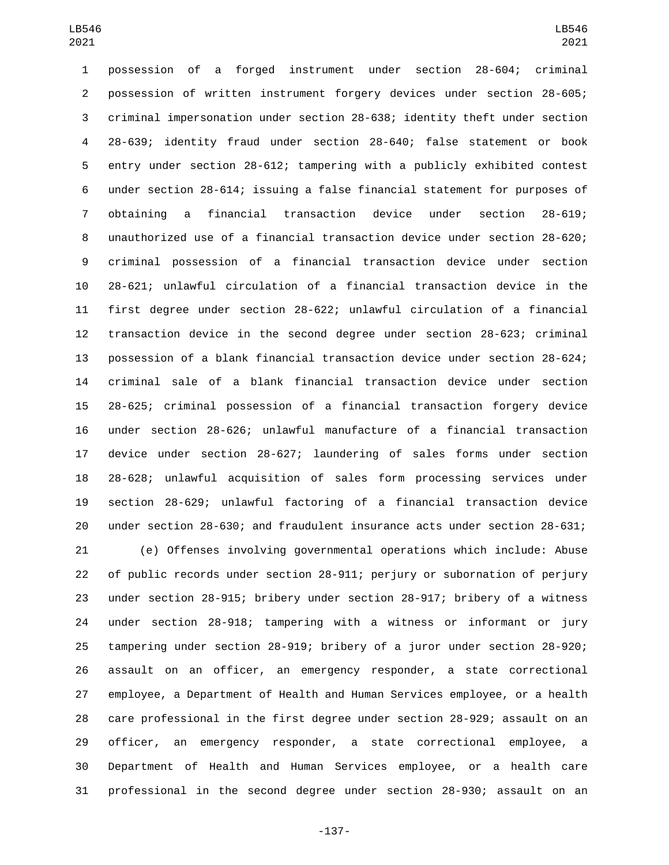possession of a forged instrument under section 28-604; criminal possession of written instrument forgery devices under section 28-605; criminal impersonation under section 28-638; identity theft under section 28-639; identity fraud under section 28-640; false statement or book entry under section 28-612; tampering with a publicly exhibited contest under section 28-614; issuing a false financial statement for purposes of obtaining a financial transaction device under section 28-619; unauthorized use of a financial transaction device under section 28-620; criminal possession of a financial transaction device under section 28-621; unlawful circulation of a financial transaction device in the first degree under section 28-622; unlawful circulation of a financial transaction device in the second degree under section 28-623; criminal possession of a blank financial transaction device under section 28-624; criminal sale of a blank financial transaction device under section 28-625; criminal possession of a financial transaction forgery device under section 28-626; unlawful manufacture of a financial transaction device under section 28-627; laundering of sales forms under section 28-628; unlawful acquisition of sales form processing services under section 28-629; unlawful factoring of a financial transaction device under section 28-630; and fraudulent insurance acts under section 28-631;

 (e) Offenses involving governmental operations which include: Abuse of public records under section 28-911; perjury or subornation of perjury under section 28-915; bribery under section 28-917; bribery of a witness under section 28-918; tampering with a witness or informant or jury tampering under section 28-919; bribery of a juror under section 28-920; assault on an officer, an emergency responder, a state correctional employee, a Department of Health and Human Services employee, or a health care professional in the first degree under section 28-929; assault on an officer, an emergency responder, a state correctional employee, a Department of Health and Human Services employee, or a health care professional in the second degree under section 28-930; assault on an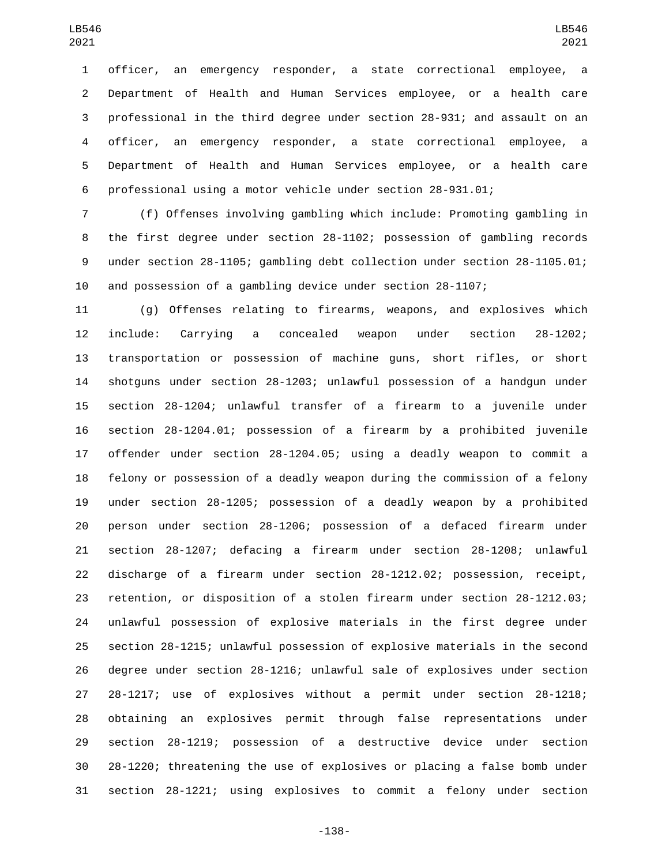officer, an emergency responder, a state correctional employee, a Department of Health and Human Services employee, or a health care professional in the third degree under section 28-931; and assault on an officer, an emergency responder, a state correctional employee, a Department of Health and Human Services employee, or a health care professional using a motor vehicle under section 28-931.01;

 (f) Offenses involving gambling which include: Promoting gambling in the first degree under section 28-1102; possession of gambling records under section 28-1105; gambling debt collection under section 28-1105.01; and possession of a gambling device under section 28-1107;

 (g) Offenses relating to firearms, weapons, and explosives which include: Carrying a concealed weapon under section 28-1202; transportation or possession of machine guns, short rifles, or short shotguns under section 28-1203; unlawful possession of a handgun under section 28-1204; unlawful transfer of a firearm to a juvenile under section 28-1204.01; possession of a firearm by a prohibited juvenile offender under section 28-1204.05; using a deadly weapon to commit a felony or possession of a deadly weapon during the commission of a felony under section 28-1205; possession of a deadly weapon by a prohibited person under section 28-1206; possession of a defaced firearm under section 28-1207; defacing a firearm under section 28-1208; unlawful discharge of a firearm under section 28-1212.02; possession, receipt, retention, or disposition of a stolen firearm under section 28-1212.03; unlawful possession of explosive materials in the first degree under section 28-1215; unlawful possession of explosive materials in the second degree under section 28-1216; unlawful sale of explosives under section 28-1217; use of explosives without a permit under section 28-1218; obtaining an explosives permit through false representations under section 28-1219; possession of a destructive device under section 28-1220; threatening the use of explosives or placing a false bomb under section 28-1221; using explosives to commit a felony under section

-138-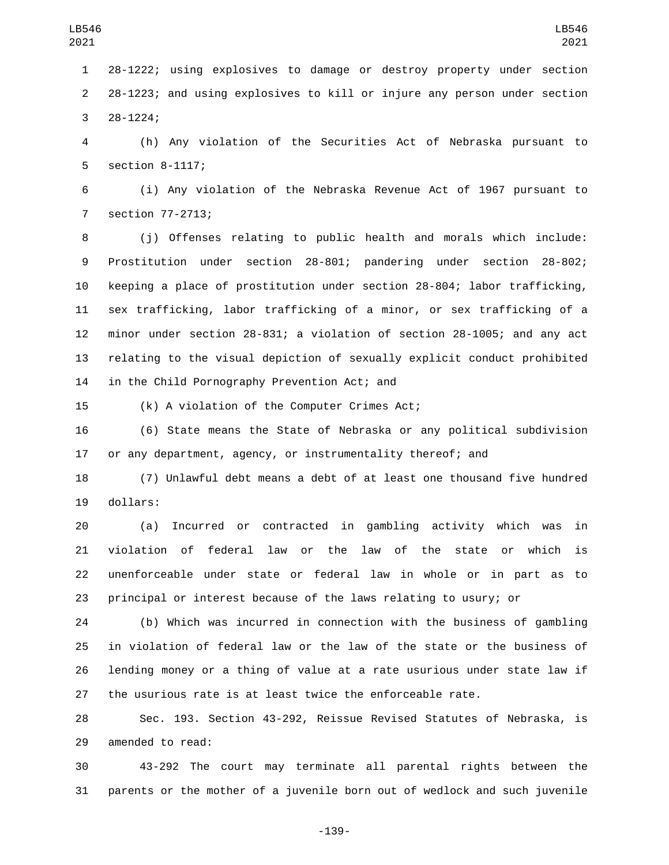28-1222; using explosives to damage or destroy property under section 28-1223; and using explosives to kill or injure any person under section 28-1224;3

 (h) Any violation of the Securities Act of Nebraska pursuant to 5 section 8-1117;

 (i) Any violation of the Nebraska Revenue Act of 1967 pursuant to 7 section 77-2713;

 (j) Offenses relating to public health and morals which include: Prostitution under section 28-801; pandering under section 28-802; keeping a place of prostitution under section 28-804; labor trafficking, sex trafficking, labor trafficking of a minor, or sex trafficking of a minor under section 28-831; a violation of section 28-1005; and any act relating to the visual depiction of sexually explicit conduct prohibited 14 in the Child Pornography Prevention Act; and

15 (k) A violation of the Computer Crimes Act;

 (6) State means the State of Nebraska or any political subdivision or any department, agency, or instrumentality thereof; and

 (7) Unlawful debt means a debt of at least one thousand five hundred 19 dollars:

 (a) Incurred or contracted in gambling activity which was in violation of federal law or the law of the state or which is unenforceable under state or federal law in whole or in part as to principal or interest because of the laws relating to usury; or

 (b) Which was incurred in connection with the business of gambling in violation of federal law or the law of the state or the business of lending money or a thing of value at a rate usurious under state law if the usurious rate is at least twice the enforceable rate.

 Sec. 193. Section 43-292, Reissue Revised Statutes of Nebraska, is 29 amended to read:

 43-292 The court may terminate all parental rights between the parents or the mother of a juvenile born out of wedlock and such juvenile

-139-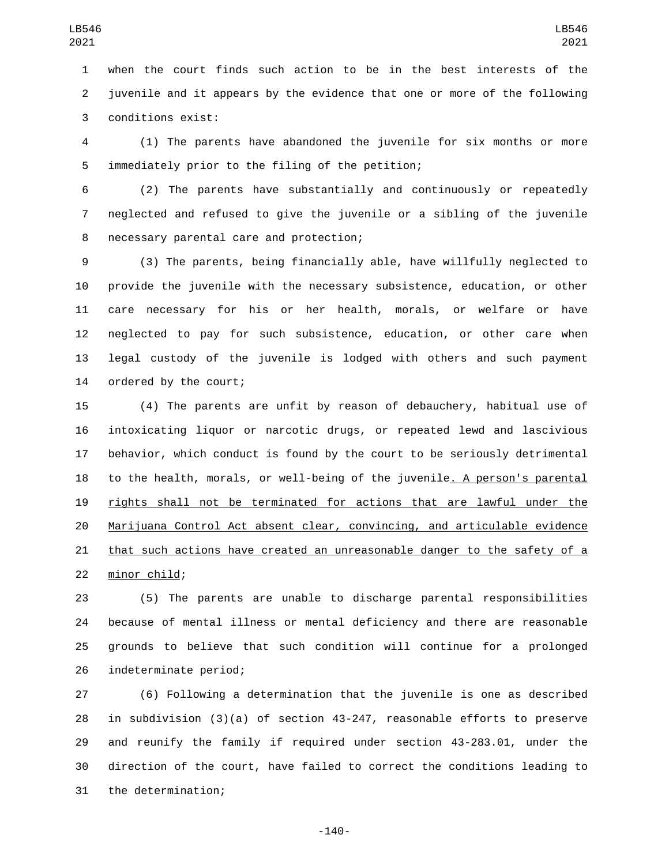when the court finds such action to be in the best interests of the juvenile and it appears by the evidence that one or more of the following 3 conditions exist:

 (1) The parents have abandoned the juvenile for six months or more 5 immediately prior to the filing of the petition;

 (2) The parents have substantially and continuously or repeatedly neglected and refused to give the juvenile or a sibling of the juvenile 8 necessary parental care and protection;

 (3) The parents, being financially able, have willfully neglected to provide the juvenile with the necessary subsistence, education, or other care necessary for his or her health, morals, or welfare or have neglected to pay for such subsistence, education, or other care when legal custody of the juvenile is lodged with others and such payment 14 ordered by the court;

 (4) The parents are unfit by reason of debauchery, habitual use of intoxicating liquor or narcotic drugs, or repeated lewd and lascivious behavior, which conduct is found by the court to be seriously detrimental 18 to the health, morals, or well-being of the juvenile. A person's parental rights shall not be terminated for actions that are lawful under the Marijuana Control Act absent clear, convincing, and articulable evidence that such actions have created an unreasonable danger to the safety of a 22 minor child;

 (5) The parents are unable to discharge parental responsibilities because of mental illness or mental deficiency and there are reasonable grounds to believe that such condition will continue for a prolonged 26 indeterminate period;

 (6) Following a determination that the juvenile is one as described in subdivision (3)(a) of section 43-247, reasonable efforts to preserve and reunify the family if required under section 43-283.01, under the direction of the court, have failed to correct the conditions leading to 31 the determination;

-140-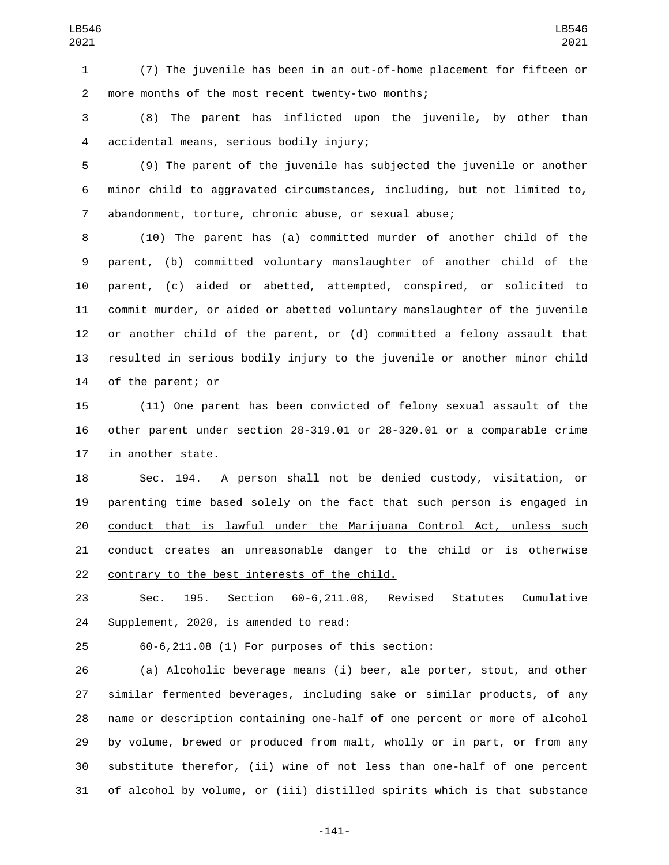(7) The juvenile has been in an out-of-home placement for fifteen or 2 more months of the most recent twenty-two months;

 (8) The parent has inflicted upon the juvenile, by other than accidental means, serious bodily injury;4

 (9) The parent of the juvenile has subjected the juvenile or another minor child to aggravated circumstances, including, but not limited to, abandonment, torture, chronic abuse, or sexual abuse;

 (10) The parent has (a) committed murder of another child of the parent, (b) committed voluntary manslaughter of another child of the parent, (c) aided or abetted, attempted, conspired, or solicited to commit murder, or aided or abetted voluntary manslaughter of the juvenile or another child of the parent, or (d) committed a felony assault that resulted in serious bodily injury to the juvenile or another minor child 14 of the parent; or

 (11) One parent has been convicted of felony sexual assault of the other parent under section 28-319.01 or 28-320.01 or a comparable crime 17 in another state.

 Sec. 194. A person shall not be denied custody, visitation, or parenting time based solely on the fact that such person is engaged in conduct that is lawful under the Marijuana Control Act, unless such conduct creates an unreasonable danger to the child or is otherwise 22 contrary to the best interests of the child.

 Sec. 195. Section 60-6,211.08, Revised Statutes Cumulative 24 Supplement, 2020, is amended to read:

60-6,211.08 (1) For purposes of this section:

 (a) Alcoholic beverage means (i) beer, ale porter, stout, and other similar fermented beverages, including sake or similar products, of any name or description containing one-half of one percent or more of alcohol by volume, brewed or produced from malt, wholly or in part, or from any substitute therefor, (ii) wine of not less than one-half of one percent of alcohol by volume, or (iii) distilled spirits which is that substance

-141-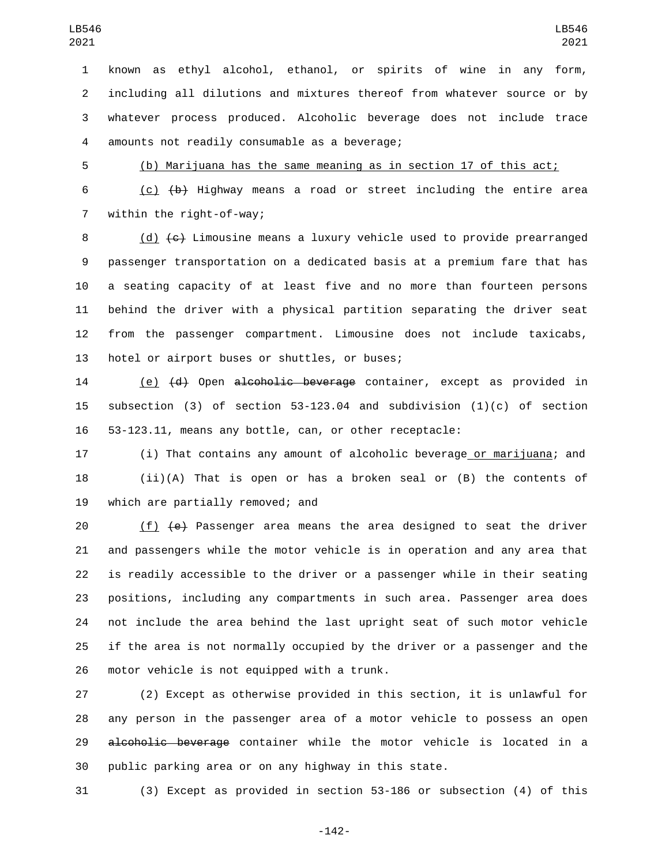known as ethyl alcohol, ethanol, or spirits of wine in any form, including all dilutions and mixtures thereof from whatever source or by whatever process produced. Alcoholic beverage does not include trace 4 amounts not readily consumable as a beverage;

(b) Marijuana has the same meaning as in section 17 of this act;

6  $(c)$   $(b)$  Highway means a road or street including the entire area 7 within the right-of-way;

 (d) (c) Limousine means a luxury vehicle used to provide prearranged passenger transportation on a dedicated basis at a premium fare that has a seating capacity of at least five and no more than fourteen persons behind the driver with a physical partition separating the driver seat from the passenger compartment. Limousine does not include taxicabs, 13 hotel or airport buses or shuttles, or buses;

14 (e) (d) Open alcoholic beverage container, except as provided in subsection (3) of section 53-123.04 and subdivision (1)(c) of section 53-123.11, means any bottle, can, or other receptacle:

 (i) That contains any amount of alcoholic beverage or marijuana; and (ii)(A) That is open or has a broken seal or (B) the contents of 19 which are partially removed; and

 (f) (e) Passenger area means the area designed to seat the driver and passengers while the motor vehicle is in operation and any area that is readily accessible to the driver or a passenger while in their seating positions, including any compartments in such area. Passenger area does not include the area behind the last upright seat of such motor vehicle if the area is not normally occupied by the driver or a passenger and the 26 motor vehicle is not equipped with a trunk.

 (2) Except as otherwise provided in this section, it is unlawful for any person in the passenger area of a motor vehicle to possess an open 29 alcoholic beverage container while the motor vehicle is located in a public parking area or on any highway in this state.

(3) Except as provided in section 53-186 or subsection (4) of this

-142-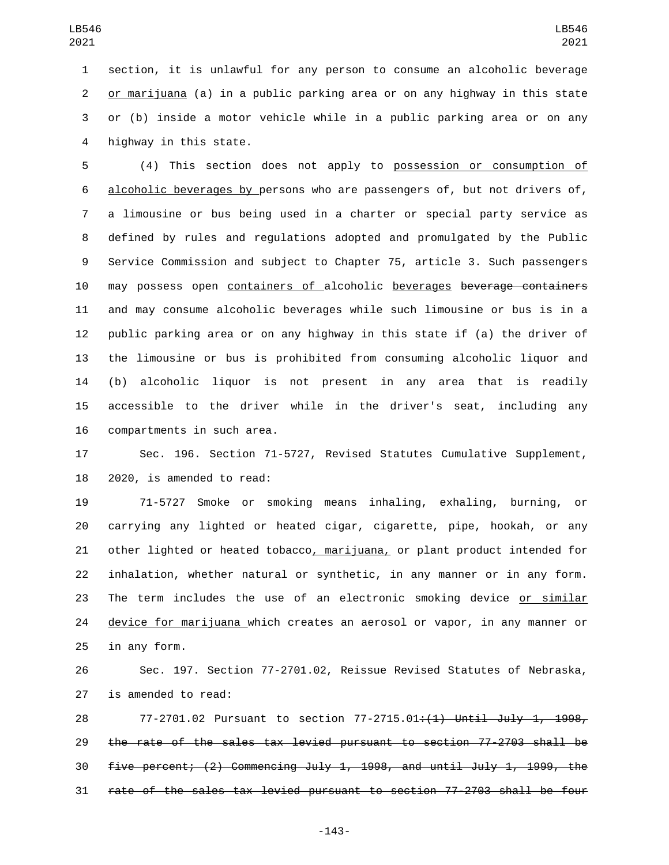section, it is unlawful for any person to consume an alcoholic beverage or marijuana (a) in a public parking area or on any highway in this state or (b) inside a motor vehicle while in a public parking area or on any 4 highway in this state.

 (4) This section does not apply to possession or consumption of alcoholic beverages by persons who are passengers of, but not drivers of, a limousine or bus being used in a charter or special party service as defined by rules and regulations adopted and promulgated by the Public Service Commission and subject to Chapter 75, article 3. Such passengers may possess open containers of alcoholic beverages beverage containers and may consume alcoholic beverages while such limousine or bus is in a public parking area or on any highway in this state if (a) the driver of the limousine or bus is prohibited from consuming alcoholic liquor and (b) alcoholic liquor is not present in any area that is readily accessible to the driver while in the driver's seat, including any 16 compartments in such area.

 Sec. 196. Section 71-5727, Revised Statutes Cumulative Supplement, 2020, is amended to read:

 71-5727 Smoke or smoking means inhaling, exhaling, burning, or carrying any lighted or heated cigar, cigarette, pipe, hookah, or any other lighted or heated tobacco, marijuana, or plant product intended for inhalation, whether natural or synthetic, in any manner or in any form. The term includes the use of an electronic smoking device or similar 24 device for marijuana which creates an aerosol or vapor, in any manner or 25 in any form.

 Sec. 197. Section 77-2701.02, Reissue Revised Statutes of Nebraska, 27 is amended to read:

28 77-2701.02 Pursuant to section 77-2715.01<del>:(1) Until July 1, 1998,</del> the rate of the sales tax levied pursuant to section 77-2703 shall be five percent; (2) Commencing July 1, 1998, and until July 1, 1999, the rate of the sales tax levied pursuant to section 77-2703 shall be four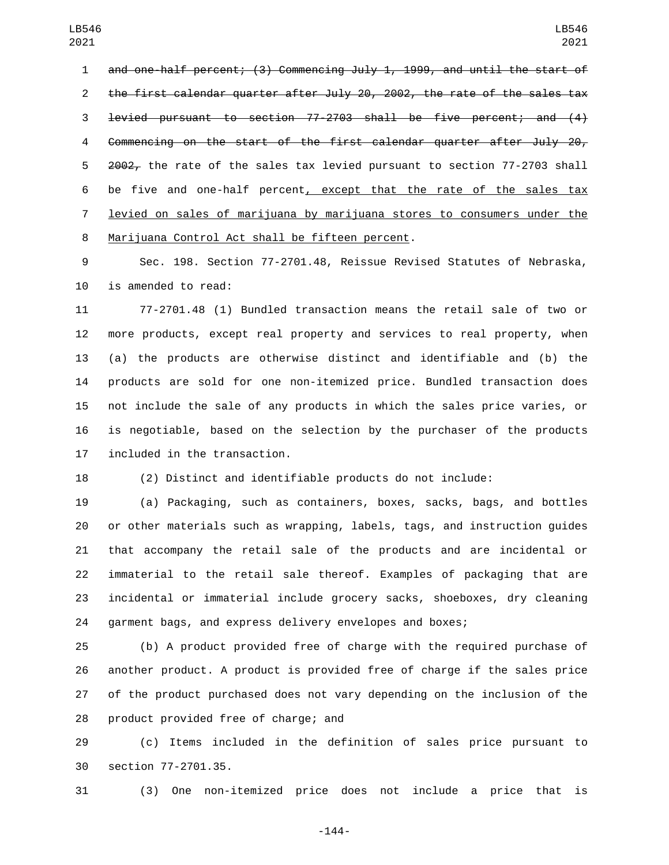and one-half percent; (3) Commencing July 1, 1999, and until the start of the first calendar quarter after July 20, 2002, the rate of the sales tax levied pursuant to section 77-2703 shall be five percent; and (4) Commencing on the start of the first calendar quarter after July 20, 5 2002, the rate of the sales tax levied pursuant to section 77-2703 shall 6 be five and one-half percent, except that the rate of the sales tax levied on sales of marijuana by marijuana stores to consumers under the 8 Marijuana Control Act shall be fifteen percent.

 Sec. 198. Section 77-2701.48, Reissue Revised Statutes of Nebraska, 10 is amended to read:

 77-2701.48 (1) Bundled transaction means the retail sale of two or more products, except real property and services to real property, when (a) the products are otherwise distinct and identifiable and (b) the products are sold for one non-itemized price. Bundled transaction does not include the sale of any products in which the sales price varies, or is negotiable, based on the selection by the purchaser of the products 17 included in the transaction.

(2) Distinct and identifiable products do not include:

 (a) Packaging, such as containers, boxes, sacks, bags, and bottles or other materials such as wrapping, labels, tags, and instruction guides that accompany the retail sale of the products and are incidental or immaterial to the retail sale thereof. Examples of packaging that are incidental or immaterial include grocery sacks, shoeboxes, dry cleaning garment bags, and express delivery envelopes and boxes;

 (b) A product provided free of charge with the required purchase of another product. A product is provided free of charge if the sales price of the product purchased does not vary depending on the inclusion of the 28 product provided free of charge; and

 (c) Items included in the definition of sales price pursuant to 30 section 77-2701.35.

(3) One non-itemized price does not include a price that is

-144-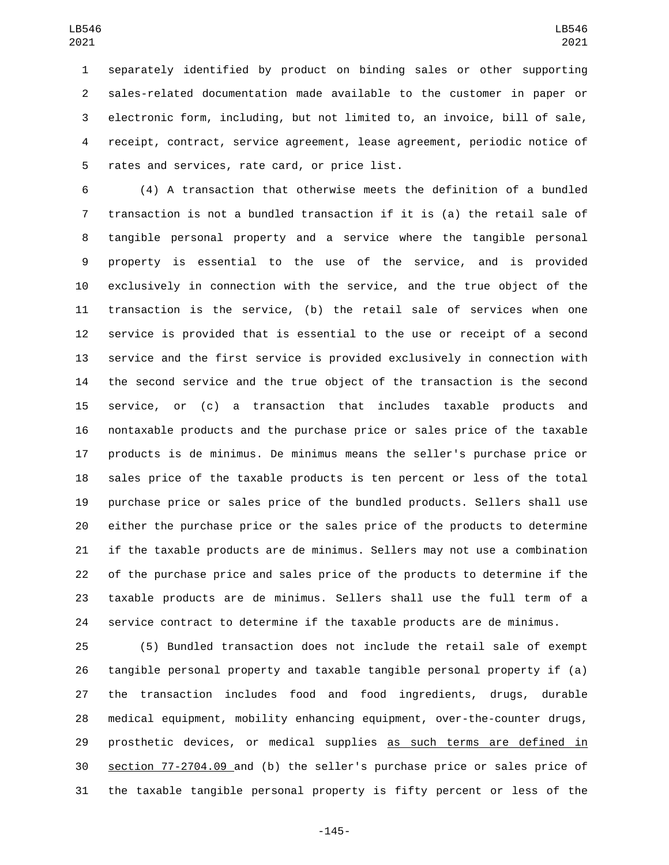separately identified by product on binding sales or other supporting sales-related documentation made available to the customer in paper or electronic form, including, but not limited to, an invoice, bill of sale, receipt, contract, service agreement, lease agreement, periodic notice of 5 rates and services, rate card, or price list.

 (4) A transaction that otherwise meets the definition of a bundled transaction is not a bundled transaction if it is (a) the retail sale of tangible personal property and a service where the tangible personal property is essential to the use of the service, and is provided exclusively in connection with the service, and the true object of the transaction is the service, (b) the retail sale of services when one service is provided that is essential to the use or receipt of a second service and the first service is provided exclusively in connection with the second service and the true object of the transaction is the second service, or (c) a transaction that includes taxable products and nontaxable products and the purchase price or sales price of the taxable products is de minimus. De minimus means the seller's purchase price or sales price of the taxable products is ten percent or less of the total purchase price or sales price of the bundled products. Sellers shall use either the purchase price or the sales price of the products to determine if the taxable products are de minimus. Sellers may not use a combination of the purchase price and sales price of the products to determine if the taxable products are de minimus. Sellers shall use the full term of a service contract to determine if the taxable products are de minimus.

 (5) Bundled transaction does not include the retail sale of exempt tangible personal property and taxable tangible personal property if (a) the transaction includes food and food ingredients, drugs, durable medical equipment, mobility enhancing equipment, over-the-counter drugs, 29 prosthetic devices, or medical supplies as such terms are defined in section 77-2704.09 and (b) the seller's purchase price or sales price of the taxable tangible personal property is fifty percent or less of the

-145-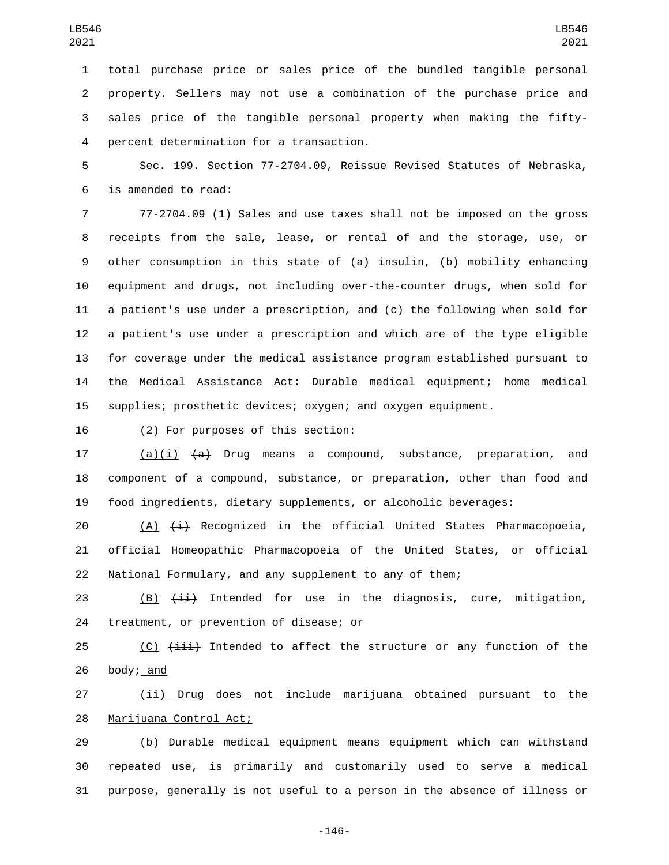total purchase price or sales price of the bundled tangible personal property. Sellers may not use a combination of the purchase price and sales price of the tangible personal property when making the fiftypercent determination for a transaction.4

 Sec. 199. Section 77-2704.09, Reissue Revised Statutes of Nebraska, is amended to read:6

 77-2704.09 (1) Sales and use taxes shall not be imposed on the gross receipts from the sale, lease, or rental of and the storage, use, or other consumption in this state of (a) insulin, (b) mobility enhancing equipment and drugs, not including over-the-counter drugs, when sold for a patient's use under a prescription, and (c) the following when sold for a patient's use under a prescription and which are of the type eligible for coverage under the medical assistance program established pursuant to the Medical Assistance Act: Durable medical equipment; home medical supplies; prosthetic devices; oxygen; and oxygen equipment.

16 (2) For purposes of this section:

17 (a)(i) <del>(a)</del> Drug means a compound, substance, preparation, and component of a compound, substance, or preparation, other than food and food ingredients, dietary supplements, or alcoholic beverages:

20  $(A)$   $(\pm)$  Recognized in the official United States Pharmacopoeia, official Homeopathic Pharmacopoeia of the United States, or official National Formulary, and any supplement to any of them;

23 (B)  $(i)$  ii) Intended for use in the diagnosis, cure, mitigation, 24 treatment, or prevention of disease; or

25  $(C)$   $(iii)$  Intended to affect the structure or any function of the 26 body;  $and$ 

 (ii) Drug does not include marijuana obtained pursuant to the 28 Marijuana Control Act;

 (b) Durable medical equipment means equipment which can withstand repeated use, is primarily and customarily used to serve a medical purpose, generally is not useful to a person in the absence of illness or

-146-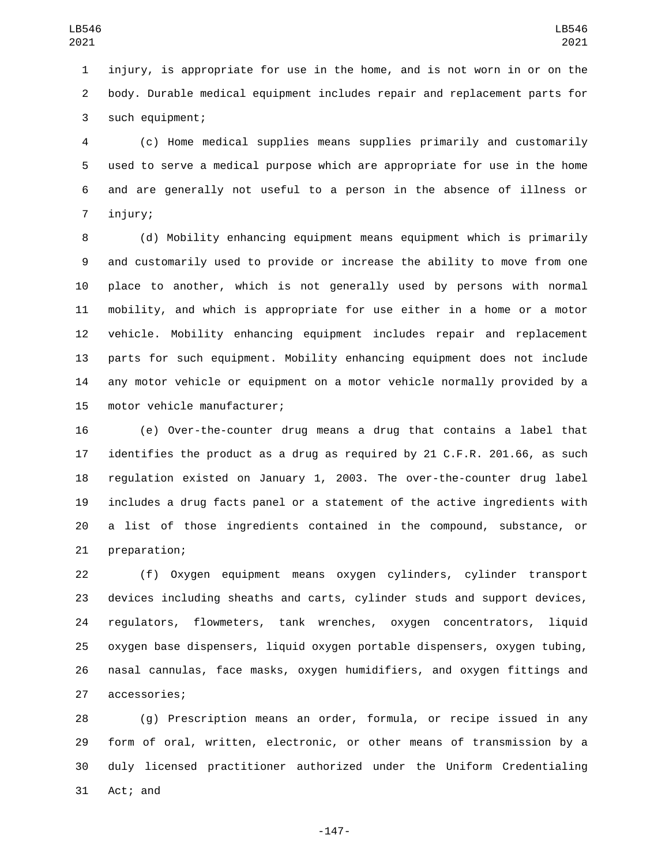injury, is appropriate for use in the home, and is not worn in or on the body. Durable medical equipment includes repair and replacement parts for 3 such equipment;

 (c) Home medical supplies means supplies primarily and customarily used to serve a medical purpose which are appropriate for use in the home and are generally not useful to a person in the absence of illness or 7 injury;

 (d) Mobility enhancing equipment means equipment which is primarily and customarily used to provide or increase the ability to move from one place to another, which is not generally used by persons with normal mobility, and which is appropriate for use either in a home or a motor vehicle. Mobility enhancing equipment includes repair and replacement parts for such equipment. Mobility enhancing equipment does not include any motor vehicle or equipment on a motor vehicle normally provided by a 15 motor vehicle manufacturer;

 (e) Over-the-counter drug means a drug that contains a label that identifies the product as a drug as required by 21 C.F.R. 201.66, as such regulation existed on January 1, 2003. The over-the-counter drug label includes a drug facts panel or a statement of the active ingredients with a list of those ingredients contained in the compound, substance, or 21 preparation;

 (f) Oxygen equipment means oxygen cylinders, cylinder transport devices including sheaths and carts, cylinder studs and support devices, regulators, flowmeters, tank wrenches, oxygen concentrators, liquid oxygen base dispensers, liquid oxygen portable dispensers, oxygen tubing, nasal cannulas, face masks, oxygen humidifiers, and oxygen fittings and 27 accessories;

 (g) Prescription means an order, formula, or recipe issued in any form of oral, written, electronic, or other means of transmission by a duly licensed practitioner authorized under the Uniform Credentialing 31 Act; and

-147-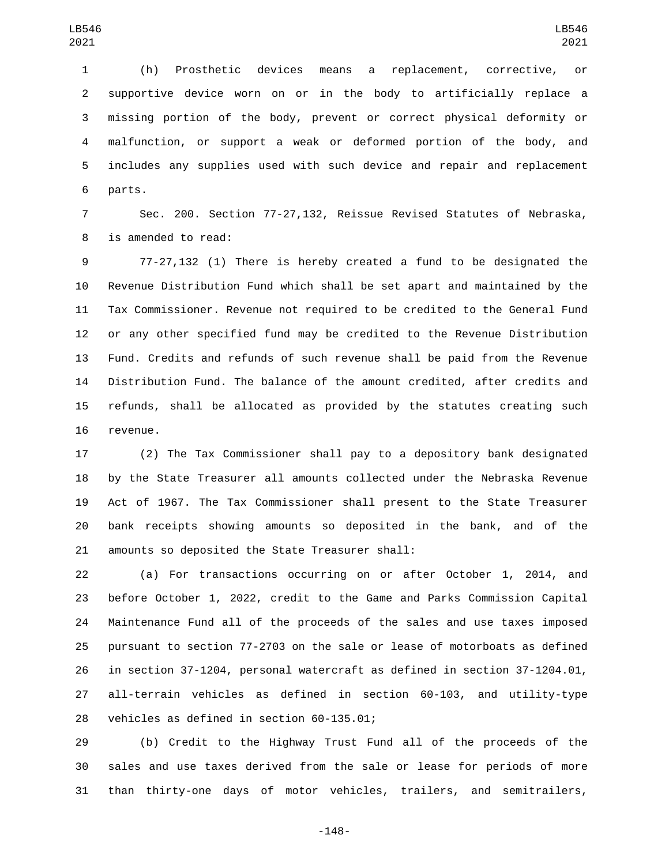(h) Prosthetic devices means a replacement, corrective, or supportive device worn on or in the body to artificially replace a missing portion of the body, prevent or correct physical deformity or malfunction, or support a weak or deformed portion of the body, and includes any supplies used with such device and repair and replacement 6 parts.

 Sec. 200. Section 77-27,132, Reissue Revised Statutes of Nebraska, 8 is amended to read:

 77-27,132 (1) There is hereby created a fund to be designated the Revenue Distribution Fund which shall be set apart and maintained by the Tax Commissioner. Revenue not required to be credited to the General Fund or any other specified fund may be credited to the Revenue Distribution Fund. Credits and refunds of such revenue shall be paid from the Revenue Distribution Fund. The balance of the amount credited, after credits and refunds, shall be allocated as provided by the statutes creating such 16 revenue.

 (2) The Tax Commissioner shall pay to a depository bank designated by the State Treasurer all amounts collected under the Nebraska Revenue Act of 1967. The Tax Commissioner shall present to the State Treasurer bank receipts showing amounts so deposited in the bank, and of the 21 amounts so deposited the State Treasurer shall:

 (a) For transactions occurring on or after October 1, 2014, and before October 1, 2022, credit to the Game and Parks Commission Capital Maintenance Fund all of the proceeds of the sales and use taxes imposed pursuant to section 77-2703 on the sale or lease of motorboats as defined in section 37-1204, personal watercraft as defined in section 37-1204.01, all-terrain vehicles as defined in section 60-103, and utility-type 28 vehicles as defined in section 60-135.01;

 (b) Credit to the Highway Trust Fund all of the proceeds of the sales and use taxes derived from the sale or lease for periods of more than thirty-one days of motor vehicles, trailers, and semitrailers,

-148-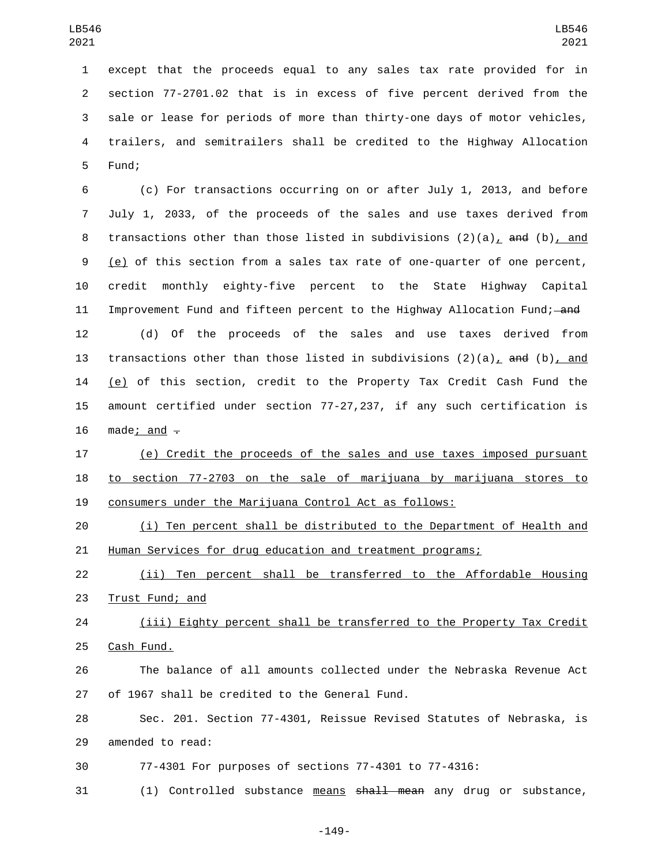except that the proceeds equal to any sales tax rate provided for in section 77-2701.02 that is in excess of five percent derived from the sale or lease for periods of more than thirty-one days of motor vehicles, trailers, and semitrailers shall be credited to the Highway Allocation 5 Fund;

 (c) For transactions occurring on or after July 1, 2013, and before July 1, 2033, of the proceeds of the sales and use taxes derived from 8 transactions other than those listed in subdivisions  $(2)(a)_L$  and (b), and (e) of this section from a sales tax rate of one-quarter of one percent, credit monthly eighty-five percent to the State Highway Capital 11 Improvement Fund and fifteen percent to the Highway Allocation Fund; and

 (d) Of the proceeds of the sales and use taxes derived from 13 transactions other than those listed in subdivisions  $(2)(a)$ , and  $(b)$ , and (e) of this section, credit to the Property Tax Credit Cash Fund the amount certified under section 77-27,237, if any such certification is 16 made; and  $-$ 

 (e) Credit the proceeds of the sales and use taxes imposed pursuant to section 77-2703 on the sale of marijuana by marijuana stores to consumers under the Marijuana Control Act as follows:

 (i) Ten percent shall be distributed to the Department of Health and 21 Human Services for drug education and treatment programs;

 (ii) Ten percent shall be transferred to the Affordable Housing 23 Trust Fund; and

 (iii) Eighty percent shall be transferred to the Property Tax Credit 25 Cash Fund.

 The balance of all amounts collected under the Nebraska Revenue Act 27 of 1967 shall be credited to the General Fund.

 Sec. 201. Section 77-4301, Reissue Revised Statutes of Nebraska, is 29 amended to read:

77-4301 For purposes of sections 77-4301 to 77-4316:

31 (1) Controlled substance means shall mean any drug or substance,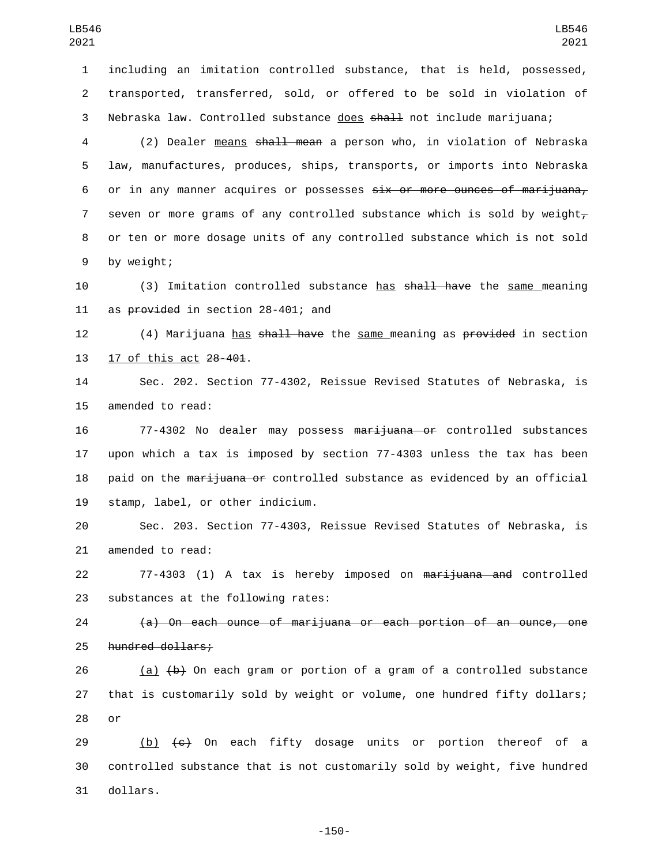1 including an imitation controlled substance, that is held, possessed, 2 transported, transferred, sold, or offered to be sold in violation of 3 Nebraska law. Controlled substance does shall not include marijuana;

4 (2) Dealer <u>means</u> shall mean a person who, in violation of Nebraska 5 law, manufactures, produces, ships, transports, or imports into Nebraska 6 or in any manner acquires or possesses six or more ounces of marijuana, 7 seven or more grams of any controlled substance which is sold by weight $_{\tau}$ 8 or ten or more dosage units of any controlled substance which is not sold 9 by weight;

10 (3) Imitation controlled substance has shall have the same meaning 11 as provided in section 28-401; and

12 (4) Marijuana has shall have the same meaning as provided in section 13 17 of this act 28-401.

14 Sec. 202. Section 77-4302, Reissue Revised Statutes of Nebraska, is 15 amended to read:

16 77-4302 No dealer may possess marijuana or controlled substances 17 upon which a tax is imposed by section 77-4303 unless the tax has been 18 paid on the marijuana or controlled substance as evidenced by an official 19 stamp, label, or other indicium.

20 Sec. 203. Section 77-4303, Reissue Revised Statutes of Nebraska, is 21 amended to read:

22 77-4303 (1) A tax is hereby imposed on <del>marijuana and</del> controlled 23 substances at the following rates:

24 (a) On each ounce of marijuana or each portion of an ounce, one 25 hundred dollars;

26 (a)  $\left(\frac{b}{b}\right)$  On each gram or portion of a gram of a controlled substance 27 that is customarily sold by weight or volume, one hundred fifty dollars;  $28$  or

29  $(b)$   $(c)$  On each fifty dosage units or portion thereof of a 30 controlled substance that is not customarily sold by weight, five hundred 31 dollars.

-150-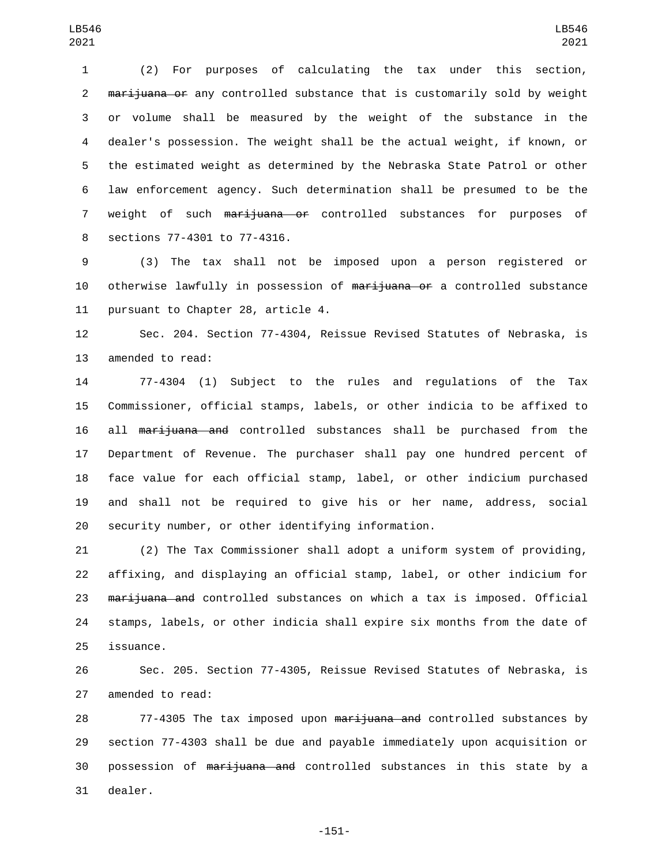(2) For purposes of calculating the tax under this section, 2 marijuana or any controlled substance that is customarily sold by weight or volume shall be measured by the weight of the substance in the dealer's possession. The weight shall be the actual weight, if known, or the estimated weight as determined by the Nebraska State Patrol or other law enforcement agency. Such determination shall be presumed to be the 7 weight of such marijuana or controlled substances for purposes of 8 sections 77-4301 to 77-4316.

 (3) The tax shall not be imposed upon a person registered or 10 otherwise lawfully in possession of marijuana or a controlled substance 11 pursuant to Chapter 28, article 4.

 Sec. 204. Section 77-4304, Reissue Revised Statutes of Nebraska, is 13 amended to read:

 77-4304 (1) Subject to the rules and regulations of the Tax Commissioner, official stamps, labels, or other indicia to be affixed to all marijuana and controlled substances shall be purchased from the Department of Revenue. The purchaser shall pay one hundred percent of face value for each official stamp, label, or other indicium purchased and shall not be required to give his or her name, address, social security number, or other identifying information.

 (2) The Tax Commissioner shall adopt a uniform system of providing, affixing, and displaying an official stamp, label, or other indicium for 23 marijuana and controlled substances on which a tax is imposed. Official stamps, labels, or other indicia shall expire six months from the date of 25 issuance.

 Sec. 205. Section 77-4305, Reissue Revised Statutes of Nebraska, is 27 amended to read:

28 77-4305 The tax imposed upon <del>marijuana and</del> controlled substances by section 77-4303 shall be due and payable immediately upon acquisition or possession of marijuana and controlled substances in this state by a 31 dealer.

-151-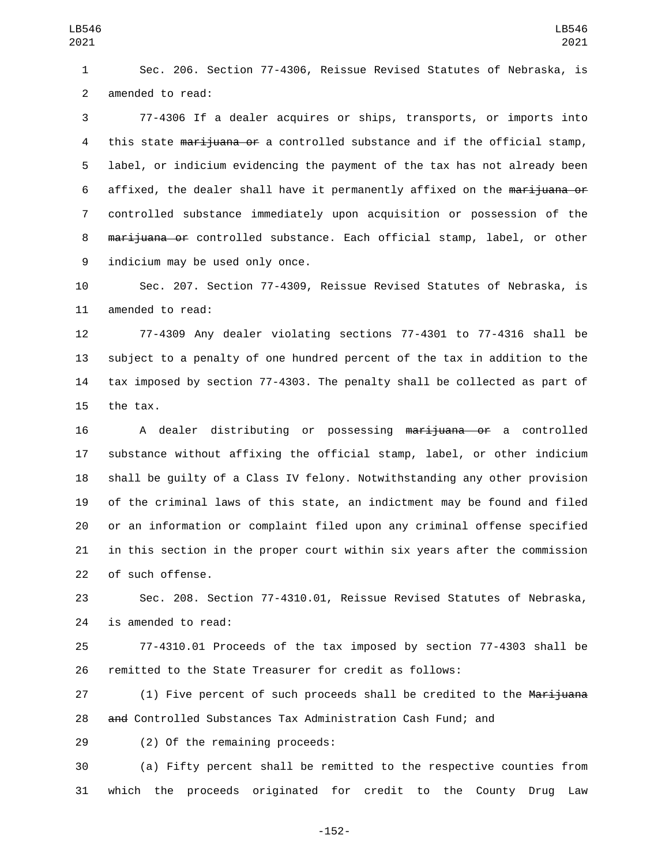1 Sec. 206. Section 77-4306, Reissue Revised Statutes of Nebraska, is 2 amended to read:

3 77-4306 If a dealer acquires or ships, transports, or imports into 4 this state marijuana or a controlled substance and if the official stamp, 5 label, or indicium evidencing the payment of the tax has not already been 6 affixed, the dealer shall have it permanently affixed on the marijuana or 7 controlled substance immediately upon acquisition or possession of the 8 marijuana or controlled substance. Each official stamp, label, or other 9 indicium may be used only once.

10 Sec. 207. Section 77-4309, Reissue Revised Statutes of Nebraska, is 11 amended to read:

 77-4309 Any dealer violating sections 77-4301 to 77-4316 shall be subject to a penalty of one hundred percent of the tax in addition to the tax imposed by section 77-4303. The penalty shall be collected as part of 15 the tax.

16 A dealer distributing or possessing marijuana or a controlled substance without affixing the official stamp, label, or other indicium shall be guilty of a Class IV felony. Notwithstanding any other provision of the criminal laws of this state, an indictment may be found and filed or an information or complaint filed upon any criminal offense specified in this section in the proper court within six years after the commission 22 of such offense.

23 Sec. 208. Section 77-4310.01, Reissue Revised Statutes of Nebraska, 24 is amended to read:

25 77-4310.01 Proceeds of the tax imposed by section 77-4303 shall be 26 remitted to the State Treasurer for credit as follows:

27 (1) Five percent of such proceeds shall be credited to the Marijuana 28 and Controlled Substances Tax Administration Cash Fund; and

29 (2) Of the remaining proceeds:

30 (a) Fifty percent shall be remitted to the respective counties from 31 which the proceeds originated for credit to the County Drug Law

-152-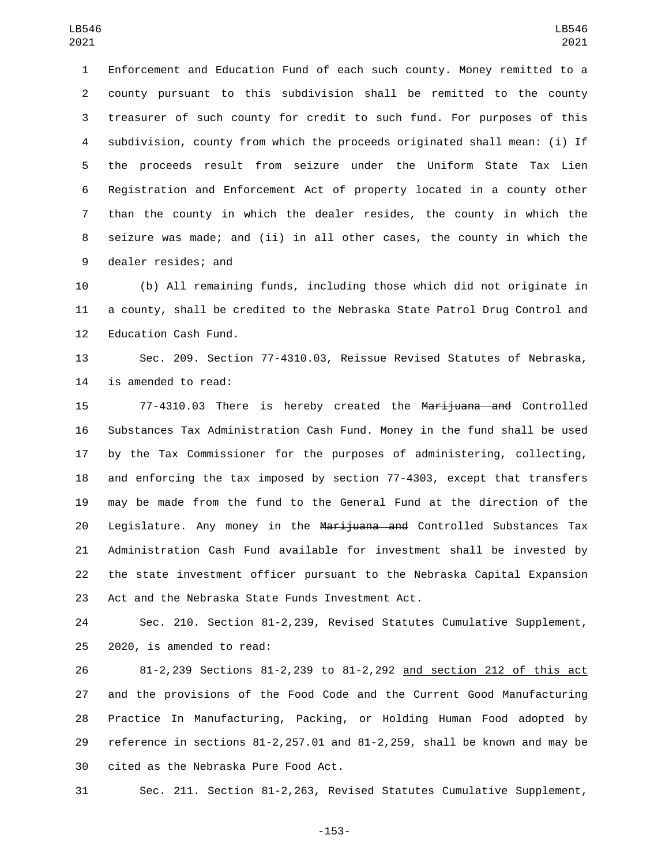Enforcement and Education Fund of each such county. Money remitted to a county pursuant to this subdivision shall be remitted to the county treasurer of such county for credit to such fund. For purposes of this subdivision, county from which the proceeds originated shall mean: (i) If the proceeds result from seizure under the Uniform State Tax Lien Registration and Enforcement Act of property located in a county other than the county in which the dealer resides, the county in which the seizure was made; and (ii) in all other cases, the county in which the 9 dealer resides; and

 (b) All remaining funds, including those which did not originate in a county, shall be credited to the Nebraska State Patrol Drug Control and 12 Education Cash Fund.

 Sec. 209. Section 77-4310.03, Reissue Revised Statutes of Nebraska, 14 is amended to read:

 77-4310.03 There is hereby created the Marijuana and Controlled Substances Tax Administration Cash Fund. Money in the fund shall be used by the Tax Commissioner for the purposes of administering, collecting, and enforcing the tax imposed by section 77-4303, except that transfers may be made from the fund to the General Fund at the direction of the 20 Legislature. Any money in the Marijuana and Controlled Substances Tax Administration Cash Fund available for investment shall be invested by the state investment officer pursuant to the Nebraska Capital Expansion 23 Act and the Nebraska State Funds Investment Act.

 Sec. 210. Section 81-2,239, Revised Statutes Cumulative Supplement,  $2020$ , is amended to read:

 81-2,239 Sections 81-2,239 to 81-2,292 and section 212 of this act and the provisions of the Food Code and the Current Good Manufacturing Practice In Manufacturing, Packing, or Holding Human Food adopted by reference in sections 81-2,257.01 and 81-2,259, shall be known and may be 30 cited as the Nebraska Pure Food Act.

Sec. 211. Section 81-2,263, Revised Statutes Cumulative Supplement,

-153-